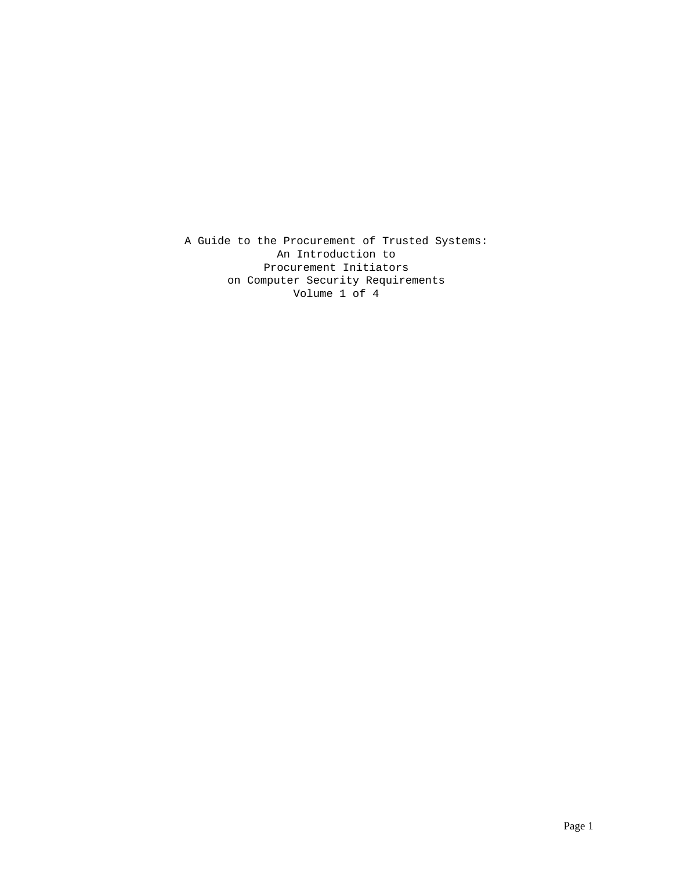A Guide to the Procurement of Trusted Systems: An Introduction to Procurement Initiators on Computer Security Requirements Volume 1 of 4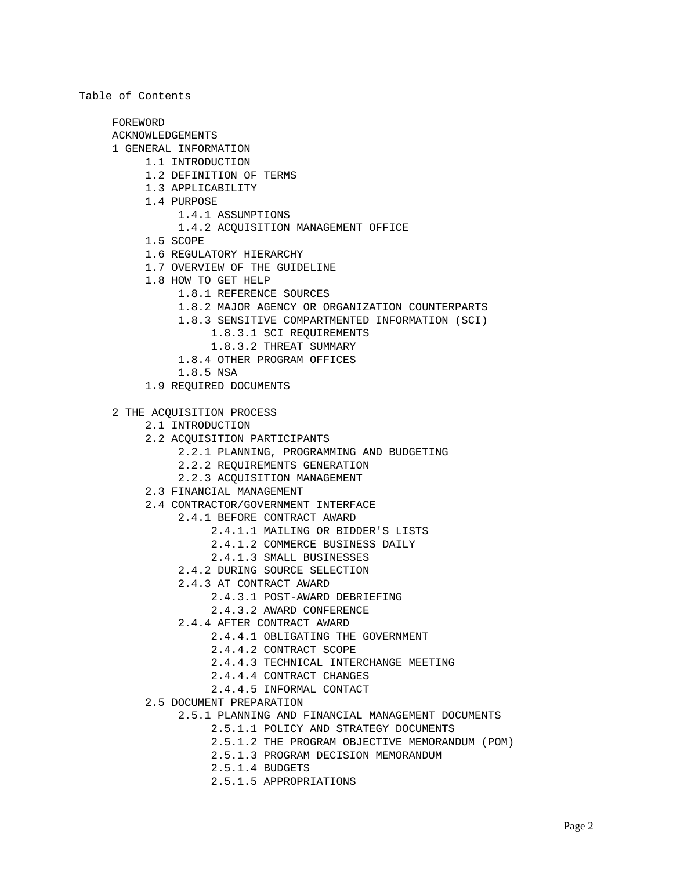FOREWORD ACKNOWLEDGEMENTS 1 GENERAL INFORMATION 1.1 INTRODUCTION 1.2 DEFINITION OF TERMS 1.3 APPLICABILITY 1.4 PURPOSE 1.4.1 ASSUMPTIONS 1.4.2 ACQUISITION MANAGEMENT OFFICE 1.5 SCOPE 1.6 REGULATORY HIERARCHY 1.7 OVERVIEW OF THE GUIDELINE 1.8 HOW TO GET HELP 1.8.1 REFERENCE SOURCES 1.8.2 MAJOR AGENCY OR ORGANIZATION COUNTERPARTS 1.8.3 SENSITIVE COMPARTMENTED INFORMATION (SCI) 1.8.3.1 SCI REQUIREMENTS 1.8.3.2 THREAT SUMMARY 1.8.4 OTHER PROGRAM OFFICES 1.8.5 NSA 1.9 REQUIRED DOCUMENTS 2 THE ACQUISITION PROCESS 2.1 INTRODUCTION 2.2 ACQUISITION PARTICIPANTS 2.2.1 PLANNING, PROGRAMMING AND BUDGETING 2.2.2 REQUIREMENTS GENERATION 2.2.3 ACQUISITION MANAGEMENT 2.3 FINANCIAL MANAGEMENT 2.4 CONTRACTOR/GOVERNMENT INTERFACE 2.4.1 BEFORE CONTRACT AWARD 2.4.1.1 MAILING OR BIDDER'S LISTS 2.4.1.2 COMMERCE BUSINESS DAILY 2.4.1.3 SMALL BUSINESSES 2.4.2 DURING SOURCE SELECTION 2.4.3 AT CONTRACT AWARD 2.4.3.1 POST-AWARD DEBRIEFING 2.4.3.2 AWARD CONFERENCE 2.4.4 AFTER CONTRACT AWARD 2.4.4.1 OBLIGATING THE GOVERNMENT 2.4.4.2 CONTRACT SCOPE 2.4.4.3 TECHNICAL INTERCHANGE MEETING 2.4.4.4 CONTRACT CHANGES 2.4.4.5 INFORMAL CONTACT 2.5 DOCUMENT PREPARATION 2.5.1 PLANNING AND FINANCIAL MANAGEMENT DOCUMENTS 2.5.1.1 POLICY AND STRATEGY DOCUMENTS

Table of Contents

- 2.5.1.2 THE PROGRAM OBJECTIVE MEMORANDUM (POM)
- 2.5.1.3 PROGRAM DECISION MEMORANDUM
- 2.5.1.4 BUDGETS
- 2.5.1.5 APPROPRIATIONS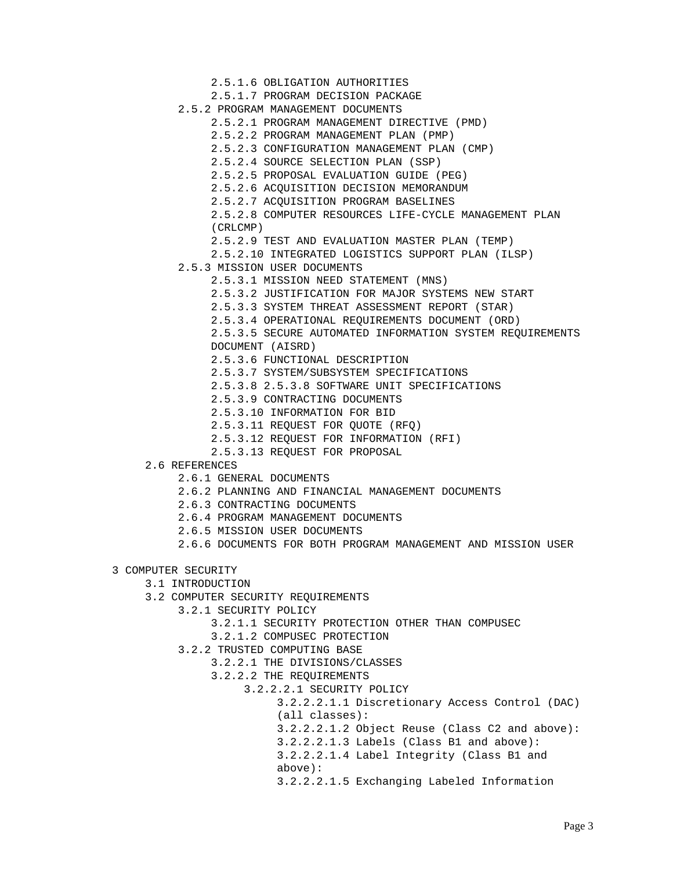2.5.1.6 OBLIGATION AUTHORITIES 2.5.1.7 PROGRAM DECISION PACKAGE 2.5.2 PROGRAM MANAGEMENT DOCUMENTS 2.5.2.1 PROGRAM MANAGEMENT DIRECTIVE (PMD) 2.5.2.2 PROGRAM MANAGEMENT PLAN (PMP) 2.5.2.3 CONFIGURATION MANAGEMENT PLAN (CMP) 2.5.2.4 SOURCE SELECTION PLAN (SSP) 2.5.2.5 PROPOSAL EVALUATION GUIDE (PEG) 2.5.2.6 ACQUISITION DECISION MEMORANDUM 2.5.2.7 ACQUISITION PROGRAM BASELINES 2.5.2.8 COMPUTER RESOURCES LIFE-CYCLE MANAGEMENT PLAN (CRLCMP) 2.5.2.9 TEST AND EVALUATION MASTER PLAN (TEMP) 2.5.2.10 INTEGRATED LOGISTICS SUPPORT PLAN (ILSP) 2.5.3 MISSION USER DOCUMENTS 2.5.3.1 MISSION NEED STATEMENT (MNS) 2.5.3.2 JUSTIFICATION FOR MAJOR SYSTEMS NEW START 2.5.3.3 SYSTEM THREAT ASSESSMENT REPORT (STAR) 2.5.3.4 OPERATIONAL REQUIREMENTS DOCUMENT (ORD) 2.5.3.5 SECURE AUTOMATED INFORMATION SYSTEM REQUIREMENTS DOCUMENT (AISRD) 2.5.3.6 FUNCTIONAL DESCRIPTION 2.5.3.7 SYSTEM/SUBSYSTEM SPECIFICATIONS 2.5.3.8 2.5.3.8 SOFTWARE UNIT SPECIFICATIONS 2.5.3.9 CONTRACTING DOCUMENTS 2.5.3.10 INFORMATION FOR BID 2.5.3.11 REQUEST FOR QUOTE (RFQ) 2.5.3.12 REQUEST FOR INFORMATION (RFI) 2.5.3.13 REQUEST FOR PROPOSAL 2.6 REFERENCES 2.6.1 GENERAL DOCUMENTS 2.6.2 PLANNING AND FINANCIAL MANAGEMENT DOCUMENTS 2.6.3 CONTRACTING DOCUMENTS 2.6.4 PROGRAM MANAGEMENT DOCUMENTS 2.6.5 MISSION USER DOCUMENTS 2.6.6 DOCUMENTS FOR BOTH PROGRAM MANAGEMENT AND MISSION USER 3 COMPUTER SECURITY

- 3.1 INTRODUCTION
- 3.2 COMPUTER SECURITY REQUIREMENTS
	- 3.2.1 SECURITY POLICY
		- 3.2.1.1 SECURITY PROTECTION OTHER THAN COMPUSEC
		- 3.2.1.2 COMPUSEC PROTECTION
	- 3.2.2 TRUSTED COMPUTING BASE
		- 3.2.2.1 THE DIVISIONS/CLASSES
			- 3.2.2.2 THE REQUIREMENTS
				- 3.2.2.2.1 SECURITY POLICY
					- 3.2.2.2.1.1 Discretionary Access Control (DAC) (all classes):
					- 3.2.2.2.1.2 Object Reuse (Class C2 and above):
					- 3.2.2.2.1.3 Labels (Class B1 and above):
					- 3.2.2.2.1.4 Label Integrity (Class B1 and
					- above):
					- 3.2.2.2.1.5 Exchanging Labeled Information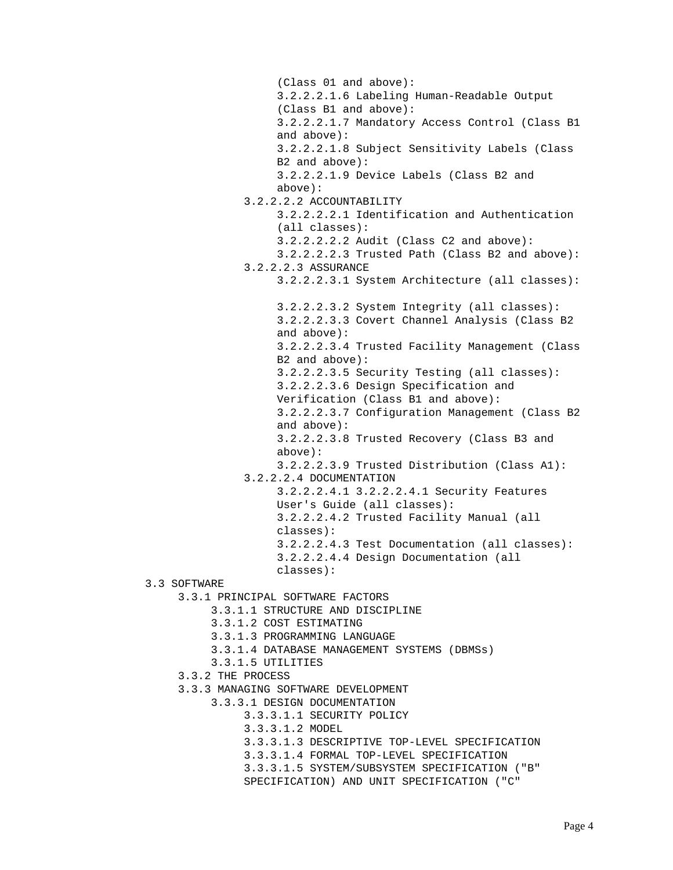(Class 01 and above): 3.2.2.2.1.6 Labeling Human-Readable Output (Class B1 and above): 3.2.2.2.1.7 Mandatory Access Control (Class B1 and above): 3.2.2.2.1.8 Subject Sensitivity Labels (Class B2 and above): 3.2.2.2.1.9 Device Labels (Class B2 and above): 3.2.2.2.2 ACCOUNTABILITY 3.2.2.2.2.1 Identification and Authentication (all classes): 3.2.2.2.2.2 Audit (Class C2 and above): 3.2.2.2.2.3 Trusted Path (Class B2 and above): 3.2.2.2.3 ASSURANCE 3.2.2.2.3.1 System Architecture (all classes): 3.2.2.2.3.2 System Integrity (all classes): 3.2.2.2.3.3 Covert Channel Analysis (Class B2 and above): 3.2.2.2.3.4 Trusted Facility Management (Class B2 and above): 3.2.2.2.3.5 Security Testing (all classes): 3.2.2.2.3.6 Design Specification and Verification (Class B1 and above): 3.2.2.2.3.7 Configuration Management (Class B2 and above): 3.2.2.2.3.8 Trusted Recovery (Class B3 and above): 3.2.2.2.3.9 Trusted Distribution (Class A1): 3.2.2.2.4 DOCUMENTATION 3.2.2.2.4.1 3.2.2.2.4.1 Security Features User's Guide (all classes): 3.2.2.2.4.2 Trusted Facility Manual (all classes): 3.2.2.2.4.3 Test Documentation (all classes): 3.2.2.2.4.4 Design Documentation (all classes): 3.3 SOFTWARE 3.3.1 PRINCIPAL SOFTWARE FACTORS 3.3.1.1 STRUCTURE AND DISCIPLINE 3.3.1.2 COST ESTIMATING 3.3.1.3 PROGRAMMING LANGUAGE 3.3.1.4 DATABASE MANAGEMENT SYSTEMS (DBMSs) 3.3.1.5 UTILITIES 3.3.2 THE PROCESS 3.3.3 MANAGING SOFTWARE DEVELOPMENT 3.3.3.1 DESIGN DOCUMENTATION 3.3.3.1.1 SECURITY POLICY 3.3.3.1.2 MODEL 3.3.3.1.3 DESCRIPTIVE TOP-LEVEL SPECIFICATION 3.3.3.1.4 FORMAL TOP-LEVEL SPECIFICATION 3.3.3.1.5 SYSTEM/SUBSYSTEM SPECIFICATION ("B" SPECIFICATION) AND UNIT SPECIFICATION ("C"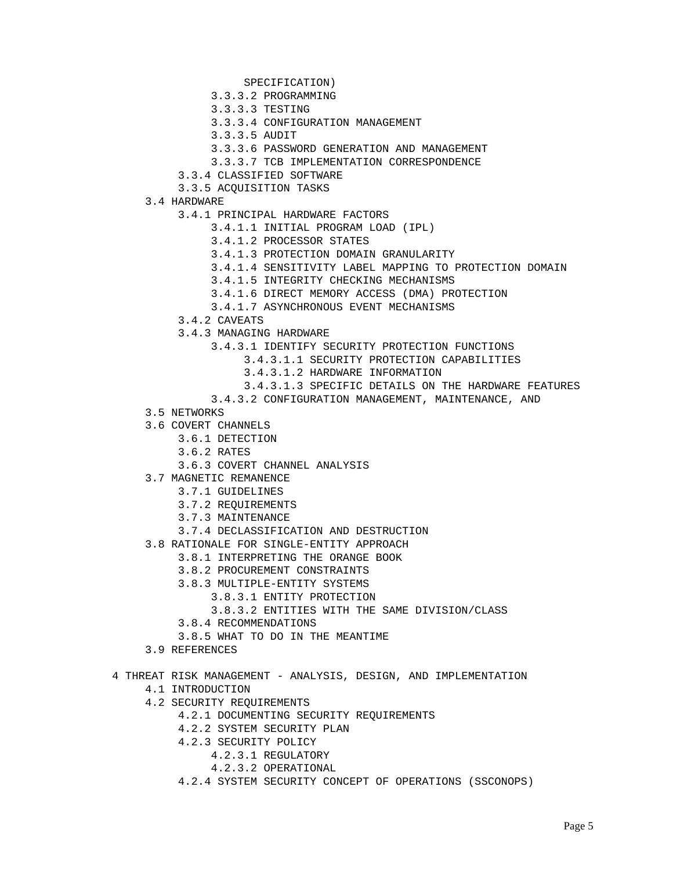- SPECIFICATION)
- 3.3.3.2 PROGRAMMING
- 3.3.3.3 TESTING
- 3.3.3.4 CONFIGURATION MANAGEMENT
- 3.3.3.5 AUDIT
- 3.3.3.6 PASSWORD GENERATION AND MANAGEMENT
- 3.3.3.7 TCB IMPLEMENTATION CORRESPONDENCE
- 3.3.4 CLASSIFIED SOFTWARE
- 3.3.5 ACQUISITION TASKS
- 3.4 HARDWARE
	- 3.4.1 PRINCIPAL HARDWARE FACTORS
		- 3.4.1.1 INITIAL PROGRAM LOAD (IPL)
		- 3.4.1.2 PROCESSOR STATES
		- 3.4.1.3 PROTECTION DOMAIN GRANULARITY
		- 3.4.1.4 SENSITIVITY LABEL MAPPING TO PROTECTION DOMAIN
		- 3.4.1.5 INTEGRITY CHECKING MECHANISMS
		- 3.4.1.6 DIRECT MEMORY ACCESS (DMA) PROTECTION
		- 3.4.1.7 ASYNCHRONOUS EVENT MECHANISMS
		- 3.4.2 CAVEATS
		- 3.4.3 MANAGING HARDWARE
			- 3.4.3.1 IDENTIFY SECURITY PROTECTION FUNCTIONS
				- 3.4.3.1.1 SECURITY PROTECTION CAPABILITIES
				- 3.4.3.1.2 HARDWARE INFORMATION
				- 3.4.3.1.3 SPECIFIC DETAILS ON THE HARDWARE FEATURES
			- 3.4.3.2 CONFIGURATION MANAGEMENT, MAINTENANCE, AND
- 3.5 NETWORKS
- 3.6 COVERT CHANNELS
	- 3.6.1 DETECTION
	- 3.6.2 RATES
	- 3.6.3 COVERT CHANNEL ANALYSIS
- 3.7 MAGNETIC REMANENCE
	- 3.7.1 GUIDELINES
	- 3.7.2 REQUIREMENTS
	- 3.7.3 MAINTENANCE
	- 3.7.4 DECLASSIFICATION AND DESTRUCTION
- 3.8 RATIONALE FOR SINGLE-ENTITY APPROACH
	- 3.8.1 INTERPRETING THE ORANGE BOOK
		- 3.8.2 PROCUREMENT CONSTRAINTS
		- 3.8.3 MULTIPLE-ENTITY SYSTEMS
			- 3.8.3.1 ENTITY PROTECTION
				- 3.8.3.2 ENTITIES WITH THE SAME DIVISION/CLASS
		- 3.8.4 RECOMMENDATIONS
		- 3.8.5 WHAT TO DO IN THE MEANTIME
- 3.9 REFERENCES
- 4 THREAT RISK MANAGEMENT ANALYSIS, DESIGN, AND IMPLEMENTATION
	- 4.1 INTRODUCTION
	- 4.2 SECURITY REQUIREMENTS
		- 4.2.1 DOCUMENTING SECURITY REQUIREMENTS
		- 4.2.2 SYSTEM SECURITY PLAN
		- 4.2.3 SECURITY POLICY
			- 4.2.3.1 REGULATORY
				- 4.2.3.2 OPERATIONAL
		- 4.2.4 SYSTEM SECURITY CONCEPT OF OPERATIONS (SSCONOPS)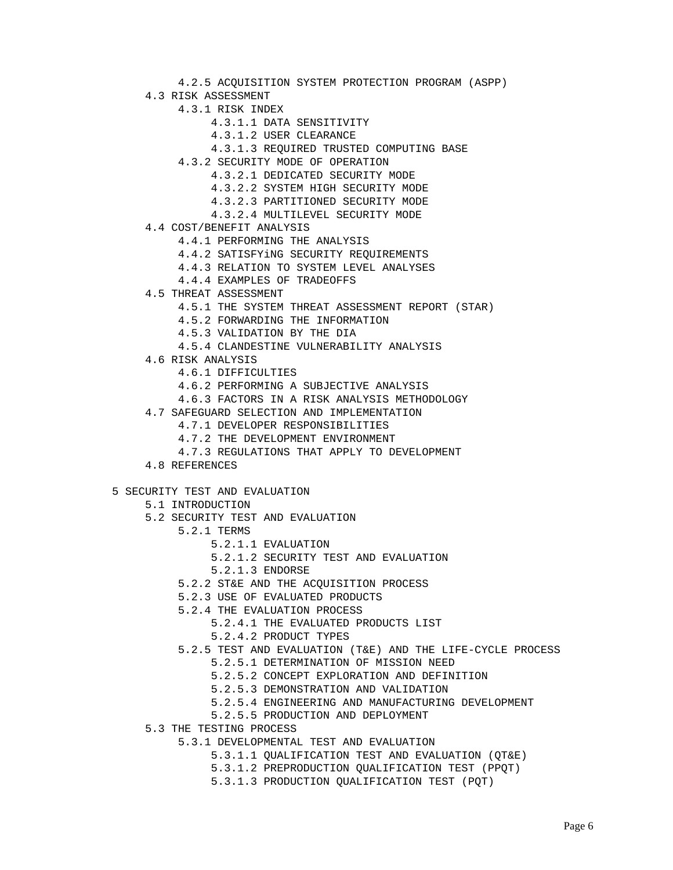4.2.5 ACQUISITION SYSTEM PROTECTION PROGRAM (ASPP) 4.3 RISK ASSESSMENT 4.3.1 RISK INDEX 4.3.1.1 DATA SENSITIVITY 4.3.1.2 USER CLEARANCE 4.3.1.3 REQUIRED TRUSTED COMPUTING BASE 4.3.2 SECURITY MODE OF OPERATION 4.3.2.1 DEDICATED SECURITY MODE 4.3.2.2 SYSTEM HIGH SECURITY MODE 4.3.2.3 PARTITIONED SECURITY MODE 4.3.2.4 MULTILEVEL SECURITY MODE 4.4 COST/BENEFIT ANALYSIS 4.4.1 PERFORMING THE ANALYSIS 4.4.2 SATISFYiNG SECURITY REQUIREMENTS 4.4.3 RELATION TO SYSTEM LEVEL ANALYSES 4.4.4 EXAMPLES OF TRADEOFFS 4.5 THREAT ASSESSMENT 4.5.1 THE SYSTEM THREAT ASSESSMENT REPORT (STAR) 4.5.2 FORWARDING THE INFORMATION 4.5.3 VALIDATION BY THE DIA 4.5.4 CLANDESTINE VULNERABILITY ANALYSIS 4.6 RISK ANALYSIS 4.6.1 DIFFICULTIES 4.6.2 PERFORMING A SUBJECTIVE ANALYSIS 4.6.3 FACTORS IN A RISK ANALYSIS METHODOLOGY 4.7 SAFEGUARD SELECTION AND IMPLEMENTATION 4.7.1 DEVELOPER RESPONSIBILITIES 4.7.2 THE DEVELOPMENT ENVIRONMENT 4.7.3 REGULATIONS THAT APPLY TO DEVELOPMENT 4.8 REFERENCES 5 SECURITY TEST AND EVALUATION 5.1 INTRODUCTION 5.2 SECURITY TEST AND EVALUATION 5.2.1 TERMS 5.2.1.1 EVALUATION 5.2.1.2 SECURITY TEST AND EVALUATION 5.2.1.3 ENDORSE 5.2.2 ST&E AND THE ACQUISITION PROCESS 5.2.3 USE OF EVALUATED PRODUCTS 5.2.4 THE EVALUATION PROCESS 5.2.4.1 THE EVALUATED PRODUCTS LIST 5.2.4.2 PRODUCT TYPES 5.2.5 TEST AND EVALUATION (T&E) AND THE LIFE-CYCLE PROCESS 5.2.5.1 DETERMINATION OF MISSION NEED 5.2.5.2 CONCEPT EXPLORATION AND DEFINITION 5.2.5.3 DEMONSTRATION AND VALIDATION 5.2.5.4 ENGINEERING AND MANUFACTURING DEVELOPMENT 5.2.5.5 PRODUCTION AND DEPLOYMENT 5.3 THE TESTING PROCESS 5.3.1 DEVELOPMENTAL TEST AND EVALUATION 5.3.1.1 QUALIFICATION TEST AND EVALUATION (QT&E) 5.3.1.2 PREPRODUCTION QUALIFICATION TEST (PPQT) 5.3.1.3 PRODUCTION QUALIFICATION TEST (PQT)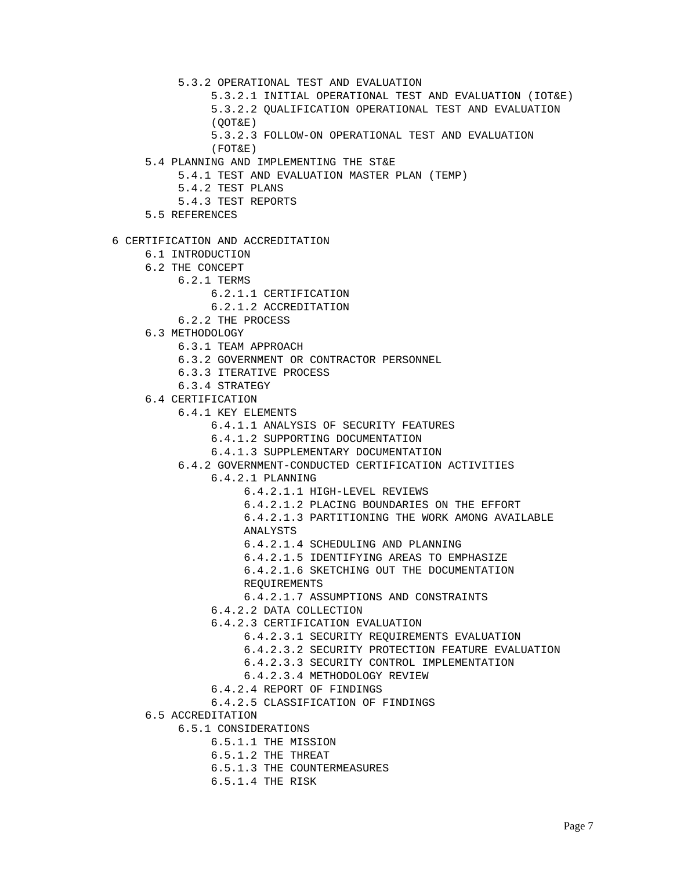5.3.2 OPERATIONAL TEST AND EVALUATION

- 5.3.2.1 INITIAL OPERATIONAL TEST AND EVALUATION (IOT&E)
- 5.3.2.2 QUALIFICATION OPERATIONAL TEST AND EVALUATION (QOT&E)
- 5.3.2.3 FOLLOW-ON OPERATIONAL TEST AND EVALUATION
- (FOT&E)
- 5.4 PLANNING AND IMPLEMENTING THE ST&E
	- 5.4.1 TEST AND EVALUATION MASTER PLAN (TEMP)
		- 5.4.2 TEST PLANS
		- 5.4.3 TEST REPORTS
- 5.5 REFERENCES
- 6 CERTIFICATION AND ACCREDITATION
	- 6.1 INTRODUCTION
	- 6.2 THE CONCEPT
		- 6.2.1 TERMS
			- 6.2.1.1 CERTIFICATION
				- 6.2.1.2 ACCREDITATION
			- 6.2.2 THE PROCESS
	- 6.3 METHODOLOGY
		- 6.3.1 TEAM APPROACH
		- 6.3.2 GOVERNMENT OR CONTRACTOR PERSONNEL
		- 6.3.3 ITERATIVE PROCESS
		- 6.3.4 STRATEGY
	- 6.4 CERTIFICATION
		- 6.4.1 KEY ELEMENTS
			- 6.4.1.1 ANALYSIS OF SECURITY FEATURES
			- 6.4.1.2 SUPPORTING DOCUMENTATION
			- 6.4.1.3 SUPPLEMENTARY DOCUMENTATION
		- 6.4.2 GOVERNMENT-CONDUCTED CERTIFICATION ACTIVITIES
			- 6.4.2.1 PLANNING
				- 6.4.2.1.1 HIGH-LEVEL REVIEWS
				- 6.4.2.1.2 PLACING BOUNDARIES ON THE EFFORT

 6.4.2.1.3 PARTITIONING THE WORK AMONG AVAILABLE ANALYSTS

- 6.4.2.1.4 SCHEDULING AND PLANNING
- 6.4.2.1.5 IDENTIFYING AREAS TO EMPHASIZE
- 6.4.2.1.6 SKETCHING OUT THE DOCUMENTATION REQUIREMENTS
- 6.4.2.1.7 ASSUMPTIONS AND CONSTRAINTS
- 6.4.2.2 DATA COLLECTION
- 6.4.2.3 CERTIFICATION EVALUATION
	- 6.4.2.3.1 SECURITY REQUIREMENTS EVALUATION
	- 6.4.2.3.2 SECURITY PROTECTION FEATURE EVALUATION
	- 6.4.2.3.3 SECURITY CONTROL IMPLEMENTATION
	- 6.4.2.3.4 METHODOLOGY REVIEW
- 6.4.2.4 REPORT OF FINDINGS
- 6.4.2.5 CLASSIFICATION OF FINDINGS
- 6.5 ACCREDITATION
	- 6.5.1 CONSIDERATIONS
		- 6.5.1.1 THE MISSION
		- 6.5.1.2 THE THREAT
		- 6.5.1.3 THE COUNTERMEASURES
		- 6.5.1.4 THE RISK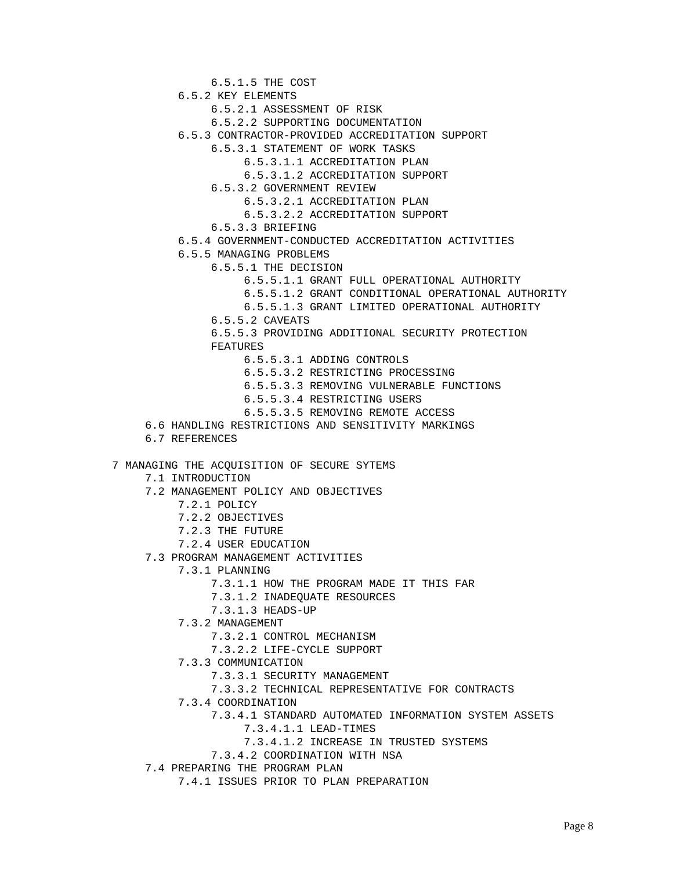6.5.1.5 THE COST 6.5.2 KEY ELEMENTS 6.5.2.1 ASSESSMENT OF RISK 6.5.2.2 SUPPORTING DOCUMENTATION 6.5.3 CONTRACTOR-PROVIDED ACCREDITATION SUPPORT 6.5.3.1 STATEMENT OF WORK TASKS 6.5.3.1.1 ACCREDITATION PLAN 6.5.3.1.2 ACCREDITATION SUPPORT 6.5.3.2 GOVERNMENT REVIEW 6.5.3.2.1 ACCREDITATION PLAN 6.5.3.2.2 ACCREDITATION SUPPORT 6.5.3.3 BRIEFING 6.5.4 GOVERNMENT-CONDUCTED ACCREDITATION ACTIVITIES 6.5.5 MANAGING PROBLEMS 6.5.5.1 THE DECISION 6.5.5.1.1 GRANT FULL OPERATIONAL AUTHORITY 6.5.5.1.2 GRANT CONDITIONAL OPERATIONAL AUTHORITY 6.5.5.1.3 GRANT LIMITED OPERATIONAL AUTHORITY 6.5.5.2 CAVEATS 6.5.5.3 PROVIDING ADDITIONAL SECURITY PROTECTION FEATURES 6.5.5.3.1 ADDING CONTROLS 6.5.5.3.2 RESTRICTING PROCESSING 6.5.5.3.3 REMOVING VULNERABLE FUNCTIONS 6.5.5.3.4 RESTRICTING USERS 6.5.5.3.5 REMOVING REMOTE ACCESS 6.6 HANDLING RESTRICTIONS AND SENSITIVITY MARKINGS 6.7 REFERENCES 7 MANAGING THE ACQUISITION OF SECURE SYTEMS 7.1 INTRODUCTION 7.2 MANAGEMENT POLICY AND OBJECTIVES 7.2.1 POLICY 7.2.2 OBJECTIVES 7.2.3 THE FUTURE 7.2.4 USER EDUCATION 7.3 PROGRAM MANAGEMENT ACTIVITIES 7.3.1 PLANNING 7.3.1.1 HOW THE PROGRAM MADE IT THIS FAR 7.3.1.2 INADEQUATE RESOURCES 7.3.1.3 HEADS-UP 7.3.2 MANAGEMENT 7.3.2.1 CONTROL MECHANISM 7.3.2.2 LIFE-CYCLE SUPPORT 7.3.3 COMMUNICATION 7.3.3.1 SECURITY MANAGEMENT 7.3.3.2 TECHNICAL REPRESENTATIVE FOR CONTRACTS 7.3.4 COORDINATION 7.3.4.1 STANDARD AUTOMATED INFORMATION SYSTEM ASSETS 7.3.4.1.1 LEAD-TIMES 7.3.4.1.2 INCREASE IN TRUSTED SYSTEMS 7.3.4.2 COORDINATION WITH NSA 7.4 PREPARING THE PROGRAM PLAN 7.4.1 ISSUES PRIOR TO PLAN PREPARATION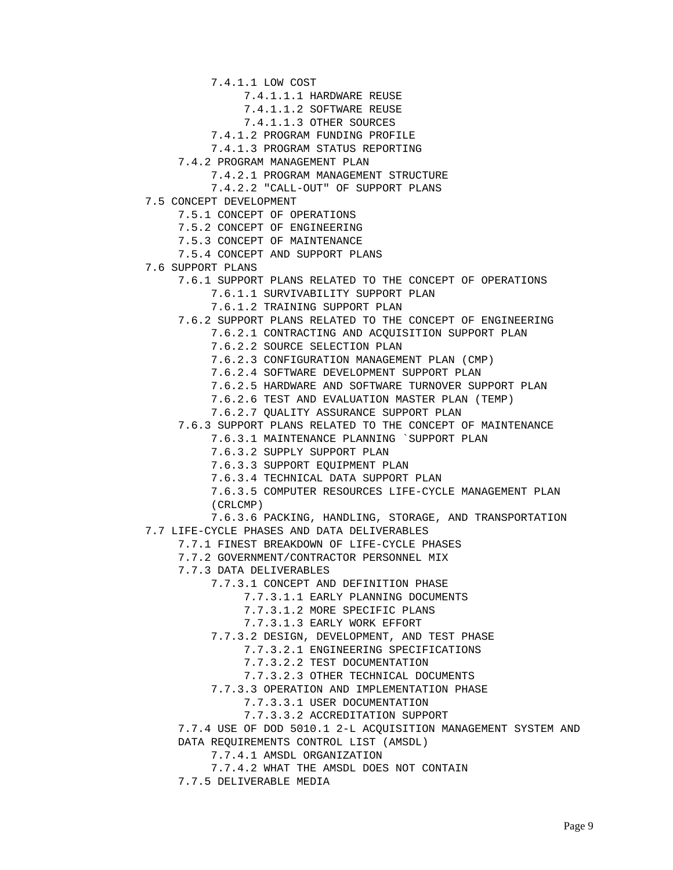7.4.1.1 LOW COST

7.4.1.1.1 HARDWARE REUSE

7.4.1.1.2 SOFTWARE REUSE

7.4.1.1.3 OTHER SOURCES

7.4.1.2 PROGRAM FUNDING PROFILE

7.4.1.3 PROGRAM STATUS REPORTING

7.4.2 PROGRAM MANAGEMENT PLAN

7.4.2.1 PROGRAM MANAGEMENT STRUCTURE

7.4.2.2 "CALL-OUT" OF SUPPORT PLANS

7.5 CONCEPT DEVELOPMENT

7.5.1 CONCEPT OF OPERATIONS

7.5.2 CONCEPT OF ENGINEERING

7.5.3 CONCEPT OF MAINTENANCE

7.5.4 CONCEPT AND SUPPORT PLANS

7.6 SUPPORT PLANS

7.6.1 SUPPORT PLANS RELATED TO THE CONCEPT OF OPERATIONS

7.6.1.1 SURVIVABILITY SUPPORT PLAN

7.6.1.2 TRAINING SUPPORT PLAN

7.6.2 SUPPORT PLANS RELATED TO THE CONCEPT OF ENGINEERING

7.6.2.1 CONTRACTING AND ACQUISITION SUPPORT PLAN

7.6.2.2 SOURCE SELECTION PLAN

7.6.2.3 CONFIGURATION MANAGEMENT PLAN (CMP)

7.6.2.4 SOFTWARE DEVELOPMENT SUPPORT PLAN

7.6.2.5 HARDWARE AND SOFTWARE TURNOVER SUPPORT PLAN

7.6.2.6 TEST AND EVALUATION MASTER PLAN (TEMP)

7.6.2.7 QUALITY ASSURANCE SUPPORT PLAN

7.6.3 SUPPORT PLANS RELATED TO THE CONCEPT OF MAINTENANCE

7.6.3.1 MAINTENANCE PLANNING `SUPPORT PLAN

7.6.3.2 SUPPLY SUPPORT PLAN

7.6.3.3 SUPPORT EQUIPMENT PLAN

7.6.3.4 TECHNICAL DATA SUPPORT PLAN

 7.6.3.5 COMPUTER RESOURCES LIFE-CYCLE MANAGEMENT PLAN (CRLCMP)

 7.6.3.6 PACKING, HANDLING, STORAGE, AND TRANSPORTATION 7.7 LIFE-CYCLE PHASES AND DATA DELIVERABLES

7.7.1 FINEST BREAKDOWN OF LIFE-CYCLE PHASES

7.7.2 GOVERNMENT/CONTRACTOR PERSONNEL MIX

7.7.3 DATA DELIVERABLES

7.7.3.1 CONCEPT AND DEFINITION PHASE

7.7.3.1.1 EARLY PLANNING DOCUMENTS

7.7.3.1.2 MORE SPECIFIC PLANS

7.7.3.1.3 EARLY WORK EFFORT

7.7.3.2 DESIGN, DEVELOPMENT, AND TEST PHASE

7.7.3.2.1 ENGINEERING SPECIFICATIONS

7.7.3.2.2 TEST DOCUMENTATION

7.7.3.2.3 OTHER TECHNICAL DOCUMENTS

7.7.3.3 OPERATION AND IMPLEMENTATION PHASE

7.7.3.3.1 USER DOCUMENTATION

7.7.3.3.2 ACCREDITATION SUPPORT

 7.7.4 USE OF DOD 5010.1 2-L ACQUISITION MANAGEMENT SYSTEM AND DATA REQUIREMENTS CONTROL LIST (AMSDL)

7.7.4.1 AMSDL ORGANIZATION

7.7.4.2 WHAT THE AMSDL DOES NOT CONTAIN

7.7.5 DELIVERABLE MEDIA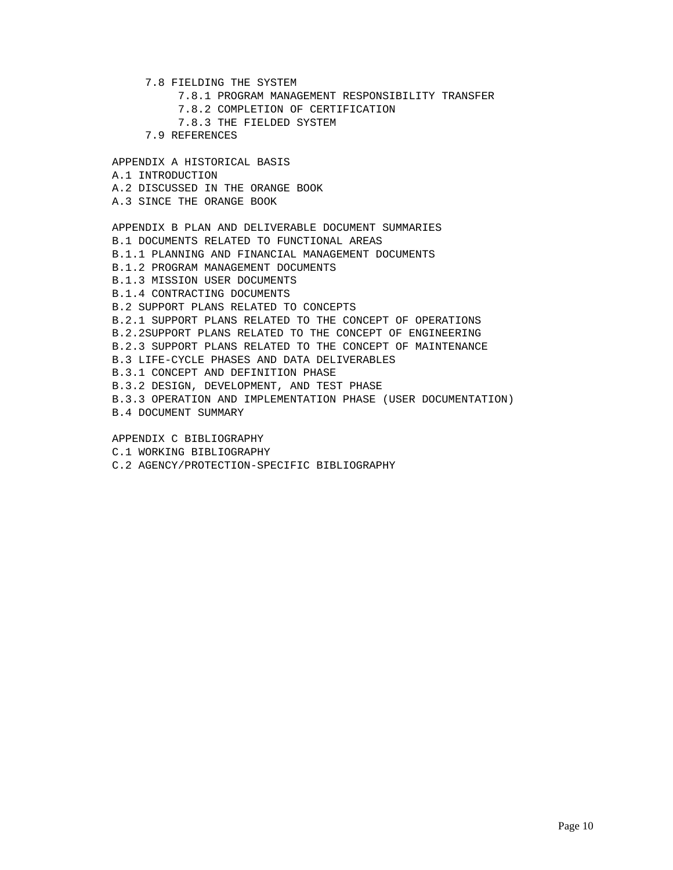- 7.8 FIELDING THE SYSTEM
	- 7.8.1 PROGRAM MANAGEMENT RESPONSIBILITY TRANSFER
	- 7.8.2 COMPLETION OF CERTIFICATION
	- 7.8.3 THE FIELDED SYSTEM
- 7.9 REFERENCES

 APPENDIX A HISTORICAL BASIS A.1 INTRODUCTION A.2 DISCUSSED IN THE ORANGE BOOK A.3 SINCE THE ORANGE BOOK APPENDIX B PLAN AND DELIVERABLE DOCUMENT SUMMARIES B.1 DOCUMENTS RELATED TO FUNCTIONAL AREAS B.1.1 PLANNING AND FINANCIAL MANAGEMENT DOCUMENTS B.1.2 PROGRAM MANAGEMENT DOCUMENTS B.1.3 MISSION USER DOCUMENTS B.1.4 CONTRACTING DOCUMENTS B.2 SUPPORT PLANS RELATED TO CONCEPTS B.2.1 SUPPORT PLANS RELATED TO THE CONCEPT OF OPERATIONS B.2.2SUPPORT PLANS RELATED TO THE CONCEPT OF ENGINEERING B.2.3 SUPPORT PLANS RELATED TO THE CONCEPT OF MAINTENANCE B.3 LIFE-CYCLE PHASES AND DATA DELIVERABLES B.3.1 CONCEPT AND DEFINITION PHASE B.3.2 DESIGN, DEVELOPMENT, AND TEST PHASE B.3.3 OPERATION AND IMPLEMENTATION PHASE (USER DOCUMENTATION) B.4 DOCUMENT SUMMARY APPENDIX C BIBLIOGRAPHY

- C.1 WORKING BIBLIOGRAPHY
- C.2 AGENCY/PROTECTION-SPECIFIC BIBLIOGRAPHY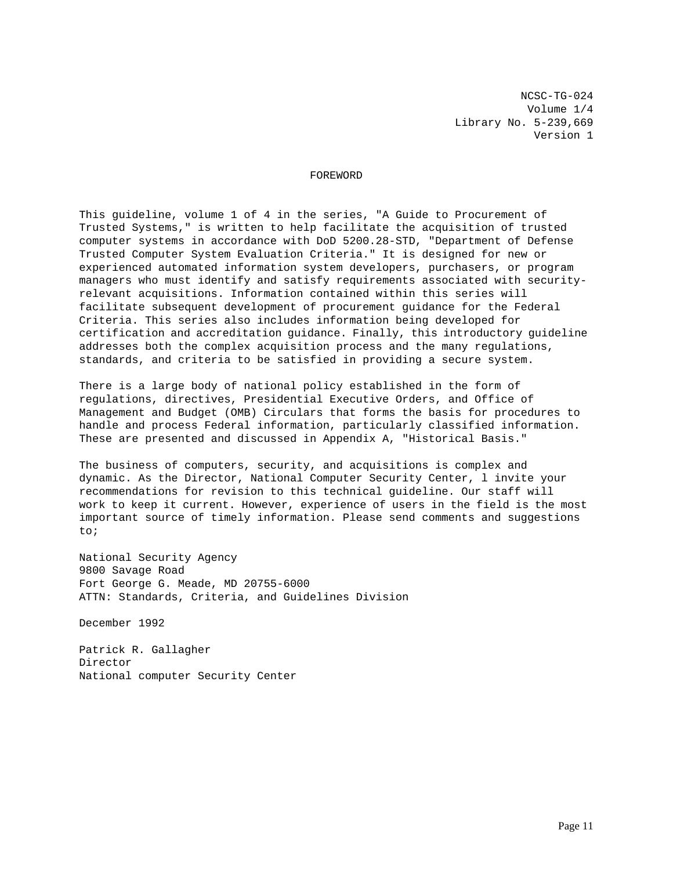NCSC-TG-024 Volume 1/4 Library No. 5-239,669 Version 1

## FOREWORD

This guideline, volume 1 of 4 in the series, "A Guide to Procurement of Trusted Systems," is written to help facilitate the acquisition of trusted computer systems in accordance with DoD 5200.28-STD, "Department of Defense Trusted Computer System Evaluation Criteria." It is designed for new or experienced automated information system developers, purchasers, or program managers who must identify and satisfy requirements associated with securityrelevant acquisitions. Information contained within this series will facilitate subsequent development of procurement guidance for the Federal Criteria. This series also includes information being developed for certification and accreditation guidance. Finally, this introductory guideline addresses both the complex acquisition process and the many regulations, standards, and criteria to be satisfied in providing a secure system.

There is a large body of national policy established in the form of regulations, directives, Presidential Executive Orders, and Office of Management and Budget (OMB) Circulars that forms the basis for procedures to handle and process Federal information, particularly classified information. These are presented and discussed in Appendix A, "Historical Basis."

The business of computers, security, and acquisitions is complex and dynamic. As the Director, National Computer Security Center, l invite your recommendations for revision to this technical guideline. Our staff will work to keep it current. However, experience of users in the field is the most important source of timely information. Please send comments and suggestions to;

National Security Agency 9800 Savage Road Fort George G. Meade, MD 20755-6000 ATTN: Standards, Criteria, and Guidelines Division

December 1992

Patrick R. Gallagher Director National computer Security Center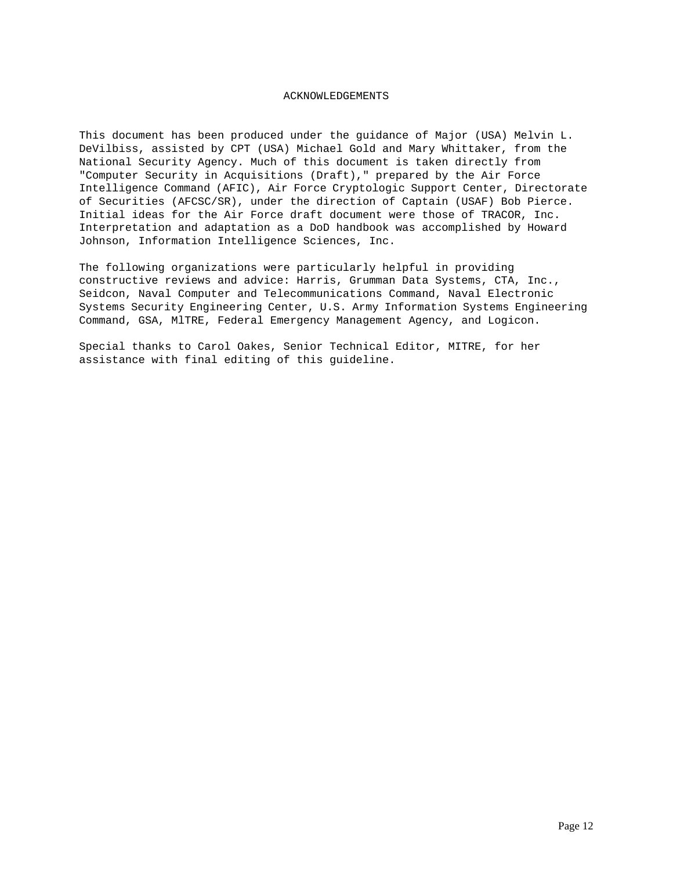## ACKNOWLEDGEMENTS

This document has been produced under the guidance of Major (USA) Melvin L. DeVilbiss, assisted by CPT (USA) Michael Gold and Mary Whittaker, from the National Security Agency. Much of this document is taken directly from "Computer Security in Acquisitions (Draft)," prepared by the Air Force Intelligence Command (AFIC), Air Force Cryptologic Support Center, Directorate of Securities (AFCSC/SR), under the direction of Captain (USAF) Bob Pierce. Initial ideas for the Air Force draft document were those of TRACOR, Inc. Interpretation and adaptation as a DoD handbook was accomplished by Howard Johnson, Information Intelligence Sciences, Inc.

The following organizations were particularly helpful in providing constructive reviews and advice: Harris, Grumman Data Systems, CTA, Inc., Seidcon, Naval Computer and Telecommunications Command, Naval Electronic Systems Security Engineering Center, U.S. Army Information Systems Engineering Command, GSA, MlTRE, Federal Emergency Management Agency, and Logicon.

Special thanks to Carol Oakes, Senior Technical Editor, MITRE, for her assistance with final editing of this guideline.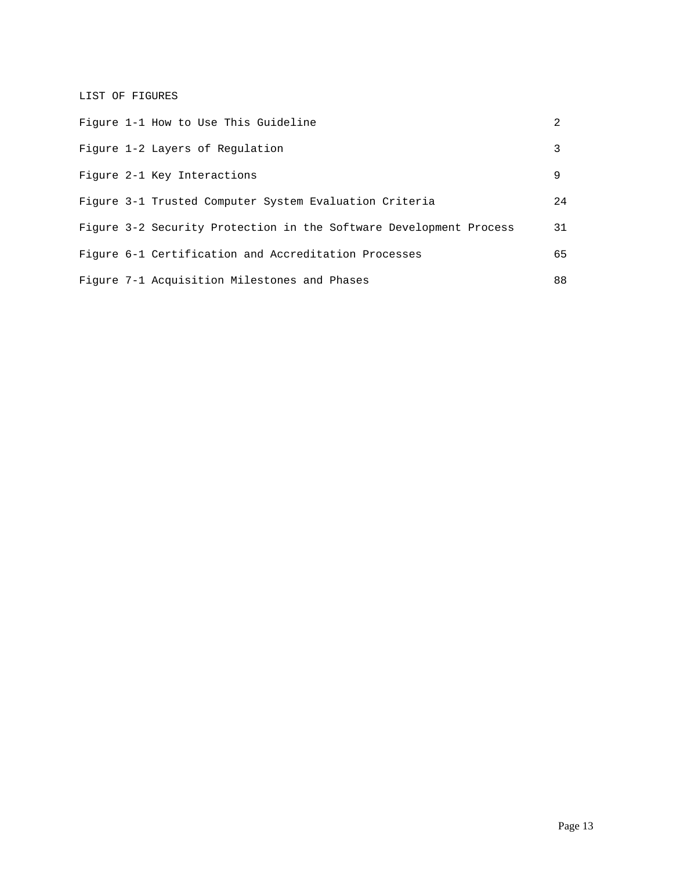LIST OF FIGURES

|  | Figure 1-1 How to Use This Guideline                               | $\mathcal{L}$ |
|--|--------------------------------------------------------------------|---------------|
|  | Figure 1-2 Layers of Regulation                                    | 3             |
|  | Figure 2-1 Key Interactions                                        | 9             |
|  | Figure 3-1 Trusted Computer System Evaluation Criteria             | 24            |
|  | Figure 3-2 Security Protection in the Software Development Process | 31            |
|  | Figure 6-1 Certification and Accreditation Processes               | 65            |
|  | Figure 7-1 Acquisition Milestones and Phases                       | 88            |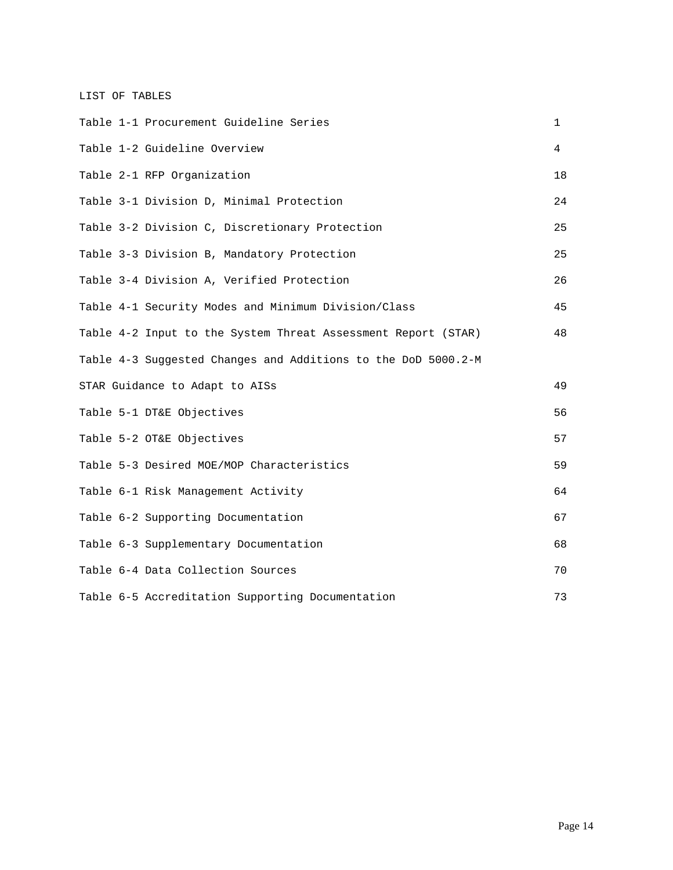LIST OF TABLES

|  | Table 1-1 Procurement Guideline Series                        | $\mathbf{1}$ |
|--|---------------------------------------------------------------|--------------|
|  | Table 1-2 Guideline Overview                                  | 4            |
|  | Table 2-1 RFP Organization                                    | 18           |
|  | Table 3-1 Division D, Minimal Protection                      | 24           |
|  | Table 3-2 Division C, Discretionary Protection                | 25           |
|  | Table 3-3 Division B, Mandatory Protection                    | 25           |
|  | Table 3-4 Division A, Verified Protection                     | 26           |
|  | Table 4-1 Security Modes and Minimum Division/Class           | 45           |
|  | Table 4-2 Input to the System Threat Assessment Report (STAR) | 48           |
|  | Table 4-3 Suggested Changes and Additions to the DoD 5000.2-M |              |
|  | STAR Guidance to Adapt to AISs                                | 49           |
|  | Table 5-1 DT&E Objectives                                     | 56           |
|  | Table 5-2 OT&E Objectives                                     | 57           |
|  | Table 5-3 Desired MOE/MOP Characteristics                     | 59           |
|  | Table 6-1 Risk Management Activity                            | 64           |
|  | Table 6-2 Supporting Documentation                            | 67           |
|  | Table 6-3 Supplementary Documentation                         | 68           |
|  | Table 6-4 Data Collection Sources                             | 70           |
|  | Table 6-5 Accreditation Supporting Documentation              | 73           |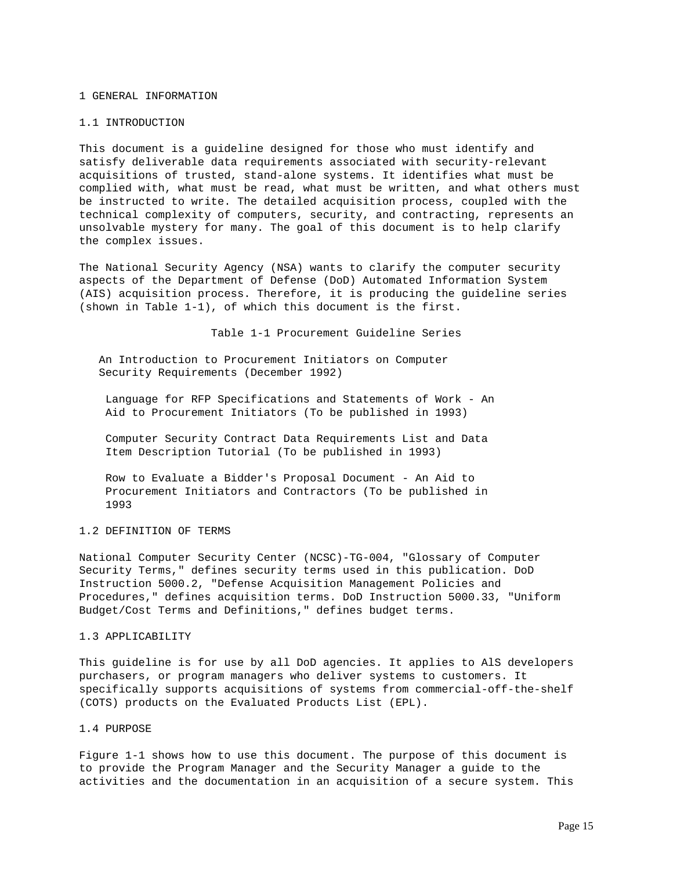#### 1 GENERAL INFORMATION

#### 1.1 INTRODUCTION

This document is a guideline designed for those who must identify and satisfy deliverable data requirements associated with security-relevant acquisitions of trusted, stand-alone systems. It identifies what must be complied with, what must be read, what must be written, and what others must be instructed to write. The detailed acquisition process, coupled with the technical complexity of computers, security, and contracting, represents an unsolvable mystery for many. The goal of this document is to help clarify the complex issues.

The National Security Agency (NSA) wants to clarify the computer security aspects of the Department of Defense (DoD) Automated Information System (AIS) acquisition process. Therefore, it is producing the guideline series (shown in Table 1-1), of which this document is the first.

Table 1-1 Procurement Guideline Series

 An Introduction to Procurement Initiators on Computer Security Requirements (December 1992)

 Language for RFP Specifications and Statements of Work - An Aid to Procurement Initiators (To be published in 1993)

 Computer Security Contract Data Requirements List and Data Item Description Tutorial (To be published in 1993)

 Row to Evaluate a Bidder's Proposal Document - An Aid to Procurement Initiators and Contractors (To be published in 1993

### 1.2 DEFINITION OF TERMS

National Computer Security Center (NCSC)-TG-004, "Glossary of Computer Security Terms," defines security terms used in this publication. DoD Instruction 5000.2, "Defense Acquisition Management Policies and Procedures," defines acquisition terms. DoD Instruction 5000.33, "Uniform Budget/Cost Terms and Definitions," defines budget terms.

### 1.3 APPLICABILITY

This guideline is for use by all DoD agencies. It applies to AlS developers purchasers, or program managers who deliver systems to customers. It specifically supports acquisitions of systems from commercial-off-the-shelf (COTS) products on the Evaluated Products List (EPL).

## 1.4 PURPOSE

Figure 1-1 shows how to use this document. The purpose of this document is to provide the Program Manager and the Security Manager a guide to the activities and the documentation in an acquisition of a secure system. This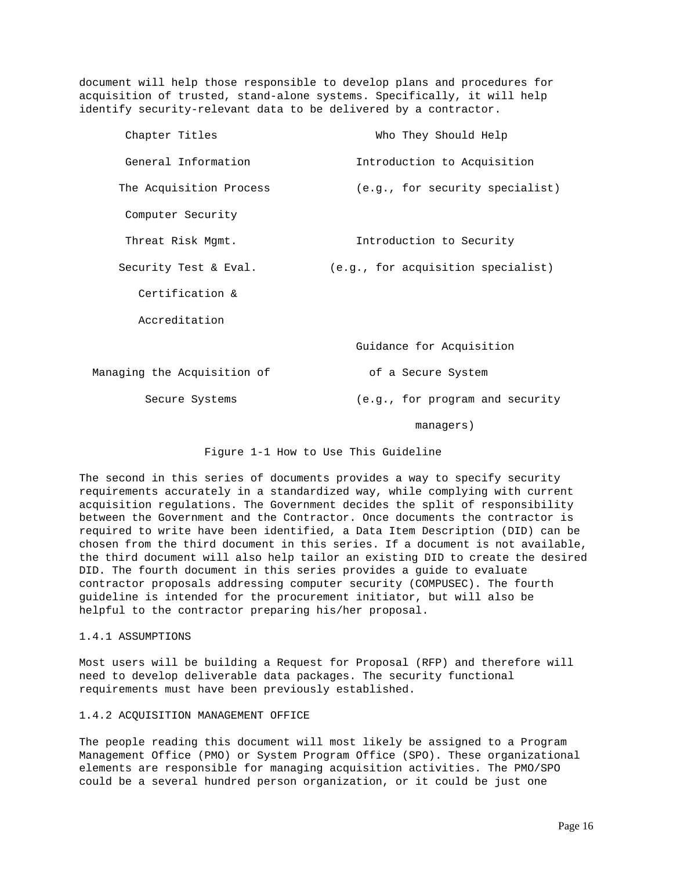document will help those responsible to develop plans and procedures for acquisition of trusted, stand-alone systems. Specifically, it will help identify security-relevant data to be delivered by a contractor.

| Chapter Titles              | Who They Should Help               |
|-----------------------------|------------------------------------|
| General Information         | Introduction to Acquisition        |
| The Acquisition Process     | (e.g., for security specialist)    |
| Computer Security           |                                    |
| Threat Risk Mgmt.           | Introduction to Security           |
| Security Test & Eval.       | (e.g., for acquisition specialist) |
| Certification &             |                                    |
| Accreditation               |                                    |
|                             | Guidance for Acquisition           |
| Managing the Acquisition of | of a Secure System                 |
| Secure Systems              | (e.g., for program and security    |
|                             | managers)                          |

Figure 1-1 How to Use This Guideline

The second in this series of documents provides a way to specify security requirements accurately in a standardized way, while complying with current acquisition regulations. The Government decides the split of responsibility between the Government and the Contractor. Once documents the contractor is required to write have been identified, a Data Item Description (DID) can be chosen from the third document in this series. If a document is not available, the third document will also help tailor an existing DID to create the desired DID. The fourth document in this series provides a guide to evaluate contractor proposals addressing computer security (COMPUSEC). The fourth guideline is intended for the procurement initiator, but will also be helpful to the contractor preparing his/her proposal.

## 1.4.1 ASSUMPTIONS

Most users will be building a Request for Proposal (RFP) and therefore will need to develop deliverable data packages. The security functional requirements must have been previously established.

## 1.4.2 ACQUISITION MANAGEMENT OFFICE

The people reading this document will most likely be assigned to a Program Management Office (PMO) or System Program Office (SPO). These organizational elements are responsible for managing acquisition activities. The PMO/SPO could be a several hundred person organization, or it could be just one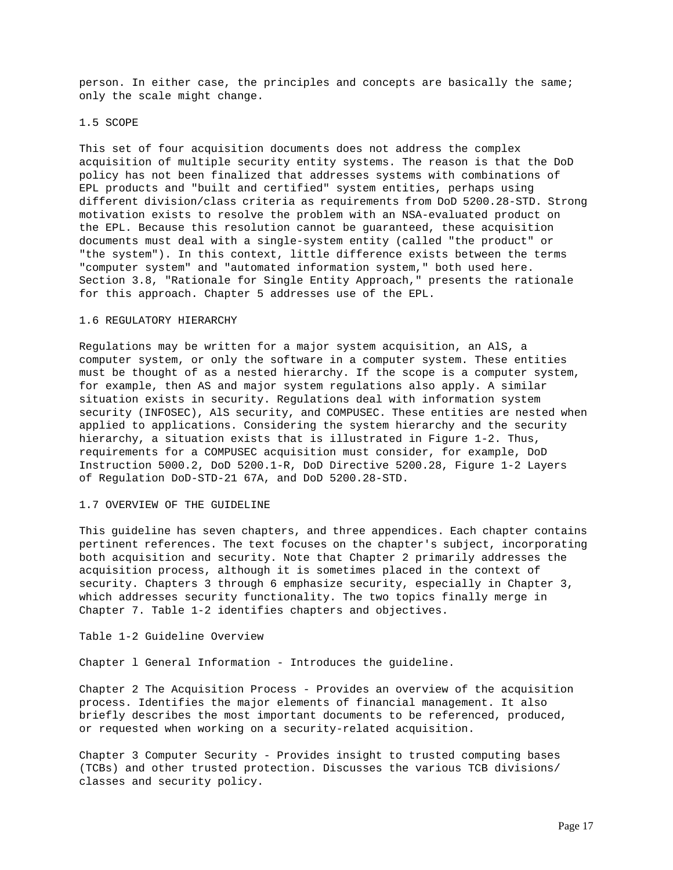person. In either case, the principles and concepts are basically the same; only the scale might change.

#### 1.5 SCOPE

This set of four acquisition documents does not address the complex acquisition of multiple security entity systems. The reason is that the DoD policy has not been finalized that addresses systems with combinations of EPL products and "built and certified" system entities, perhaps using different division/class criteria as requirements from DoD 5200.28-STD. Strong motivation exists to resolve the problem with an NSA-evaluated product on the EPL. Because this resolution cannot be guaranteed, these acquisition documents must deal with a single-system entity (called "the product" or "the system"). In this context, little difference exists between the terms "computer system" and "automated information system," both used here. Section 3.8, "Rationale for Single Entity Approach," presents the rationale for this approach. Chapter 5 addresses use of the EPL.

# 1.6 REGULATORY HIERARCHY

Regulations may be written for a major system acquisition, an AlS, a computer system, or only the software in a computer system. These entities must be thought of as a nested hierarchy. If the scope is a computer system, for example, then AS and major system regulations also apply. A similar situation exists in security. Regulations deal with information system security (INFOSEC), AlS security, and COMPUSEC. These entities are nested when applied to applications. Considering the system hierarchy and the security hierarchy, a situation exists that is illustrated in Figure 1-2. Thus, requirements for a COMPUSEC acquisition must consider, for example, DoD Instruction 5000.2, DoD 5200.1-R, DoD Directive 5200.28, Figure 1-2 Layers of Regulation DoD-STD-21 67A, and DoD 5200.28-STD.

### 1.7 OVERVIEW OF THE GUIDELINE

This guideline has seven chapters, and three appendices. Each chapter contains pertinent references. The text focuses on the chapter's subject, incorporating both acquisition and security. Note that Chapter 2 primarily addresses the acquisition process, although it is sometimes placed in the context of security. Chapters 3 through 6 emphasize security, especially in Chapter 3, which addresses security functionality. The two topics finally merge in Chapter 7. Table 1-2 identifies chapters and objectives.

Table 1-2 Guideline Overview

Chapter l General Information - Introduces the guideline.

Chapter 2 The Acquisition Process - Provides an overview of the acquisition process. Identifies the major elements of financial management. It also briefly describes the most important documents to be referenced, produced, or requested when working on a security-related acquisition.

Chapter 3 Computer Security - Provides insight to trusted computing bases (TCBs) and other trusted protection. Discusses the various TCB divisions/ classes and security policy.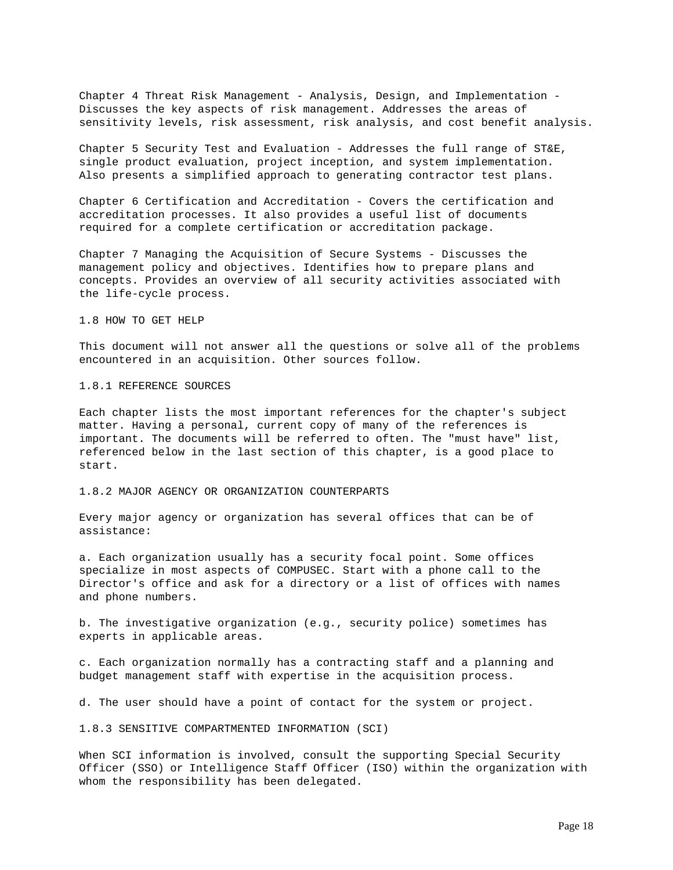Chapter 4 Threat Risk Management - Analysis, Design, and Implementation - Discusses the key aspects of risk management. Addresses the areas of sensitivity levels, risk assessment, risk analysis, and cost benefit analysis.

Chapter 5 Security Test and Evaluation - Addresses the full range of ST&E, single product evaluation, project inception, and system implementation. Also presents a simplified approach to generating contractor test plans.

Chapter 6 Certification and Accreditation - Covers the certification and accreditation processes. It also provides a useful list of documents required for a complete certification or accreditation package.

Chapter 7 Managing the Acquisition of Secure Systems - Discusses the management policy and objectives. Identifies how to prepare plans and concepts. Provides an overview of all security activities associated with the life-cycle process.

# 1.8 HOW TO GET HELP

This document will not answer all the questions or solve all of the problems encountered in an acquisition. Other sources follow.

### 1.8.1 REFERENCE SOURCES

Each chapter lists the most important references for the chapter's subject matter. Having a personal, current copy of many of the references is important. The documents will be referred to often. The "must have" list, referenced below in the last section of this chapter, is a good place to start.

## 1.8.2 MAJOR AGENCY OR ORGANIZATION COUNTERPARTS

Every major agency or organization has several offices that can be of assistance:

a. Each organization usually has a security focal point. Some offices specialize in most aspects of COMPUSEC. Start with a phone call to the Director's office and ask for a directory or a list of offices with names and phone numbers.

b. The investigative organization (e.g., security police) sometimes has experts in applicable areas.

c. Each organization normally has a contracting staff and a planning and budget management staff with expertise in the acquisition process.

d. The user should have a point of contact for the system or project.

1.8.3 SENSITIVE COMPARTMENTED INFORMATION (SCI)

When SCI information is involved, consult the supporting Special Security Officer (SSO) or Intelligence Staff Officer (ISO) within the organization with whom the responsibility has been delegated.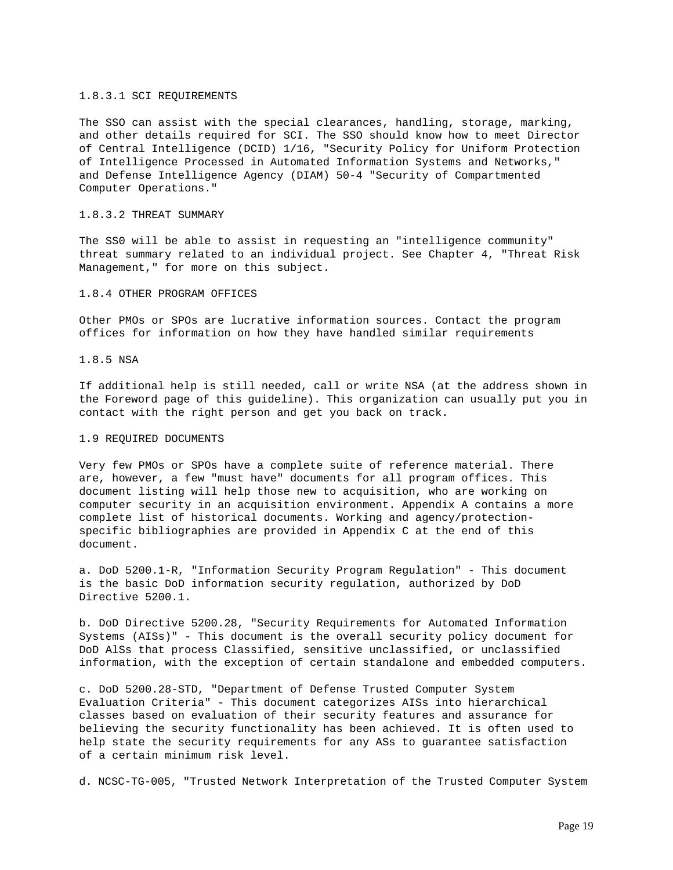#### 1.8.3.1 SCI REQUIREMENTS

The SSO can assist with the special clearances, handling, storage, marking, and other details required for SCI. The SSO should know how to meet Director of Central Intelligence (DCID) 1/16, "Security Policy for Uniform Protection of Intelligence Processed in Automated Information Systems and Networks," and Defense Intelligence Agency (DIAM) 50-4 "Security of Compartmented Computer Operations."

#### 1.8.3.2 THREAT SUMMARY

The SS0 will be able to assist in requesting an "intelligence community" threat summary related to an individual project. See Chapter 4, "Threat Risk Management," for more on this subject.

## 1.8.4 OTHER PROGRAM OFFICES

Other PMOs or SPOs are lucrative information sources. Contact the program offices for information on how they have handled similar requirements

## 1.8.5 NSA

If additional help is still needed, call or write NSA (at the address shown in the Foreword page of this guideline). This organization can usually put you in contact with the right person and get you back on track.

#### 1.9 REQUIRED DOCUMENTS

Very few PMOs or SPOs have a complete suite of reference material. There are, however, a few "must have" documents for all program offices. This document listing will help those new to acquisition, who are working on computer security in an acquisition environment. Appendix A contains a more complete list of historical documents. Working and agency/protectionspecific bibliographies are provided in Appendix C at the end of this document.

a. DoD 5200.1-R, "Information Security Program Regulation" - This document is the basic DoD information security regulation, authorized by DoD Directive 5200.1.

b. DoD Directive 5200.28, "Security Requirements for Automated Information Systems (AISs)" - This document is the overall security policy document for DoD AlSs that process Classified, sensitive unclassified, or unclassified information, with the exception of certain standalone and embedded computers.

c. DoD 5200.28-STD, "Department of Defense Trusted Computer System Evaluation Criteria" - This document categorizes AISs into hierarchical classes based on evaluation of their security features and assurance for believing the security functionality has been achieved. It is often used to help state the security requirements for any ASs to guarantee satisfaction of a certain minimum risk level.

d. NCSC-TG-005, "Trusted Network Interpretation of the Trusted Computer System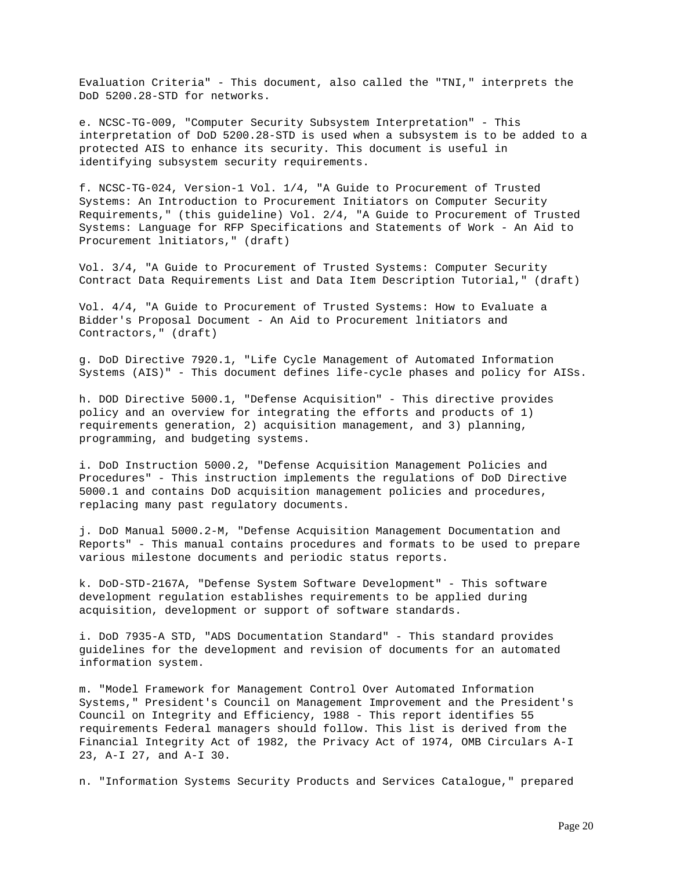Evaluation Criteria" - This document, also called the "TNI," interprets the DoD 5200.28-STD for networks.

e. NCSC-TG-009, "Computer Security Subsystem Interpretation" - This interpretation of DoD 5200.28-STD is used when a subsystem is to be added to a protected AIS to enhance its security. This document is useful in identifying subsystem security requirements.

f. NCSC-TG-024, Version-1 Vol. 1/4, "A Guide to Procurement of Trusted Systems: An Introduction to Procurement Initiators on Computer Security Requirements," (this guideline) Vol. 2/4, "A Guide to Procurement of Trusted Systems: Language for RFP Specifications and Statements of Work - An Aid to Procurement lnitiators," (draft)

Vol. 3/4, "A Guide to Procurement of Trusted Systems: Computer Security Contract Data Requirements List and Data Item Description Tutorial," (draft)

Vol. 4/4, "A Guide to Procurement of Trusted Systems: How to Evaluate a Bidder's Proposal Document - An Aid to Procurement lnitiators and Contractors," (draft)

g. DoD Directive 7920.1, "Life Cycle Management of Automated Information Systems (AIS)" - This document defines life-cycle phases and policy for AISs.

h. DOD Directive 5000.1, "Defense Acquisition" - This directive provides policy and an overview for integrating the efforts and products of 1) requirements generation, 2) acquisition management, and 3) planning, programming, and budgeting systems.

i. DoD Instruction 5000.2, "Defense Acquisition Management Policies and Procedures" - This instruction implements the regulations of DoD Directive 5000.1 and contains DoD acquisition management policies and procedures, replacing many past regulatory documents.

j. DoD Manual 5000.2-M, "Defense Acquisition Management Documentation and Reports" - This manual contains procedures and formats to be used to prepare various milestone documents and periodic status reports.

k. DoD-STD-2167A, "Defense System Software Development" - This software development regulation establishes requirements to be applied during acquisition, development or support of software standards.

i. DoD 7935-A STD, "ADS Documentation Standard" - This standard provides guidelines for the development and revision of documents for an automated information system.

m. "Model Framework for Management Control Over Automated Information Systems," President's Council on Management Improvement and the President's Council on Integrity and Efficiency, 1988 - This report identifies 55 requirements Federal managers should follow. This list is derived from the Financial Integrity Act of 1982, the Privacy Act of 1974, OMB Circulars A-I 23, A-I 27, and A-I 30.

n. "Information Systems Security Products and Services Catalogue," prepared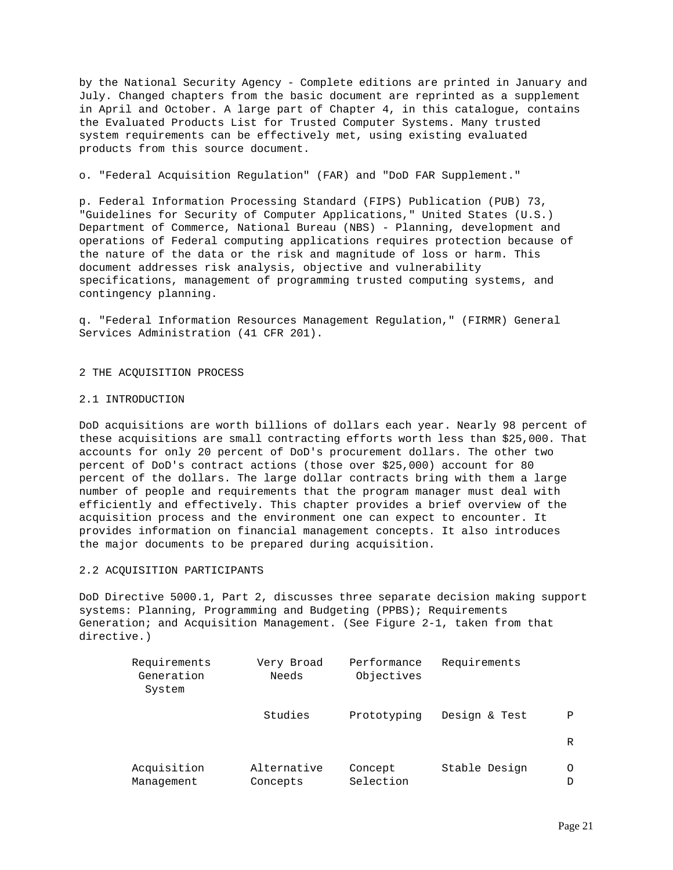by the National Security Agency - Complete editions are printed in January and July. Changed chapters from the basic document are reprinted as a supplement in April and October. A large part of Chapter 4, in this catalogue, contains the Evaluated Products List for Trusted Computer Systems. Many trusted system requirements can be effectively met, using existing evaluated products from this source document.

o. "Federal Acquisition Regulation" (FAR) and "DoD FAR Supplement."

p. Federal Information Processing Standard (FIPS) Publication (PUB) 73, "Guidelines for Security of Computer Applications," United States (U.S.) Department of Commerce, National Bureau (NBS) - Planning, development and operations of Federal computing applications requires protection because of the nature of the data or the risk and magnitude of loss or harm. This document addresses risk analysis, objective and vulnerability specifications, management of programming trusted computing systems, and contingency planning.

q. "Federal Information Resources Management Regulation," (FIRMR) General Services Administration (41 CFR 201).

2 THE ACQUISITION PROCESS

## 2.1 INTRODUCTION

DoD acquisitions are worth billions of dollars each year. Nearly 98 percent of these acquisitions are small contracting efforts worth less than \$25,000. That accounts for only 20 percent of DoD's procurement dollars. The other two percent of DoD's contract actions (those over \$25,000) account for 80 percent of the dollars. The large dollar contracts bring with them a large number of people and requirements that the program manager must deal with efficiently and effectively. This chapter provides a brief overview of the acquisition process and the environment one can expect to encounter. It provides information on financial management concepts. It also introduces the major documents to be prepared during acquisition.

# 2.2 ACQUISITION PARTICIPANTS

DoD Directive 5000.1, Part 2, discusses three separate decision making support systems: Planning, Programming and Budgeting (PPBS); Requirements Generation; and Acquisition Management. (See Figure 2-1, taken from that directive.)

| Requirements<br>Generation<br>System | Very Broad<br>Needs     | Performance<br>Objectives | Requirements  |        |
|--------------------------------------|-------------------------|---------------------------|---------------|--------|
|                                      | Studies                 | Prototyping               | Design & Test | Ρ      |
|                                      |                         |                           |               | R      |
| Acquisition<br>Management            | Alternative<br>Concepts | Concept<br>Selection      | Stable Design | O<br>D |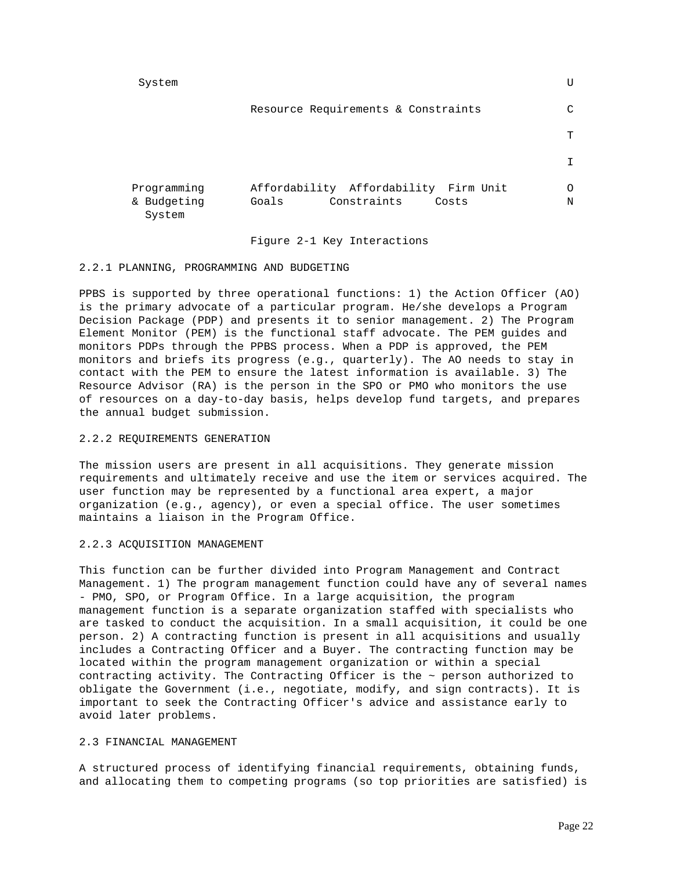System U

|  |  | Resource Requirements & Constraints |  |  |  |
|--|--|-------------------------------------|--|--|--|
|--|--|-------------------------------------|--|--|--|

| Programming           | Affordability Affordability Firm Unit | O |
|-----------------------|---------------------------------------|---|
| & Budgeting<br>System | Constraints<br>Goals<br>Costs         | N |

**TECHNICAL CONSTRUCTION CONTROL** 

## Figure 2-1 Key Interactions

## 2.2.1 PLANNING, PROGRAMMING AND BUDGETING

PPBS is supported by three operational functions: 1) the Action Officer (AO) is the primary advocate of a particular program. He/she develops a Program Decision Package (PDP) and presents it to senior management. 2) The Program Element Monitor (PEM) is the functional staff advocate. The PEM guides and monitors PDPs through the PPBS process. When a PDP is approved, the PEM monitors and briefs its progress (e.g., quarterly). The AO needs to stay in contact with the PEM to ensure the latest information is available. 3) The Resource Advisor (RA) is the person in the SPO or PMO who monitors the use of resources on a day-to-day basis, helps develop fund targets, and prepares the annual budget submission.

## 2.2.2 REQUIREMENTS GENERATION

The mission users are present in all acquisitions. They generate mission requirements and ultimately receive and use the item or services acquired. The user function may be represented by a functional area expert, a major organization (e.g., agency), or even a special office. The user sometimes maintains a liaison in the Program Office.

# 2.2.3 ACQUISITION MANAGEMENT

This function can be further divided into Program Management and Contract Management. 1) The program management function could have any of several names - PMO, SPO, or Program Office. In a large acquisition, the program management function is a separate organization staffed with specialists who are tasked to conduct the acquisition. In a small acquisition, it could be one person. 2) A contracting function is present in all acquisitions and usually includes a Contracting Officer and a Buyer. The contracting function may be located within the program management organization or within a special contracting activity. The Contracting Officer is the  $\sim$  person authorized to obligate the Government (i.e., negotiate, modify, and sign contracts). It is important to seek the Contracting Officer's advice and assistance early to avoid later problems.

## 2.3 FINANCIAL MANAGEMENT

A structured process of identifying financial requirements, obtaining funds, and allocating them to competing programs (so top priorities are satisfied) is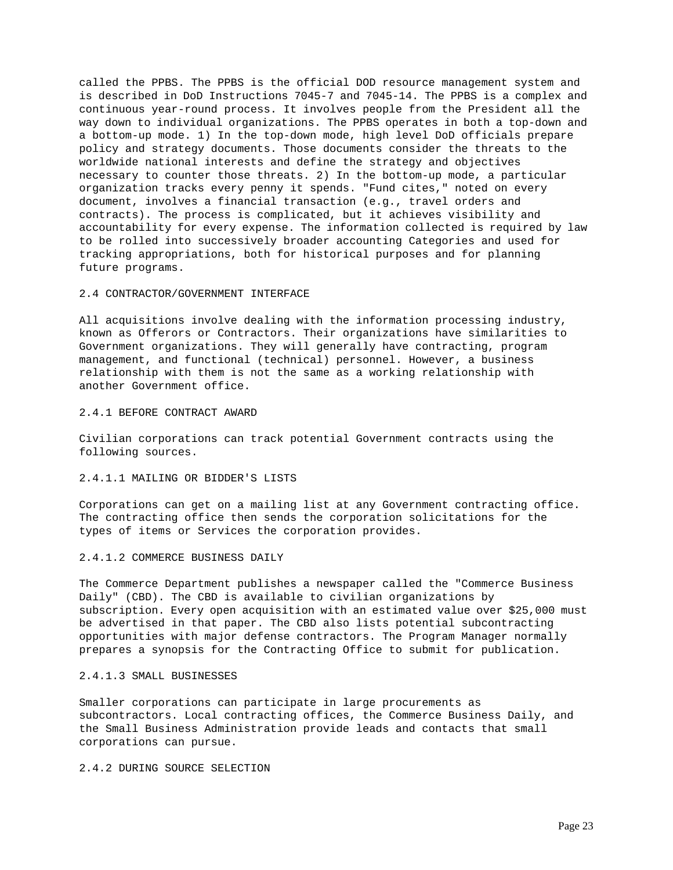called the PPBS. The PPBS is the official DOD resource management system and is described in DoD Instructions 7045-7 and 7045-14. The PPBS is a complex and continuous year-round process. It involves people from the President all the way down to individual organizations. The PPBS operates in both a top-down and a bottom-up mode. 1) In the top-down mode, high level DoD officials prepare policy and strategy documents. Those documents consider the threats to the worldwide national interests and define the strategy and objectives necessary to counter those threats. 2) In the bottom-up mode, a particular organization tracks every penny it spends. "Fund cites," noted on every document, involves a financial transaction (e.g., travel orders and contracts). The process is complicated, but it achieves visibility and accountability for every expense. The information collected is required by law to be rolled into successively broader accounting Categories and used for tracking appropriations, both for historical purposes and for planning future programs.

# 2.4 CONTRACTOR/GOVERNMENT INTERFACE

All acquisitions involve dealing with the information processing industry, known as Offerors or Contractors. Their organizations have similarities to Government organizations. They will generally have contracting, program management, and functional (technical) personnel. However, a business relationship with them is not the same as a working relationship with another Government office.

### 2.4.1 BEFORE CONTRACT AWARD

Civilian corporations can track potential Government contracts using the following sources.

## 2.4.1.1 MAILING OR BIDDER'S LISTS

Corporations can get on a mailing list at any Government contracting office. The contracting office then sends the corporation solicitations for the types of items or Services the corporation provides.

### 2.4.1.2 COMMERCE BUSINESS DAILY

The Commerce Department publishes a newspaper called the "Commerce Business Daily" (CBD). The CBD is available to civilian organizations by subscription. Every open acquisition with an estimated value over \$25,000 must be advertised in that paper. The CBD also lists potential subcontracting opportunities with major defense contractors. The Program Manager normally prepares a synopsis for the Contracting Office to submit for publication.

## 2.4.1.3 SMALL BUSINESSES

Smaller corporations can participate in large procurements as subcontractors. Local contracting offices, the Commerce Business Daily, and the Small Business Administration provide leads and contacts that small corporations can pursue.

## 2.4.2 DURING SOURCE SELECTION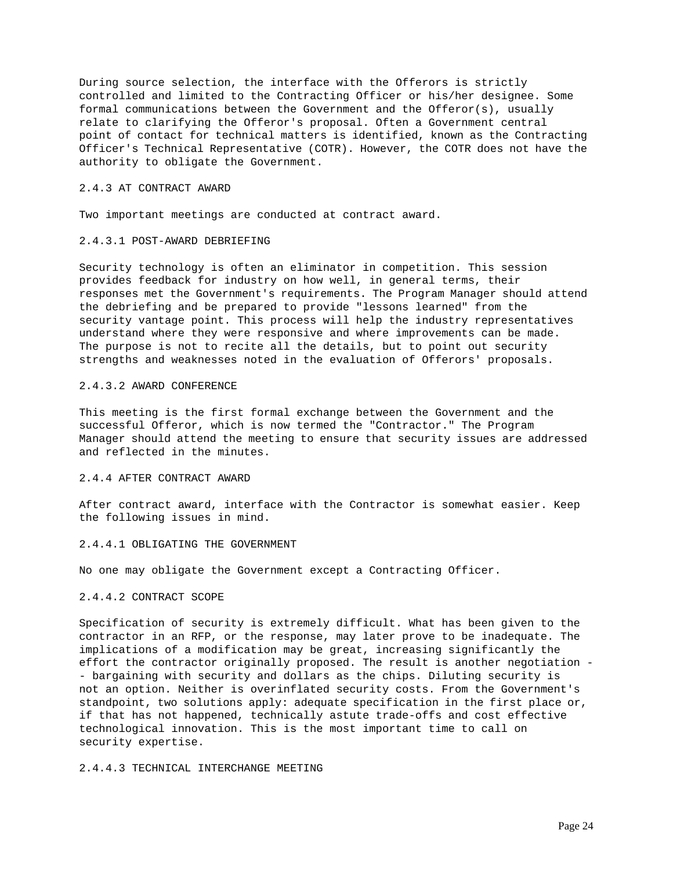During source selection, the interface with the Offerors is strictly controlled and limited to the Contracting Officer or his/her designee. Some formal communications between the Government and the Offeror(s), usually relate to clarifying the Offeror's proposal. Often a Government central point of contact for technical matters is identified, known as the Contracting Officer's Technical Representative (COTR). However, the COTR does not have the authority to obligate the Government.

## 2.4.3 AT CONTRACT AWARD

Two important meetings are conducted at contract award.

### 2.4.3.1 POST-AWARD DEBRIEFING

Security technology is often an eliminator in competition. This session provides feedback for industry on how well, in general terms, their responses met the Government's requirements. The Program Manager should attend the debriefing and be prepared to provide "lessons learned" from the security vantage point. This process will help the industry representatives understand where they were responsive and where improvements can be made. The purpose is not to recite all the details, but to point out security strengths and weaknesses noted in the evaluation of Offerors' proposals.

## 2.4.3.2 AWARD CONFERENCE

This meeting is the first formal exchange between the Government and the successful Offeror, which is now termed the "Contractor." The Program Manager should attend the meeting to ensure that security issues are addressed and reflected in the minutes.

# 2.4.4 AFTER CONTRACT AWARD

After contract award, interface with the Contractor is somewhat easier. Keep the following issues in mind.

### 2.4.4.1 OBLIGATING THE GOVERNMENT

No one may obligate the Government except a Contracting Officer.

#### 2.4.4.2 CONTRACT SCOPE

Specification of security is extremely difficult. What has been given to the contractor in an RFP, or the response, may later prove to be inadequate. The implications of a modification may be great, increasing significantly the effort the contractor originally proposed. The result is another negotiation - - bargaining with security and dollars as the chips. Diluting security is not an option. Neither is overinflated security costs. From the Government's standpoint, two solutions apply: adequate specification in the first place or, if that has not happened, technically astute trade-offs and cost effective technological innovation. This is the most important time to call on security expertise.

2.4.4.3 TECHNICAL INTERCHANGE MEETING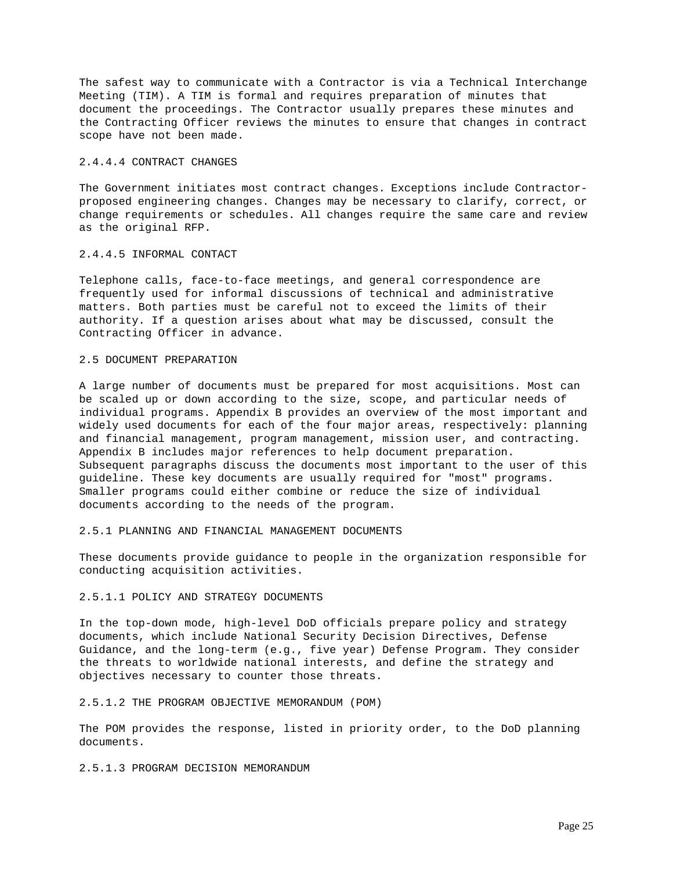The safest way to communicate with a Contractor is via a Technical Interchange Meeting (TIM). A TIM is formal and requires preparation of minutes that document the proceedings. The Contractor usually prepares these minutes and the Contracting Officer reviews the minutes to ensure that changes in contract scope have not been made.

### 2.4.4.4 CONTRACT CHANGES

The Government initiates most contract changes. Exceptions include Contractorproposed engineering changes. Changes may be necessary to clarify, correct, or change requirements or schedules. All changes require the same care and review as the original RFP.

## 2.4.4.5 INFORMAL CONTACT

Telephone calls, face-to-face meetings, and general correspondence are frequently used for informal discussions of technical and administrative matters. Both parties must be careful not to exceed the limits of their authority. If a question arises about what may be discussed, consult the Contracting Officer in advance.

## 2.5 DOCUMENT PREPARATION

A large number of documents must be prepared for most acquisitions. Most can be scaled up or down according to the size, scope, and particular needs of individual programs. Appendix B provides an overview of the most important and widely used documents for each of the four major areas, respectively: planning and financial management, program management, mission user, and contracting. Appendix B includes major references to help document preparation. Subsequent paragraphs discuss the documents most important to the user of this guideline. These key documents are usually required for "most" programs. Smaller programs could either combine or reduce the size of individual documents according to the needs of the program.

## 2.5.1 PLANNING AND FINANCIAL MANAGEMENT DOCUMENTS

These documents provide guidance to people in the organization responsible for conducting acquisition activities.

#### 2.5.1.1 POLICY AND STRATEGY DOCUMENTS

In the top-down mode, high-level DoD officials prepare policy and strategy documents, which include National Security Decision Directives, Defense Guidance, and the long-term (e.g., five year) Defense Program. They consider the threats to worldwide national interests, and define the strategy and objectives necessary to counter those threats.

### 2.5.1.2 THE PROGRAM OBJECTIVE MEMORANDUM (POM)

The POM provides the response, listed in priority order, to the DoD planning documents.

## 2.5.1.3 PROGRAM DECISION MEMORANDUM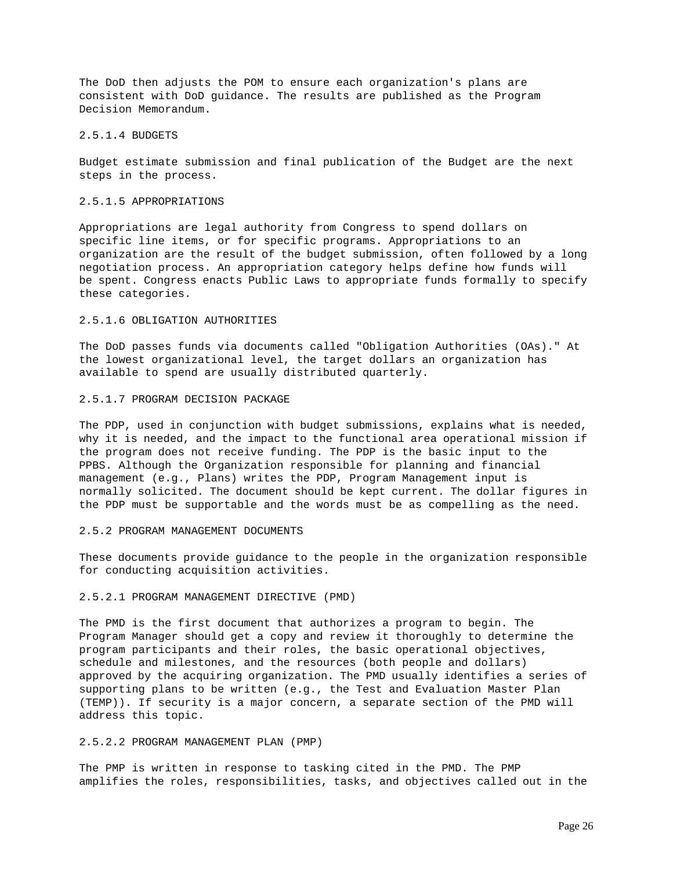The DoD then adjusts the POM to ensure each organization's plans are consistent with DoD guidance. The results are published as the Program Decision Memorandum.

#### 2.5.1.4 BUDGETS

Budget estimate submission and final publication of the Budget are the next steps in the process.

## 2.5.1.5 APPROPRIATIONS

Appropriations are legal authority from Congress to spend dollars on specific line items, or for specific programs. Appropriations to an organization are the result of the budget submission, often followed by a long negotiation process. An appropriation category helps define how funds will be spent. Congress enacts Public Laws to appropriate funds formally to specify these categories.

# 2.5.1.6 OBLIGATION AUTHORITIES

The DoD passes funds via documents called "Obligation Authorities (OAs)." At the lowest organizational level, the target dollars an organization has available to spend are usually distributed quarterly.

#### 2.5.1.7 PROGRAM DECISION PACKAGE

The PDP, used in conjunction with budget submissions, explains what is needed, why it is needed, and the impact to the functional area operational mission if the program does not receive funding. The PDP is the basic input to the PPBS. Although the Organization responsible for planning and financial management (e.g., Plans) writes the PDP, Program Management input is normally solicited. The document should be kept current. The dollar figures in the PDP must be supportable and the words must be as compelling as the need.

#### 2.5.2 PROGRAM MANAGEMENT DOCUMENTS

These documents provide guidance to the people in the organization responsible for conducting acquisition activities.

## 2.5.2.1 PROGRAM MANAGEMENT DIRECTIVE (PMD)

The PMD is the first document that authorizes a program to begin. The Program Manager should get a copy and review it thoroughly to determine the program participants and their roles, the basic operational objectives, schedule and milestones, and the resources (both people and dollars) approved by the acquiring organization. The PMD usually identifies a series of supporting plans to be written (e.g., the Test and Evaluation Master Plan (TEMP)). If security is a major concern, a separate section of the PMD will address this topic.

## 2.5.2.2 PROGRAM MANAGEMENT PLAN (PMP)

The PMP is written in response to tasking cited in the PMD. The PMP amplifies the roles, responsibilities, tasks, and objectives called out in the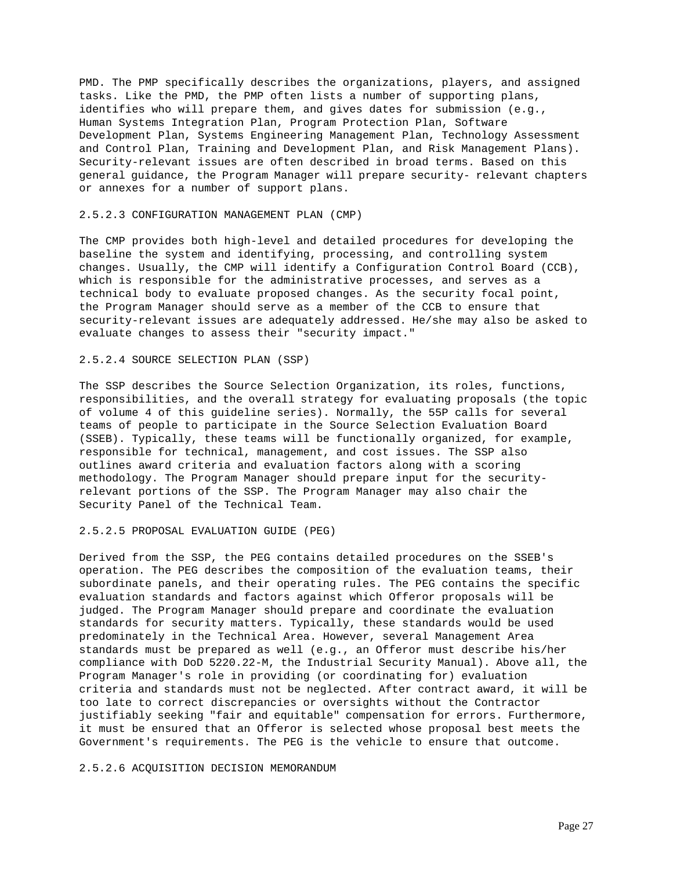PMD. The PMP specifically describes the organizations, players, and assigned tasks. Like the PMD, the PMP often lists a number of supporting plans, identifies who will prepare them, and gives dates for submission (e.g., Human Systems Integration Plan, Program Protection Plan, Software Development Plan, Systems Engineering Management Plan, Technology Assessment and Control Plan, Training and Development Plan, and Risk Management Plans). Security-relevant issues are often described in broad terms. Based on this general guidance, the Program Manager will prepare security- relevant chapters or annexes for a number of support plans.

### 2.5.2.3 CONFIGURATION MANAGEMENT PLAN (CMP)

The CMP provides both high-level and detailed procedures for developing the baseline the system and identifying, processing, and controlling system changes. Usually, the CMP will identify a Configuration Control Board (CCB), which is responsible for the administrative processes, and serves as a technical body to evaluate proposed changes. As the security focal point, the Program Manager should serve as a member of the CCB to ensure that security-relevant issues are adequately addressed. He/she may also be asked to evaluate changes to assess their "security impact."

## 2.5.2.4 SOURCE SELECTION PLAN (SSP)

The SSP describes the Source Selection Organization, its roles, functions, responsibilities, and the overall strategy for evaluating proposals (the topic of volume 4 of this guideline series). Normally, the 55P calls for several teams of people to participate in the Source Selection Evaluation Board (SSEB). Typically, these teams will be functionally organized, for example, responsible for technical, management, and cost issues. The SSP also outlines award criteria and evaluation factors along with a scoring methodology. The Program Manager should prepare input for the securityrelevant portions of the SSP. The Program Manager may also chair the Security Panel of the Technical Team.

### 2.5.2.5 PROPOSAL EVALUATION GUIDE (PEG)

Derived from the SSP, the PEG contains detailed procedures on the SSEB's operation. The PEG describes the composition of the evaluation teams, their subordinate panels, and their operating rules. The PEG contains the specific evaluation standards and factors against which Offeror proposals will be judged. The Program Manager should prepare and coordinate the evaluation standards for security matters. Typically, these standards would be used predominately in the Technical Area. However, several Management Area standards must be prepared as well (e.g., an Offeror must describe his/her compliance with DoD 5220.22-M, the Industrial Security Manual). Above all, the Program Manager's role in providing (or coordinating for) evaluation criteria and standards must not be neglected. After contract award, it will be too late to correct discrepancies or oversights without the Contractor justifiably seeking "fair and equitable" compensation for errors. Furthermore, it must be ensured that an Offeror is selected whose proposal best meets the Government's requirements. The PEG is the vehicle to ensure that outcome.

## 2.5.2.6 ACQUISITION DECISION MEMORANDUM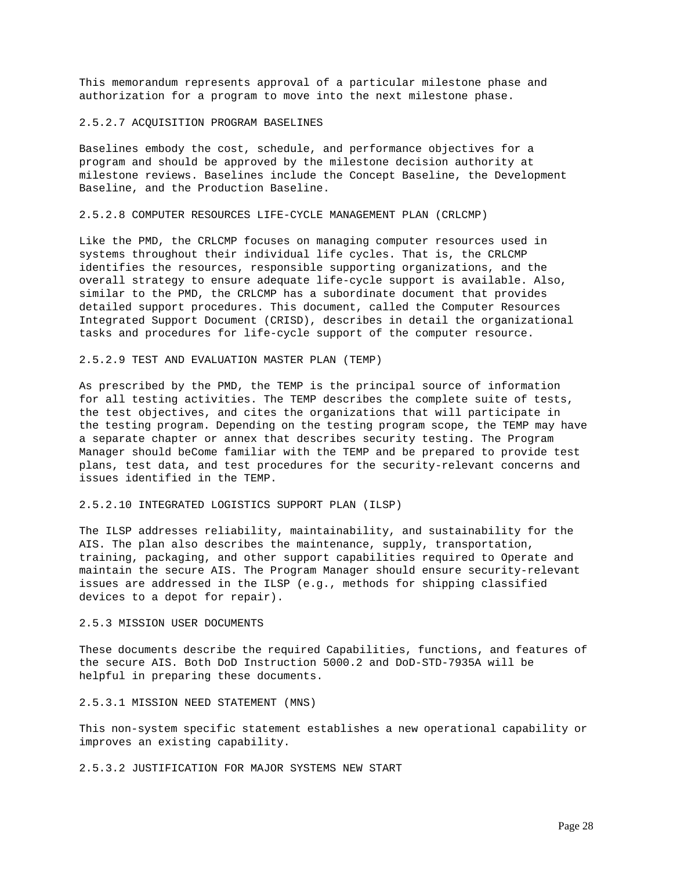This memorandum represents approval of a particular milestone phase and authorization for a program to move into the next milestone phase.

#### 2.5.2.7 ACQUISITION PROGRAM BASELINES

Baselines embody the cost, schedule, and performance objectives for a program and should be approved by the milestone decision authority at milestone reviews. Baselines include the Concept Baseline, the Development Baseline, and the Production Baseline.

#### 2.5.2.8 COMPUTER RESOURCES LIFE-CYCLE MANAGEMENT PLAN (CRLCMP)

Like the PMD, the CRLCMP focuses on managing computer resources used in systems throughout their individual life cycles. That is, the CRLCMP identifies the resources, responsible supporting organizations, and the overall strategy to ensure adequate life-cycle support is available. Also, similar to the PMD, the CRLCMP has a subordinate document that provides detailed support procedures. This document, called the Computer Resources Integrated Support Document (CRISD), describes in detail the organizational tasks and procedures for life-cycle support of the computer resource.

#### 2.5.2.9 TEST AND EVALUATION MASTER PLAN (TEMP)

As prescribed by the PMD, the TEMP is the principal source of information for all testing activities. The TEMP describes the complete suite of tests, the test objectives, and cites the organizations that will participate in the testing program. Depending on the testing program scope, the TEMP may have a separate chapter or annex that describes security testing. The Program Manager should beCome familiar with the TEMP and be prepared to provide test plans, test data, and test procedures for the security-relevant concerns and issues identified in the TEMP.

## 2.5.2.10 INTEGRATED LOGISTICS SUPPORT PLAN (ILSP)

The ILSP addresses reliability, maintainability, and sustainability for the AIS. The plan also describes the maintenance, supply, transportation, training, packaging, and other support capabilities required to Operate and maintain the secure AIS. The Program Manager should ensure security-relevant issues are addressed in the ILSP (e.g., methods for shipping classified devices to a depot for repair).

## 2.5.3 MISSION USER DOCUMENTS

These documents describe the required Capabilities, functions, and features of the secure AIS. Both DoD Instruction 5000.2 and DoD-STD-7935A will be helpful in preparing these documents.

## 2.5.3.1 MISSION NEED STATEMENT (MNS)

This non-system specific statement establishes a new operational capability or improves an existing capability.

2.5.3.2 JUSTIFICATION FOR MAJOR SYSTEMS NEW START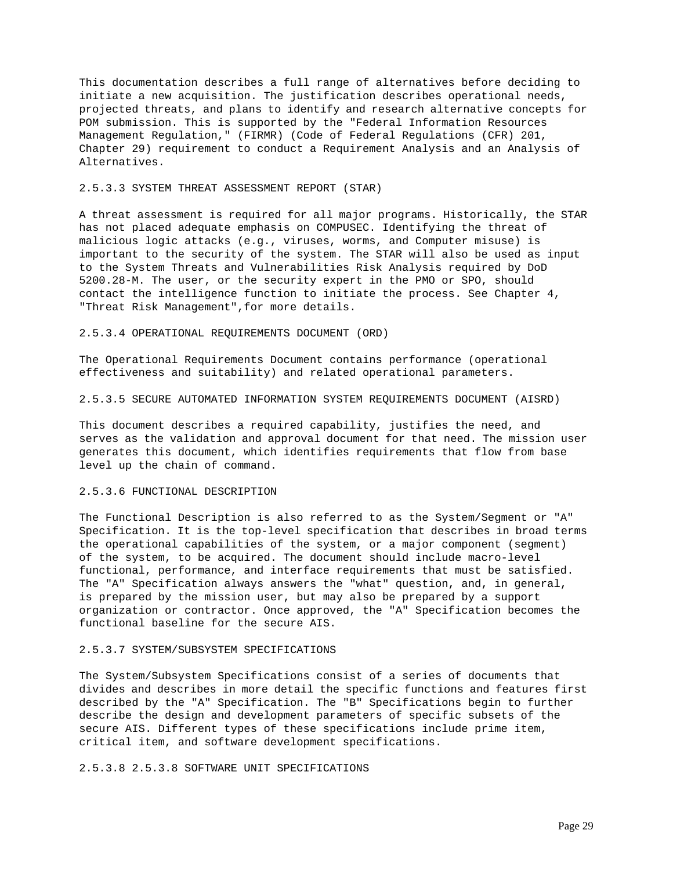This documentation describes a full range of alternatives before deciding to initiate a new acquisition. The justification describes operational needs, projected threats, and plans to identify and research alternative concepts for POM submission. This is supported by the "Federal Information Resources Management Regulation," (FIRMR) (Code of Federal Regulations (CFR) 201, Chapter 29) requirement to conduct a Requirement Analysis and an Analysis of Alternatives.

### 2.5.3.3 SYSTEM THREAT ASSESSMENT REPORT (STAR)

A threat assessment is required for all major programs. Historically, the STAR has not placed adequate emphasis on COMPUSEC. Identifying the threat of malicious logic attacks (e.g., viruses, worms, and Computer misuse) is important to the security of the system. The STAR will also be used as input to the System Threats and Vulnerabilities Risk Analysis required by DoD 5200.28-M. The user, or the security expert in the PMO or SPO, should contact the intelligence function to initiate the process. See Chapter 4, "Threat Risk Management",for more details.

### 2.5.3.4 OPERATIONAL REQUIREMENTS DOCUMENT (ORD)

The Operational Requirements Document contains performance (operational effectiveness and suitability) and related operational parameters.

2.5.3.5 SECURE AUTOMATED INFORMATION SYSTEM REQUIREMENTS DOCUMENT (AISRD)

This document describes a required capability, justifies the need, and serves as the validation and approval document for that need. The mission user generates this document, which identifies requirements that flow from base level up the chain of command.

## 2.5.3.6 FUNCTIONAL DESCRIPTION

The Functional Description is also referred to as the System/Segment or "A" Specification. It is the top-level specification that describes in broad terms the operational capabilities of the system, or a major component (segment) of the system, to be acquired. The document should include macro-level functional, performance, and interface requirements that must be satisfied. The "A" Specification always answers the "what" question, and, in general, is prepared by the mission user, but may also be prepared by a support organization or contractor. Once approved, the "A" Specification becomes the functional baseline for the secure AIS.

## 2.5.3.7 SYSTEM/SUBSYSTEM SPECIFICATIONS

The System/Subsystem Specifications consist of a series of documents that divides and describes in more detail the specific functions and features first described by the "A" Specification. The "B" Specifications begin to further describe the design and development parameters of specific subsets of the secure AIS. Different types of these specifications include prime item, critical item, and software development specifications.

2.5.3.8 2.5.3.8 SOFTWARE UNIT SPECIFICATIONS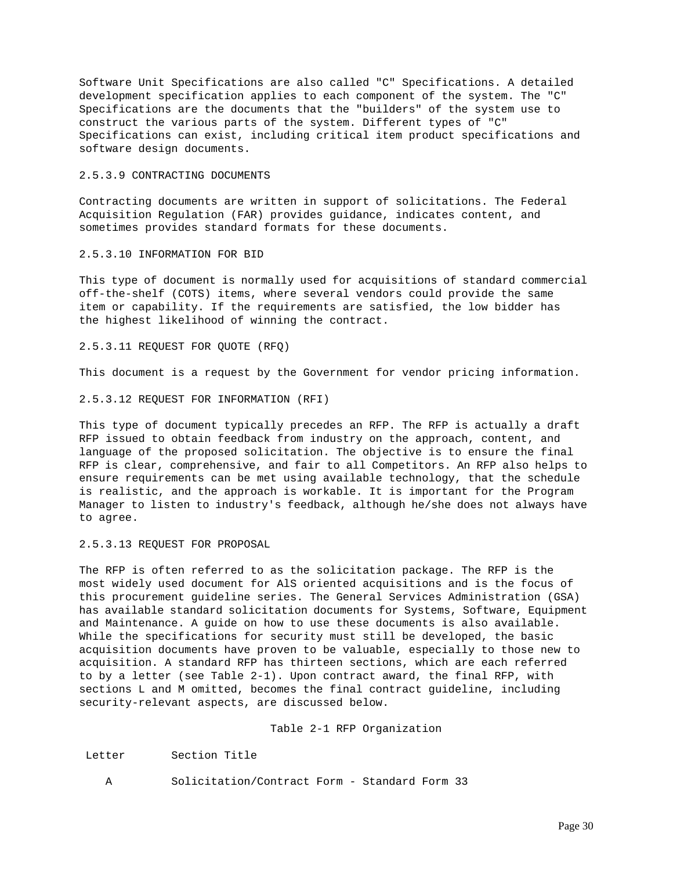Software Unit Specifications are also called "C" Specifications. A detailed development specification applies to each component of the system. The "C" Specifications are the documents that the "builders" of the system use to construct the various parts of the system. Different types of "C" Specifications can exist, including critical item product specifications and software design documents.

## 2.5.3.9 CONTRACTING DOCUMENTS

Contracting documents are written in support of solicitations. The Federal Acquisition Regulation (FAR) provides guidance, indicates content, and sometimes provides standard formats for these documents.

### 2.5.3.10 INFORMATION FOR BID

This type of document is normally used for acquisitions of standard commercial off-the-shelf (COTS) items, where several vendors could provide the same item or capability. If the requirements are satisfied, the low bidder has the highest likelihood of winning the contract.

## 2.5.3.11 REQUEST FOR QUOTE (RFQ)

This document is a request by the Government for vendor pricing information.

2.5.3.12 REQUEST FOR INFORMATION (RFI)

This type of document typically precedes an RFP. The RFP is actually a draft RFP issued to obtain feedback from industry on the approach, content, and language of the proposed solicitation. The objective is to ensure the final RFP is clear, comprehensive, and fair to all Competitors. An RFP also helps to ensure requirements can be met using available technology, that the schedule is realistic, and the approach is workable. It is important for the Program Manager to listen to industry's feedback, although he/she does not always have to agree.

2.5.3.13 REQUEST FOR PROPOSAL

The RFP is often referred to as the solicitation package. The RFP is the most widely used document for AlS oriented acquisitions and is the focus of this procurement guideline series. The General Services Administration (GSA) has available standard solicitation documents for Systems, Software, Equipment and Maintenance. A guide on how to use these documents is also available. While the specifications for security must still be developed, the basic acquisition documents have proven to be valuable, especially to those new to acquisition. A standard RFP has thirteen sections, which are each referred to by a letter (see Table 2-1). Upon contract award, the final RFP, with sections L and M omitted, becomes the final contract guideline, including security-relevant aspects, are discussed below.

## Table 2-1 RFP Organization

Letter Section Title

A Solicitation/Contract Form - Standard Form 33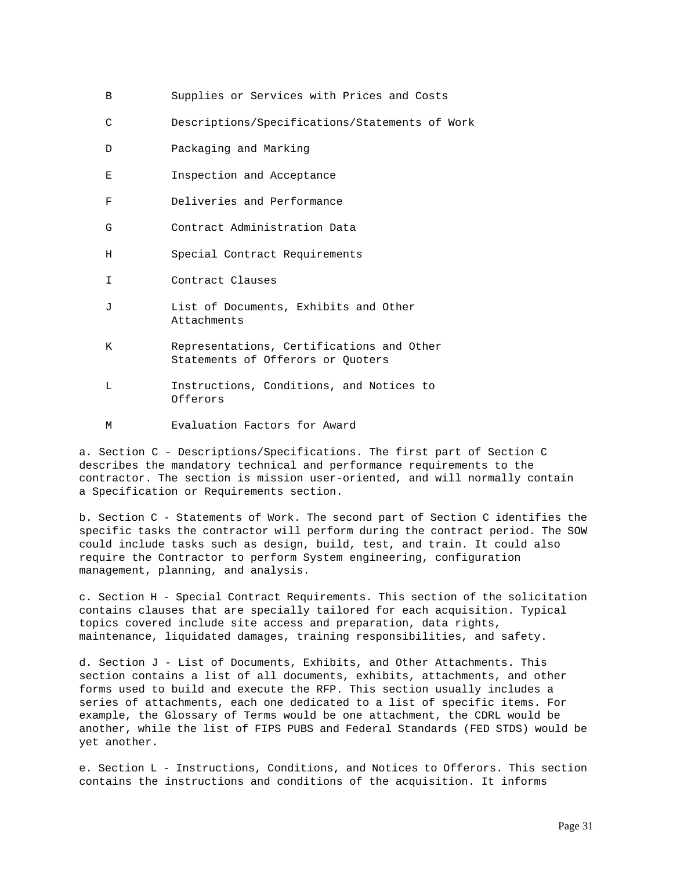|  | Supplies or Services with Prices and Costs |  |  |  |  |  |  |
|--|--------------------------------------------|--|--|--|--|--|--|
|--|--------------------------------------------|--|--|--|--|--|--|

- C Descriptions/Specifications/Statements of Work
- D Packaging and Marking
- E Inspection and Acceptance
- F Deliveries and Performance
- G Contract Administration Data
- H Special Contract Requirements
- I Contract Clauses
- J List of Documents, Exhibits and Other Attachments
- K Representations, Certifications and Other Statements of Offerors or Quoters
- L Instructions, Conditions, and Notices to Offerors
- M Evaluation Factors for Award

a. Section C - Descriptions/Specifications. The first part of Section C describes the mandatory technical and performance requirements to the contractor. The section is mission user-oriented, and will normally contain a Specification or Requirements section.

b. Section C - Statements of Work. The second part of Section C identifies the specific tasks the contractor will perform during the contract period. The SOW could include tasks such as design, build, test, and train. It could also require the Contractor to perform System engineering, configuration management, planning, and analysis.

c. Section H - Special Contract Requirements. This section of the solicitation contains clauses that are specially tailored for each acquisition. Typical topics covered include site access and preparation, data rights, maintenance, liquidated damages, training responsibilities, and safety.

d. Section J - List of Documents, Exhibits, and Other Attachments. This section contains a list of all documents, exhibits, attachments, and other forms used to build and execute the RFP. This section usually includes a series of attachments, each one dedicated to a list of specific items. For example, the Glossary of Terms would be one attachment, the CDRL would be another, while the list of FIPS PUBS and Federal Standards (FED STDS) would be yet another.

e. Section L - Instructions, Conditions, and Notices to Offerors. This section contains the instructions and conditions of the acquisition. It informs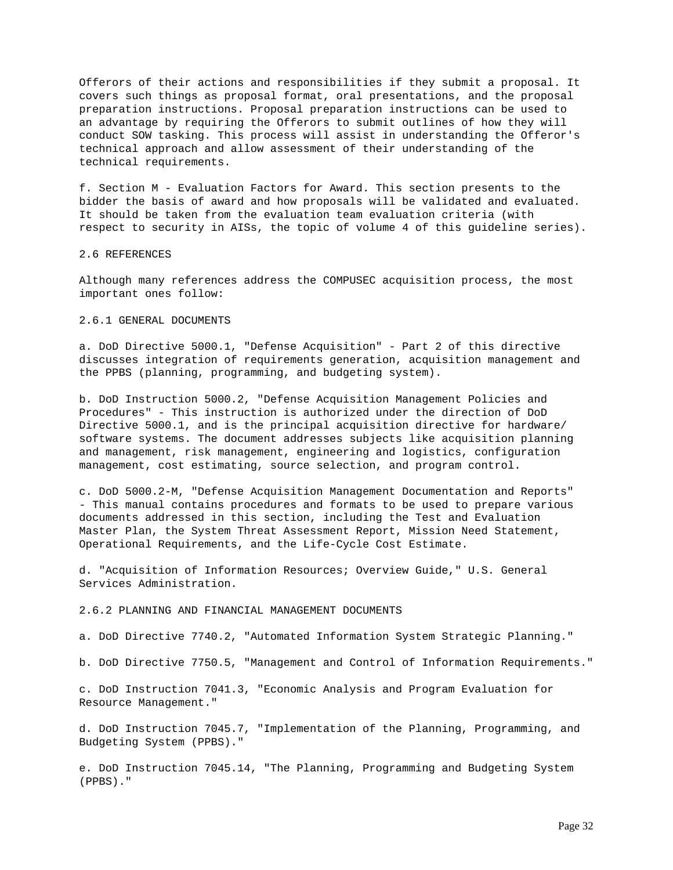Offerors of their actions and responsibilities if they submit a proposal. It covers such things as proposal format, oral presentations, and the proposal preparation instructions. Proposal preparation instructions can be used to an advantage by requiring the Offerors to submit outlines of how they will conduct SOW tasking. This process will assist in understanding the Offeror's technical approach and allow assessment of their understanding of the technical requirements.

f. Section M - Evaluation Factors for Award. This section presents to the bidder the basis of award and how proposals will be validated and evaluated. It should be taken from the evaluation team evaluation criteria (with respect to security in AISs, the topic of volume 4 of this guideline series).

#### 2.6 REFERENCES

Although many references address the COMPUSEC acquisition process, the most important ones follow:

## 2.6.1 GENERAL DOCUMENTS

a. DoD Directive 5000.1, "Defense Acquisition" - Part 2 of this directive discusses integration of requirements generation, acquisition management and the PPBS (planning, programming, and budgeting system).

b. DoD Instruction 5000.2, "Defense Acquisition Management Policies and Procedures" - This instruction is authorized under the direction of DoD Directive 5000.1, and is the principal acquisition directive for hardware/ software systems. The document addresses subjects like acquisition planning and management, risk management, engineering and logistics, configuration management, cost estimating, source selection, and program control.

c. DoD 5000.2-M, "Defense Acquisition Management Documentation and Reports" - This manual contains procedures and formats to be used to prepare various documents addressed in this section, including the Test and Evaluation Master Plan, the System Threat Assessment Report, Mission Need Statement, Operational Requirements, and the Life-Cycle Cost Estimate.

d. "Acquisition of Information Resources; Overview Guide," U.S. General Services Administration.

# 2.6.2 PLANNING AND FINANCIAL MANAGEMENT DOCUMENTS

a. DoD Directive 7740.2, "Automated Information System Strategic Planning."

b. DoD Directive 7750.5, "Management and Control of Information Requirements."

c. DoD Instruction 7041.3, "Economic Analysis and Program Evaluation for Resource Management."

d. DoD Instruction 7045.7, "Implementation of the Planning, Programming, and Budgeting System (PPBS)."

e. DoD Instruction 7045.14, "The Planning, Programming and Budgeting System (PPBS)."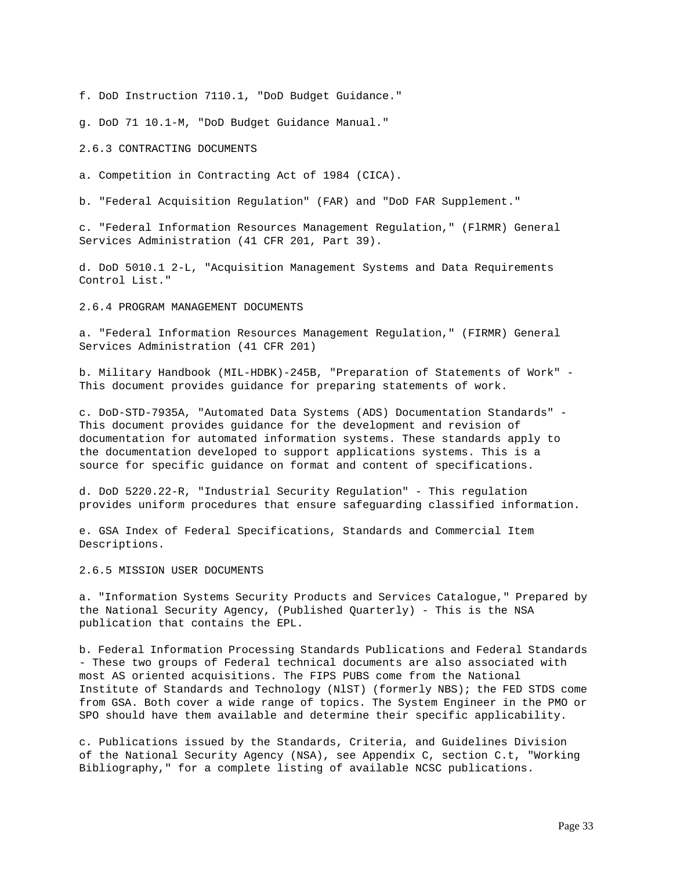f. DoD Instruction 7110.1, "DoD Budget Guidance."

g. DoD 71 10.1-M, "DoD Budget Guidance Manual."

2.6.3 CONTRACTING DOCUMENTS

a. Competition in Contracting Act of 1984 (CICA).

b. "Federal Acquisition Regulation" (FAR) and "DoD FAR Supplement."

c. "Federal Information Resources Management Regulation," (FlRMR) General Services Administration (41 CFR 201, Part 39).

d. DoD 5010.1 2-L, "Acquisition Management Systems and Data Requirements Control List."

2.6.4 PROGRAM MANAGEMENT DOCUMENTS

a. "Federal Information Resources Management Regulation," (FIRMR) General Services Administration (41 CFR 201)

b. Military Handbook (MIL-HDBK)-245B, "Preparation of Statements of Work" - This document provides guidance for preparing statements of work.

c. DoD-STD-7935A, "Automated Data Systems (ADS) Documentation Standards" - This document provides guidance for the development and revision of documentation for automated information systems. These standards apply to the documentation developed to support applications systems. This is a source for specific guidance on format and content of specifications.

d. DoD 5220.22-R, "Industrial Security Regulation" - This regulation provides uniform procedures that ensure safeguarding classified information.

e. GSA Index of Federal Specifications, Standards and Commercial Item Descriptions.

2.6.5 MISSION USER DOCUMENTS

a. "Information Systems Security Products and Services Catalogue," Prepared by the National Security Agency, (Published Quarterly) - This is the NSA publication that contains the EPL.

b. Federal Information Processing Standards Publications and Federal Standards - These two groups of Federal technical documents are also associated with most AS oriented acquisitions. The FIPS PUBS come from the National Institute of Standards and Technology (NlST) (formerly NBS); the FED STDS come from GSA. Both cover a wide range of topics. The System Engineer in the PMO or SPO should have them available and determine their specific applicability.

c. Publications issued by the Standards, Criteria, and Guidelines Division of the National Security Agency (NSA), see Appendix C, section C.t, "Working Bibliography," for a complete listing of available NCSC publications.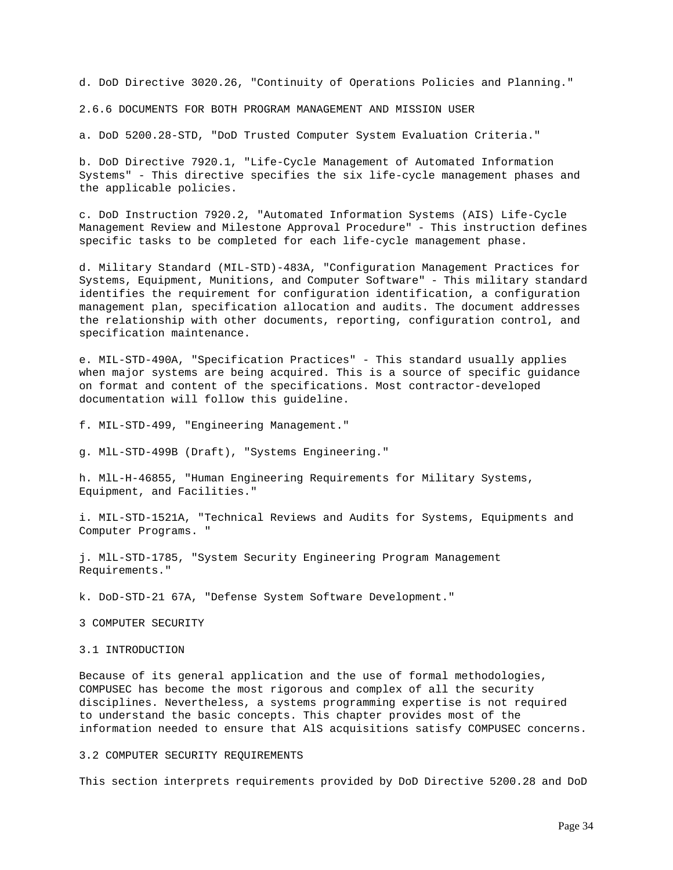d. DoD Directive 3020.26, "Continuity of Operations Policies and Planning."

2.6.6 DOCUMENTS FOR BOTH PROGRAM MANAGEMENT AND MISSION USER

a. DoD 5200.28-STD, "DoD Trusted Computer System Evaluation Criteria."

b. DoD Directive 7920.1, "Life-Cycle Management of Automated Information Systems" - This directive specifies the six life-cycle management phases and the applicable policies.

c. DoD Instruction 7920.2, "Automated Information Systems (AIS) Life-Cycle Management Review and Milestone Approval Procedure" - This instruction defines specific tasks to be completed for each life-cycle management phase.

d. Military Standard (MIL-STD)-483A, "Configuration Management Practices for Systems, Equipment, Munitions, and Computer Software" - This military standard identifies the requirement for configuration identification, a configuration management plan, specification allocation and audits. The document addresses the relationship with other documents, reporting, configuration control, and specification maintenance.

e. MIL-STD-490A, "Specification Practices" - This standard usually applies when major systems are being acquired. This is a source of specific guidance on format and content of the specifications. Most contractor-developed documentation will follow this guideline.

f. MIL-STD-499, "Engineering Management."

g. MlL-STD-499B (Draft), "Systems Engineering."

h. MlL-H-46855, "Human Engineering Requirements for Military Systems, Equipment, and Facilities."

i. MIL-STD-1521A, "Technical Reviews and Audits for Systems, Equipments and Computer Programs. "

j. MlL-STD-1785, "System Security Engineering Program Management Requirements."

k. DoD-STD-21 67A, "Defense System Software Development."

3 COMPUTER SECURITY

3.1 INTRODUCTION

Because of its general application and the use of formal methodologies, COMPUSEC has become the most rigorous and complex of all the security disciplines. Nevertheless, a systems programming expertise is not required to understand the basic concepts. This chapter provides most of the information needed to ensure that AlS acquisitions satisfy COMPUSEC concerns.

#### 3.2 COMPUTER SECURITY REQUIREMENTS

This section interprets requirements provided by DoD Directive 5200.28 and DoD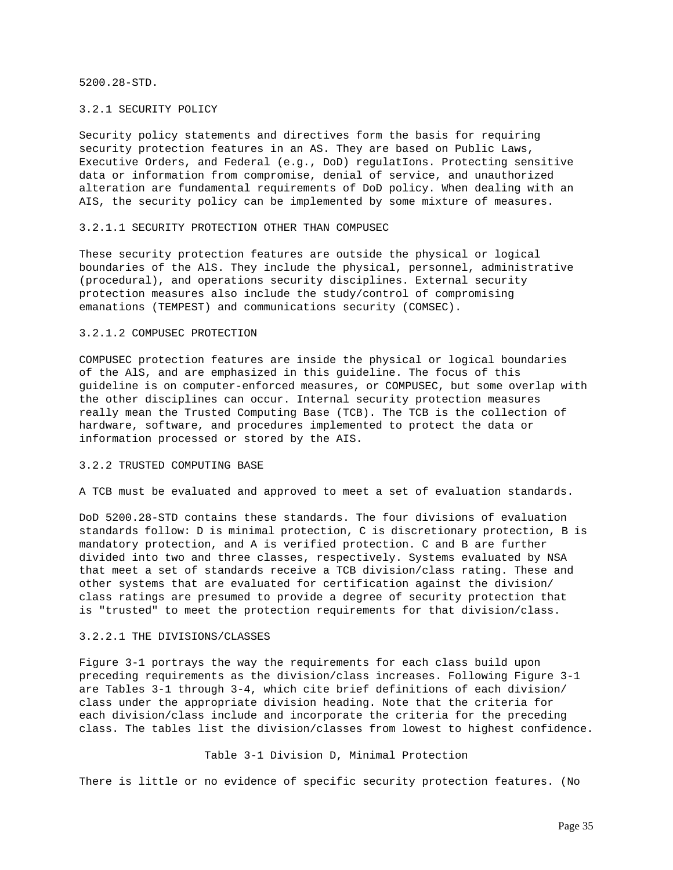5200.28-STD.

## 3.2.1 SECURITY POLICY

Security policy statements and directives form the basis for requiring security protection features in an AS. They are based on Public Laws, Executive Orders, and Federal (e.g., DoD) regulatIons. Protecting sensitive data or information from compromise, denial of service, and unauthorized alteration are fundamental requirements of DoD policy. When dealing with an AIS, the security policy can be implemented by some mixture of measures.

## 3.2.1.1 SECURITY PROTECTION OTHER THAN COMPUSEC

These security protection features are outside the physical or logical boundaries of the AlS. They include the physical, personnel, administrative (procedural), and operations security disciplines. External security protection measures also include the study/control of compromising emanations (TEMPEST) and communications security (COMSEC).

## 3.2.1.2 COMPUSEC PROTECTION

COMPUSEC protection features are inside the physical or logical boundaries of the AlS, and are emphasized in this guideline. The focus of this guideline is on computer-enforced measures, or COMPUSEC, but some overlap with the other disciplines can occur. Internal security protection measures really mean the Trusted Computing Base (TCB). The TCB is the collection of hardware, software, and procedures implemented to protect the data or information processed or stored by the AIS.

## 3.2.2 TRUSTED COMPUTING BASE

A TCB must be evaluated and approved to meet a set of evaluation standards.

DoD 5200.28-STD contains these standards. The four divisions of evaluation standards follow: D is minimal protection, C is discretionary protection, B is mandatory protection, and A is verified protection. C and B are further divided into two and three classes, respectively. Systems evaluated by NSA that meet a set of standards receive a TCB division/class rating. These and other systems that are evaluated for certification against the division/ class ratings are presumed to provide a degree of security protection that is "trusted" to meet the protection requirements for that division/class.

### 3.2.2.1 THE DIVISIONS/CLASSES

Figure 3-1 portrays the way the requirements for each class build upon preceding requirements as the division/class increases. Following Figure 3-1 are Tables 3-1 through 3-4, which cite brief definitions of each division/ class under the appropriate division heading. Note that the criteria for each division/class include and incorporate the criteria for the preceding class. The tables list the division/classes from lowest to highest confidence.

## Table 3-1 Division D, Minimal Protection

There is little or no evidence of specific security protection features. (No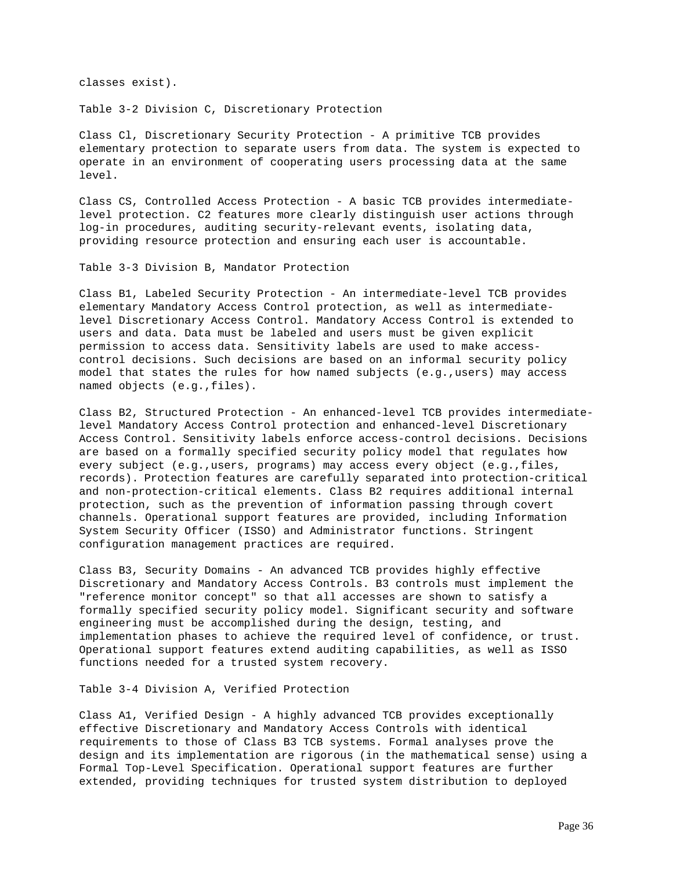classes exist).

Table 3-2 Division C, Discretionary Protection

Class Cl, Discretionary Security Protection - A primitive TCB provides elementary protection to separate users from data. The system is expected to operate in an environment of cooperating users processing data at the same level.

Class CS, Controlled Access Protection - A basic TCB provides intermediatelevel protection. C2 features more clearly distinguish user actions through log-in procedures, auditing security-relevant events, isolating data, providing resource protection and ensuring each user is accountable.

Table 3-3 Division B, Mandator Protection

Class B1, Labeled Security Protection - An intermediate-level TCB provides elementary Mandatory Access Control protection, as well as intermediatelevel Discretionary Access Control. Mandatory Access Control is extended to users and data. Data must be labeled and users must be given explicit permission to access data. Sensitivity labels are used to make accesscontrol decisions. Such decisions are based on an informal security policy model that states the rules for how named subjects (e.g.,users) may access named objects (e.g.,files).

Class B2, Structured Protection - An enhanced-level TCB provides intermediatelevel Mandatory Access Control protection and enhanced-level Discretionary Access Control. Sensitivity labels enforce access-control decisions. Decisions are based on a formally specified security policy model that regulates how every subject (e.g.,users, programs) may access every object (e.g.,files, records). Protection features are carefully separated into protection-critical and non-protection-critical elements. Class B2 requires additional internal protection, such as the prevention of information passing through covert channels. Operational support features are provided, including Information System Security Officer (ISSO) and Administrator functions. Stringent configuration management practices are required.

Class B3, Security Domains - An advanced TCB provides highly effective Discretionary and Mandatory Access Controls. B3 controls must implement the "reference monitor concept" so that all accesses are shown to satisfy a formally specified security policy model. Significant security and software engineering must be accomplished during the design, testing, and implementation phases to achieve the required level of confidence, or trust. Operational support features extend auditing capabilities, as well as ISSO functions needed for a trusted system recovery.

Table 3-4 Division A, Verified Protection

Class A1, Verified Design - A highly advanced TCB provides exceptionally effective Discretionary and Mandatory Access Controls with identical requirements to those of Class B3 TCB systems. Formal analyses prove the design and its implementation are rigorous (in the mathematical sense) using a Formal Top-Level Specification. Operational support features are further extended, providing techniques for trusted system distribution to deployed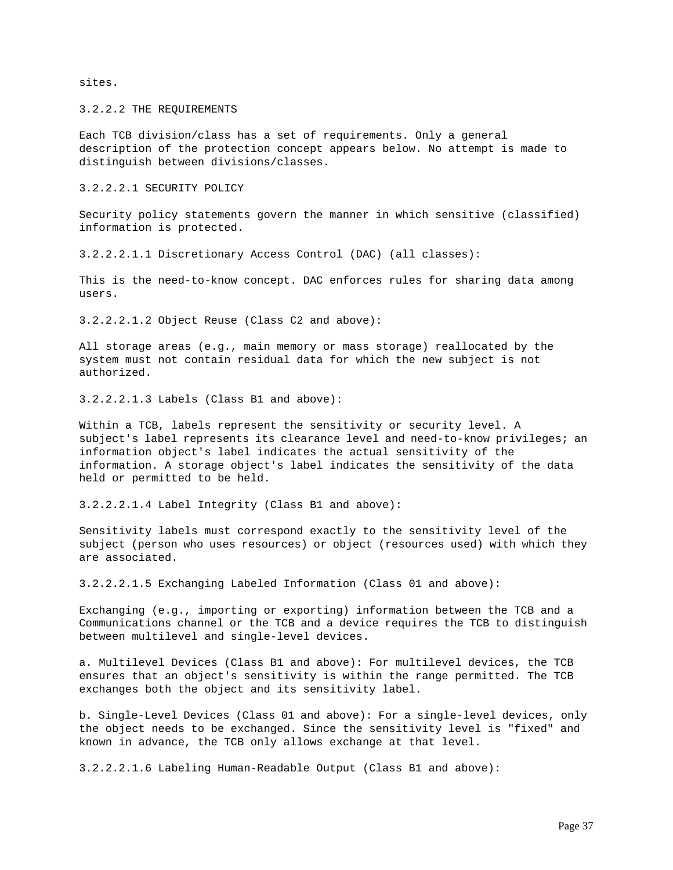sites.

3.2.2.2 THE REQUIREMENTS

Each TCB division/class has a set of requirements. Only a general description of the protection concept appears below. No attempt is made to distinguish between divisions/classes.

3.2.2.2.1 SECURITY POLICY

Security policy statements govern the manner in which sensitive (classified) information is protected.

3.2.2.2.1.1 Discretionary Access Control (DAC) (all classes):

This is the need-to-know concept. DAC enforces rules for sharing data among users.

3.2.2.2.1.2 Object Reuse (Class C2 and above):

All storage areas (e.g., main memory or mass storage) reallocated by the system must not contain residual data for which the new subject is not authorized.

3.2.2.2.1.3 Labels (Class B1 and above):

Within a TCB, labels represent the sensitivity or security level. A subject's label represents its clearance level and need-to-know privileges; an information object's label indicates the actual sensitivity of the information. A storage object's label indicates the sensitivity of the data held or permitted to be held.

3.2.2.2.1.4 Label Integrity (Class B1 and above):

Sensitivity labels must correspond exactly to the sensitivity level of the subject (person who uses resources) or object (resources used) with which they are associated.

3.2.2.2.1.5 Exchanging Labeled Information (Class 01 and above):

Exchanging (e.g., importing or exporting) information between the TCB and a Communications channel or the TCB and a device requires the TCB to distinguish between multilevel and single-level devices.

a. Multilevel Devices (Class B1 and above): For multilevel devices, the TCB ensures that an object's sensitivity is within the range permitted. The TCB exchanges both the object and its sensitivity label.

b. Single-Level Devices (Class 01 and above): For a single-level devices, only the object needs to be exchanged. Since the sensitivity level is "fixed" and known in advance, the TCB only allows exchange at that level.

3.2.2.2.1.6 Labeling Human-Readable Output (Class B1 and above):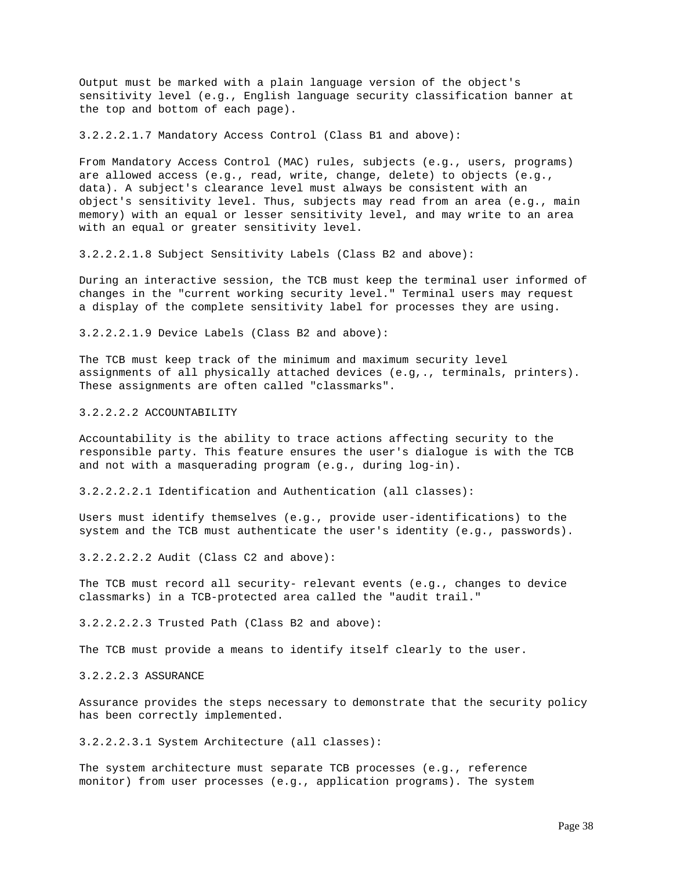Output must be marked with a plain language version of the object's sensitivity level (e.g., English language security classification banner at the top and bottom of each page).

3.2.2.2.1.7 Mandatory Access Control (Class B1 and above):

From Mandatory Access Control (MAC) rules, subjects (e.g., users, programs) are allowed access (e.g., read, write, change, delete) to objects (e.g., data). A subject's clearance level must always be consistent with an object's sensitivity level. Thus, subjects may read from an area (e.g., main memory) with an equal or lesser sensitivity level, and may write to an area with an equal or greater sensitivity level.

3.2.2.2.1.8 Subject Sensitivity Labels (Class B2 and above):

During an interactive session, the TCB must keep the terminal user informed of changes in the "current working security level." Terminal users may request a display of the complete sensitivity label for processes they are using.

3.2.2.2.1.9 Device Labels (Class B2 and above):

The TCB must keep track of the minimum and maximum security level assignments of all physically attached devices (e.g,., terminals, printers). These assignments are often called "classmarks".

3.2.2.2.2 ACCOUNTABILITY

Accountability is the ability to trace actions affecting security to the responsible party. This feature ensures the user's dialogue is with the TCB and not with a masquerading program (e.g., during log-in).

3.2.2.2.2.1 Identification and Authentication (all classes):

Users must identify themselves (e.g., provide user-identifications) to the system and the TCB must authenticate the user's identity (e.g., passwords).

3.2.2.2.2.2 Audit (Class C2 and above):

The TCB must record all security- relevant events (e.g., changes to device classmarks) in a TCB-protected area called the "audit trail."

3.2.2.2.2.3 Trusted Path (Class B2 and above):

The TCB must provide a means to identify itself clearly to the user.

3.2.2.2.3 ASSURANCE

Assurance provides the steps necessary to demonstrate that the security policy has been correctly implemented.

3.2.2.2.3.1 System Architecture (all classes):

The system architecture must separate TCB processes (e.g., reference monitor) from user processes (e.g., application programs). The system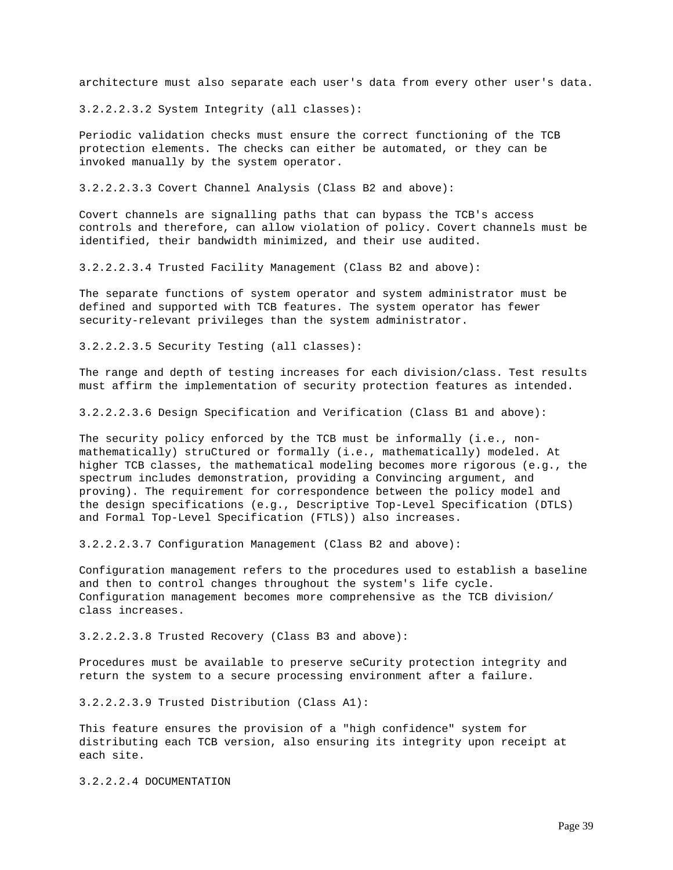architecture must also separate each user's data from every other user's data.

3.2.2.2.3.2 System Integrity (all classes):

Periodic validation checks must ensure the correct functioning of the TCB protection elements. The checks can either be automated, or they can be invoked manually by the system operator.

3.2.2.2.3.3 Covert Channel Analysis (Class B2 and above):

Covert channels are signalling paths that can bypass the TCB's access controls and therefore, can allow violation of policy. Covert channels must be identified, their bandwidth minimized, and their use audited.

3.2.2.2.3.4 Trusted Facility Management (Class B2 and above):

The separate functions of system operator and system administrator must be defined and supported with TCB features. The system operator has fewer security-relevant privileges than the system administrator.

3.2.2.2.3.5 Security Testing (all classes):

The range and depth of testing increases for each division/class. Test results must affirm the implementation of security protection features as intended.

3.2.2.2.3.6 Design Specification and Verification (Class B1 and above):

The security policy enforced by the TCB must be informally (i.e., nonmathematically) struCtured or formally (i.e., mathematically) modeled. At higher TCB classes, the mathematical modeling becomes more rigorous (e.g., the spectrum includes demonstration, providing a Convincing argument, and proving). The requirement for correspondence between the policy model and the design specifications (e.g., Descriptive Top-Level Specification (DTLS) and Formal Top-Level Specification (FTLS)) also increases.

3.2.2.2.3.7 Configuration Management (Class B2 and above):

Configuration management refers to the procedures used to establish a baseline and then to control changes throughout the system's life cycle. Configuration management becomes more comprehensive as the TCB division/ class increases.

3.2.2.2.3.8 Trusted Recovery (Class B3 and above):

Procedures must be available to preserve seCurity protection integrity and return the system to a secure processing environment after a failure.

3.2.2.2.3.9 Trusted Distribution (Class A1):

This feature ensures the provision of a "high confidence" system for distributing each TCB version, also ensuring its integrity upon receipt at each site.

3.2.2.2.4 DOCUMENTATION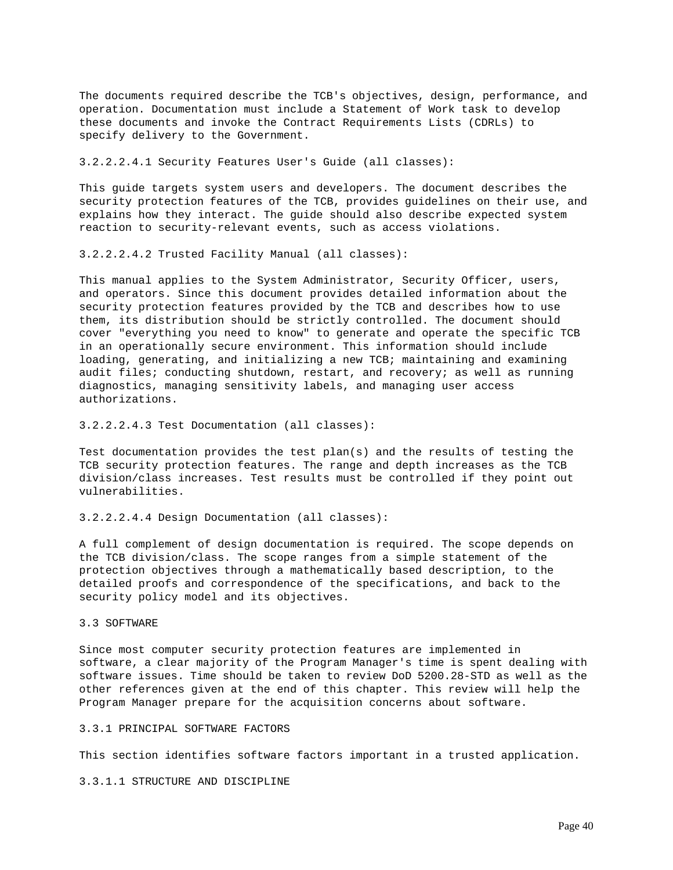The documents required describe the TCB's objectives, design, performance, and operation. Documentation must include a Statement of Work task to develop these documents and invoke the Contract Requirements Lists (CDRLs) to specify delivery to the Government.

3.2.2.2.4.1 Security Features User's Guide (all classes):

This guide targets system users and developers. The document describes the security protection features of the TCB, provides guidelines on their use, and explains how they interact. The guide should also describe expected system reaction to security-relevant events, such as access violations.

3.2.2.2.4.2 Trusted Facility Manual (all classes):

This manual applies to the System Administrator, Security Officer, users, and operators. Since this document provides detailed information about the security protection features provided by the TCB and describes how to use them, its distribution should be strictly controlled. The document should cover "everything you need to know" to generate and operate the specific TCB in an operationally secure environment. This information should include loading, generating, and initializing a new TCB; maintaining and examining audit files; conducting shutdown, restart, and recovery; as well as running diagnostics, managing sensitivity labels, and managing user access authorizations.

3.2.2.2.4.3 Test Documentation (all classes):

Test documentation provides the test plan(s) and the results of testing the TCB security protection features. The range and depth increases as the TCB division/class increases. Test results must be controlled if they point out vulnerabilities.

3.2.2.2.4.4 Design Documentation (all classes):

A full complement of design documentation is required. The scope depends on the TCB division/class. The scope ranges from a simple statement of the protection objectives through a mathematically based description, to the detailed proofs and correspondence of the specifications, and back to the security policy model and its objectives.

# 3.3 SOFTWARE

Since most computer security protection features are implemented in software, a clear majority of the Program Manager's time is spent dealing with software issues. Time should be taken to review DoD 5200.28-STD as well as the other references given at the end of this chapter. This review will help the Program Manager prepare for the acquisition concerns about software.

3.3.1 PRINCIPAL SOFTWARE FACTORS

This section identifies software factors important in a trusted application.

3.3.1.1 STRUCTURE AND DISCIPLINE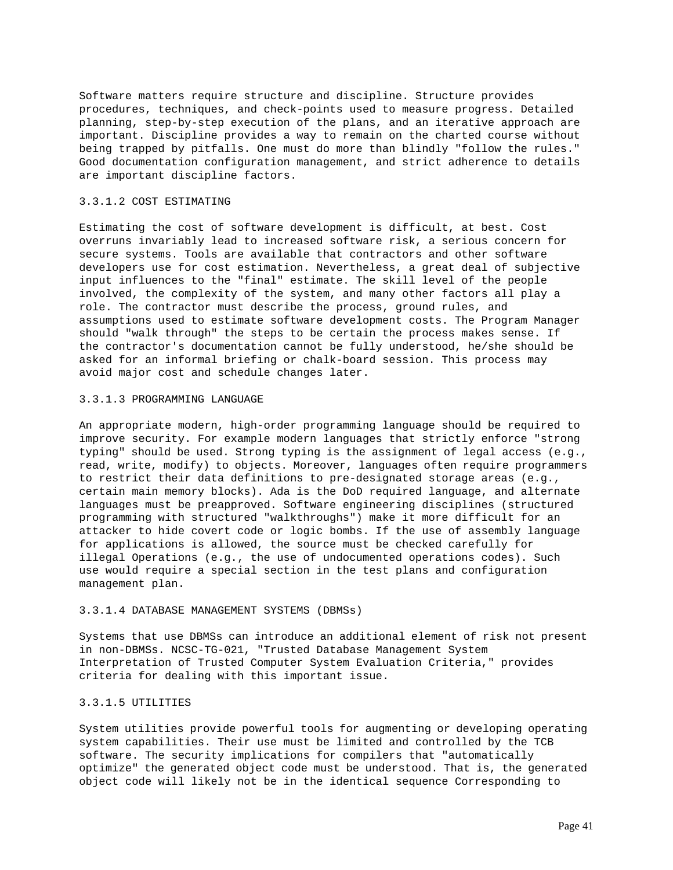Software matters require structure and discipline. Structure provides procedures, techniques, and check-points used to measure progress. Detailed planning, step-by-step execution of the plans, and an iterative approach are important. Discipline provides a way to remain on the charted course without being trapped by pitfalls. One must do more than blindly "follow the rules." Good documentation configuration management, and strict adherence to details are important discipline factors.

## 3.3.1.2 COST ESTIMATING

Estimating the cost of software development is difficult, at best. Cost overruns invariably lead to increased software risk, a serious concern for secure systems. Tools are available that contractors and other software developers use for cost estimation. Nevertheless, a great deal of subjective input influences to the "final" estimate. The skill level of the people involved, the complexity of the system, and many other factors all play a role. The contractor must describe the process, ground rules, and assumptions used to estimate software development costs. The Program Manager should "walk through" the steps to be certain the process makes sense. If the contractor's documentation cannot be fully understood, he/she should be asked for an informal briefing or chalk-board session. This process may avoid major cost and schedule changes later.

### 3.3.1.3 PROGRAMMING LANGUAGE

An appropriate modern, high-order programming language should be required to improve security. For example modern languages that strictly enforce "strong typing" should be used. Strong typing is the assignment of legal access (e.g., read, write, modify) to objects. Moreover, languages often require programmers to restrict their data definitions to pre-designated storage areas (e.g., certain main memory blocks). Ada is the DoD required language, and alternate languages must be preapproved. Software engineering disciplines (structured programming with structured "walkthroughs") make it more difficult for an attacker to hide covert code or logic bombs. If the use of assembly language for applications is allowed, the source must be checked carefully for illegal Operations (e.g., the use of undocumented operations codes). Such use would require a special section in the test plans and configuration management plan.

### 3.3.1.4 DATABASE MANAGEMENT SYSTEMS (DBMSs)

Systems that use DBMSs can introduce an additional element of risk not present in non-DBMSs. NCSC-TG-021, "Trusted Database Management System Interpretation of Trusted Computer System Evaluation Criteria," provides criteria for dealing with this important issue.

# 3.3.1.5 UTILITIES

System utilities provide powerful tools for augmenting or developing operating system capabilities. Their use must be limited and controlled by the TCB software. The security implications for compilers that "automatically optimize" the generated object code must be understood. That is, the generated object code will likely not be in the identical sequence Corresponding to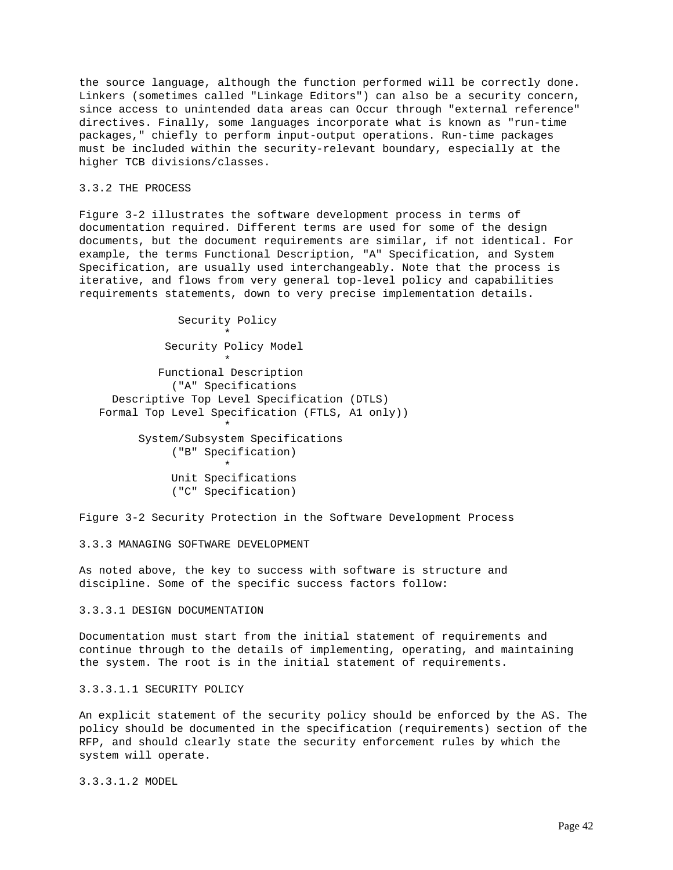the source language, although the function performed will be correctly done. Linkers (sometimes called "Linkage Editors") can also be a security concern, since access to unintended data areas can Occur through "external reference" directives. Finally, some languages incorporate what is known as "run-time packages," chiefly to perform input-output operations. Run-time packages must be included within the security-relevant boundary, especially at the higher TCB divisions/classes.

# 3.3.2 THE PROCESS

Figure 3-2 illustrates the software development process in terms of documentation required. Different terms are used for some of the design documents, but the document requirements are similar, if not identical. For example, the terms Functional Description, "A" Specification, and System Specification, are usually used interchangeably. Note that the process is iterative, and flows from very general top-level policy and capabilities requirements statements, down to very precise implementation details.

```
 Security Policy
\star Security Policy Model
\star Functional Description
            ("A" Specifications
     Descriptive Top Level Specification (DTLS)
   Formal Top Level Specification (FTLS, A1 only))
\star System/Subsystem Specifications
            ("B" Specification)
\star Unit Specifications
            ("C" Specification)
```
Figure 3-2 Security Protection in the Software Development Process

### 3.3.3 MANAGING SOFTWARE DEVELOPMENT

As noted above, the key to success with software is structure and discipline. Some of the specific success factors follow:

# 3.3.3.1 DESIGN DOCUMENTATION

Documentation must start from the initial statement of requirements and continue through to the details of implementing, operating, and maintaining the system. The root is in the initial statement of requirements.

3.3.3.1.1 SECURITY POLICY

An explicit statement of the security policy should be enforced by the AS. The policy should be documented in the specification (requirements) section of the RFP, and should clearly state the security enforcement rules by which the system will operate.

3.3.3.1.2 MODEL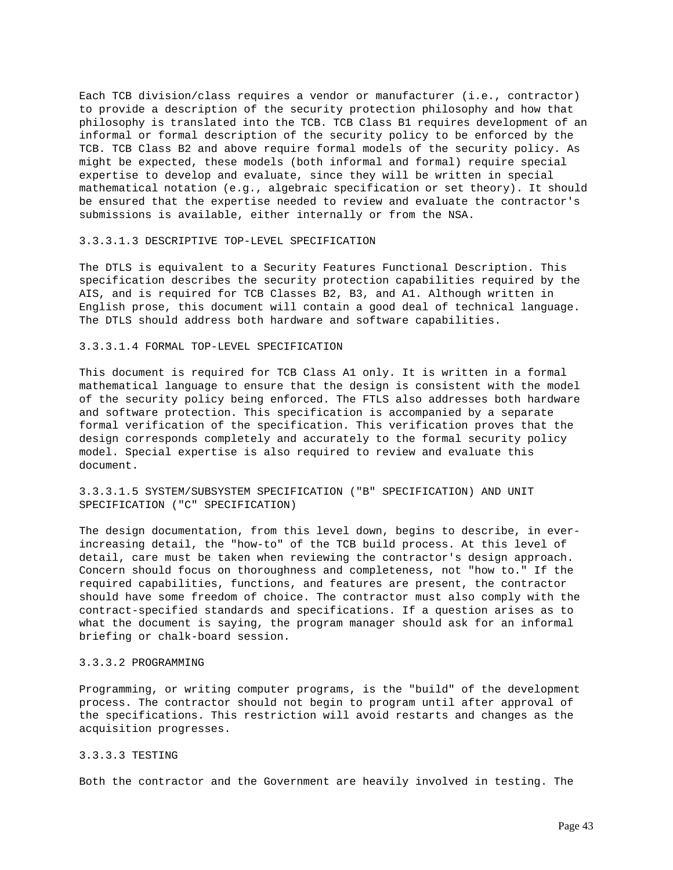Each TCB division/class requires a vendor or manufacturer (i.e., contractor) to provide a description of the security protection philosophy and how that philosophy is translated into the TCB. TCB Class B1 requires development of an informal or formal description of the security policy to be enforced by the TCB. TCB Class B2 and above require formal models of the security policy. As might be expected, these models (both informal and formal) require special expertise to develop and evaluate, since they will be written in special mathematical notation (e.g., algebraic specification or set theory). It should be ensured that the expertise needed to review and evaluate the contractor's submissions is available, either internally or from the NSA.

# 3.3.3.1.3 DESCRIPTIVE TOP-LEVEL SPECIFICATION

The DTLS is equivalent to a Security Features Functional Description. This specification describes the security protection capabilities required by the AIS, and is required for TCB Classes B2, B3, and A1. Although written in English prose, this document will contain a good deal of technical language. The DTLS should address both hardware and software capabilities.

### 3.3.3.1.4 FORMAL TOP-LEVEL SPECIFICATION

This document is required for TCB Class A1 only. It is written in a formal mathematical language to ensure that the design is consistent with the model of the security policy being enforced. The FTLS also addresses both hardware and software protection. This specification is accompanied by a separate formal verification of the specification. This verification proves that the design corresponds completely and accurately to the formal security policy model. Special expertise is also required to review and evaluate this document.

# 3.3.3.1.5 SYSTEM/SUBSYSTEM SPECIFICATION ("B" SPECIFICATION) AND UNIT SPECIFICATION ("C" SPECIFICATION)

The design documentation, from this level down, begins to describe, in everincreasing detail, the "how-to" of the TCB build process. At this level of detail, care must be taken when reviewing the contractor's design approach. Concern should focus on thoroughness and completeness, not "how to." If the required capabilities, functions, and features are present, the contractor should have some freedom of choice. The contractor must also comply with the contract-specified standards and specifications. If a question arises as to what the document is saying, the program manager should ask for an informal briefing or chalk-board session.

# 3.3.3.2 PROGRAMMING

Programming, or writing computer programs, is the "build" of the development process. The contractor should not begin to program until after approval of the specifications. This restriction will avoid restarts and changes as the acquisition progresses.

## 3.3.3.3 TESTING

Both the contractor and the Government are heavily involved in testing. The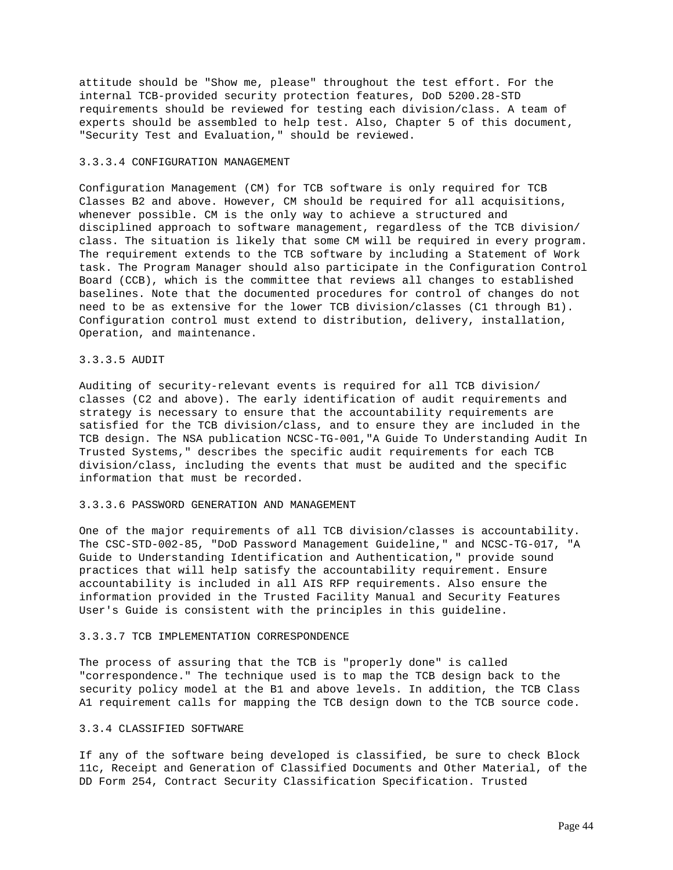attitude should be "Show me, please" throughout the test effort. For the internal TCB-provided security protection features, DoD 5200.28-STD requirements should be reviewed for testing each division/class. A team of experts should be assembled to help test. Also, Chapter 5 of this document, "Security Test and Evaluation," should be reviewed.

### 3.3.3.4 CONFIGURATION MANAGEMENT

Configuration Management (CM) for TCB software is only required for TCB Classes B2 and above. However, CM should be required for all acquisitions, whenever possible. CM is the only way to achieve a structured and disciplined approach to software management, regardless of the TCB division/ class. The situation is likely that some CM will be required in every program. The requirement extends to the TCB software by including a Statement of Work task. The Program Manager should also participate in the Configuration Control Board (CCB), which is the committee that reviews all changes to established baselines. Note that the documented procedures for control of changes do not need to be as extensive for the lower TCB division/classes (C1 through B1). Configuration control must extend to distribution, delivery, installation, Operation, and maintenance.

# 3.3.3.5 AUDIT

Auditing of security-relevant events is required for all TCB division/ classes (C2 and above). The early identification of audit requirements and strategy is necessary to ensure that the accountability requirements are satisfied for the TCB division/class, and to ensure they are included in the TCB design. The NSA publication NCSC-TG-001,"A Guide To Understanding Audit In Trusted Systems," describes the specific audit requirements for each TCB division/class, including the events that must be audited and the specific information that must be recorded.

### 3.3.3.6 PASSWORD GENERATION AND MANAGEMENT

One of the major requirements of all TCB division/classes is accountability. The CSC-STD-002-85, "DoD Password Management Guideline," and NCSC-TG-017, "A Guide to Understanding Identification and Authentication," provide sound practices that will help satisfy the accountability requirement. Ensure accountability is included in all AIS RFP requirements. Also ensure the information provided in the Trusted Facility Manual and Security Features User's Guide is consistent with the principles in this guideline.

#### 3.3.3.7 TCB IMPLEMENTATION CORRESPONDENCE

The process of assuring that the TCB is "properly done" is called "correspondence." The technique used is to map the TCB design back to the security policy model at the B1 and above levels. In addition, the TCB Class A1 requirement calls for mapping the TCB design down to the TCB source code.

# 3.3.4 CLASSIFIED SOFTWARE

If any of the software being developed is classified, be sure to check Block 11c, Receipt and Generation of Classified Documents and Other Material, of the DD Form 254, Contract Security Classification Specification. Trusted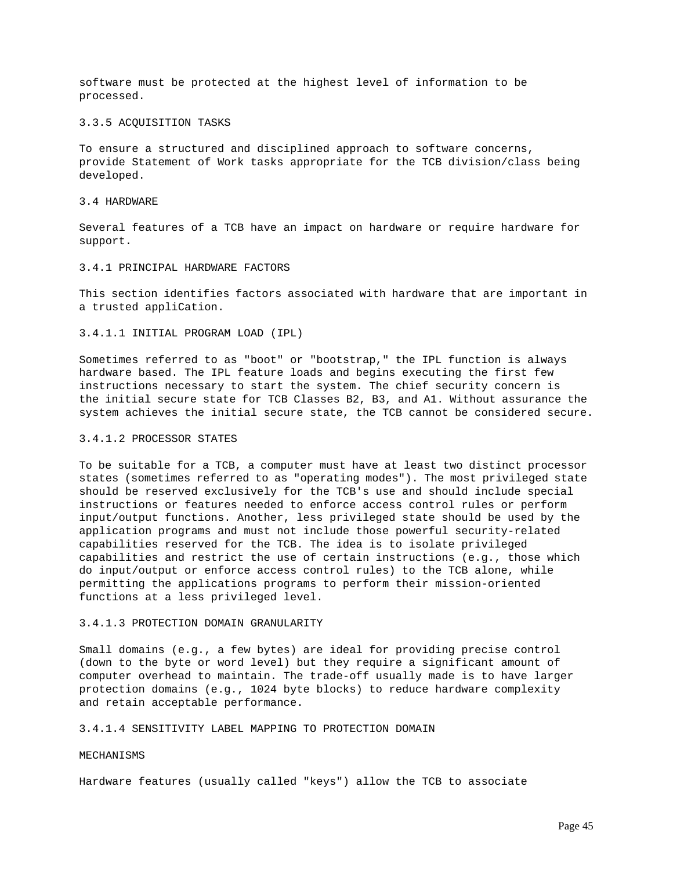software must be protected at the highest level of information to be processed.

### 3.3.5 ACQUISITION TASKS

To ensure a structured and disciplined approach to software concerns, provide Statement of Work tasks appropriate for the TCB division/class being developed.

### 3.4 HARDWARE

Several features of a TCB have an impact on hardware or require hardware for support.

# 3.4.1 PRINCIPAL HARDWARE FACTORS

This section identifies factors associated with hardware that are important in a trusted appliCation.

3.4.1.1 INITIAL PROGRAM LOAD (IPL)

Sometimes referred to as "boot" or "bootstrap," the IPL function is always hardware based. The IPL feature loads and begins executing the first few instructions necessary to start the system. The chief security concern is the initial secure state for TCB Classes B2, B3, and A1. Without assurance the system achieves the initial secure state, the TCB cannot be considered secure.

### 3.4.1.2 PROCESSOR STATES

To be suitable for a TCB, a computer must have at least two distinct processor states (sometimes referred to as "operating modes"). The most privileged state should be reserved exclusively for the TCB's use and should include special instructions or features needed to enforce access control rules or perform input/output functions. Another, less privileged state should be used by the application programs and must not include those powerful security-related capabilities reserved for the TCB. The idea is to isolate privileged capabilities and restrict the use of certain instructions (e.g., those which do input/output or enforce access control rules) to the TCB alone, while permitting the applications programs to perform their mission-oriented functions at a less privileged level.

# 3.4.1.3 PROTECTION DOMAIN GRANULARITY

Small domains (e.g., a few bytes) are ideal for providing precise control (down to the byte or word level) but they require a significant amount of computer overhead to maintain. The trade-off usually made is to have larger protection domains (e.g., 1024 byte blocks) to reduce hardware complexity and retain acceptable performance.

# 3.4.1.4 SENSITIVITY LABEL MAPPING TO PROTECTION DOMAIN

## **MECHANISMS**

Hardware features (usually called "keys") allow the TCB to associate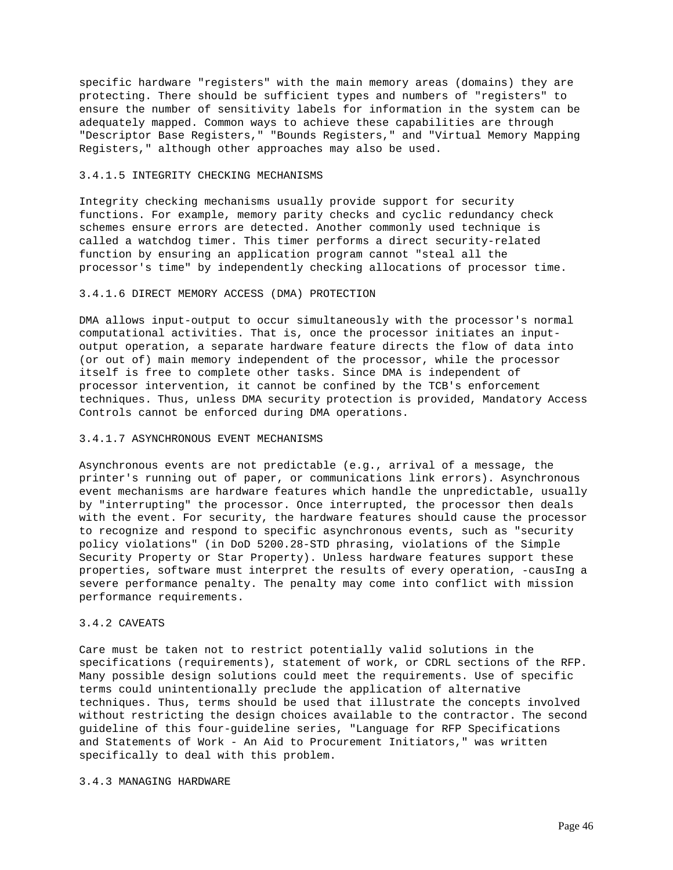specific hardware "registers" with the main memory areas (domains) they are protecting. There should be sufficient types and numbers of "registers" to ensure the number of sensitivity labels for information in the system can be adequately mapped. Common ways to achieve these capabilities are through "Descriptor Base Registers," "Bounds Registers," and "Virtual Memory Mapping Registers," although other approaches may also be used.

# 3.4.1.5 INTEGRITY CHECKING MECHANISMS

Integrity checking mechanisms usually provide support for security functions. For example, memory parity checks and cyclic redundancy check schemes ensure errors are detected. Another commonly used technique is called a watchdog timer. This timer performs a direct security-related function by ensuring an application program cannot "steal all the processor's time" by independently checking allocations of processor time.

# 3.4.1.6 DIRECT MEMORY ACCESS (DMA) PROTECTION

DMA allows input-output to occur simultaneously with the processor's normal computational activities. That is, once the processor initiates an inputoutput operation, a separate hardware feature directs the flow of data into (or out of) main memory independent of the processor, while the processor itself is free to complete other tasks. Since DMA is independent of processor intervention, it cannot be confined by the TCB's enforcement techniques. Thus, unless DMA security protection is provided, Mandatory Access Controls cannot be enforced during DMA operations.

# 3.4.1.7 ASYNCHRONOUS EVENT MECHANISMS

Asynchronous events are not predictable (e.g., arrival of a message, the printer's running out of paper, or communications link errors). Asynchronous event mechanisms are hardware features which handle the unpredictable, usually by "interrupting" the processor. Once interrupted, the processor then deals with the event. For security, the hardware features should cause the processor to recognize and respond to specific asynchronous events, such as "security policy violations" (in DoD 5200.28-STD phrasing, violations of the Simple Security Property or Star Property). Unless hardware features support these properties, software must interpret the results of every operation, -causIng a severe performance penalty. The penalty may come into conflict with mission performance requirements.

# 3.4.2 CAVEATS

Care must be taken not to restrict potentially valid solutions in the specifications (requirements), statement of work, or CDRL sections of the RFP. Many possible design solutions could meet the requirements. Use of specific terms could unintentionally preclude the application of alternative techniques. Thus, terms should be used that illustrate the concepts involved without restricting the design choices available to the contractor. The second guideline of this four-guideline series, "Language for RFP Specifications and Statements of Work - An Aid to Procurement Initiators," was written specifically to deal with this problem.

### 3.4.3 MANAGING HARDWARE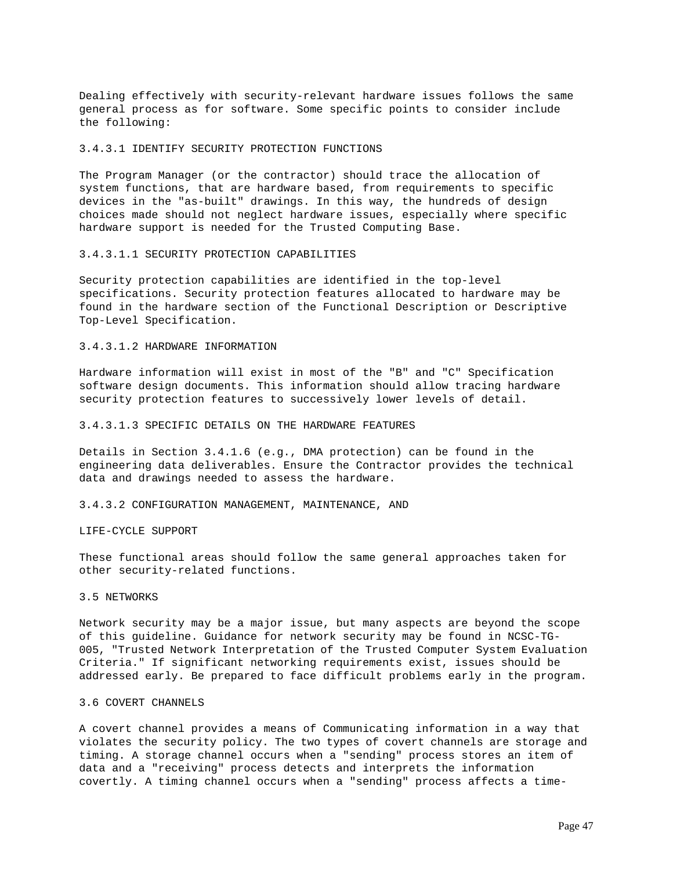Dealing effectively with security-relevant hardware issues follows the same general process as for software. Some specific points to consider include the following:

## 3.4.3.1 IDENTIFY SECURITY PROTECTION FUNCTIONS

The Program Manager (or the contractor) should trace the allocation of system functions, that are hardware based, from requirements to specific devices in the "as-built" drawings. In this way, the hundreds of design choices made should not neglect hardware issues, especially where specific hardware support is needed for the Trusted Computing Base.

### 3.4.3.1.1 SECURITY PROTECTION CAPABILITIES

Security protection capabilities are identified in the top-level specifications. Security protection features allocated to hardware may be found in the hardware section of the Functional Description or Descriptive Top-Level Specification.

### 3.4.3.1.2 HARDWARE INFORMATION

Hardware information will exist in most of the "B" and "C" Specification software design documents. This information should allow tracing hardware security protection features to successively lower levels of detail.

#### 3.4.3.1.3 SPECIFIC DETAILS ON THE HARDWARE FEATURES

Details in Section 3.4.1.6 (e.g., DMA protection) can be found in the engineering data deliverables. Ensure the Contractor provides the technical data and drawings needed to assess the hardware.

### 3.4.3.2 CONFIGURATION MANAGEMENT, MAINTENANCE, AND

#### LIFE-CYCLE SUPPORT

These functional areas should follow the same general approaches taken for other security-related functions.

### 3.5 NETWORKS

Network security may be a major issue, but many aspects are beyond the scope of this guideline. Guidance for network security may be found in NCSC-TG-005, "Trusted Network Interpretation of the Trusted Computer System Evaluation Criteria." If significant networking requirements exist, issues should be addressed early. Be prepared to face difficult problems early in the program.

# 3.6 COVERT CHANNELS

A covert channel provides a means of Communicating information in a way that violates the security policy. The two types of covert channels are storage and timing. A storage channel occurs when a "sending" process stores an item of data and a "receiving" process detects and interprets the information covertly. A timing channel occurs when a "sending" process affects a time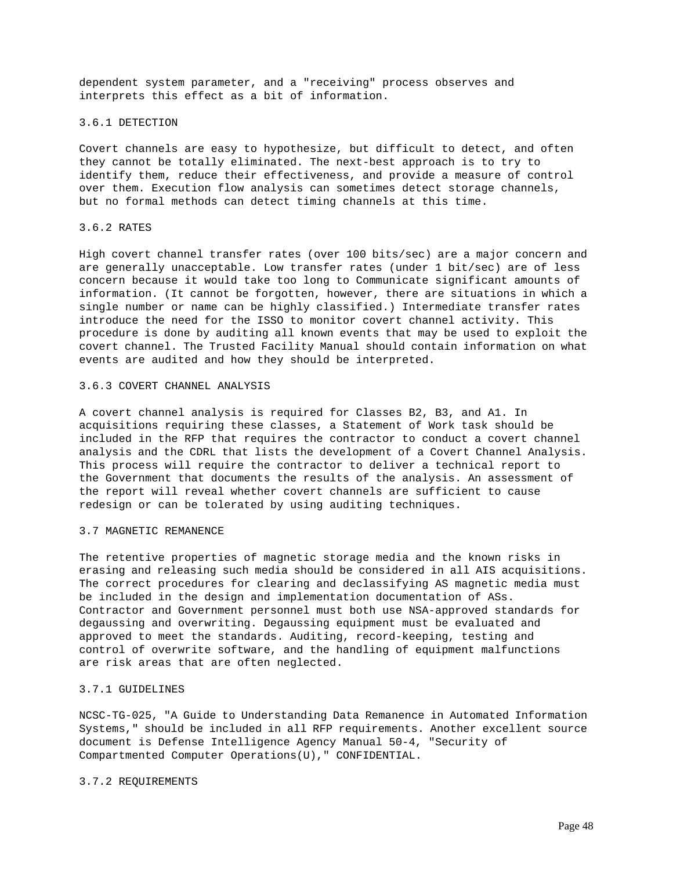dependent system parameter, and a "receiving" process observes and interprets this effect as a bit of information.

### 3.6.1 DETECTION

Covert channels are easy to hypothesize, but difficult to detect, and often they cannot be totally eliminated. The next-best approach is to try to identify them, reduce their effectiveness, and provide a measure of control over them. Execution flow analysis can sometimes detect storage channels, but no formal methods can detect timing channels at this time.

# 3.6.2 RATES

High covert channel transfer rates (over 100 bits/sec) are a major concern and are generally unacceptable. Low transfer rates (under 1 bit/sec) are of less concern because it would take too long to Communicate significant amounts of information. (It cannot be forgotten, however, there are situations in which a single number or name can be highly classified.) Intermediate transfer rates introduce the need for the ISSO to monitor covert channel activity. This procedure is done by auditing all known events that may be used to exploit the covert channel. The Trusted Facility Manual should contain information on what events are audited and how they should be interpreted.

# 3.6.3 COVERT CHANNEL ANALYSIS

A covert channel analysis is required for Classes B2, B3, and A1. In acquisitions requiring these classes, a Statement of Work task should be included in the RFP that requires the contractor to conduct a covert channel analysis and the CDRL that lists the development of a Covert Channel Analysis. This process will require the contractor to deliver a technical report to the Government that documents the results of the analysis. An assessment of the report will reveal whether covert channels are sufficient to cause redesign or can be tolerated by using auditing techniques.

#### 3.7 MAGNETIC REMANENCE

The retentive properties of magnetic storage media and the known risks in erasing and releasing such media should be considered in all AIS acquisitions. The correct procedures for clearing and declassifying AS magnetic media must be included in the design and implementation documentation of ASs. Contractor and Government personnel must both use NSA-approved standards for degaussing and overwriting. Degaussing equipment must be evaluated and approved to meet the standards. Auditing, record-keeping, testing and control of overwrite software, and the handling of equipment malfunctions are risk areas that are often neglected.

# 3.7.1 GUIDELINES

NCSC-TG-025, "A Guide to Understanding Data Remanence in Automated Information Systems," should be included in all RFP requirements. Another excellent source document is Defense Intelligence Agency Manual 50-4, "Security of Compartmented Computer Operations(U)," CONFIDENTIAL.

## 3.7.2 REQUIREMENTS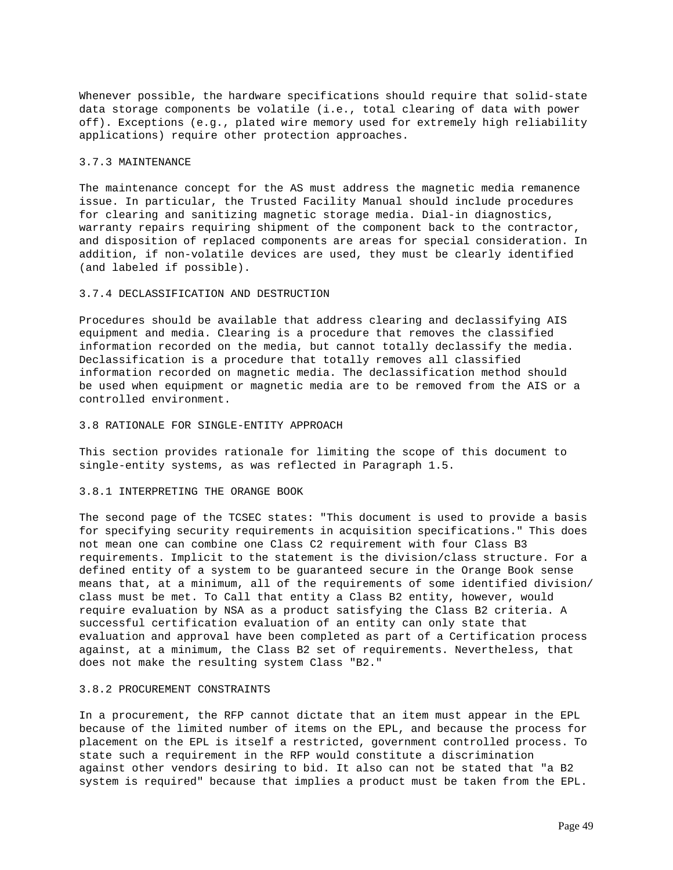Whenever possible, the hardware specifications should require that solid-state data storage components be volatile (i.e., total clearing of data with power off). Exceptions (e.g., plated wire memory used for extremely high reliability applications) require other protection approaches.

## 3.7.3 MAINTENANCE

The maintenance concept for the AS must address the magnetic media remanence issue. In particular, the Trusted Facility Manual should include procedures for clearing and sanitizing magnetic storage media. Dial-in diagnostics, warranty repairs requiring shipment of the component back to the contractor, and disposition of replaced components are areas for special consideration. In addition, if non-volatile devices are used, they must be clearly identified (and labeled if possible).

# 3.7.4 DECLASSIFICATION AND DESTRUCTION

Procedures should be available that address clearing and declassifying AIS equipment and media. Clearing is a procedure that removes the classified information recorded on the media, but cannot totally declassify the media. Declassification is a procedure that totally removes all classified information recorded on magnetic media. The declassification method should be used when equipment or magnetic media are to be removed from the AIS or a controlled environment.

#### 3.8 RATIONALE FOR SINGLE-ENTITY APPROACH

This section provides rationale for limiting the scope of this document to single-entity systems, as was reflected in Paragraph 1.5.

### 3.8.1 INTERPRETING THE ORANGE BOOK

The second page of the TCSEC states: "This document is used to provide a basis for specifying security requirements in acquisition specifications." This does not mean one can combine one Class C2 requirement with four Class B3 requirements. Implicit to the statement is the division/class structure. For a defined entity of a system to be guaranteed secure in the Orange Book sense means that, at a minimum, all of the requirements of some identified division/ class must be met. To Call that entity a Class B2 entity, however, would require evaluation by NSA as a product satisfying the Class B2 criteria. A successful certification evaluation of an entity can only state that evaluation and approval have been completed as part of a Certification process against, at a minimum, the Class B2 set of requirements. Nevertheless, that does not make the resulting system Class "B2."

#### 3.8.2 PROCUREMENT CONSTRAINTS

In a procurement, the RFP cannot dictate that an item must appear in the EPL because of the limited number of items on the EPL, and because the process for placement on the EPL is itself a restricted, government controlled process. To state such a requirement in the RFP would constitute a discrimination against other vendors desiring to bid. It also can not be stated that "a B2 system is required" because that implies a product must be taken from the EPL.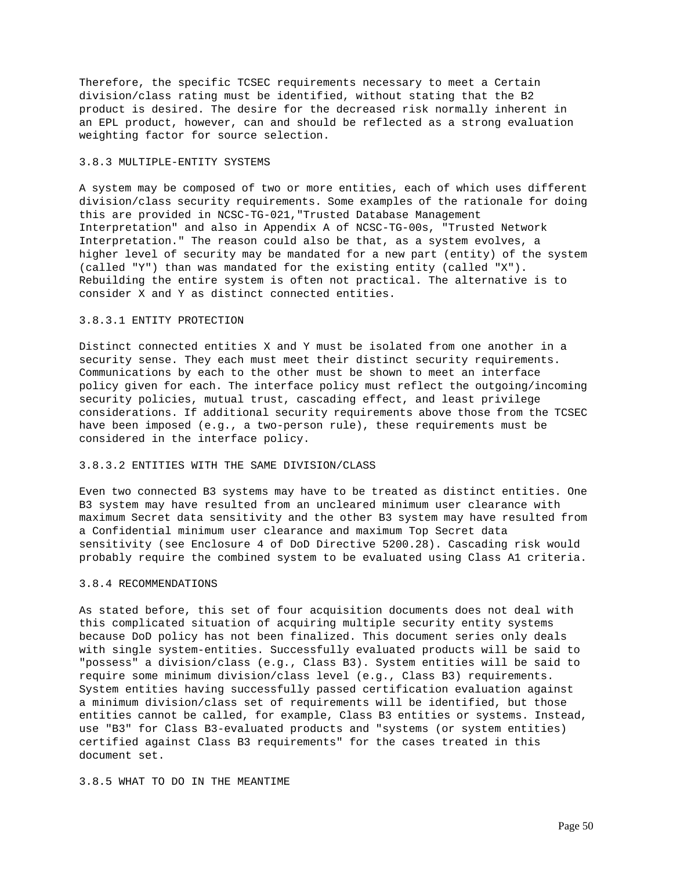Therefore, the specific TCSEC requirements necessary to meet a Certain division/class rating must be identified, without stating that the B2 product is desired. The desire for the decreased risk normally inherent in an EPL product, however, can and should be reflected as a strong evaluation weighting factor for source selection.

### 3.8.3 MULTIPLE-ENTITY SYSTEMS

A system may be composed of two or more entities, each of which uses different division/class security requirements. Some examples of the rationale for doing this are provided in NCSC-TG-021,"Trusted Database Management Interpretation" and also in Appendix A of NCSC-TG-00s, "Trusted Network Interpretation." The reason could also be that, as a system evolves, a higher level of security may be mandated for a new part (entity) of the system (called "Y") than was mandated for the existing entity (called "X"). Rebuilding the entire system is often not practical. The alternative is to consider X and Y as distinct connected entities.

# 3.8.3.1 ENTITY PROTECTION

Distinct connected entities X and Y must be isolated from one another in a security sense. They each must meet their distinct security requirements. Communications by each to the other must be shown to meet an interface policy given for each. The interface policy must reflect the outgoing/incoming security policies, mutual trust, cascading effect, and least privilege considerations. If additional security requirements above those from the TCSEC have been imposed (e.g., a two-person rule), these requirements must be considered in the interface policy.

### 3.8.3.2 ENTITIES WITH THE SAME DIVISION/CLASS

Even two connected B3 systems may have to be treated as distinct entities. One B3 system may have resulted from an uncleared minimum user clearance with maximum Secret data sensitivity and the other B3 system may have resulted from a Confidential minimum user clearance and maximum Top Secret data sensitivity (see Enclosure 4 of DoD Directive 5200.28). Cascading risk would probably require the combined system to be evaluated using Class A1 criteria.

# 3.8.4 RECOMMENDATIONS

As stated before, this set of four acquisition documents does not deal with this complicated situation of acquiring multiple security entity systems because DoD policy has not been finalized. This document series only deals with single system-entities. Successfully evaluated products will be said to "possess" a division/class (e.g., Class B3). System entities will be said to require some minimum division/class level (e.g., Class B3) requirements. System entities having successfully passed certification evaluation against a minimum division/class set of requirements will be identified, but those entities cannot be called, for example, Class B3 entities or systems. Instead, use "B3" for Class B3-evaluated products and "systems (or system entities) certified against Class B3 requirements" for the cases treated in this document set.

3.8.5 WHAT TO DO IN THE MEANTIME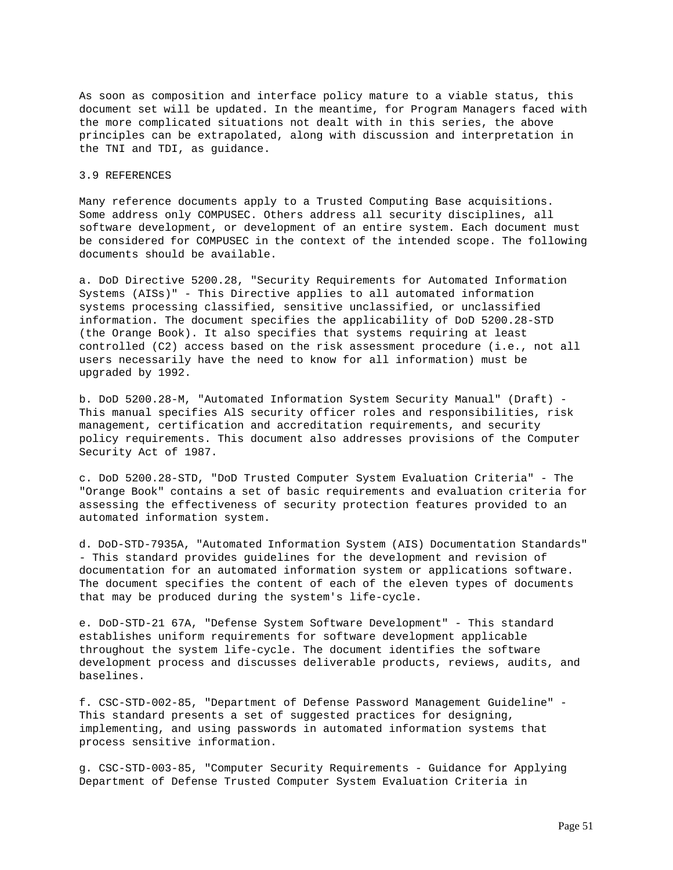As soon as composition and interface policy mature to a viable status, this document set will be updated. In the meantime, for Program Managers faced with the more complicated situations not dealt with in this series, the above principles can be extrapolated, along with discussion and interpretation in the TNI and TDI, as guidance.

# 3.9 REFERENCES

Many reference documents apply to a Trusted Computing Base acquisitions. Some address only COMPUSEC. Others address all security disciplines, all software development, or development of an entire system. Each document must be considered for COMPUSEC in the context of the intended scope. The following documents should be available.

a. DoD Directive 5200.28, "Security Requirements for Automated Information Systems (AISs)" - This Directive applies to all automated information systems processing classified, sensitive unclassified, or unclassified information. The document specifies the applicability of DoD 5200.28-STD (the Orange Book). It also specifies that systems requiring at least controlled (C2) access based on the risk assessment procedure (i.e., not all users necessarily have the need to know for all information) must be upgraded by 1992.

b. DoD 5200.28-M, "Automated Information System Security Manual" (Draft) - This manual specifies AlS security officer roles and responsibilities, risk management, certification and accreditation requirements, and security policy requirements. This document also addresses provisions of the Computer Security Act of 1987.

c. DoD 5200.28-STD, "DoD Trusted Computer System Evaluation Criteria" - The "Orange Book" contains a set of basic requirements and evaluation criteria for assessing the effectiveness of security protection features provided to an automated information system.

d. DoD-STD-7935A, "Automated Information System (AIS) Documentation Standards" - This standard provides guidelines for the development and revision of documentation for an automated information system or applications software. The document specifies the content of each of the eleven types of documents that may be produced during the system's life-cycle.

e. DoD-STD-21 67A, "Defense System Software Development" - This standard establishes uniform requirements for software development applicable throughout the system life-cycle. The document identifies the software development process and discusses deliverable products, reviews, audits, and baselines.

f. CSC-STD-002-85, "Department of Defense Password Management Guideline" - This standard presents a set of suggested practices for designing, implementing, and using passwords in automated information systems that process sensitive information.

g. CSC-STD-003-85, "Computer Security Requirements - Guidance for Applying Department of Defense Trusted Computer System Evaluation Criteria in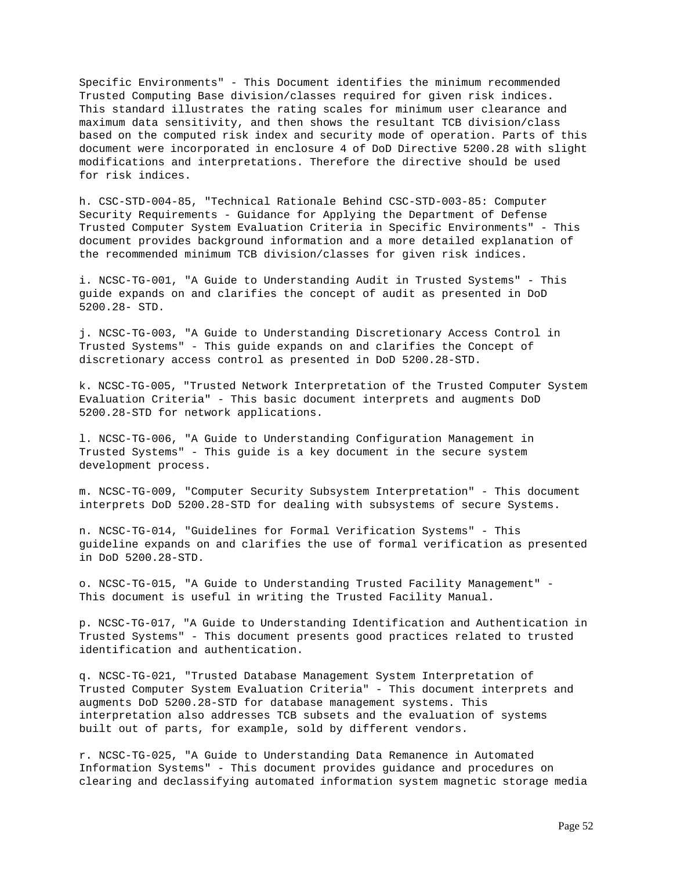Specific Environments" - This Document identifies the minimum recommended Trusted Computing Base division/classes required for given risk indices. This standard illustrates the rating scales for minimum user clearance and maximum data sensitivity, and then shows the resultant TCB division/class based on the computed risk index and security mode of operation. Parts of this document were incorporated in enclosure 4 of DoD Directive 5200.28 with slight modifications and interpretations. Therefore the directive should be used for risk indices.

h. CSC-STD-004-85, "Technical Rationale Behind CSC-STD-003-85: Computer Security Requirements - Guidance for Applying the Department of Defense Trusted Computer System Evaluation Criteria in Specific Environments" - This document provides background information and a more detailed explanation of the recommended minimum TCB division/classes for given risk indices.

i. NCSC-TG-001, "A Guide to Understanding Audit in Trusted Systems" - This guide expands on and clarifies the concept of audit as presented in DoD 5200.28- STD.

j. NCSC-TG-003, "A Guide to Understanding Discretionary Access Control in Trusted Systems" - This guide expands on and clarifies the Concept of discretionary access control as presented in DoD 5200.28-STD.

k. NCSC-TG-005, "Trusted Network Interpretation of the Trusted Computer System Evaluation Criteria" - This basic document interprets and augments DoD 5200.28-STD for network applications.

l. NCSC-TG-006, "A Guide to Understanding Configuration Management in Trusted Systems" - This guide is a key document in the secure system development process.

m. NCSC-TG-009, "Computer Security Subsystem Interpretation" - This document interprets DoD 5200.28-STD for dealing with subsystems of secure Systems.

n. NCSC-TG-014, "Guidelines for Formal Verification Systems" - This guideline expands on and clarifies the use of formal verification as presented in DoD 5200.28-STD.

o. NCSC-TG-015, "A Guide to Understanding Trusted Facility Management" - This document is useful in writing the Trusted Facility Manual.

p. NCSC-TG-017, "A Guide to Understanding Identification and Authentication in Trusted Systems" - This document presents good practices related to trusted identification and authentication.

q. NCSC-TG-021, "Trusted Database Management System Interpretation of Trusted Computer System Evaluation Criteria" - This document interprets and augments DoD 5200.28-STD for database management systems. This interpretation also addresses TCB subsets and the evaluation of systems built out of parts, for example, sold by different vendors.

r. NCSC-TG-025, "A Guide to Understanding Data Remanence in Automated Information Systems" - This document provides guidance and procedures on clearing and declassifying automated information system magnetic storage media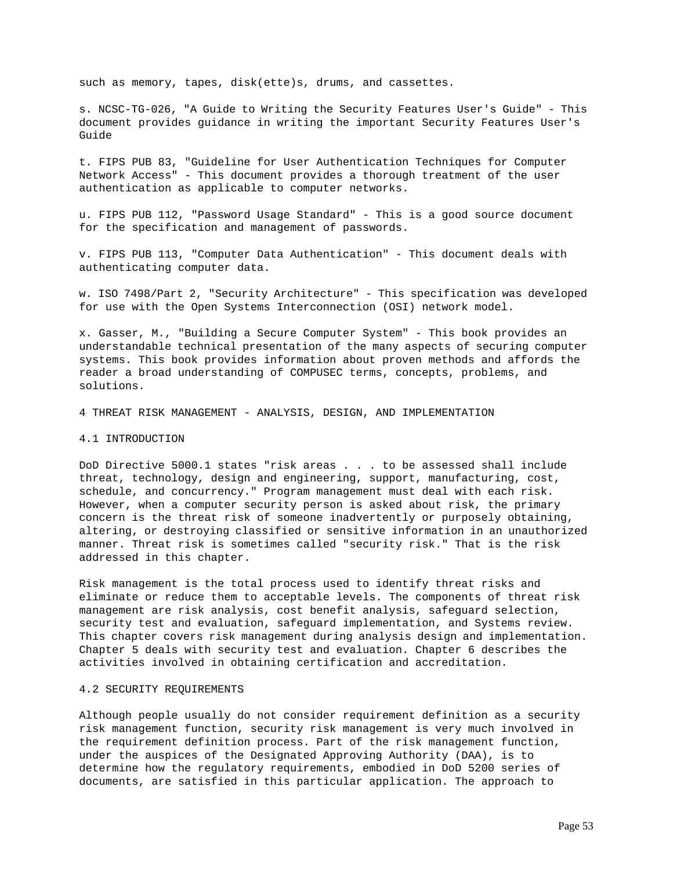such as memory, tapes, disk(ette)s, drums, and cassettes.

s. NCSC-TG-026, "A Guide to Writing the Security Features User's Guide" - This document provides guidance in writing the important Security Features User's Guide

t. FIPS PUB 83, "Guideline for User Authentication Techniques for Computer Network Access" - This document provides a thorough treatment of the user authentication as applicable to computer networks.

u. FIPS PUB 112, "Password Usage Standard" - This is a good source document for the specification and management of passwords.

v. FIPS PUB 113, "Computer Data Authentication" - This document deals with authenticating computer data.

w. ISO 7498/Part 2, "Security Architecture" - This specification was developed for use with the Open Systems Interconnection (OSI) network model.

x. Gasser, M., "Building a Secure Computer System" - This book provides an understandable technical presentation of the many aspects of securing computer systems. This book provides information about proven methods and affords the reader a broad understanding of COMPUSEC terms, concepts, problems, and solutions.

4 THREAT RISK MANAGEMENT - ANALYSIS, DESIGN, AND IMPLEMENTATION

# 4.1 INTRODUCTION

DoD Directive 5000.1 states "risk areas . . . to be assessed shall include threat, technology, design and engineering, support, manufacturing, cost, schedule, and concurrency." Program management must deal with each risk. However, when a computer security person is asked about risk, the primary concern is the threat risk of someone inadvertently or purposely obtaining, altering, or destroying classified or sensitive information in an unauthorized manner. Threat risk is sometimes called "security risk." That is the risk addressed in this chapter.

Risk management is the total process used to identify threat risks and eliminate or reduce them to acceptable levels. The components of threat risk management are risk analysis, cost benefit analysis, safeguard selection, security test and evaluation, safeguard implementation, and Systems review. This chapter covers risk management during analysis design and implementation. Chapter 5 deals with security test and evaluation. Chapter 6 describes the activities involved in obtaining certification and accreditation.

### 4.2 SECURITY REQUIREMENTS

Although people usually do not consider requirement definition as a security risk management function, security risk management is very much involved in the requirement definition process. Part of the risk management function, under the auspices of the Designated Approving Authority (DAA), is to determine how the regulatory requirements, embodied in DoD 5200 series of documents, are satisfied in this particular application. The approach to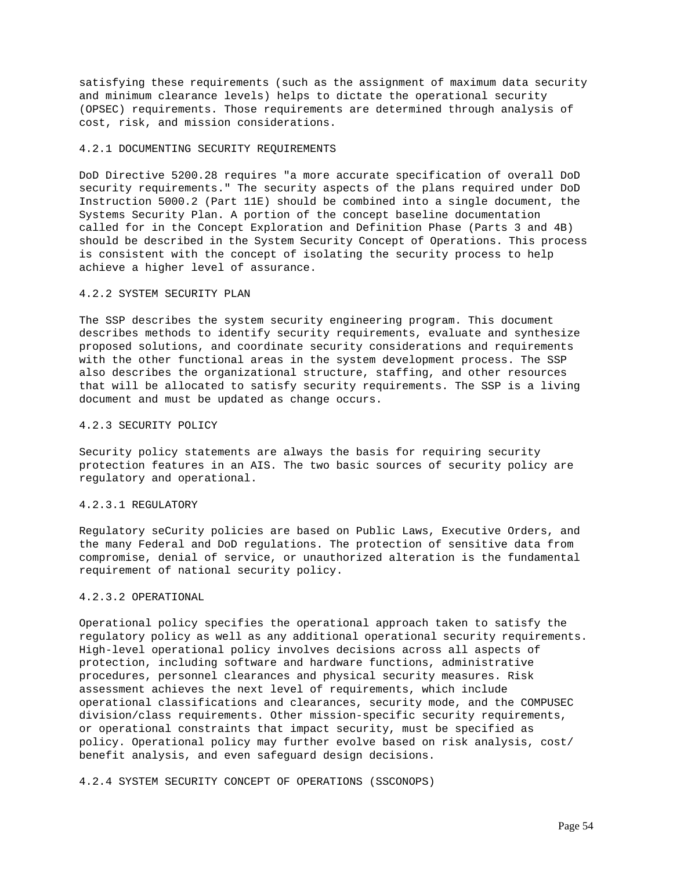satisfying these requirements (such as the assignment of maximum data security and minimum clearance levels) helps to dictate the operational security (OPSEC) requirements. Those requirements are determined through analysis of cost, risk, and mission considerations.

# 4.2.1 DOCUMENTING SECURITY REQUIREMENTS

DoD Directive 5200.28 requires "a more accurate specification of overall DoD security requirements." The security aspects of the plans required under DoD Instruction 5000.2 (Part 11E) should be combined into a single document, the Systems Security Plan. A portion of the concept baseline documentation called for in the Concept Exploration and Definition Phase (Parts 3 and 4B) should be described in the System Security Concept of Operations. This process is consistent with the concept of isolating the security process to help achieve a higher level of assurance.

# 4.2.2 SYSTEM SECURITY PLAN

The SSP describes the system security engineering program. This document describes methods to identify security requirements, evaluate and synthesize proposed solutions, and coordinate security considerations and requirements with the other functional areas in the system development process. The SSP also describes the organizational structure, staffing, and other resources that will be allocated to satisfy security requirements. The SSP is a living document and must be updated as change occurs.

#### 4.2.3 SECURITY POLICY

Security policy statements are always the basis for requiring security protection features in an AIS. The two basic sources of security policy are regulatory and operational.

# 4.2.3.1 REGULATORY

Regulatory seCurity policies are based on Public Laws, Executive Orders, and the many Federal and DoD regulations. The protection of sensitive data from compromise, denial of service, or unauthorized alteration is the fundamental requirement of national security policy.

# 4.2.3.2 OPERATIONAL

Operational policy specifies the operational approach taken to satisfy the regulatory policy as well as any additional operational security requirements. High-level operational policy involves decisions across all aspects of protection, including software and hardware functions, administrative procedures, personnel clearances and physical security measures. Risk assessment achieves the next level of requirements, which include operational classifications and clearances, security mode, and the COMPUSEC division/class requirements. Other mission-specific security requirements, or operational constraints that impact security, must be specified as policy. Operational policy may further evolve based on risk analysis, cost/ benefit analysis, and even safeguard design decisions.

4.2.4 SYSTEM SECURITY CONCEPT OF OPERATIONS (SSCONOPS)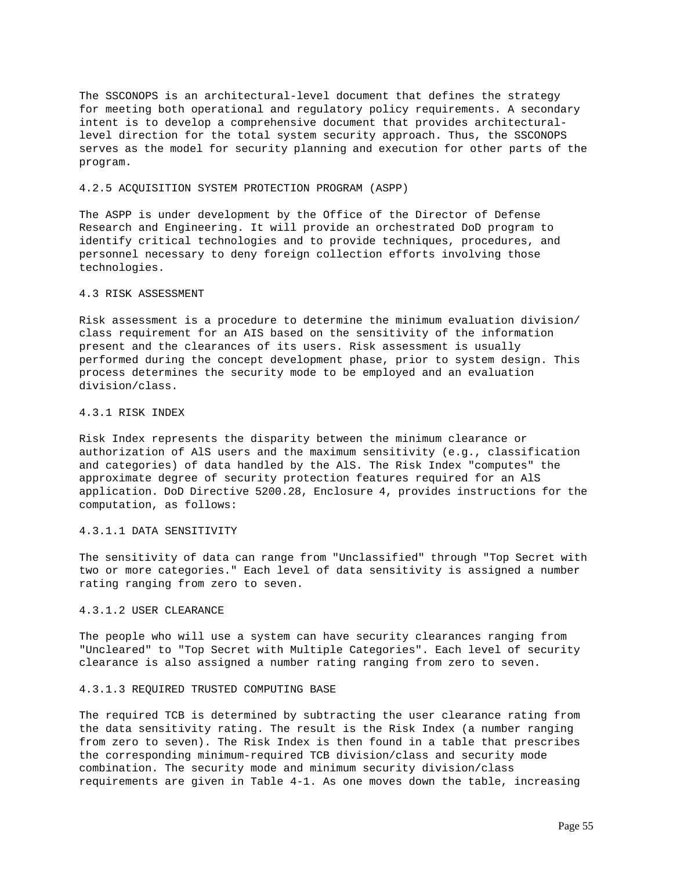The SSCONOPS is an architectural-level document that defines the strategy for meeting both operational and regulatory policy requirements. A secondary intent is to develop a comprehensive document that provides architecturallevel direction for the total system security approach. Thus, the SSCONOPS serves as the model for security planning and execution for other parts of the program.

## 4.2.5 ACQUISITION SYSTEM PROTECTION PROGRAM (ASPP)

The ASPP is under development by the Office of the Director of Defense Research and Engineering. It will provide an orchestrated DoD program to identify critical technologies and to provide techniques, procedures, and personnel necessary to deny foreign collection efforts involving those technologies.

## 4.3 RISK ASSESSMENT

Risk assessment is a procedure to determine the minimum evaluation division/ class requirement for an AIS based on the sensitivity of the information present and the clearances of its users. Risk assessment is usually performed during the concept development phase, prior to system design. This process determines the security mode to be employed and an evaluation division/class.

### 4.3.1 RISK INDEX

Risk Index represents the disparity between the minimum clearance or authorization of AlS users and the maximum sensitivity (e.g., classification and categories) of data handled by the AlS. The Risk Index "computes" the approximate degree of security protection features required for an AlS application. DoD Directive 5200.28, Enclosure 4, provides instructions for the computation, as follows:

### 4.3.1.1 DATA SENSITIVITY

The sensitivity of data can range from "Unclassified" through "Top Secret with two or more categories." Each level of data sensitivity is assigned a number rating ranging from zero to seven.

# 4.3.1.2 USER CLEARANCE

The people who will use a system can have security clearances ranging from "Uncleared" to "Top Secret with Multiple Categories". Each level of security clearance is also assigned a number rating ranging from zero to seven.

# 4.3.1.3 REQUIRED TRUSTED COMPUTING BASE

The required TCB is determined by subtracting the user clearance rating from the data sensitivity rating. The result is the Risk Index (a number ranging from zero to seven). The Risk Index is then found in a table that prescribes the corresponding minimum-required TCB division/class and security mode combination. The security mode and minimum security division/class requirements are given in Table 4-1. As one moves down the table, increasing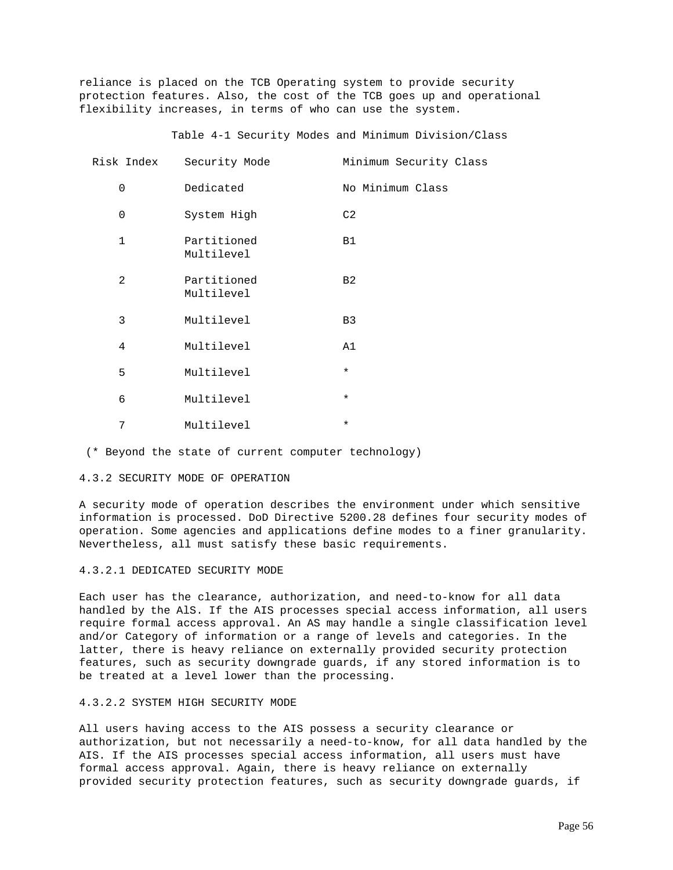reliance is placed on the TCB Operating system to provide security protection features. Also, the cost of the TCB goes up and operational flexibility increases, in terms of who can use the system.

Table 4-1 Security Modes and Minimum Division/Class

| Risk Index     | Security Mode             | Minimum Security Class |
|----------------|---------------------------|------------------------|
| $\mathbf 0$    | Dedicated                 | No Minimum Class       |
| $\mathbf 0$    | System High               | C2                     |
| $\mathbf{1}$   | Partitioned<br>Multilevel | <b>B1</b>              |
| $\overline{a}$ | Partitioned<br>Multilevel | B <sub>2</sub>         |
| 3              | Multilevel                | B <sub>3</sub>         |
| 4              | Multilevel                | A1                     |
| 5              | Multilevel                | $\star$                |
| 6              | Multilevel                | $\star$                |
| 7              | Multilevel                | $\star$                |

(\* Beyond the state of current computer technology)

### 4.3.2 SECURITY MODE OF OPERATION

A security mode of operation describes the environment under which sensitive information is processed. DoD Directive 5200.28 defines four security modes of operation. Some agencies and applications define modes to a finer granularity. Nevertheless, all must satisfy these basic requirements.

#### 4.3.2.1 DEDICATED SECURITY MODE

Each user has the clearance, authorization, and need-to-know for all data handled by the AlS. If the AIS processes special access information, all users require formal access approval. An AS may handle a single classification level and/or Category of information or a range of levels and categories. In the latter, there is heavy reliance on externally provided security protection features, such as security downgrade guards, if any stored information is to be treated at a level lower than the processing.

# 4.3.2.2 SYSTEM HIGH SECURITY MODE

All users having access to the AIS possess a security clearance or authorization, but not necessarily a need-to-know, for all data handled by the AIS. If the AIS processes special access information, all users must have formal access approval. Again, there is heavy reliance on externally provided security protection features, such as security downgrade guards, if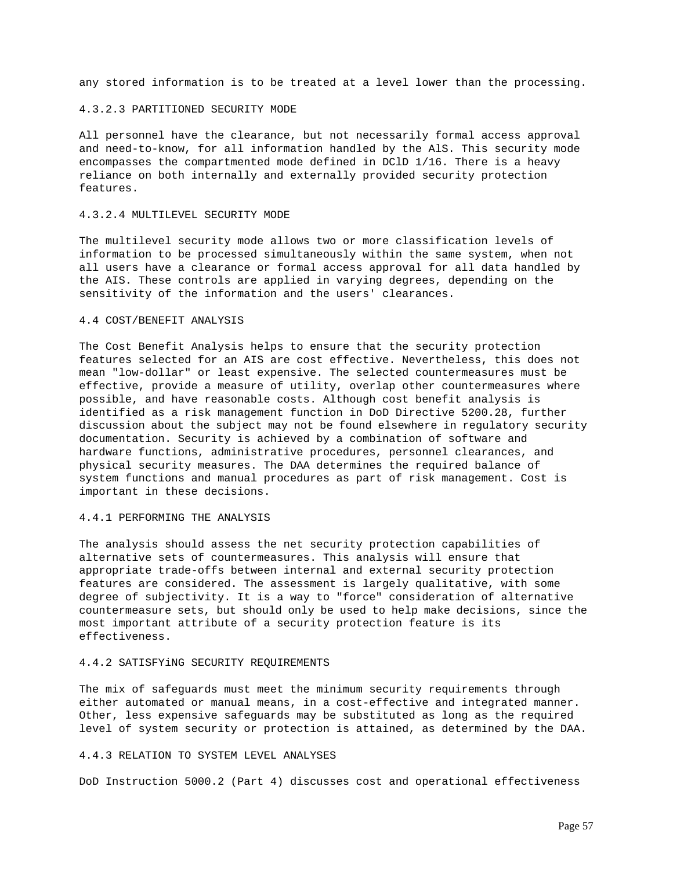any stored information is to be treated at a level lower than the processing.

### 4.3.2.3 PARTITIONED SECURITY MODE

All personnel have the clearance, but not necessarily formal access approval and need-to-know, for all information handled by the AlS. This security mode encompasses the compartmented mode defined in DClD 1/16. There is a heavy reliance on both internally and externally provided security protection features.

# 4.3.2.4 MULTILEVEL SECURITY MODE

The multilevel security mode allows two or more classification levels of information to be processed simultaneously within the same system, when not all users have a clearance or formal access approval for all data handled by the AIS. These controls are applied in varying degrees, depending on the sensitivity of the information and the users' clearances.

# 4.4 COST/BENEFIT ANALYSIS

The Cost Benefit Analysis helps to ensure that the security protection features selected for an AIS are cost effective. Nevertheless, this does not mean "low-dollar" or least expensive. The selected countermeasures must be effective, provide a measure of utility, overlap other countermeasures where possible, and have reasonable costs. Although cost benefit analysis is identified as a risk management function in DoD Directive 5200.28, further discussion about the subject may not be found elsewhere in regulatory security documentation. Security is achieved by a combination of software and hardware functions, administrative procedures, personnel clearances, and physical security measures. The DAA determines the required balance of system functions and manual procedures as part of risk management. Cost is important in these decisions.

### 4.4.1 PERFORMING THE ANALYSIS

The analysis should assess the net security protection capabilities of alternative sets of countermeasures. This analysis will ensure that appropriate trade-offs between internal and external security protection features are considered. The assessment is largely qualitative, with some degree of subjectivity. It is a way to "force" consideration of alternative countermeasure sets, but should only be used to help make decisions, since the most important attribute of a security protection feature is its effectiveness.

### 4.4.2 SATISFYiNG SECURITY REQUIREMENTS

The mix of safeguards must meet the minimum security requirements through either automated or manual means, in a cost-effective and integrated manner. Other, less expensive safeguards may be substituted as long as the required level of system security or protection is attained, as determined by the DAA.

## 4.4.3 RELATION TO SYSTEM LEVEL ANALYSES

DoD Instruction 5000.2 (Part 4) discusses cost and operational effectiveness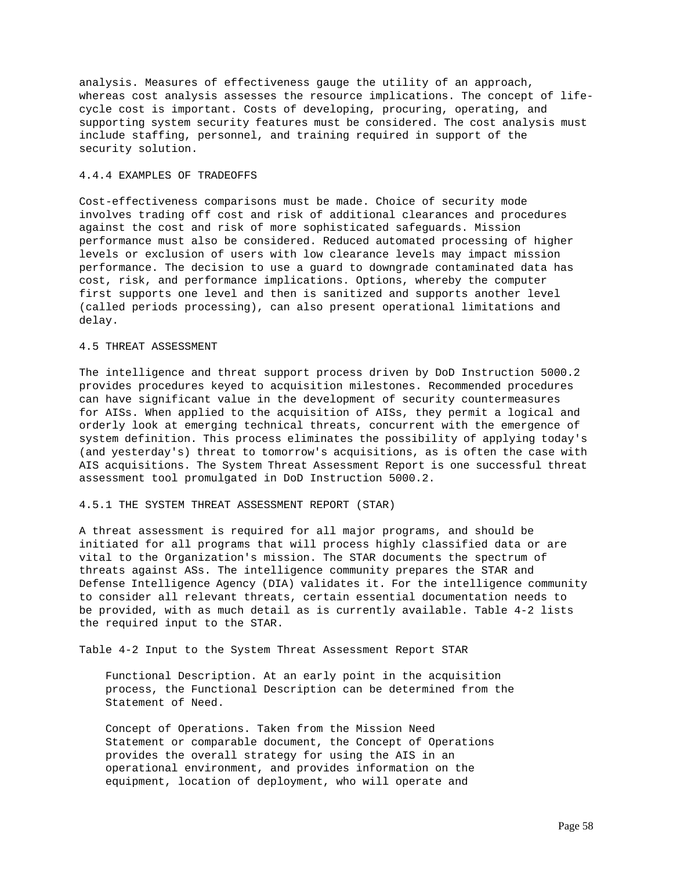analysis. Measures of effectiveness gauge the utility of an approach, whereas cost analysis assesses the resource implications. The concept of lifecycle cost is important. Costs of developing, procuring, operating, and supporting system security features must be considered. The cost analysis must include staffing, personnel, and training required in support of the security solution.

## 4.4.4 EXAMPLES OF TRADEOFFS

Cost-effectiveness comparisons must be made. Choice of security mode involves trading off cost and risk of additional clearances and procedures against the cost and risk of more sophisticated safeguards. Mission performance must also be considered. Reduced automated processing of higher levels or exclusion of users with low clearance levels may impact mission performance. The decision to use a guard to downgrade contaminated data has cost, risk, and performance implications. Options, whereby the computer first supports one level and then is sanitized and supports another level (called periods processing), can also present operational limitations and delay.

## 4.5 THREAT ASSESSMENT

The intelligence and threat support process driven by DoD Instruction 5000.2 provides procedures keyed to acquisition milestones. Recommended procedures can have significant value in the development of security countermeasures for AISs. When applied to the acquisition of AISs, they permit a logical and orderly look at emerging technical threats, concurrent with the emergence of system definition. This process eliminates the possibility of applying today's (and yesterday's) threat to tomorrow's acquisitions, as is often the case with AIS acquisitions. The System Threat Assessment Report is one successful threat assessment tool promulgated in DoD Instruction 5000.2.

#### 4.5.1 THE SYSTEM THREAT ASSESSMENT REPORT (STAR)

A threat assessment is required for all major programs, and should be initiated for all programs that will process highly classified data or are vital to the Organization's mission. The STAR documents the spectrum of threats against ASs. The intelligence community prepares the STAR and Defense Intelligence Agency (DIA) validates it. For the intelligence community to consider all relevant threats, certain essential documentation needs to be provided, with as much detail as is currently available. Table 4-2 lists the required input to the STAR.

Table 4-2 Input to the System Threat Assessment Report STAR

 Functional Description. At an early point in the acquisition process, the Functional Description can be determined from the Statement of Need.

 Concept of Operations. Taken from the Mission Need Statement or comparable document, the Concept of Operations provides the overall strategy for using the AIS in an operational environment, and provides information on the equipment, location of deployment, who will operate and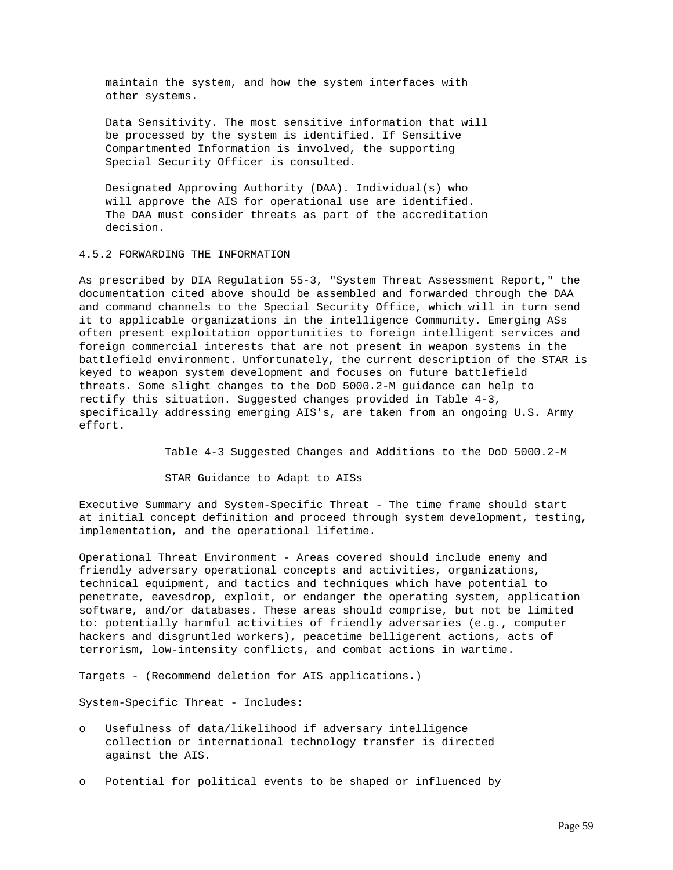maintain the system, and how the system interfaces with other systems.

 Data Sensitivity. The most sensitive information that will be processed by the system is identified. If Sensitive Compartmented Information is involved, the supporting Special Security Officer is consulted.

 Designated Approving Authority (DAA). Individual(s) who will approve the AIS for operational use are identified. The DAA must consider threats as part of the accreditation decision.

# 4.5.2 FORWARDING THE INFORMATION

As prescribed by DIA Regulation 55-3, "System Threat Assessment Report," the documentation cited above should be assembled and forwarded through the DAA and command channels to the Special Security Office, which will in turn send it to applicable organizations in the intelligence Community. Emerging ASs often present exploitation opportunities to foreign intelligent services and foreign commercial interests that are not present in weapon systems in the battlefield environment. Unfortunately, the current description of the STAR is keyed to weapon system development and focuses on future battlefield threats. Some slight changes to the DoD 5000.2-M guidance can help to rectify this situation. Suggested changes provided in Table 4-3, specifically addressing emerging AIS's, are taken from an ongoing U.S. Army effort.

Table 4-3 Suggested Changes and Additions to the DoD 5000.2-M

STAR Guidance to Adapt to AISs

Executive Summary and System-Specific Threat - The time frame should start at initial concept definition and proceed through system development, testing, implementation, and the operational lifetime.

Operational Threat Environment - Areas covered should include enemy and friendly adversary operational concepts and activities, organizations, technical equipment, and tactics and techniques which have potential to penetrate, eavesdrop, exploit, or endanger the operating system, application software, and/or databases. These areas should comprise, but not be limited to: potentially harmful activities of friendly adversaries (e.g., computer hackers and disgruntled workers), peacetime belligerent actions, acts of terrorism, low-intensity conflicts, and combat actions in wartime.

Targets - (Recommend deletion for AIS applications.)

System-Specific Threat - Includes:

- o Usefulness of data/likelihood if adversary intelligence collection or international technology transfer is directed against the AIS.
- o Potential for political events to be shaped or influenced by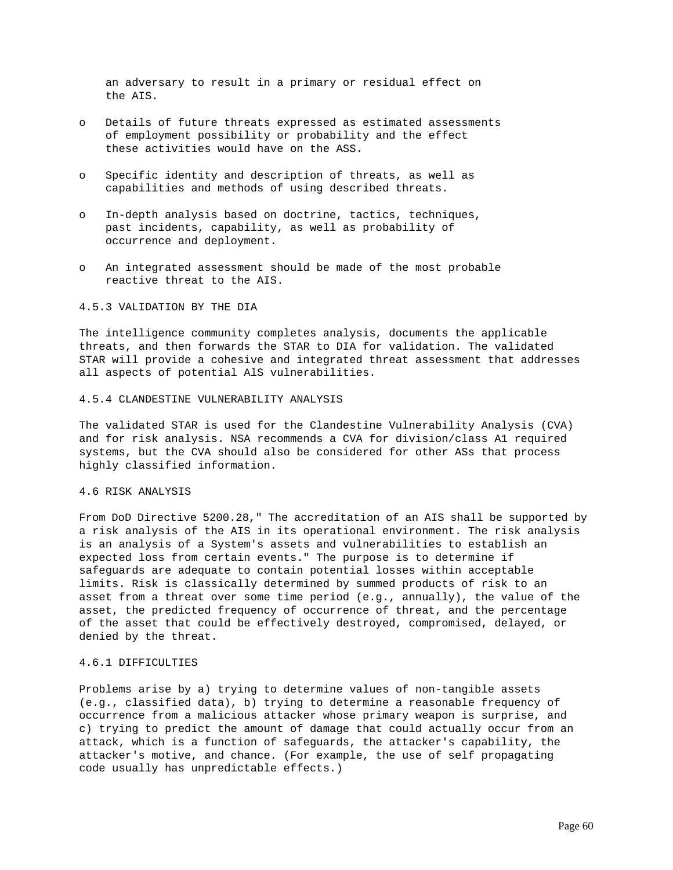an adversary to result in a primary or residual effect on the AIS.

- o Details of future threats expressed as estimated assessments of employment possibility or probability and the effect these activities would have on the ASS.
- o Specific identity and description of threats, as well as capabilities and methods of using described threats.
- o In-depth analysis based on doctrine, tactics, techniques, past incidents, capability, as well as probability of occurrence and deployment.
- o An integrated assessment should be made of the most probable reactive threat to the AIS.

## 4.5.3 VALIDATION BY THE DIA

The intelligence community completes analysis, documents the applicable threats, and then forwards the STAR to DIA for validation. The validated STAR will provide a cohesive and integrated threat assessment that addresses all aspects of potential AlS vulnerabilities.

# 4.5.4 CLANDESTINE VULNERABILITY ANALYSIS

The validated STAR is used for the Clandestine Vulnerability Analysis (CVA) and for risk analysis. NSA recommends a CVA for division/class A1 required systems, but the CVA should also be considered for other ASs that process highly classified information.

# 4.6 RISK ANALYSIS

From DoD Directive 5200.28," The accreditation of an AIS shall be supported by a risk analysis of the AIS in its operational environment. The risk analysis is an analysis of a System's assets and vulnerabilities to establish an expected loss from certain events." The purpose is to determine if safeguards are adequate to contain potential losses within acceptable limits. Risk is classically determined by summed products of risk to an asset from a threat over some time period (e.g., annually), the value of the asset, the predicted frequency of occurrence of threat, and the percentage of the asset that could be effectively destroyed, compromised, delayed, or denied by the threat.

# 4.6.1 DIFFICULTIES

Problems arise by a) trying to determine values of non-tangible assets (e.g., classified data), b) trying to determine a reasonable frequency of occurrence from a malicious attacker whose primary weapon is surprise, and c) trying to predict the amount of damage that could actually occur from an attack, which is a function of safeguards, the attacker's capability, the attacker's motive, and chance. (For example, the use of self propagating code usually has unpredictable effects.)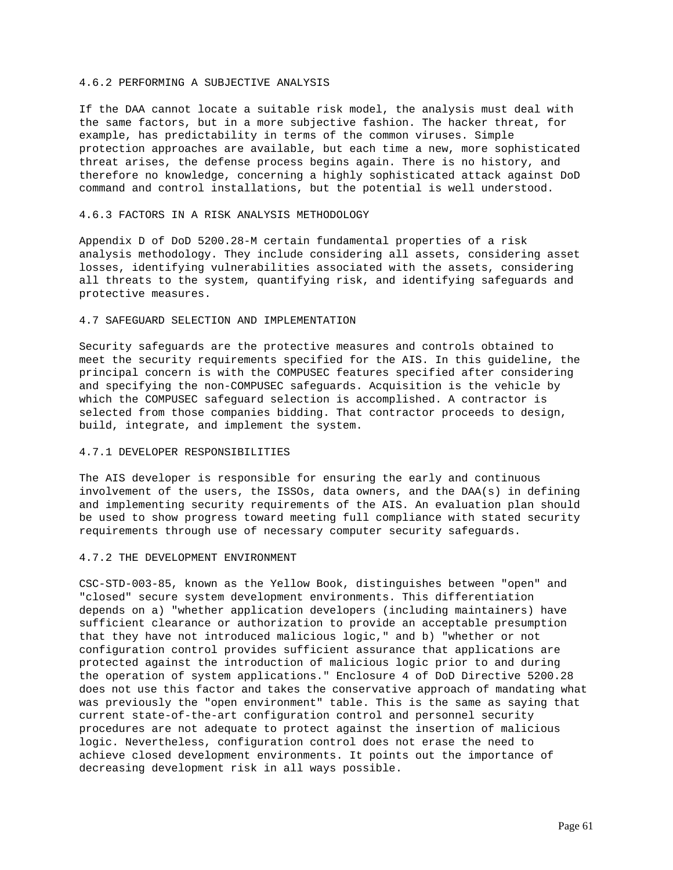## 4.6.2 PERFORMING A SUBJECTIVE ANALYSIS

If the DAA cannot locate a suitable risk model, the analysis must deal with the same factors, but in a more subjective fashion. The hacker threat, for example, has predictability in terms of the common viruses. Simple protection approaches are available, but each time a new, more sophisticated threat arises, the defense process begins again. There is no history, and therefore no knowledge, concerning a highly sophisticated attack against DoD command and control installations, but the potential is well understood.

# 4.6.3 FACTORS IN A RISK ANALYSIS METHODOLOGY

Appendix D of DoD 5200.28-M certain fundamental properties of a risk analysis methodology. They include considering all assets, considering asset losses, identifying vulnerabilities associated with the assets, considering all threats to the system, quantifying risk, and identifying safeguards and protective measures.

# 4.7 SAFEGUARD SELECTION AND IMPLEMENTATION

Security safeguards are the protective measures and controls obtained to meet the security requirements specified for the AIS. In this guideline, the principal concern is with the COMPUSEC features specified after considering and specifying the non-COMPUSEC safeguards. Acquisition is the vehicle by which the COMPUSEC safeguard selection is accomplished. A contractor is selected from those companies bidding. That contractor proceeds to design, build, integrate, and implement the system.

### 4.7.1 DEVELOPER RESPONSIBILITIES

The AIS developer is responsible for ensuring the early and continuous involvement of the users, the ISSOs, data owners, and the DAA(s) in defining and implementing security requirements of the AIS. An evaluation plan should be used to show progress toward meeting full compliance with stated security requirements through use of necessary computer security safeguards.

#### 4.7.2 THE DEVELOPMENT ENVIRONMENT

CSC-STD-003-85, known as the Yellow Book, distinguishes between "open" and "closed" secure system development environments. This differentiation depends on a) "whether application developers (including maintainers) have sufficient clearance or authorization to provide an acceptable presumption that they have not introduced malicious logic," and b) "whether or not configuration control provides sufficient assurance that applications are protected against the introduction of malicious logic prior to and during the operation of system applications." Enclosure 4 of DoD Directive 5200.28 does not use this factor and takes the conservative approach of mandating what was previously the "open environment" table. This is the same as saying that current state-of-the-art configuration control and personnel security procedures are not adequate to protect against the insertion of malicious logic. Nevertheless, configuration control does not erase the need to achieve closed development environments. It points out the importance of decreasing development risk in all ways possible.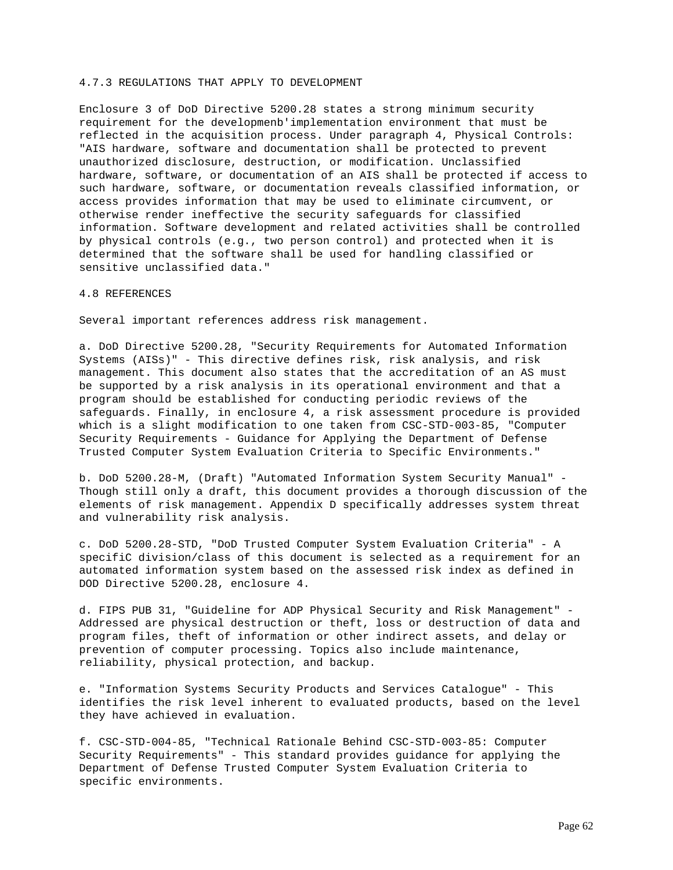### 4.7.3 REGULATIONS THAT APPLY TO DEVELOPMENT

Enclosure 3 of DoD Directive 5200.28 states a strong minimum security requirement for the developmenb'implementation environment that must be reflected in the acquisition process. Under paragraph 4, Physical Controls: "AIS hardware, software and documentation shall be protected to prevent unauthorized disclosure, destruction, or modification. Unclassified hardware, software, or documentation of an AIS shall be protected if access to such hardware, software, or documentation reveals classified information, or access provides information that may be used to eliminate circumvent, or otherwise render ineffective the security safeguards for classified information. Software development and related activities shall be controlled by physical controls (e.g., two person control) and protected when it is determined that the software shall be used for handling classified or sensitive unclassified data."

# 4.8 REFERENCES

Several important references address risk management.

a. DoD Directive 5200.28, "Security Requirements for Automated Information Systems (AISs)" - This directive defines risk, risk analysis, and risk management. This document also states that the accreditation of an AS must be supported by a risk analysis in its operational environment and that a program should be established for conducting periodic reviews of the safeguards. Finally, in enclosure 4, a risk assessment procedure is provided which is a slight modification to one taken from CSC-STD-003-85, "Computer Security Requirements - Guidance for Applying the Department of Defense Trusted Computer System Evaluation Criteria to Specific Environments."

b. DoD 5200.28-M, (Draft) "Automated Information System Security Manual" - Though still only a draft, this document provides a thorough discussion of the elements of risk management. Appendix D specifically addresses system threat and vulnerability risk analysis.

c. DoD 5200.28-STD, "DoD Trusted Computer System Evaluation Criteria" - A specifiC division/class of this document is selected as a requirement for an automated information system based on the assessed risk index as defined in DOD Directive 5200.28, enclosure 4.

d. FIPS PUB 31, "Guideline for ADP Physical Security and Risk Management" - Addressed are physical destruction or theft, loss or destruction of data and program files, theft of information or other indirect assets, and delay or prevention of computer processing. Topics also include maintenance, reliability, physical protection, and backup.

e. "Information Systems Security Products and Services Catalogue" - This identifies the risk level inherent to evaluated products, based on the level they have achieved in evaluation.

f. CSC-STD-004-85, "Technical Rationale Behind CSC-STD-003-85: Computer Security Requirements" - This standard provides guidance for applying the Department of Defense Trusted Computer System Evaluation Criteria to specific environments.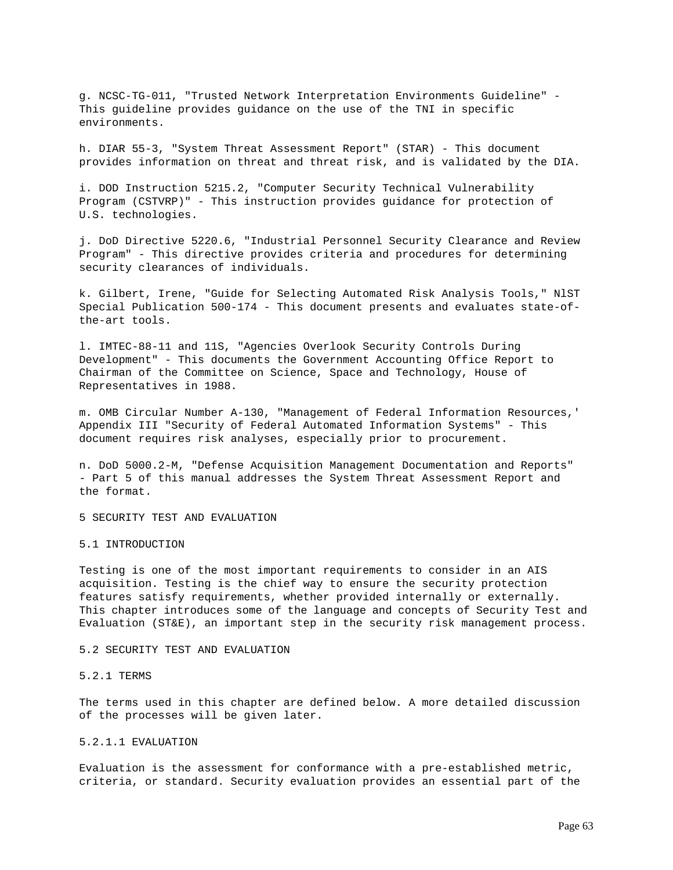g. NCSC-TG-011, "Trusted Network Interpretation Environments Guideline" - This guideline provides guidance on the use of the TNI in specific environments.

h. DIAR 55-3, "System Threat Assessment Report" (STAR) - This document provides information on threat and threat risk, and is validated by the DIA.

i. DOD Instruction 5215.2, "Computer Security Technical Vulnerability Program (CSTVRP)" - This instruction provides guidance for protection of U.S. technologies.

j. DoD Directive 5220.6, "Industrial Personnel Security Clearance and Review Program" - This directive provides criteria and procedures for determining security clearances of individuals.

k. Gilbert, Irene, "Guide for Selecting Automated Risk Analysis Tools," NlST Special Publication 500-174 - This document presents and evaluates state-ofthe-art tools.

l. IMTEC-88-11 and 11S, "Agencies Overlook Security Controls During Development" - This documents the Government Accounting Office Report to Chairman of the Committee on Science, Space and Technology, House of Representatives in 1988.

m. OMB Circular Number A-130, "Management of Federal Information Resources,' Appendix III "Security of Federal Automated Information Systems" - This document requires risk analyses, especially prior to procurement.

n. DoD 5000.2-M, "Defense Acquisition Management Documentation and Reports" - Part 5 of this manual addresses the System Threat Assessment Report and the format.

5 SECURITY TEST AND EVALUATION

### 5.1 INTRODUCTION

Testing is one of the most important requirements to consider in an AIS acquisition. Testing is the chief way to ensure the security protection features satisfy requirements, whether provided internally or externally. This chapter introduces some of the language and concepts of Security Test and Evaluation (ST&E), an important step in the security risk management process.

### 5.2 SECURITY TEST AND EVALUATION

### 5.2.1 TERMS

The terms used in this chapter are defined below. A more detailed discussion of the processes will be given later.

# 5.2.1.1 EVALUATION

Evaluation is the assessment for conformance with a pre-established metric, criteria, or standard. Security evaluation provides an essential part of the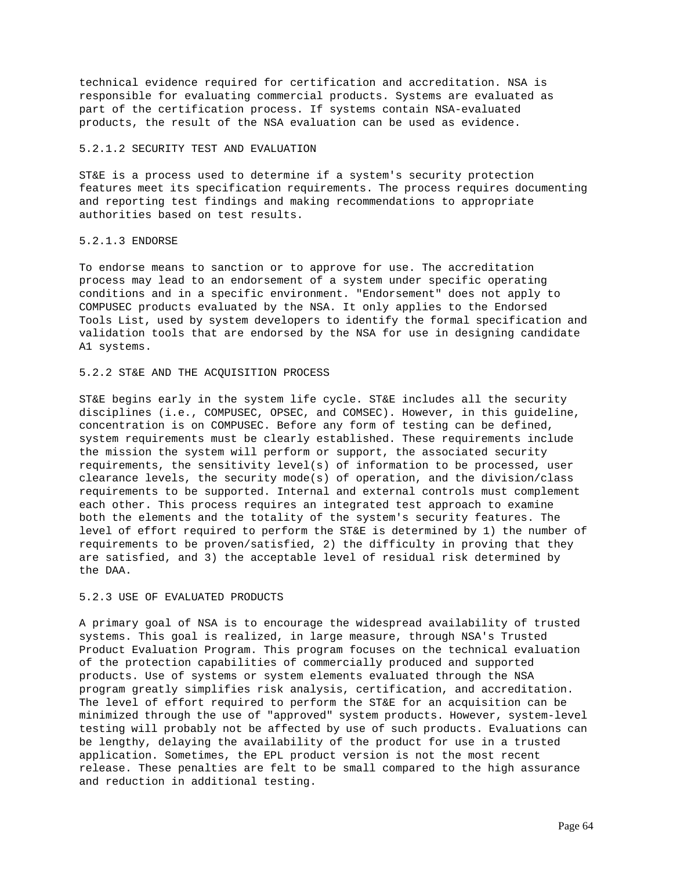technical evidence required for certification and accreditation. NSA is responsible for evaluating commercial products. Systems are evaluated as part of the certification process. If systems contain NSA-evaluated products, the result of the NSA evaluation can be used as evidence.

# 5.2.1.2 SECURITY TEST AND EVALUATION

ST&E is a process used to determine if a system's security protection features meet its specification requirements. The process requires documenting and reporting test findings and making recommendations to appropriate authorities based on test results.

### 5.2.1.3 ENDORSE

To endorse means to sanction or to approve for use. The accreditation process may lead to an endorsement of a system under specific operating conditions and in a specific environment. "Endorsement" does not apply to COMPUSEC products evaluated by the NSA. It only applies to the Endorsed Tools List, used by system developers to identify the formal specification and validation tools that are endorsed by the NSA for use in designing candidate A1 systems.

## 5.2.2 ST&E AND THE ACQUISITION PROCESS

ST&E begins early in the system life cycle. ST&E includes all the security disciplines (i.e., COMPUSEC, OPSEC, and COMSEC). However, in this guideline, concentration is on COMPUSEC. Before any form of testing can be defined, system requirements must be clearly established. These requirements include the mission the system will perform or support, the associated security requirements, the sensitivity level(s) of information to be processed, user clearance levels, the security mode(s) of operation, and the division/class requirements to be supported. Internal and external controls must complement each other. This process requires an integrated test approach to examine both the elements and the totality of the system's security features. The level of effort required to perform the ST&E is determined by 1) the number of requirements to be proven/satisfied, 2) the difficulty in proving that they are satisfied, and 3) the acceptable level of residual risk determined by the DAA.

### 5.2.3 USE OF EVALUATED PRODUCTS

A primary goal of NSA is to encourage the widespread availability of trusted systems. This goal is realized, in large measure, through NSA's Trusted Product Evaluation Program. This program focuses on the technical evaluation of the protection capabilities of commercially produced and supported products. Use of systems or system elements evaluated through the NSA program greatly simplifies risk analysis, certification, and accreditation. The level of effort required to perform the ST&E for an acquisition can be minimized through the use of "approved" system products. However, system-level testing will probably not be affected by use of such products. Evaluations can be lengthy, delaying the availability of the product for use in a trusted application. Sometimes, the EPL product version is not the most recent release. These penalties are felt to be small compared to the high assurance and reduction in additional testing.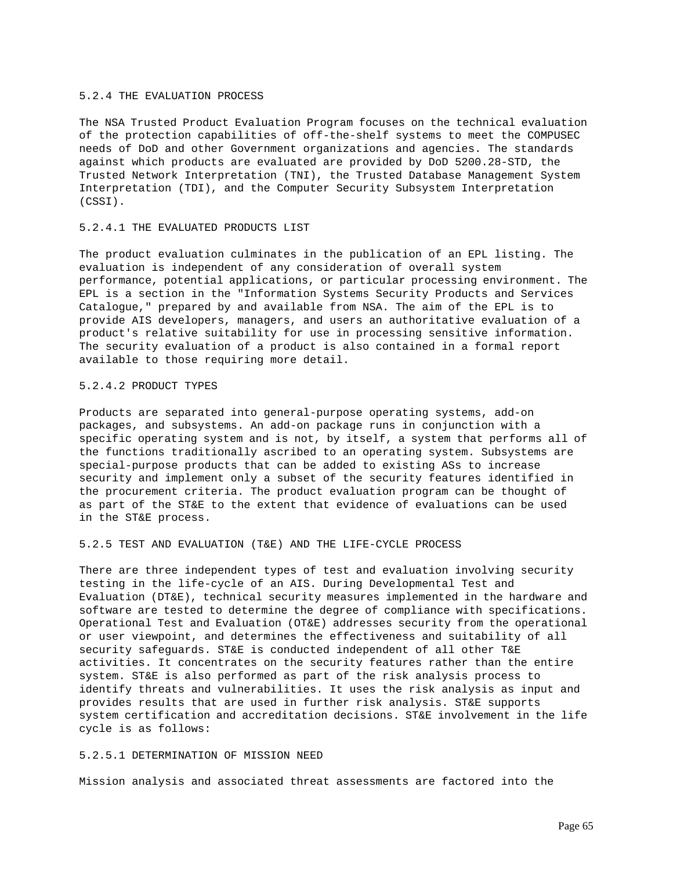### 5.2.4 THE EVALUATION PROCESS

The NSA Trusted Product Evaluation Program focuses on the technical evaluation of the protection capabilities of off-the-shelf systems to meet the COMPUSEC needs of DoD and other Government organizations and agencies. The standards against which products are evaluated are provided by DoD 5200.28-STD, the Trusted Network Interpretation (TNI), the Trusted Database Management System Interpretation (TDI), and the Computer Security Subsystem Interpretation (CSSI).

# 5.2.4.1 THE EVALUATED PRODUCTS LIST

The product evaluation culminates in the publication of an EPL listing. The evaluation is independent of any consideration of overall system performance, potential applications, or particular processing environment. The EPL is a section in the "Information Systems Security Products and Services Catalogue," prepared by and available from NSA. The aim of the EPL is to provide AIS developers, managers, and users an authoritative evaluation of a product's relative suitability for use in processing sensitive information. The security evaluation of a product is also contained in a formal report available to those requiring more detail.

# 5.2.4.2 PRODUCT TYPES

Products are separated into general-purpose operating systems, add-on packages, and subsystems. An add-on package runs in conjunction with a specific operating system and is not, by itself, a system that performs all of the functions traditionally ascribed to an operating system. Subsystems are special-purpose products that can be added to existing ASs to increase security and implement only a subset of the security features identified in the procurement criteria. The product evaluation program can be thought of as part of the ST&E to the extent that evidence of evaluations can be used in the ST&E process.

### 5.2.5 TEST AND EVALUATION (T&E) AND THE LIFE-CYCLE PROCESS

There are three independent types of test and evaluation involving security testing in the life-cycle of an AIS. During Developmental Test and Evaluation (DT&E), technical security measures implemented in the hardware and software are tested to determine the degree of compliance with specifications. Operational Test and Evaluation (OT&E) addresses security from the operational or user viewpoint, and determines the effectiveness and suitability of all security safeguards. ST&E is conducted independent of all other T&E activities. It concentrates on the security features rather than the entire system. ST&E is also performed as part of the risk analysis process to identify threats and vulnerabilities. It uses the risk analysis as input and provides results that are used in further risk analysis. ST&E supports system certification and accreditation decisions. ST&E involvement in the life cycle is as follows:

## 5.2.5.1 DETERMINATION OF MISSION NEED

Mission analysis and associated threat assessments are factored into the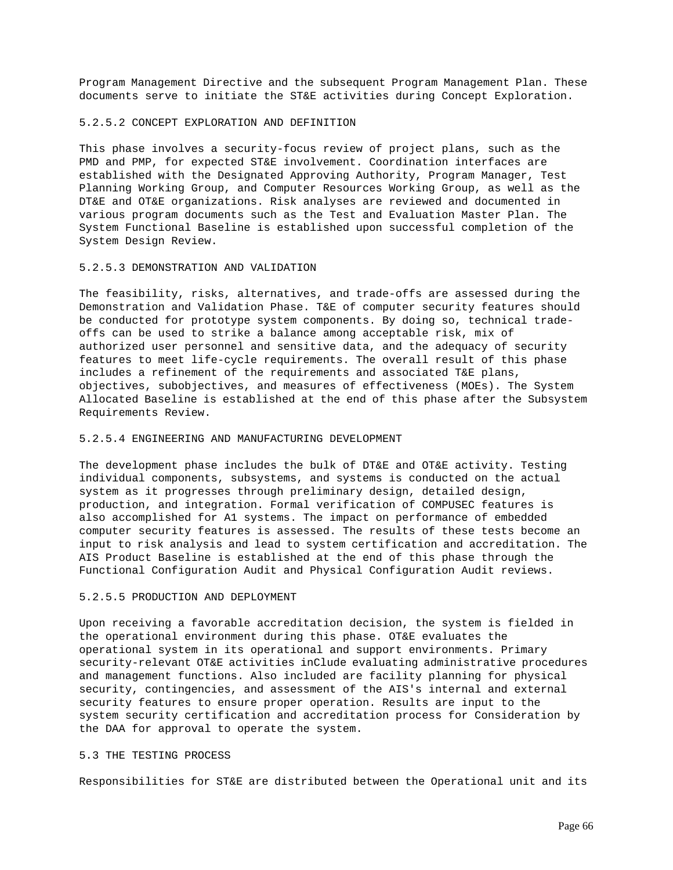Program Management Directive and the subsequent Program Management Plan. These documents serve to initiate the ST&E activities during Concept Exploration.

### 5.2.5.2 CONCEPT EXPLORATION AND DEFINITION

This phase involves a security-focus review of project plans, such as the PMD and PMP, for expected ST&E involvement. Coordination interfaces are established with the Designated Approving Authority, Program Manager, Test Planning Working Group, and Computer Resources Working Group, as well as the DT&E and OT&E organizations. Risk analyses are reviewed and documented in various program documents such as the Test and Evaluation Master Plan. The System Functional Baseline is established upon successful completion of the System Design Review.

### 5.2.5.3 DEMONSTRATION AND VALIDATION

The feasibility, risks, alternatives, and trade-offs are assessed during the Demonstration and Validation Phase. T&E of computer security features should be conducted for prototype system components. By doing so, technical tradeoffs can be used to strike a balance among acceptable risk, mix of authorized user personnel and sensitive data, and the adequacy of security features to meet life-cycle requirements. The overall result of this phase includes a refinement of the requirements and associated T&E plans, objectives, subobjectives, and measures of effectiveness (MOEs). The System Allocated Baseline is established at the end of this phase after the Subsystem Requirements Review.

# 5.2.5.4 ENGINEERING AND MANUFACTURING DEVELOPMENT

The development phase includes the bulk of DT&E and OT&E activity. Testing individual components, subsystems, and systems is conducted on the actual system as it progresses through preliminary design, detailed design, production, and integration. Formal verification of COMPUSEC features is also accomplished for A1 systems. The impact on performance of embedded computer security features is assessed. The results of these tests become an input to risk analysis and lead to system certification and accreditation. The AIS Product Baseline is established at the end of this phase through the Functional Configuration Audit and Physical Configuration Audit reviews.

# 5.2.5.5 PRODUCTION AND DEPLOYMENT

Upon receiving a favorable accreditation decision, the system is fielded in the operational environment during this phase. OT&E evaluates the operational system in its operational and support environments. Primary security-relevant OT&E activities inClude evaluating administrative procedures and management functions. Also included are facility planning for physical security, contingencies, and assessment of the AIS's internal and external security features to ensure proper operation. Results are input to the system security certification and accreditation process for Consideration by the DAA for approval to operate the system.

## 5.3 THE TESTING PROCESS

Responsibilities for ST&E are distributed between the Operational unit and its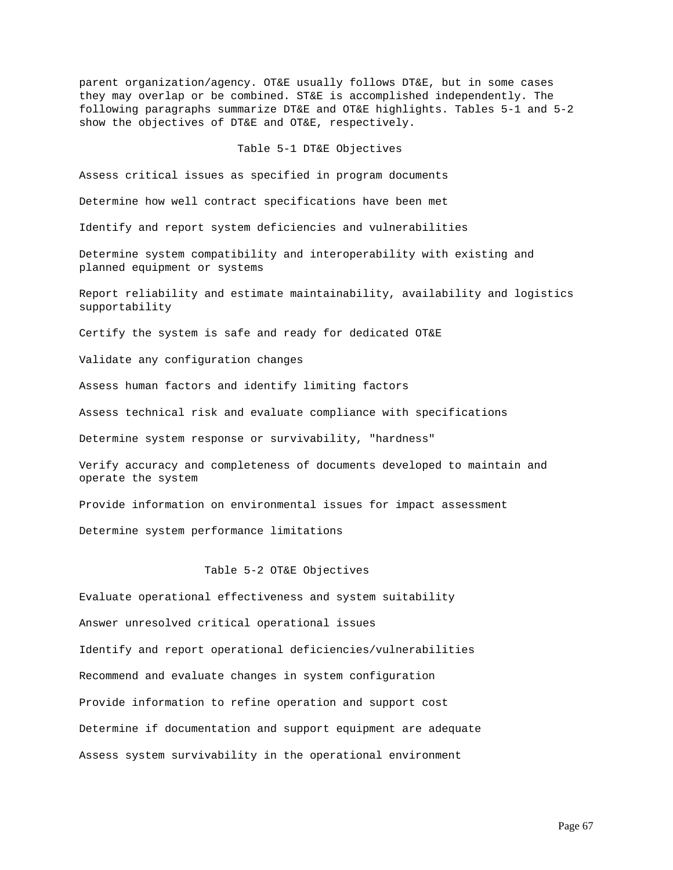parent organization/agency. OT&E usually follows DT&E, but in some cases they may overlap or be combined. ST&E is accomplished independently. The following paragraphs summarize DT&E and OT&E highlights. Tables 5-1 and 5-2 show the objectives of DT&E and OT&E, respectively.

### Table 5-1 DT&E Objectives

Assess critical issues as specified in program documents

Determine how well contract specifications have been met

Identify and report system deficiencies and vulnerabilities

Determine system compatibility and interoperability with existing and planned equipment or systems

Report reliability and estimate maintainability, availability and logistics supportability

Certify the system is safe and ready for dedicated OT&E

Validate any configuration changes

Assess human factors and identify limiting factors

Assess technical risk and evaluate compliance with specifications

Determine system response or survivability, "hardness"

Verify accuracy and completeness of documents developed to maintain and operate the system

Provide information on environmental issues for impact assessment

Determine system performance limitations

Table 5-2 OT&E Objectives

Evaluate operational effectiveness and system suitability

Answer unresolved critical operational issues

Identify and report operational deficiencies/vulnerabilities

Recommend and evaluate changes in system configuration

Provide information to refine operation and support cost

Determine if documentation and support equipment are adequate

Assess system survivability in the operational environment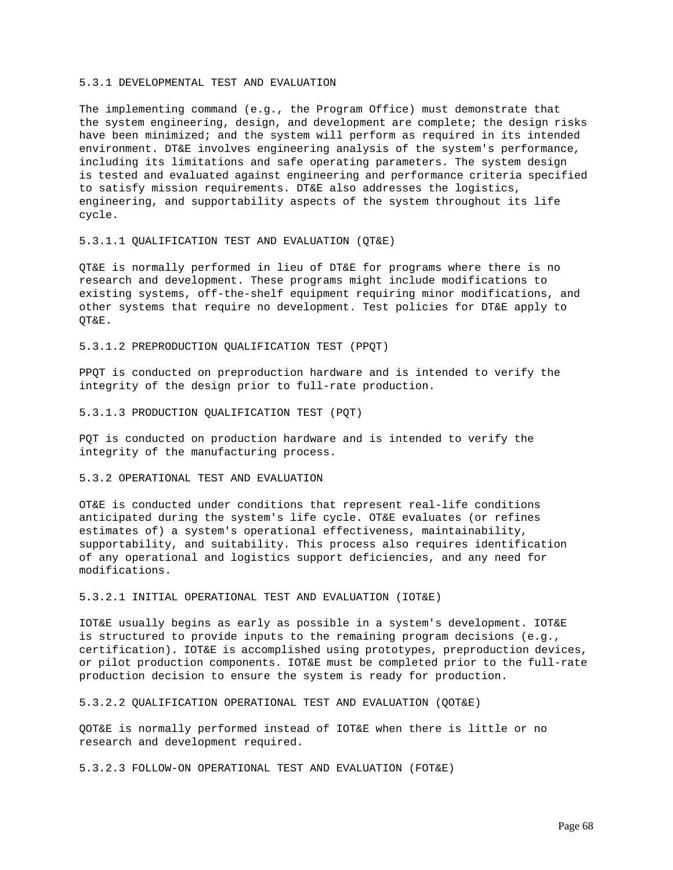### 5.3.1 DEVELOPMENTAL TEST AND EVALUATION

The implementing command (e.g., the Program Office) must demonstrate that the system engineering, design, and development are complete; the design risks have been minimized; and the system will perform as required in its intended environment. DT&E involves engineering analysis of the system's performance, including its limitations and safe operating parameters. The system design is tested and evaluated against engineering and performance criteria specified to satisfy mission requirements. DT&E also addresses the logistics, engineering, and supportability aspects of the system throughout its life cycle.

### 5.3.1.1 QUALIFICATION TEST AND EVALUATION (QT&E)

QT&E is normally performed in lieu of DT&E for programs where there is no research and development. These programs might include modifications to existing systems, off-the-shelf equipment requiring minor modifications, and other systems that require no development. Test policies for DT&E apply to QT&E.

5.3.1.2 PREPRODUCTION QUALIFICATION TEST (PPQT)

PPQT is conducted on preproduction hardware and is intended to verify the integrity of the design prior to full-rate production.

5.3.1.3 PRODUCTION QUALIFICATION TEST (PQT)

PQT is conducted on production hardware and is intended to verify the integrity of the manufacturing process.

# 5.3.2 OPERATIONAL TEST AND EVALUATION

OT&E is conducted under conditions that represent real-life conditions anticipated during the system's life cycle. OT&E evaluates (or refines estimates of) a system's operational effectiveness, maintainability, supportability, and suitability. This process also requires identification of any operational and logistics support deficiencies, and any need for modifications.

5.3.2.1 INITIAL OPERATIONAL TEST AND EVALUATION (IOT&E)

IOT&E usually begins as early as possible in a system's development. IOT&E is structured to provide inputs to the remaining program decisions (e.g., certification). IOT&E is accomplished using prototypes, preproduction devices, or pilot production components. IOT&E must be completed prior to the full-rate production decision to ensure the system is ready for production.

5.3.2.2 QUALIFICATION OPERATIONAL TEST AND EVALUATION (QOT&E)

QOT&E is normally performed instead of IOT&E when there is little or no research and development required.

5.3.2.3 FOLLOW-ON OPERATIONAL TEST AND EVALUATION (FOT&E)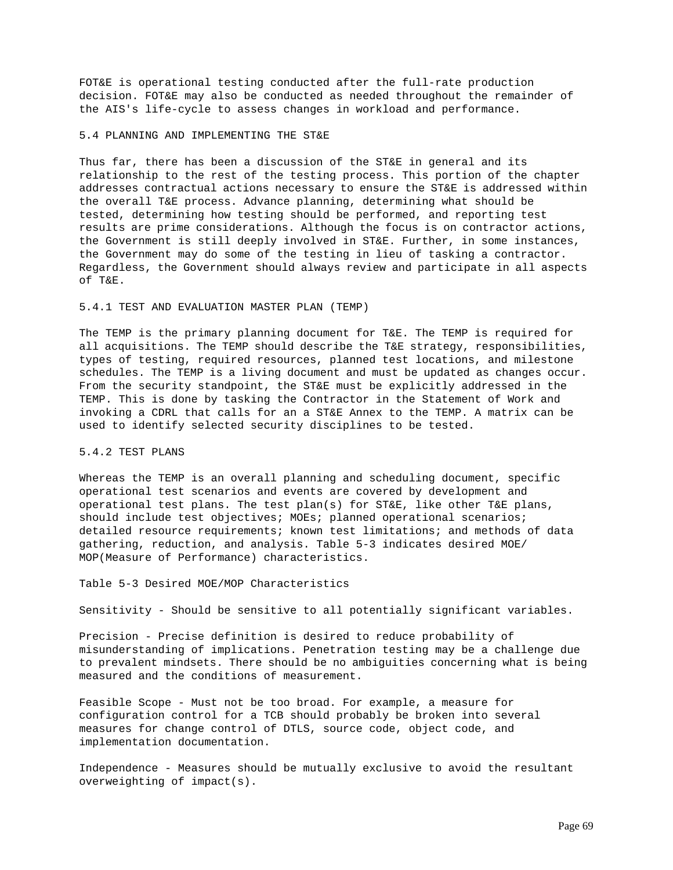FOT&E is operational testing conducted after the full-rate production decision. FOT&E may also be conducted as needed throughout the remainder of the AIS's life-cycle to assess changes in workload and performance.

#### 5.4 PLANNING AND IMPLEMENTING THE ST&E

Thus far, there has been a discussion of the ST&E in general and its relationship to the rest of the testing process. This portion of the chapter addresses contractual actions necessary to ensure the ST&E is addressed within the overall T&E process. Advance planning, determining what should be tested, determining how testing should be performed, and reporting test results are prime considerations. Although the focus is on contractor actions, the Government is still deeply involved in ST&E. Further, in some instances, the Government may do some of the testing in lieu of tasking a contractor. Regardless, the Government should always review and participate in all aspects of T&E.

## 5.4.1 TEST AND EVALUATION MASTER PLAN (TEMP)

The TEMP is the primary planning document for T&E. The TEMP is required for all acquisitions. The TEMP should describe the T&E strategy, responsibilities, types of testing, required resources, planned test locations, and milestone schedules. The TEMP is a living document and must be updated as changes occur. From the security standpoint, the ST&E must be explicitly addressed in the TEMP. This is done by tasking the Contractor in the Statement of Work and invoking a CDRL that calls for an a ST&E Annex to the TEMP. A matrix can be used to identify selected security disciplines to be tested.

### 5.4.2 TEST PLANS

Whereas the TEMP is an overall planning and scheduling document, specific operational test scenarios and events are covered by development and operational test plans. The test plan(s) for ST&E, like other T&E plans, should include test objectives; MOEs; planned operational scenarios; detailed resource requirements; known test limitations; and methods of data gathering, reduction, and analysis. Table 5-3 indicates desired MOE/ MOP(Measure of Performance) characteristics.

# Table 5-3 Desired MOE/MOP Characteristics

Sensitivity - Should be sensitive to all potentially significant variables.

Precision - Precise definition is desired to reduce probability of misunderstanding of implications. Penetration testing may be a challenge due to prevalent mindsets. There should be no ambiguities concerning what is being measured and the conditions of measurement.

Feasible Scope - Must not be too broad. For example, a measure for configuration control for a TCB should probably be broken into several measures for change control of DTLS, source code, object code, and implementation documentation.

Independence - Measures should be mutually exclusive to avoid the resultant overweighting of impact(s).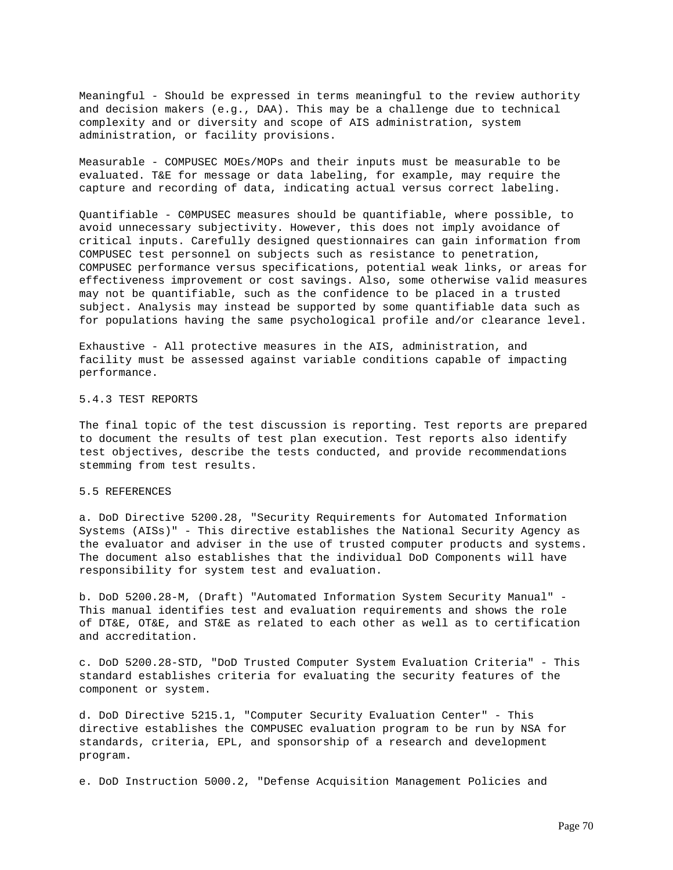Meaningful - Should be expressed in terms meaningful to the review authority and decision makers (e.g., DAA). This may be a challenge due to technical complexity and or diversity and scope of AIS administration, system administration, or facility provisions.

Measurable - COMPUSEC MOEs/MOPs and their inputs must be measurable to be evaluated. T&E for message or data labeling, for example, may require the capture and recording of data, indicating actual versus correct labeling.

Quantifiable - C0MPUSEC measures should be quantifiable, where possible, to avoid unnecessary subjectivity. However, this does not imply avoidance of critical inputs. Carefully designed questionnaires can gain information from COMPUSEC test personnel on subjects such as resistance to penetration, COMPUSEC performance versus specifications, potential weak links, or areas for effectiveness improvement or cost savings. Also, some otherwise valid measures may not be quantifiable, such as the confidence to be placed in a trusted subject. Analysis may instead be supported by some quantifiable data such as for populations having the same psychological profile and/or clearance level.

Exhaustive - All protective measures in the AIS, administration, and facility must be assessed against variable conditions capable of impacting performance.

# 5.4.3 TEST REPORTS

The final topic of the test discussion is reporting. Test reports are prepared to document the results of test plan execution. Test reports also identify test objectives, describe the tests conducted, and provide recommendations stemming from test results.

### 5.5 REFERENCES

a. DoD Directive 5200.28, "Security Requirements for Automated Information Systems (AISs)" - This directive establishes the National Security Agency as the evaluator and adviser in the use of trusted computer products and systems. The document also establishes that the individual DoD Components will have responsibility for system test and evaluation.

b. DoD 5200.28-M, (Draft) "Automated Information System Security Manual" - This manual identifies test and evaluation requirements and shows the role of DT&E, OT&E, and ST&E as related to each other as well as to certification and accreditation.

c. DoD 5200.28-STD, "DoD Trusted Computer System Evaluation Criteria" - This standard establishes criteria for evaluating the security features of the component or system.

d. DoD Directive 5215.1, "Computer Security Evaluation Center" - This directive establishes the COMPUSEC evaluation program to be run by NSA for standards, criteria, EPL, and sponsorship of a research and development program.

e. DoD Instruction 5000.2, "Defense Acquisition Management Policies and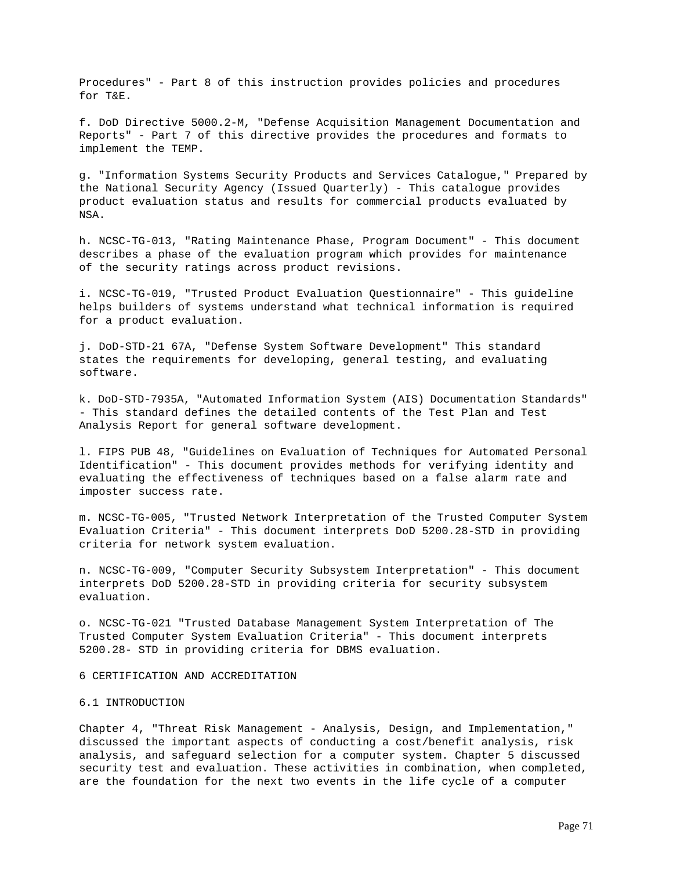Procedures" - Part 8 of this instruction provides policies and procedures for T&E.

f. DoD Directive 5000.2-M, "Defense Acquisition Management Documentation and Reports" - Part 7 of this directive provides the procedures and formats to implement the TEMP.

g. "Information Systems Security Products and Services Catalogue," Prepared by the National Security Agency (Issued Quarterly) - This catalogue provides product evaluation status and results for commercial products evaluated by NSA.

h. NCSC-TG-013, "Rating Maintenance Phase, Program Document" - This document describes a phase of the evaluation program which provides for maintenance of the security ratings across product revisions.

i. NCSC-TG-019, "Trusted Product Evaluation Questionnaire" - This guideline helps builders of systems understand what technical information is required for a product evaluation.

j. DoD-STD-21 67A, "Defense System Software Development" This standard states the requirements for developing, general testing, and evaluating software.

k. DoD-STD-7935A, "Automated Information System (AIS) Documentation Standards" - This standard defines the detailed contents of the Test Plan and Test Analysis Report for general software development.

l. FIPS PUB 48, "Guidelines on Evaluation of Techniques for Automated Personal Identification" - This document provides methods for verifying identity and evaluating the effectiveness of techniques based on a false alarm rate and imposter success rate.

m. NCSC-TG-005, "Trusted Network Interpretation of the Trusted Computer System Evaluation Criteria" - This document interprets DoD 5200.28-STD in providing criteria for network system evaluation.

n. NCSC-TG-009, "Computer Security Subsystem Interpretation" - This document interprets DoD 5200.28-STD in providing criteria for security subsystem evaluation.

o. NCSC-TG-021 "Trusted Database Management System Interpretation of The Trusted Computer System Evaluation Criteria" - This document interprets 5200.28- STD in providing criteria for DBMS evaluation.

6 CERTIFICATION AND ACCREDITATION

# 6.1 INTRODUCTION

Chapter 4, "Threat Risk Management - Analysis, Design, and Implementation," discussed the important aspects of conducting a cost/benefit analysis, risk analysis, and safeguard selection for a computer system. Chapter 5 discussed security test and evaluation. These activities in combination, when completed, are the foundation for the next two events in the life cycle of a computer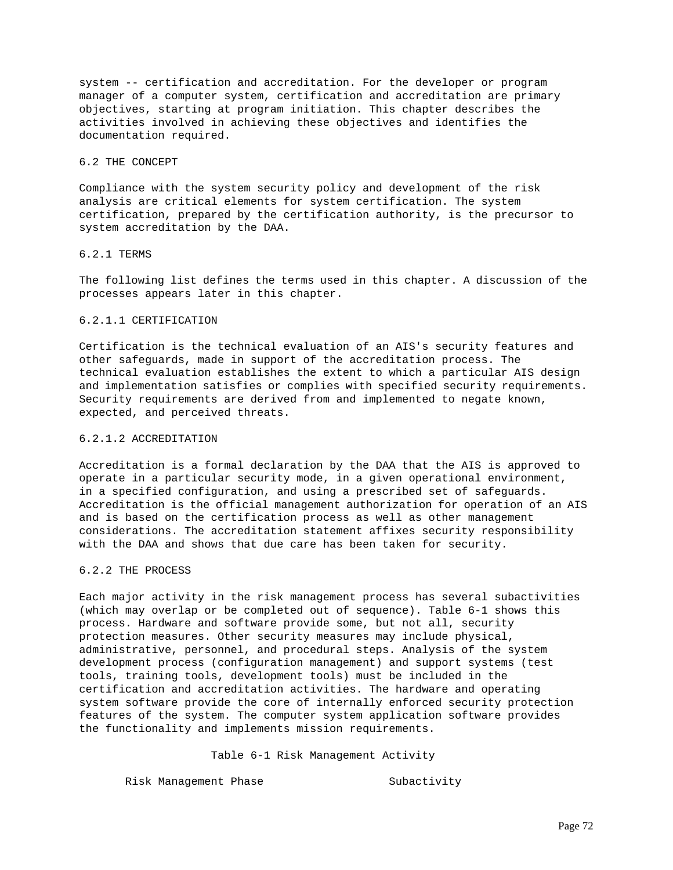system -- certification and accreditation. For the developer or program manager of a computer system, certification and accreditation are primary objectives, starting at program initiation. This chapter describes the activities involved in achieving these objectives and identifies the documentation required.

### 6.2 THE CONCEPT

Compliance with the system security policy and development of the risk analysis are critical elements for system certification. The system certification, prepared by the certification authority, is the precursor to system accreditation by the DAA.

# 6.2.1 TERMS

The following list defines the terms used in this chapter. A discussion of the processes appears later in this chapter.

# 6.2.1.1 CERTIFICATION

Certification is the technical evaluation of an AIS's security features and other safeguards, made in support of the accreditation process. The technical evaluation establishes the extent to which a particular AIS design and implementation satisfies or complies with specified security requirements. Security requirements are derived from and implemented to negate known, expected, and perceived threats.

# 6.2.1.2 ACCREDITATION

Accreditation is a formal declaration by the DAA that the AIS is approved to operate in a particular security mode, in a given operational environment, in a specified configuration, and using a prescribed set of safeguards. Accreditation is the official management authorization for operation of an AIS and is based on the certification process as well as other management considerations. The accreditation statement affixes security responsibility with the DAA and shows that due care has been taken for security.

## 6.2.2 THE PROCESS

Each major activity in the risk management process has several subactivities (which may overlap or be completed out of sequence). Table 6-1 shows this process. Hardware and software provide some, but not all, security protection measures. Other security measures may include physical, administrative, personnel, and procedural steps. Analysis of the system development process (configuration management) and support systems (test tools, training tools, development tools) must be included in the certification and accreditation activities. The hardware and operating system software provide the core of internally enforced security protection features of the system. The computer system application software provides the functionality and implements mission requirements.

Table 6-1 Risk Management Activity

Risk Management Phase Subactivity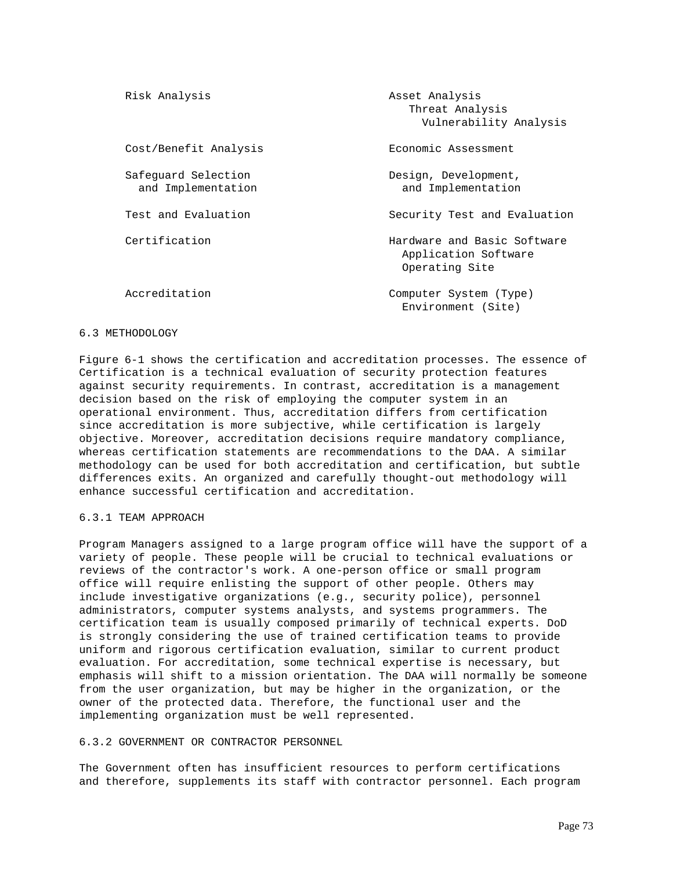| Risk Analysis                             | Asset Analysis<br>Threat Analysis<br>Vulnerability Analysis           |
|-------------------------------------------|-----------------------------------------------------------------------|
| Cost/Benefit Analysis                     | Economic Assessment                                                   |
| Safequard Selection<br>and Implementation | Design, Development,<br>and Implementation                            |
| Test and Evaluation                       | Security Test and Evaluation                                          |
| Certification                             | Hardware and Basic Software<br>Application Software<br>Operating Site |
| Accreditation                             | Computer System (Type)<br>Environment (Site)                          |

### 6.3 METHODOLOGY

Figure 6-1 shows the certification and accreditation processes. The essence of Certification is a technical evaluation of security protection features against security requirements. In contrast, accreditation is a management decision based on the risk of employing the computer system in an operational environment. Thus, accreditation differs from certification since accreditation is more subjective, while certification is largely objective. Moreover, accreditation decisions require mandatory compliance, whereas certification statements are recommendations to the DAA. A similar methodology can be used for both accreditation and certification, but subtle differences exits. An organized and carefully thought-out methodology will enhance successful certification and accreditation.

# 6.3.1 TEAM APPROACH

Program Managers assigned to a large program office will have the support of a variety of people. These people will be crucial to technical evaluations or reviews of the contractor's work. A one-person office or small program office will require enlisting the support of other people. Others may include investigative organizations (e.g., security police), personnel administrators, computer systems analysts, and systems programmers. The certification team is usually composed primarily of technical experts. DoD is strongly considering the use of trained certification teams to provide uniform and rigorous certification evaluation, similar to current product evaluation. For accreditation, some technical expertise is necessary, but emphasis will shift to a mission orientation. The DAA will normally be someone from the user organization, but may be higher in the organization, or the owner of the protected data. Therefore, the functional user and the implementing organization must be well represented.

### 6.3.2 GOVERNMENT OR CONTRACTOR PERSONNEL

The Government often has insufficient resources to perform certifications and therefore, supplements its staff with contractor personnel. Each program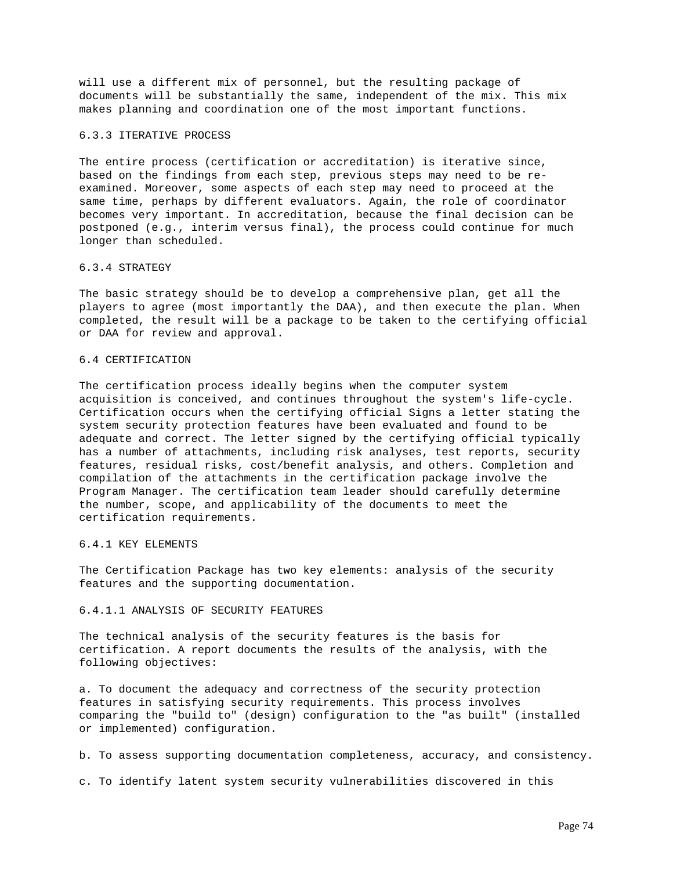will use a different mix of personnel, but the resulting package of documents will be substantially the same, independent of the mix. This mix makes planning and coordination one of the most important functions.

#### 6.3.3 ITERATIVE PROCESS

The entire process (certification or accreditation) is iterative since, based on the findings from each step, previous steps may need to be reexamined. Moreover, some aspects of each step may need to proceed at the same time, perhaps by different evaluators. Again, the role of coordinator becomes very important. In accreditation, because the final decision can be postponed (e.g., interim versus final), the process could continue for much longer than scheduled.

### 6.3.4 STRATEGY

The basic strategy should be to develop a comprehensive plan, get all the players to agree (most importantly the DAA), and then execute the plan. When completed, the result will be a package to be taken to the certifying official or DAA for review and approval.

# 6.4 CERTIFICATION

The certification process ideally begins when the computer system acquisition is conceived, and continues throughout the system's life-cycle. Certification occurs when the certifying official Signs a letter stating the system security protection features have been evaluated and found to be adequate and correct. The letter signed by the certifying official typically has a number of attachments, including risk analyses, test reports, security features, residual risks, cost/benefit analysis, and others. Completion and compilation of the attachments in the certification package involve the Program Manager. The certification team leader should carefully determine the number, scope, and applicability of the documents to meet the certification requirements.

# 6.4.1 KEY ELEMENTS

The Certification Package has two key elements: analysis of the security features and the supporting documentation.

# 6.4.1.1 ANALYSIS OF SECURITY FEATURES

The technical analysis of the security features is the basis for certification. A report documents the results of the analysis, with the following objectives:

a. To document the adequacy and correctness of the security protection features in satisfying security requirements. This process involves comparing the "build to" (design) configuration to the "as built" (installed or implemented) configuration.

b. To assess supporting documentation completeness, accuracy, and consistency.

c. To identify latent system security vulnerabilities discovered in this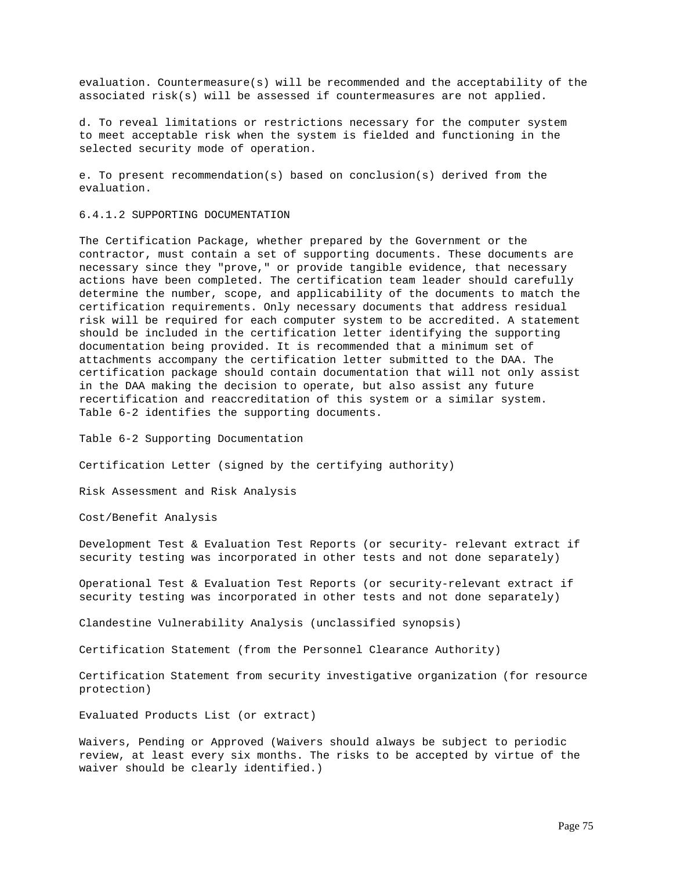evaluation. Countermeasure(s) will be recommended and the acceptability of the associated risk(s) will be assessed if countermeasures are not applied.

d. To reveal limitations or restrictions necessary for the computer system to meet acceptable risk when the system is fielded and functioning in the selected security mode of operation.

e. To present recommendation(s) based on conclusion(s) derived from the evaluation.

6.4.1.2 SUPPORTING DOCUMENTATION

The Certification Package, whether prepared by the Government or the contractor, must contain a set of supporting documents. These documents are necessary since they "prove," or provide tangible evidence, that necessary actions have been completed. The certification team leader should carefully determine the number, scope, and applicability of the documents to match the certification requirements. Only necessary documents that address residual risk will be required for each computer system to be accredited. A statement should be included in the certification letter identifying the supporting documentation being provided. It is recommended that a minimum set of attachments accompany the certification letter submitted to the DAA. The certification package should contain documentation that will not only assist in the DAA making the decision to operate, but also assist any future recertification and reaccreditation of this system or a similar system. Table 6-2 identifies the supporting documents.

Table 6-2 Supporting Documentation

Certification Letter (signed by the certifying authority)

Risk Assessment and Risk Analysis

Cost/Benefit Analysis

Development Test & Evaluation Test Reports (or security- relevant extract if security testing was incorporated in other tests and not done separately)

Operational Test & Evaluation Test Reports (or security-relevant extract if security testing was incorporated in other tests and not done separately)

Clandestine Vulnerability Analysis (unclassified synopsis)

Certification Statement (from the Personnel Clearance Authority)

Certification Statement from security investigative organization (for resource protection)

Evaluated Products List (or extract)

Waivers, Pending or Approved (Waivers should always be subject to periodic review, at least every six months. The risks to be accepted by virtue of the waiver should be clearly identified.)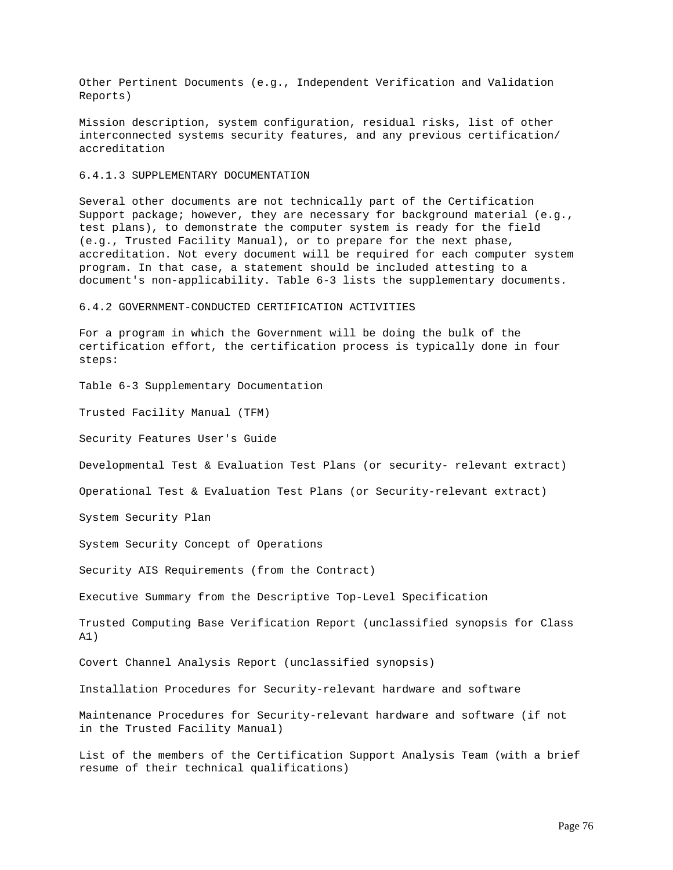Other Pertinent Documents (e.g., Independent Verification and Validation Reports)

Mission description, system configuration, residual risks, list of other interconnected systems security features, and any previous certification/ accreditation

# 6.4.1.3 SUPPLEMENTARY DOCUMENTATION

Several other documents are not technically part of the Certification Support package; however, they are necessary for background material (e.g., test plans), to demonstrate the computer system is ready for the field (e.g., Trusted Facility Manual), or to prepare for the next phase, accreditation. Not every document will be required for each computer system program. In that case, a statement should be included attesting to a document's non-applicability. Table 6-3 lists the supplementary documents.

6.4.2 GOVERNMENT-CONDUCTED CERTIFICATION ACTIVITIES

For a program in which the Government will be doing the bulk of the certification effort, the certification process is typically done in four steps:

Table 6-3 Supplementary Documentation

Trusted Facility Manual (TFM)

Security Features User's Guide

Developmental Test & Evaluation Test Plans (or security- relevant extract)

Operational Test & Evaluation Test Plans (or Security-relevant extract)

System Security Plan

System Security Concept of Operations

Security AIS Requirements (from the Contract)

Executive Summary from the Descriptive Top-Level Specification

Trusted Computing Base Verification Report (unclassified synopsis for Class A1)

Covert Channel Analysis Report (unclassified synopsis)

Installation Procedures for Security-relevant hardware and software

Maintenance Procedures for Security-relevant hardware and software (if not in the Trusted Facility Manual)

List of the members of the Certification Support Analysis Team (with a brief resume of their technical qualifications)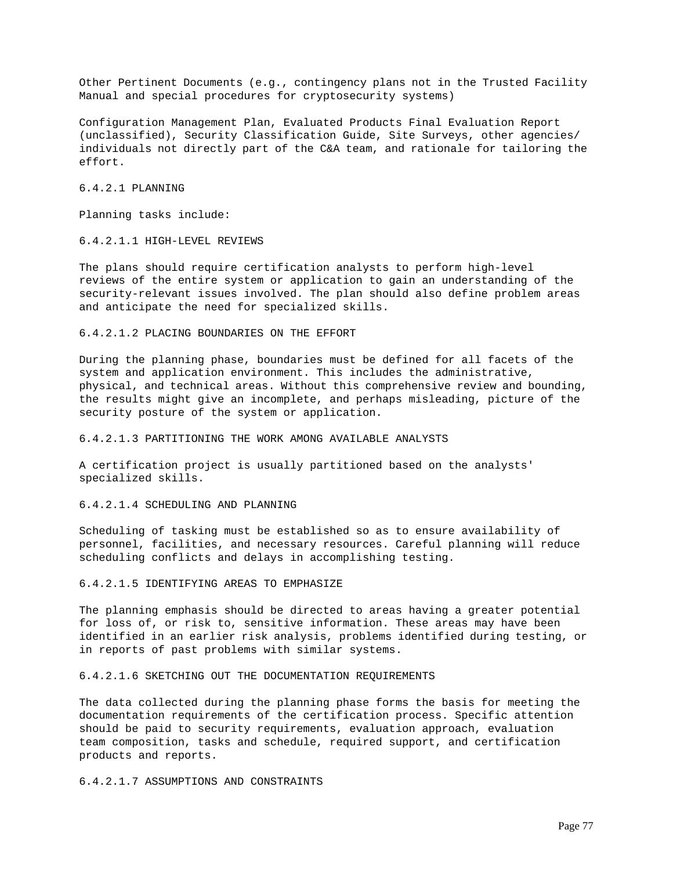Other Pertinent Documents (e.g., contingency plans not in the Trusted Facility Manual and special procedures for cryptosecurity systems)

Configuration Management Plan, Evaluated Products Final Evaluation Report (unclassified), Security Classification Guide, Site Surveys, other agencies/ individuals not directly part of the C&A team, and rationale for tailoring the effort.

6.4.2.1 PLANNING

Planning tasks include:

# 6.4.2.1.1 HIGH-LEVEL REVIEWS

The plans should require certification analysts to perform high-level reviews of the entire system or application to gain an understanding of the security-relevant issues involved. The plan should also define problem areas and anticipate the need for specialized skills.

### 6.4.2.1.2 PLACING BOUNDARIES ON THE EFFORT

During the planning phase, boundaries must be defined for all facets of the system and application environment. This includes the administrative, physical, and technical areas. Without this comprehensive review and bounding, the results might give an incomplete, and perhaps misleading, picture of the security posture of the system or application.

# 6.4.2.1.3 PARTITIONING THE WORK AMONG AVAILABLE ANALYSTS

A certification project is usually partitioned based on the analysts' specialized skills.

# 6.4.2.1.4 SCHEDULING AND PLANNING

Scheduling of tasking must be established so as to ensure availability of personnel, facilities, and necessary resources. Careful planning will reduce scheduling conflicts and delays in accomplishing testing.

# 6.4.2.1.5 IDENTIFYING AREAS TO EMPHASIZE

The planning emphasis should be directed to areas having a greater potential for loss of, or risk to, sensitive information. These areas may have been identified in an earlier risk analysis, problems identified during testing, or in reports of past problems with similar systems.

### 6.4.2.1.6 SKETCHING OUT THE DOCUMENTATION REQUIREMENTS

The data collected during the planning phase forms the basis for meeting the documentation requirements of the certification process. Specific attention should be paid to security requirements, evaluation approach, evaluation team composition, tasks and schedule, required support, and certification products and reports.

6.4.2.1.7 ASSUMPTIONS AND CONSTRAINTS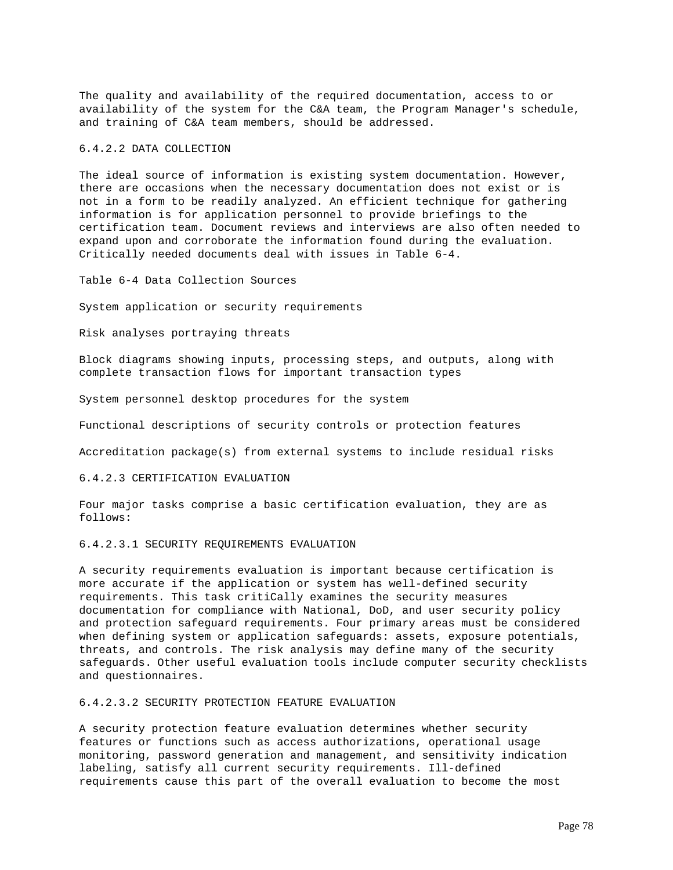The quality and availability of the required documentation, access to or availability of the system for the C&A team, the Program Manager's schedule, and training of C&A team members, should be addressed.

# 6.4.2.2 DATA COLLECTION

The ideal source of information is existing system documentation. However, there are occasions when the necessary documentation does not exist or is not in a form to be readily analyzed. An efficient technique for gathering information is for application personnel to provide briefings to the certification team. Document reviews and interviews are also often needed to expand upon and corroborate the information found during the evaluation. Critically needed documents deal with issues in Table 6-4.

Table 6-4 Data Collection Sources

System application or security requirements

Risk analyses portraying threats

Block diagrams showing inputs, processing steps, and outputs, along with complete transaction flows for important transaction types

System personnel desktop procedures for the system

Functional descriptions of security controls or protection features

Accreditation package(s) from external systems to include residual risks

### 6.4.2.3 CERTIFICATION EVALUATION

Four major tasks comprise a basic certification evaluation, they are as follows:

### 6.4.2.3.1 SECURITY REQUIREMENTS EVALUATION

A security requirements evaluation is important because certification is more accurate if the application or system has well-defined security requirements. This task critiCally examines the security measures documentation for compliance with National, DoD, and user security policy and protection safeguard requirements. Four primary areas must be considered when defining system or application safeguards: assets, exposure potentials, threats, and controls. The risk analysis may define many of the security safeguards. Other useful evaluation tools include computer security checklists and questionnaires.

## 6.4.2.3.2 SECURITY PROTECTION FEATURE EVALUATION

A security protection feature evaluation determines whether security features or functions such as access authorizations, operational usage monitoring, password generation and management, and sensitivity indication labeling, satisfy all current security requirements. Ill-defined requirements cause this part of the overall evaluation to become the most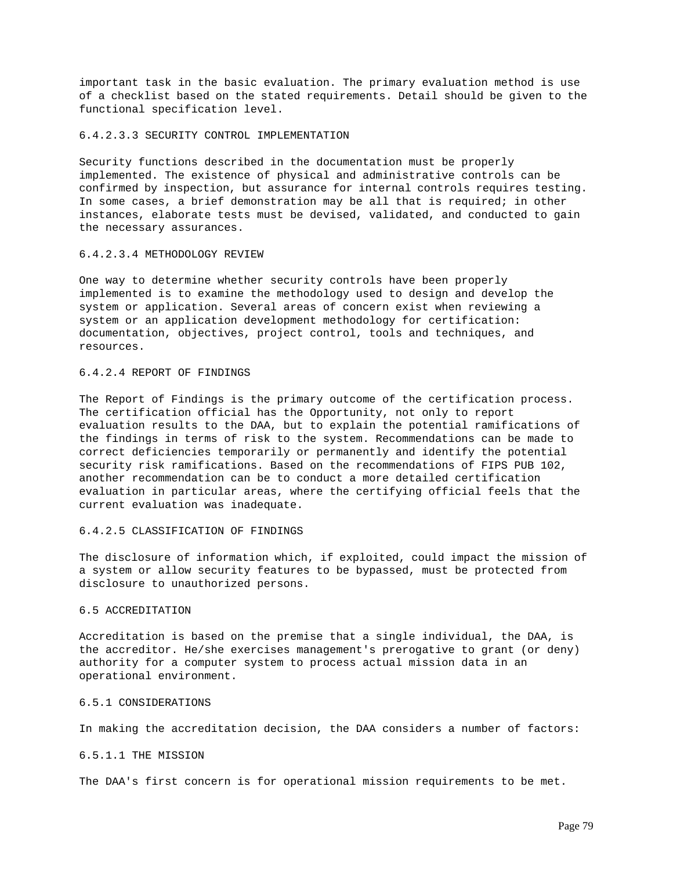important task in the basic evaluation. The primary evaluation method is use of a checklist based on the stated requirements. Detail should be given to the functional specification level.

#### 6.4.2.3.3 SECURITY CONTROL IMPLEMENTATION

Security functions described in the documentation must be properly implemented. The existence of physical and administrative controls can be confirmed by inspection, but assurance for internal controls requires testing. In some cases, a brief demonstration may be all that is required; in other instances, elaborate tests must be devised, validated, and conducted to gain the necessary assurances.

#### 6.4.2.3.4 METHODOLOGY REVIEW

One way to determine whether security controls have been properly implemented is to examine the methodology used to design and develop the system or application. Several areas of concern exist when reviewing a system or an application development methodology for certification: documentation, objectives, project control, tools and techniques, and resources.

#### 6.4.2.4 REPORT OF FINDINGS

The Report of Findings is the primary outcome of the certification process. The certification official has the Opportunity, not only to report evaluation results to the DAA, but to explain the potential ramifications of the findings in terms of risk to the system. Recommendations can be made to correct deficiencies temporarily or permanently and identify the potential security risk ramifications. Based on the recommendations of FIPS PUB 102, another recommendation can be to conduct a more detailed certification evaluation in particular areas, where the certifying official feels that the current evaluation was inadequate.

### 6.4.2.5 CLASSIFICATION OF FINDINGS

The disclosure of information which, if exploited, could impact the mission of a system or allow security features to be bypassed, must be protected from disclosure to unauthorized persons.

## 6.5 ACCREDITATION

Accreditation is based on the premise that a single individual, the DAA, is the accreditor. He/she exercises management's prerogative to grant (or deny) authority for a computer system to process actual mission data in an operational environment.

## 6.5.1 CONSIDERATIONS

In making the accreditation decision, the DAA considers a number of factors:

### 6.5.1.1 THE MISSION

The DAA's first concern is for operational mission requirements to be met.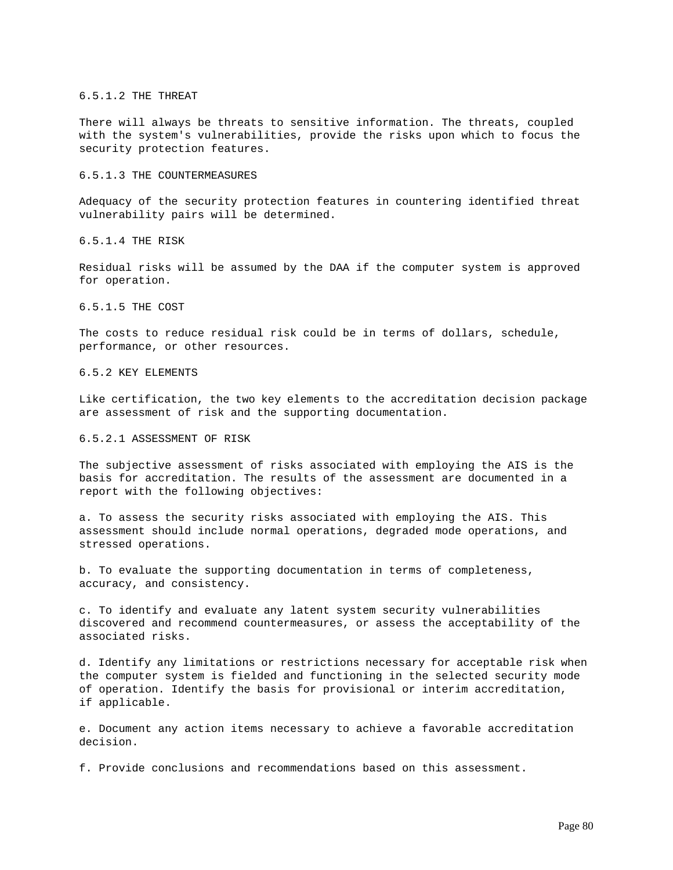#### 6.5.1.2 THE THREAT

There will always be threats to sensitive information. The threats, coupled with the system's vulnerabilities, provide the risks upon which to focus the security protection features.

# 6.5.1.3 THE COUNTERMEASURES

Adequacy of the security protection features in countering identified threat vulnerability pairs will be determined.

6.5.1.4 THE RISK

Residual risks will be assumed by the DAA if the computer system is approved for operation.

6.5.1.5 THE COST

The costs to reduce residual risk could be in terms of dollars, schedule, performance, or other resources.

6.5.2 KEY ELEMENTS

Like certification, the two key elements to the accreditation decision package are assessment of risk and the supporting documentation.

6.5.2.1 ASSESSMENT OF RISK

The subjective assessment of risks associated with employing the AIS is the basis for accreditation. The results of the assessment are documented in a report with the following objectives:

a. To assess the security risks associated with employing the AIS. This assessment should include normal operations, degraded mode operations, and stressed operations.

b. To evaluate the supporting documentation in terms of completeness, accuracy, and consistency.

c. To identify and evaluate any latent system security vulnerabilities discovered and recommend countermeasures, or assess the acceptability of the associated risks.

d. Identify any limitations or restrictions necessary for acceptable risk when the computer system is fielded and functioning in the selected security mode of operation. Identify the basis for provisional or interim accreditation, if applicable.

e. Document any action items necessary to achieve a favorable accreditation decision.

f. Provide conclusions and recommendations based on this assessment.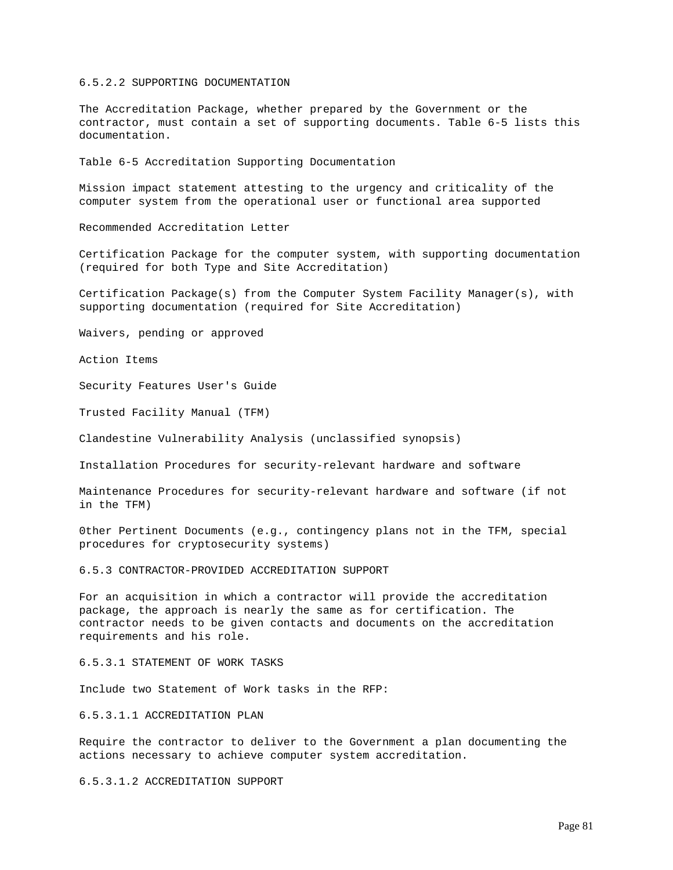#### 6.5.2.2 SUPPORTING DOCUMENTATION

The Accreditation Package, whether prepared by the Government or the contractor, must contain a set of supporting documents. Table 6-5 lists this documentation.

Table 6-5 Accreditation Supporting Documentation

Mission impact statement attesting to the urgency and criticality of the computer system from the operational user or functional area supported

Recommended Accreditation Letter

Certification Package for the computer system, with supporting documentation (required for both Type and Site Accreditation)

Certification Package(s) from the Computer System Facility Manager(s), with supporting documentation (required for Site Accreditation)

Waivers, pending or approved

Action Items

Security Features User's Guide

Trusted Facility Manual (TFM)

Clandestine Vulnerability Analysis (unclassified synopsis)

Installation Procedures for security-relevant hardware and software

Maintenance Procedures for security-relevant hardware and software (if not in the TFM)

0ther Pertinent Documents (e.g., contingency plans not in the TFM, special procedures for cryptosecurity systems)

6.5.3 CONTRACTOR-PROVIDED ACCREDITATION SUPPORT

For an acquisition in which a contractor will provide the accreditation package, the approach is nearly the same as for certification. The contractor needs to be given contacts and documents on the accreditation requirements and his role.

6.5.3.1 STATEMENT OF WORK TASKS

Include two Statement of Work tasks in the RFP:

6.5.3.1.1 ACCREDITATION PLAN

Require the contractor to deliver to the Government a plan documenting the actions necessary to achieve computer system accreditation.

6.5.3.1.2 ACCREDITATION SUPPORT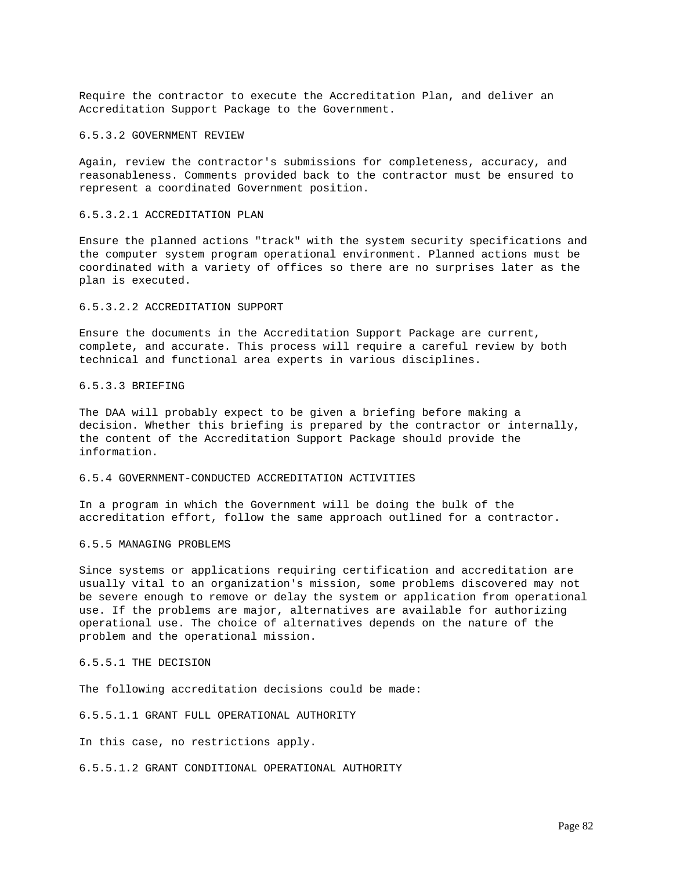Require the contractor to execute the Accreditation Plan, and deliver an Accreditation Support Package to the Government.

#### 6.5.3.2 GOVERNMENT REVIEW

Again, review the contractor's submissions for completeness, accuracy, and reasonableness. Comments provided back to the contractor must be ensured to represent a coordinated Government position.

## 6.5.3.2.1 ACCREDITATION PLAN

Ensure the planned actions "track" with the system security specifications and the computer system program operational environment. Planned actions must be coordinated with a variety of offices so there are no surprises later as the plan is executed.

#### 6.5.3.2.2 ACCREDITATION SUPPORT

Ensure the documents in the Accreditation Support Package are current, complete, and accurate. This process will require a careful review by both technical and functional area experts in various disciplines.

## 6.5.3.3 BRIEFING

The DAA will probably expect to be given a briefing before making a decision. Whether this briefing is prepared by the contractor or internally, the content of the Accreditation Support Package should provide the information.

### 6.5.4 GOVERNMENT-CONDUCTED ACCREDITATION ACTIVITIES

In a program in which the Government will be doing the bulk of the accreditation effort, follow the same approach outlined for a contractor.

### 6.5.5 MANAGING PROBLEMS

Since systems or applications requiring certification and accreditation are usually vital to an organization's mission, some problems discovered may not be severe enough to remove or delay the system or application from operational use. If the problems are major, alternatives are available for authorizing operational use. The choice of alternatives depends on the nature of the problem and the operational mission.

## 6.5.5.1 THE DECISION

The following accreditation decisions could be made:

6.5.5.1.1 GRANT FULL OPERATIONAL AUTHORITY

In this case, no restrictions apply.

6.5.5.1.2 GRANT CONDITIONAL OPERATIONAL AUTHORITY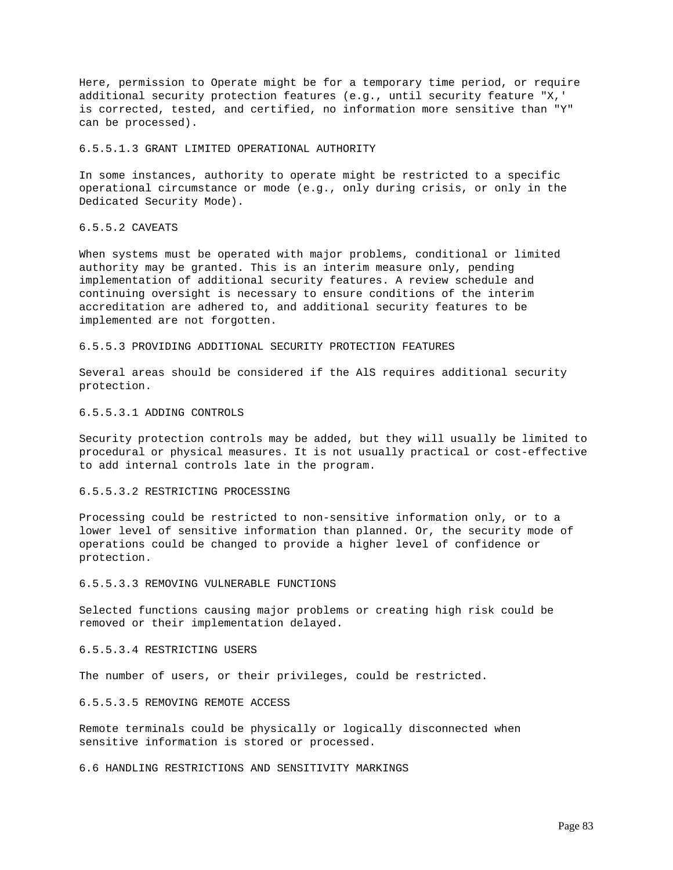Here, permission to Operate might be for a temporary time period, or require additional security protection features (e.g., until security feature "X,' is corrected, tested, and certified, no information more sensitive than "Y" can be processed).

### 6.5.5.1.3 GRANT LIMITED OPERATIONAL AUTHORITY

In some instances, authority to operate might be restricted to a specific operational circumstance or mode (e.g., only during crisis, or only in the Dedicated Security Mode).

### 6.5.5.2 CAVEATS

When systems must be operated with major problems, conditional or limited authority may be granted. This is an interim measure only, pending implementation of additional security features. A review schedule and continuing oversight is necessary to ensure conditions of the interim accreditation are adhered to, and additional security features to be implemented are not forgotten.

6.5.5.3 PROVIDING ADDITIONAL SECURITY PROTECTION FEATURES

Several areas should be considered if the AlS requires additional security protection.

### 6.5.5.3.1 ADDING CONTROLS

Security protection controls may be added, but they will usually be limited to procedural or physical measures. It is not usually practical or cost-effective to add internal controls late in the program.

### 6.5.5.3.2 RESTRICTING PROCESSING

Processing could be restricted to non-sensitive information only, or to a lower level of sensitive information than planned. Or, the security mode of operations could be changed to provide a higher level of confidence or protection.

### 6.5.5.3.3 REMOVING VULNERABLE FUNCTIONS

Selected functions causing major problems or creating high risk could be removed or their implementation delayed.

## 6.5.5.3.4 RESTRICTING USERS

The number of users, or their privileges, could be restricted.

### 6.5.5.3.5 REMOVING REMOTE ACCESS

Remote terminals could be physically or logically disconnected when sensitive information is stored or processed.

6.6 HANDLING RESTRICTIONS AND SENSITIVITY MARKINGS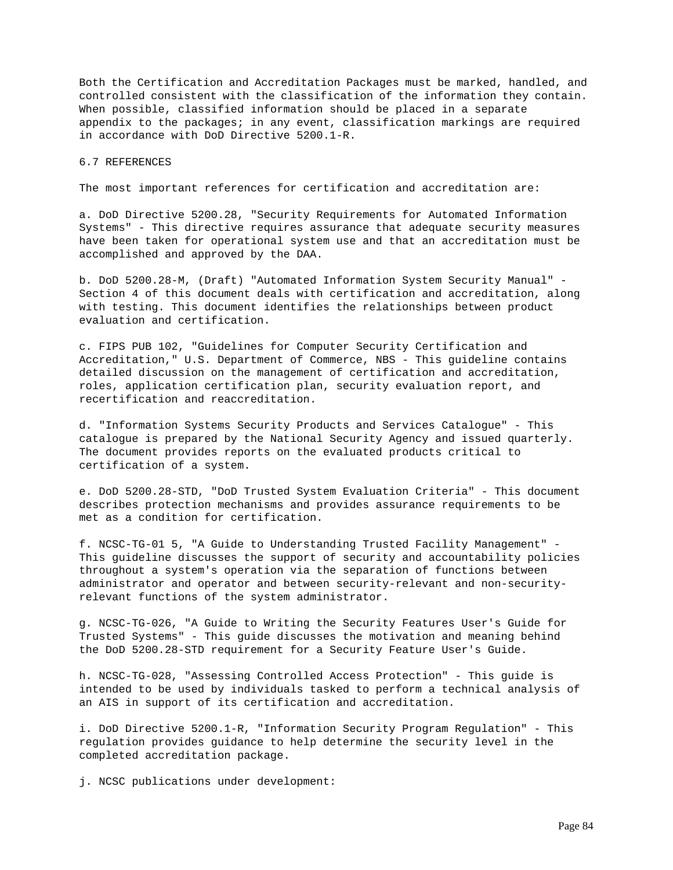Both the Certification and Accreditation Packages must be marked, handled, and controlled consistent with the classification of the information they contain. When possible, classified information should be placed in a separate appendix to the packages; in any event, classification markings are required in accordance with DoD Directive 5200.1-R.

#### 6.7 REFERENCES

The most important references for certification and accreditation are:

a. DoD Directive 5200.28, "Security Requirements for Automated Information Systems" - This directive requires assurance that adequate security measures have been taken for operational system use and that an accreditation must be accomplished and approved by the DAA.

b. DoD 5200.28-M, (Draft) "Automated Information System Security Manual" - Section 4 of this document deals with certification and accreditation, along with testing. This document identifies the relationships between product evaluation and certification.

c. FIPS PUB 102, "Guidelines for Computer Security Certification and Accreditation," U.S. Department of Commerce, NBS - This guideline contains detailed discussion on the management of certification and accreditation, roles, application certification plan, security evaluation report, and recertification and reaccreditation.

d. "Information Systems Security Products and Services Catalogue" - This catalogue is prepared by the National Security Agency and issued quarterly. The document provides reports on the evaluated products critical to certification of a system.

e. DoD 5200.28-STD, "DoD Trusted System Evaluation Criteria" - This document describes protection mechanisms and provides assurance requirements to be met as a condition for certification.

f. NCSC-TG-01 5, "A Guide to Understanding Trusted Facility Management" - This guideline discusses the support of security and accountability policies throughout a system's operation via the separation of functions between administrator and operator and between security-relevant and non-securityrelevant functions of the system administrator.

g. NCSC-TG-026, "A Guide to Writing the Security Features User's Guide for Trusted Systems" - This guide discusses the motivation and meaning behind the DoD 5200.28-STD requirement for a Security Feature User's Guide.

h. NCSC-TG-028, "Assessing Controlled Access Protection" - This guide is intended to be used by individuals tasked to perform a technical analysis of an AIS in support of its certification and accreditation.

i. DoD Directive 5200.1-R, "Information Security Program Regulation" - This regulation provides guidance to help determine the security level in the completed accreditation package.

j. NCSC publications under development: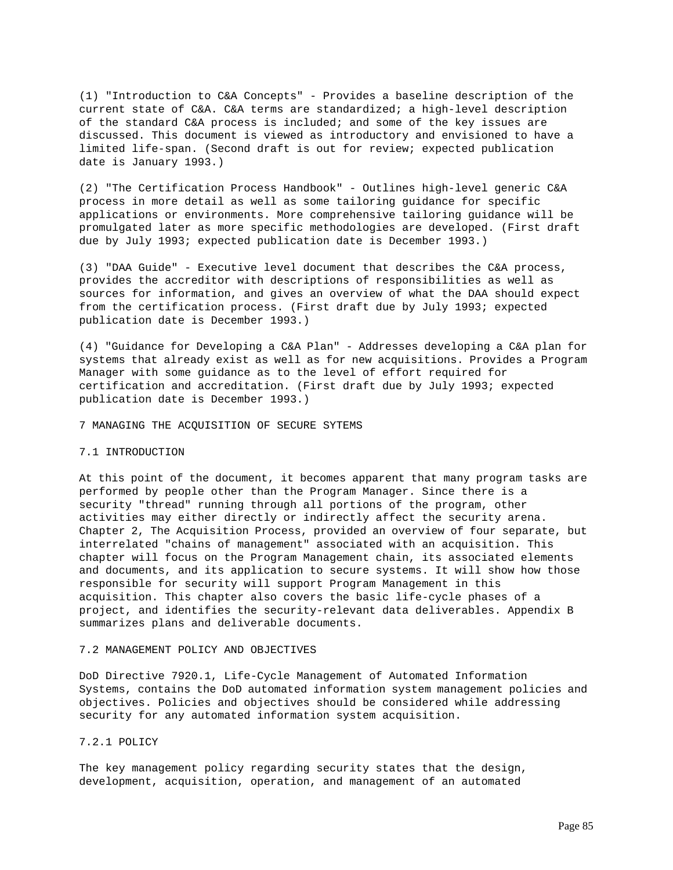(1) "Introduction to C&A Concepts" - Provides a baseline description of the current state of C&A. C&A terms are standardized; a high-level description of the standard C&A process is included; and some of the key issues are discussed. This document is viewed as introductory and envisioned to have a limited life-span. (Second draft is out for review; expected publication date is January 1993.)

(2) "The Certification Process Handbook" - Outlines high-level generic C&A process in more detail as well as some tailoring guidance for specific applications or environments. More comprehensive tailoring guidance will be promulgated later as more specific methodologies are developed. (First draft due by July 1993; expected publication date is December 1993.)

(3) "DAA Guide" - Executive level document that describes the C&A process, provides the accreditor with descriptions of responsibilities as well as sources for information, and gives an overview of what the DAA should expect from the certification process. (First draft due by July 1993; expected publication date is December 1993.)

(4) "Guidance for Developing a C&A Plan" - Addresses developing a C&A plan for systems that already exist as well as for new acquisitions. Provides a Program Manager with some guidance as to the level of effort required for certification and accreditation. (First draft due by July 1993; expected publication date is December 1993.)

7 MANAGING THE ACQUISITION OF SECURE SYTEMS

#### 7.1 INTRODUCTION

At this point of the document, it becomes apparent that many program tasks are performed by people other than the Program Manager. Since there is a security "thread" running through all portions of the program, other activities may either directly or indirectly affect the security arena. Chapter 2, The Acquisition Process, provided an overview of four separate, but interrelated "chains of management" associated with an acquisition. This chapter will focus on the Program Management chain, its associated elements and documents, and its application to secure systems. It will show how those responsible for security will support Program Management in this acquisition. This chapter also covers the basic life-cycle phases of a project, and identifies the security-relevant data deliverables. Appendix B summarizes plans and deliverable documents.

## 7.2 MANAGEMENT POLICY AND OBJECTIVES

DoD Directive 7920.1, Life-Cycle Management of Automated Information Systems, contains the DoD automated information system management policies and objectives. Policies and objectives should be considered while addressing security for any automated information system acquisition.

### 7.2.1 POLICY

The key management policy regarding security states that the design, development, acquisition, operation, and management of an automated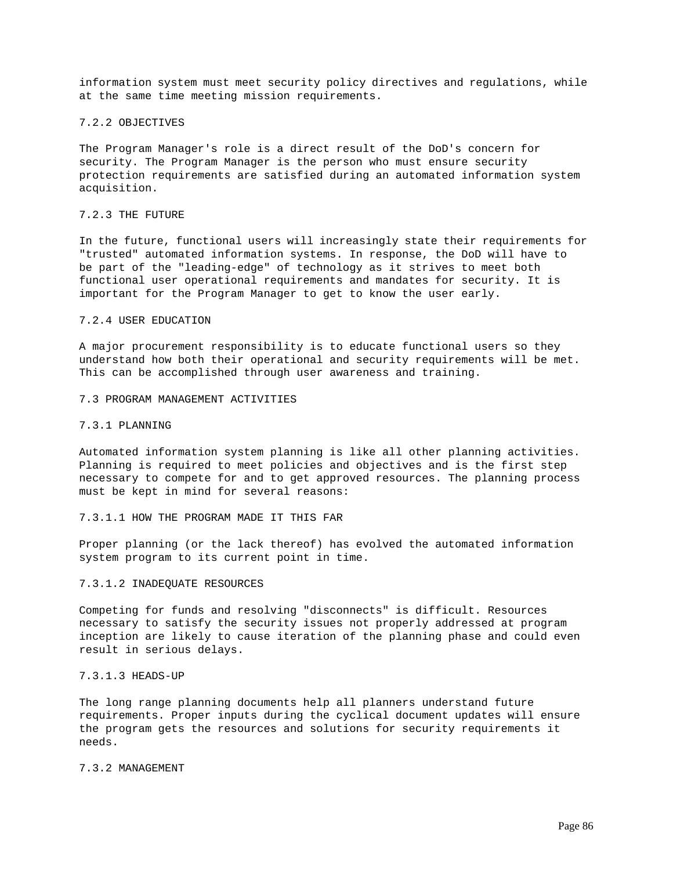information system must meet security policy directives and regulations, while at the same time meeting mission requirements.

#### 7.2.2 OBJECTIVES

The Program Manager's role is a direct result of the DoD's concern for security. The Program Manager is the person who must ensure security protection requirements are satisfied during an automated information system acquisition.

## 7.2.3 THE FUTURE

In the future, functional users will increasingly state their requirements for "trusted" automated information systems. In response, the DoD will have to be part of the "leading-edge" of technology as it strives to meet both functional user operational requirements and mandates for security. It is important for the Program Manager to get to know the user early.

### 7.2.4 USER EDUCATION

A major procurement responsibility is to educate functional users so they understand how both their operational and security requirements will be met. This can be accomplished through user awareness and training.

### 7.3 PROGRAM MANAGEMENT ACTIVITIES

#### 7.3.1 PLANNING

Automated information system planning is like all other planning activities. Planning is required to meet policies and objectives and is the first step necessary to compete for and to get approved resources. The planning process must be kept in mind for several reasons:

7.3.1.1 HOW THE PROGRAM MADE IT THIS FAR

Proper planning (or the lack thereof) has evolved the automated information system program to its current point in time.

#### 7.3.1.2 INADEQUATE RESOURCES

Competing for funds and resolving "disconnects" is difficult. Resources necessary to satisfy the security issues not properly addressed at program inception are likely to cause iteration of the planning phase and could even result in serious delays.

### 7.3.1.3 HEADS-UP

The long range planning documents help all planners understand future requirements. Proper inputs during the cyclical document updates will ensure the program gets the resources and solutions for security requirements it needs.

### 7.3.2 MANAGEMENT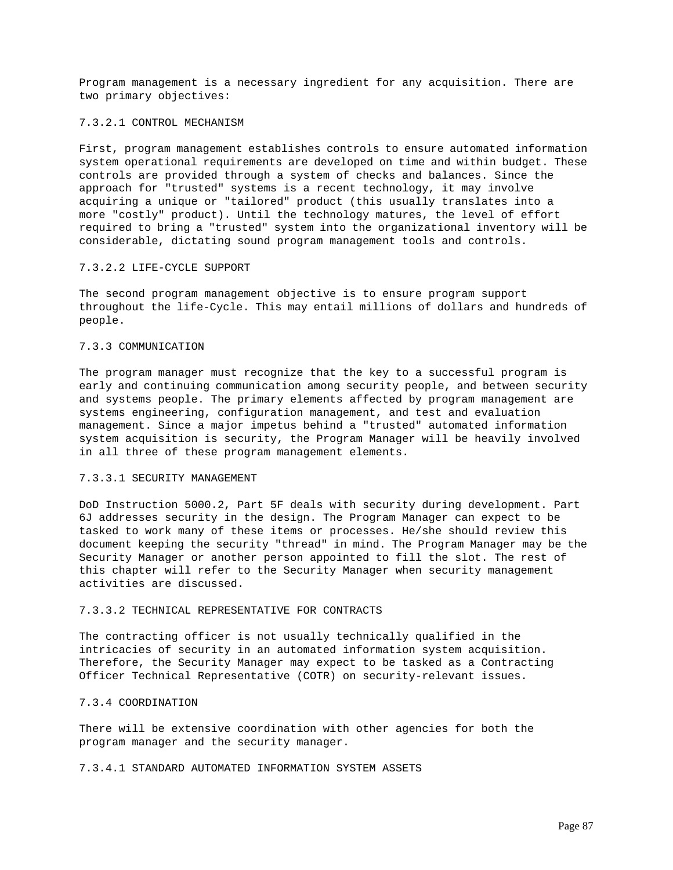Program management is a necessary ingredient for any acquisition. There are two primary objectives:

#### 7.3.2.1 CONTROL MECHANISM

First, program management establishes controls to ensure automated information system operational requirements are developed on time and within budget. These controls are provided through a system of checks and balances. Since the approach for "trusted" systems is a recent technology, it may involve acquiring a unique or "tailored" product (this usually translates into a more "costly" product). Until the technology matures, the level of effort required to bring a "trusted" system into the organizational inventory will be considerable, dictating sound program management tools and controls.

#### 7.3.2.2 LIFE-CYCLE SUPPORT

The second program management objective is to ensure program support throughout the life-Cycle. This may entail millions of dollars and hundreds of people.

### 7.3.3 COMMUNICATION

The program manager must recognize that the key to a successful program is early and continuing communication among security people, and between security and systems people. The primary elements affected by program management are systems engineering, configuration management, and test and evaluation management. Since a major impetus behind a "trusted" automated information system acquisition is security, the Program Manager will be heavily involved in all three of these program management elements.

# 7.3.3.1 SECURITY MANAGEMENT

DoD Instruction 5000.2, Part 5F deals with security during development. Part 6J addresses security in the design. The Program Manager can expect to be tasked to work many of these items or processes. He/she should review this document keeping the security "thread" in mind. The Program Manager may be the Security Manager or another person appointed to fill the slot. The rest of this chapter will refer to the Security Manager when security management activities are discussed.

# 7.3.3.2 TECHNICAL REPRESENTATIVE FOR CONTRACTS

The contracting officer is not usually technically qualified in the intricacies of security in an automated information system acquisition. Therefore, the Security Manager may expect to be tasked as a Contracting Officer Technical Representative (COTR) on security-relevant issues.

### 7.3.4 COORDINATION

There will be extensive coordination with other agencies for both the program manager and the security manager.

7.3.4.1 STANDARD AUTOMATED INFORMATION SYSTEM ASSETS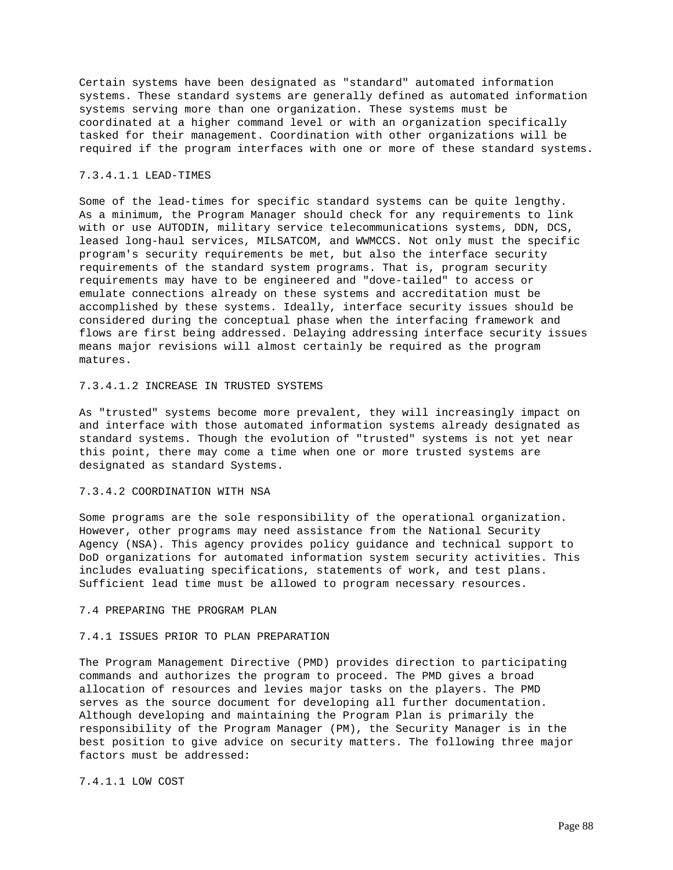Certain systems have been designated as "standard" automated information systems. These standard systems are generally defined as automated information systems serving more than one organization. These systems must be coordinated at a higher command level or with an organization specifically tasked for their management. Coordination with other organizations will be required if the program interfaces with one or more of these standard systems.

# 7.3.4.1.1 LEAD-TIMES

Some of the lead-times for specific standard systems can be quite lengthy. As a minimum, the Program Manager should check for any requirements to link with or use AUTODIN, military service telecommunications systems, DDN, DCS, leased long-haul services, MILSATCOM, and WWMCCS. Not only must the specific program's security requirements be met, but also the interface security requirements of the standard system programs. That is, program security requirements may have to be engineered and "dove-tailed" to access or emulate connections already on these systems and accreditation must be accomplished by these systems. Ideally, interface security issues should be considered during the conceptual phase when the interfacing framework and flows are first being addressed. Delaying addressing interface security issues means major revisions will almost certainly be required as the program matures.

# 7.3.4.1.2 INCREASE IN TRUSTED SYSTEMS

As "trusted" systems become more prevalent, they will increasingly impact on and interface with those automated information systems already designated as standard systems. Though the evolution of "trusted" systems is not yet near this point, there may come a time when one or more trusted systems are designated as standard Systems.

### 7.3.4.2 COORDINATION WITH NSA

Some programs are the sole responsibility of the operational organization. However, other programs may need assistance from the National Security Agency (NSA). This agency provides policy guidance and technical support to DoD organizations for automated information system security activities. This includes evaluating specifications, statements of work, and test plans. Sufficient lead time must be allowed to program necessary resources.

# 7.4 PREPARING THE PROGRAM PLAN

# 7.4.1 ISSUES PRIOR TO PLAN PREPARATION

The Program Management Directive (PMD) provides direction to participating commands and authorizes the program to proceed. The PMD gives a broad allocation of resources and levies major tasks on the players. The PMD serves as the source document for developing all further documentation. Although developing and maintaining the Program Plan is primarily the responsibility of the Program Manager (PM), the Security Manager is in the best position to give advice on security matters. The following three major factors must be addressed:

7.4.1.1 LOW COST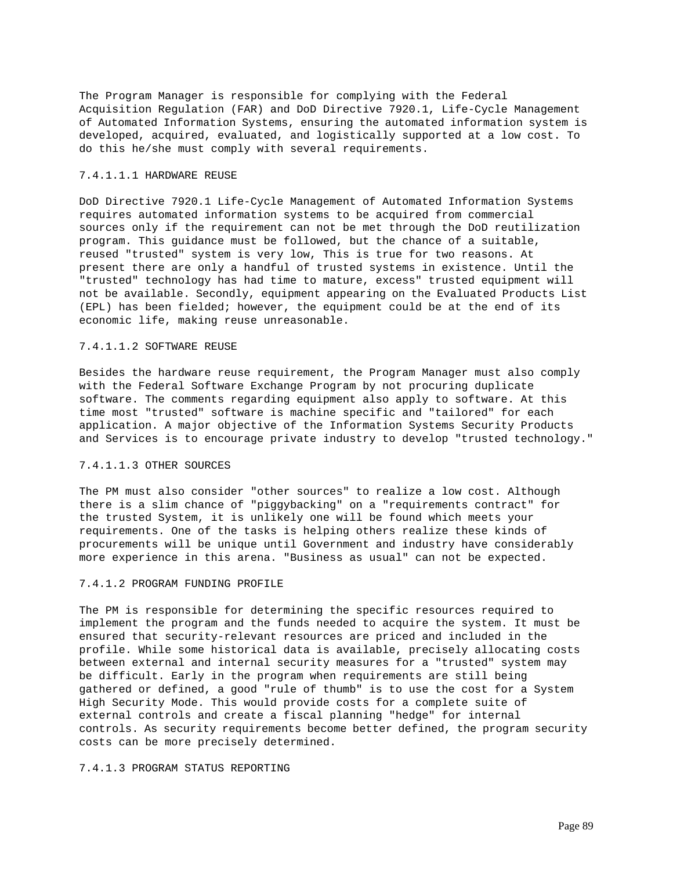The Program Manager is responsible for complying with the Federal Acquisition Regulation (FAR) and DoD Directive 7920.1, Life-Cycle Management of Automated Information Systems, ensuring the automated information system is developed, acquired, evaluated, and logistically supported at a low cost. To do this he/she must comply with several requirements.

## 7.4.1.1.1 HARDWARE REUSE

DoD Directive 7920.1 Life-Cycle Management of Automated Information Systems requires automated information systems to be acquired from commercial sources only if the requirement can not be met through the DoD reutilization program. This guidance must be followed, but the chance of a suitable, reused "trusted" system is very low, This is true for two reasons. At present there are only a handful of trusted systems in existence. Until the "trusted" technology has had time to mature, excess" trusted equipment will not be available. Secondly, equipment appearing on the Evaluated Products List (EPL) has been fielded; however, the equipment could be at the end of its economic life, making reuse unreasonable.

## 7.4.1.1.2 SOFTWARE REUSE

Besides the hardware reuse requirement, the Program Manager must also comply with the Federal Software Exchange Program by not procuring duplicate software. The comments regarding equipment also apply to software. At this time most "trusted" software is machine specific and "tailored" for each application. A major objective of the Information Systems Security Products and Services is to encourage private industry to develop "trusted technology."

# 7.4.1.1.3 OTHER SOURCES

The PM must also consider "other sources" to realize a low cost. Although there is a slim chance of "piggybacking" on a "requirements contract" for the trusted System, it is unlikely one will be found which meets your requirements. One of the tasks is helping others realize these kinds of procurements will be unique until Government and industry have considerably more experience in this arena. "Business as usual" can not be expected.

## 7.4.1.2 PROGRAM FUNDING PROFILE

The PM is responsible for determining the specific resources required to implement the program and the funds needed to acquire the system. It must be ensured that security-relevant resources are priced and included in the profile. While some historical data is available, precisely allocating costs between external and internal security measures for a "trusted" system may be difficult. Early in the program when requirements are still being gathered or defined, a good "rule of thumb" is to use the cost for a System High Security Mode. This would provide costs for a complete suite of external controls and create a fiscal planning "hedge" for internal controls. As security requirements become better defined, the program security costs can be more precisely determined.

# 7.4.1.3 PROGRAM STATUS REPORTING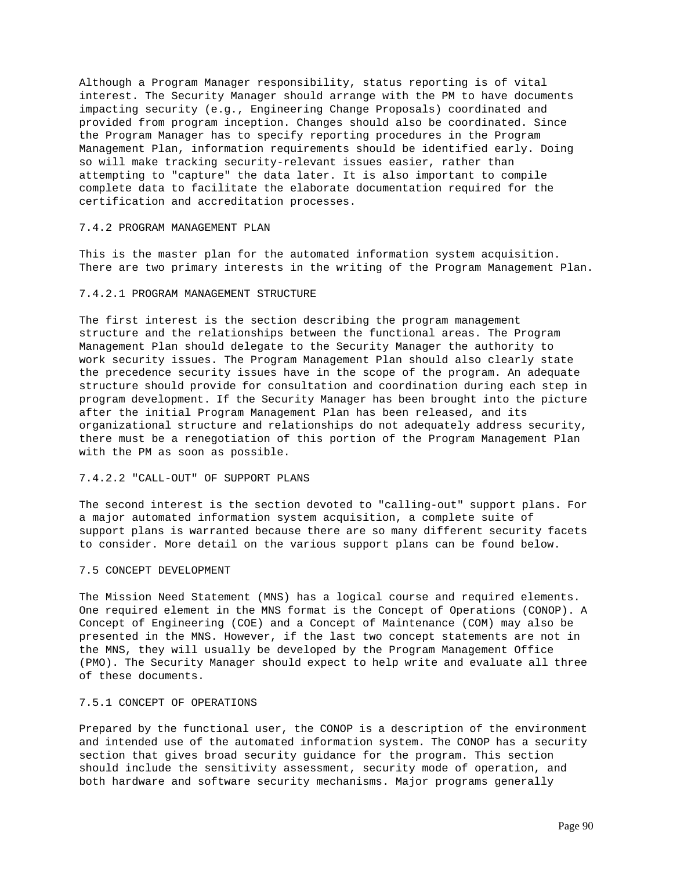Although a Program Manager responsibility, status reporting is of vital interest. The Security Manager should arrange with the PM to have documents impacting security (e.g., Engineering Change Proposals) coordinated and provided from program inception. Changes should also be coordinated. Since the Program Manager has to specify reporting procedures in the Program Management Plan, information requirements should be identified early. Doing so will make tracking security-relevant issues easier, rather than attempting to "capture" the data later. It is also important to compile complete data to facilitate the elaborate documentation required for the certification and accreditation processes.

### 7.4.2 PROGRAM MANAGEMENT PLAN

This is the master plan for the automated information system acquisition. There are two primary interests in the writing of the Program Management Plan.

# 7.4.2.1 PROGRAM MANAGEMENT STRUCTURE

The first interest is the section describing the program management structure and the relationships between the functional areas. The Program Management Plan should delegate to the Security Manager the authority to work security issues. The Program Management Plan should also clearly state the precedence security issues have in the scope of the program. An adequate structure should provide for consultation and coordination during each step in program development. If the Security Manager has been brought into the picture after the initial Program Management Plan has been released, and its organizational structure and relationships do not adequately address security, there must be a renegotiation of this portion of the Program Management Plan with the PM as soon as possible.

# 7.4.2.2 "CALL-OUT" OF SUPPORT PLANS

The second interest is the section devoted to "calling-out" support plans. For a major automated information system acquisition, a complete suite of support plans is warranted because there are so many different security facets to consider. More detail on the various support plans can be found below.

#### 7.5 CONCEPT DEVELOPMENT

The Mission Need Statement (MNS) has a logical course and required elements. One required element in the MNS format is the Concept of Operations (CONOP). A Concept of Engineering (COE) and a Concept of Maintenance (COM) may also be presented in the MNS. However, if the last two concept statements are not in the MNS, they will usually be developed by the Program Management Office (PMO). The Security Manager should expect to help write and evaluate all three of these documents.

### 7.5.1 CONCEPT OF OPERATIONS

Prepared by the functional user, the CONOP is a description of the environment and intended use of the automated information system. The CONOP has a security section that gives broad security guidance for the program. This section should include the sensitivity assessment, security mode of operation, and both hardware and software security mechanisms. Major programs generally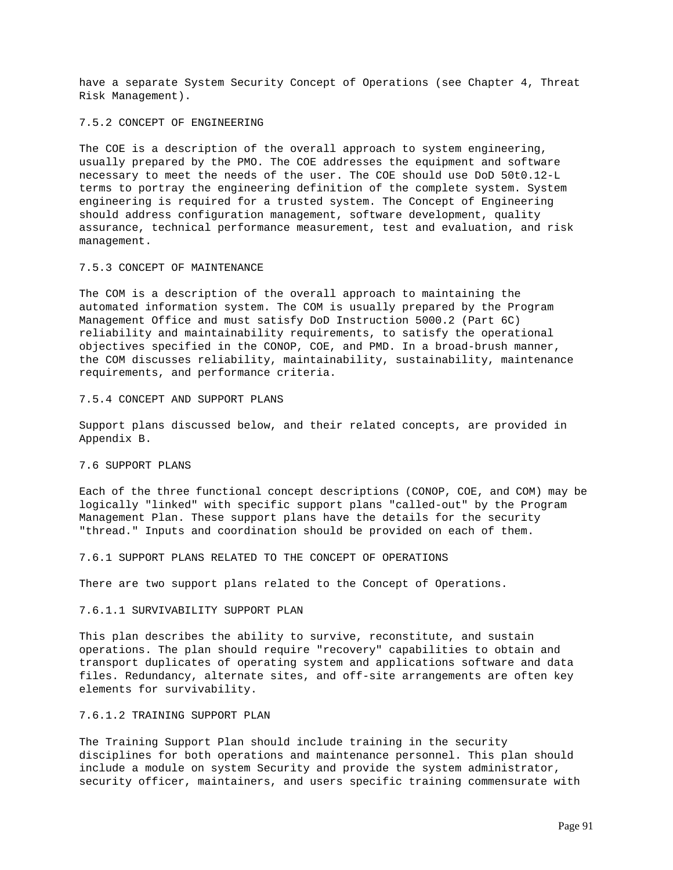have a separate System Security Concept of Operations (see Chapter 4, Threat Risk Management).

#### 7.5.2 CONCEPT OF ENGINEERING

The COE is a description of the overall approach to system engineering, usually prepared by the PMO. The COE addresses the equipment and software necessary to meet the needs of the user. The COE should use DoD 50t0.12-L terms to portray the engineering definition of the complete system. System engineering is required for a trusted system. The Concept of Engineering should address configuration management, software development, quality assurance, technical performance measurement, test and evaluation, and risk management.

#### 7.5.3 CONCEPT OF MAINTENANCE

The COM is a description of the overall approach to maintaining the automated information system. The COM is usually prepared by the Program Management Office and must satisfy DoD Instruction 5000.2 (Part 6C) reliability and maintainability requirements, to satisfy the operational objectives specified in the CONOP, COE, and PMD. In a broad-brush manner, the COM discusses reliability, maintainability, sustainability, maintenance requirements, and performance criteria.

### 7.5.4 CONCEPT AND SUPPORT PLANS

Support plans discussed below, and their related concepts, are provided in Appendix B.

# 7.6 SUPPORT PLANS

Each of the three functional concept descriptions (CONOP, COE, and COM) may be logically "linked" with specific support plans "called-out" by the Program Management Plan. These support plans have the details for the security "thread." Inputs and coordination should be provided on each of them.

#### 7.6.1 SUPPORT PLANS RELATED TO THE CONCEPT OF OPERATIONS

There are two support plans related to the Concept of Operations.

### 7.6.1.1 SURVIVABILITY SUPPORT PLAN

This plan describes the ability to survive, reconstitute, and sustain operations. The plan should require "recovery" capabilities to obtain and transport duplicates of operating system and applications software and data files. Redundancy, alternate sites, and off-site arrangements are often key elements for survivability.

#### 7.6.1.2 TRAINING SUPPORT PLAN

The Training Support Plan should include training in the security disciplines for both operations and maintenance personnel. This plan should include a module on system Security and provide the system administrator, security officer, maintainers, and users specific training commensurate with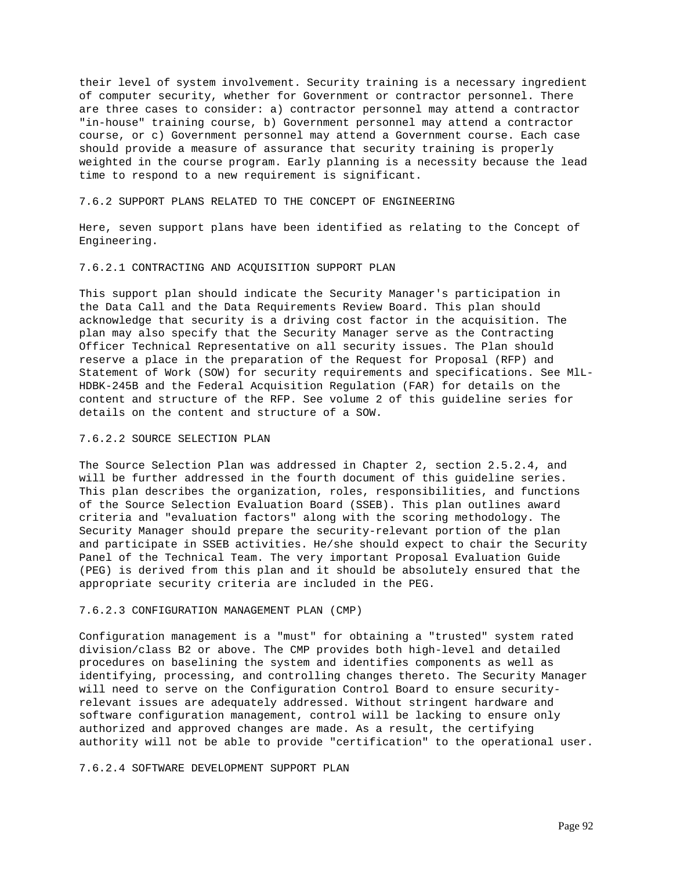their level of system involvement. Security training is a necessary ingredient of computer security, whether for Government or contractor personnel. There are three cases to consider: a) contractor personnel may attend a contractor "in-house" training course, b) Government personnel may attend a contractor course, or c) Government personnel may attend a Government course. Each case should provide a measure of assurance that security training is properly weighted in the course program. Early planning is a necessity because the lead time to respond to a new requirement is significant.

#### 7.6.2 SUPPORT PLANS RELATED TO THE CONCEPT OF ENGINEERING

Here, seven support plans have been identified as relating to the Concept of Engineering.

## 7.6.2.1 CONTRACTING AND ACQUISITION SUPPORT PLAN

This support plan should indicate the Security Manager's participation in the Data Call and the Data Requirements Review Board. This plan should acknowledge that security is a driving cost factor in the acquisition. The plan may also specify that the Security Manager serve as the Contracting Officer Technical Representative on all security issues. The Plan should reserve a place in the preparation of the Request for Proposal (RFP) and Statement of Work (SOW) for security requirements and specifications. See MlL-HDBK-245B and the Federal Acquisition Regulation (FAR) for details on the content and structure of the RFP. See volume 2 of this guideline series for details on the content and structure of a SOW.

# 7.6.2.2 SOURCE SELECTION PLAN

The Source Selection Plan was addressed in Chapter 2, section 2.5.2.4, and will be further addressed in the fourth document of this guideline series. This plan describes the organization, roles, responsibilities, and functions of the Source Selection Evaluation Board (SSEB). This plan outlines award criteria and "evaluation factors" along with the scoring methodology. The Security Manager should prepare the security-relevant portion of the plan and participate in SSEB activities. He/she should expect to chair the Security Panel of the Technical Team. The very important Proposal Evaluation Guide (PEG) is derived from this plan and it should be absolutely ensured that the appropriate security criteria are included in the PEG.

### 7.6.2.3 CONFIGURATION MANAGEMENT PLAN (CMP)

Configuration management is a "must" for obtaining a "trusted" system rated division/class B2 or above. The CMP provides both high-level and detailed procedures on baselining the system and identifies components as well as identifying, processing, and controlling changes thereto. The Security Manager will need to serve on the Configuration Control Board to ensure securityrelevant issues are adequately addressed. Without stringent hardware and software configuration management, control will be lacking to ensure only authorized and approved changes are made. As a result, the certifying authority will not be able to provide "certification" to the operational user.

7.6.2.4 SOFTWARE DEVELOPMENT SUPPORT PLAN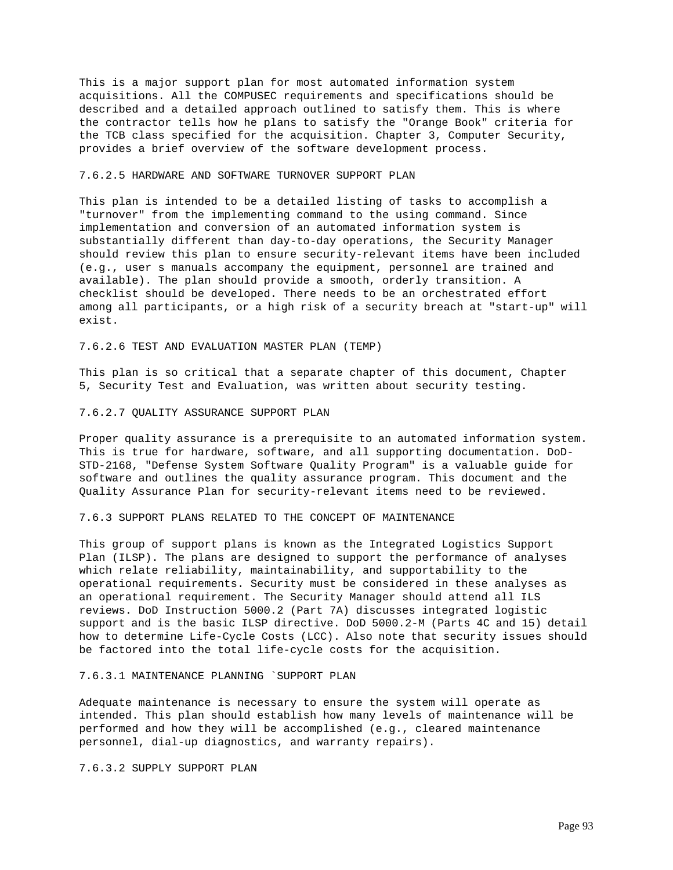This is a major support plan for most automated information system acquisitions. All the COMPUSEC requirements and specifications should be described and a detailed approach outlined to satisfy them. This is where the contractor tells how he plans to satisfy the "Orange Book" criteria for the TCB class specified for the acquisition. Chapter 3, Computer Security, provides a brief overview of the software development process.

# 7.6.2.5 HARDWARE AND SOFTWARE TURNOVER SUPPORT PLAN

This plan is intended to be a detailed listing of tasks to accomplish a "turnover" from the implementing command to the using command. Since implementation and conversion of an automated information system is substantially different than day-to-day operations, the Security Manager should review this plan to ensure security-relevant items have been included (e.g., user s manuals accompany the equipment, personnel are trained and available). The plan should provide a smooth, orderly transition. A checklist should be developed. There needs to be an orchestrated effort among all participants, or a high risk of a security breach at "start-up" will exist.

7.6.2.6 TEST AND EVALUATION MASTER PLAN (TEMP)

This plan is so critical that a separate chapter of this document, Chapter 5, Security Test and Evaluation, was written about security testing.

### 7.6.2.7 QUALITY ASSURANCE SUPPORT PLAN

Proper quality assurance is a prerequisite to an automated information system. This is true for hardware, software, and all supporting documentation. DoD-STD-2168, "Defense System Software Quality Program" is a valuable guide for software and outlines the quality assurance program. This document and the Quality Assurance Plan for security-relevant items need to be reviewed.

7.6.3 SUPPORT PLANS RELATED TO THE CONCEPT OF MAINTENANCE

This group of support plans is known as the Integrated Logistics Support Plan (ILSP). The plans are designed to support the performance of analyses which relate reliability, maintainability, and supportability to the operational requirements. Security must be considered in these analyses as an operational requirement. The Security Manager should attend all ILS reviews. DoD Instruction 5000.2 (Part 7A) discusses integrated logistic support and is the basic ILSP directive. DoD 5000.2-M (Parts 4C and 15) detail how to determine Life-Cycle Costs (LCC). Also note that security issues should be factored into the total life-cycle costs for the acquisition.

### 7.6.3.1 MAINTENANCE PLANNING `SUPPORT PLAN

Adequate maintenance is necessary to ensure the system will operate as intended. This plan should establish how many levels of maintenance will be performed and how they will be accomplished (e.g., cleared maintenance personnel, dial-up diagnostics, and warranty repairs).

7.6.3.2 SUPPLY SUPPORT PLAN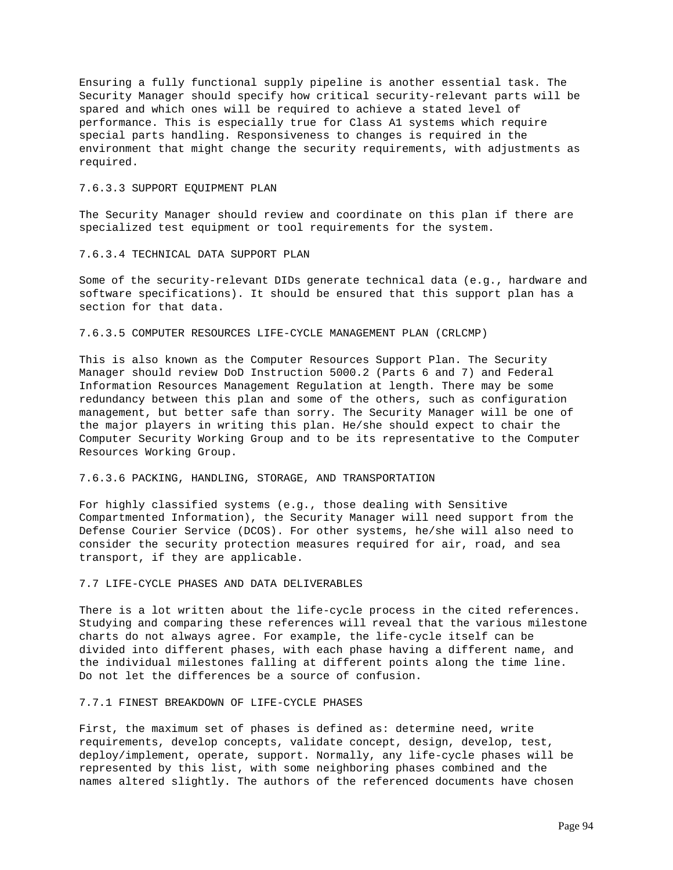Ensuring a fully functional supply pipeline is another essential task. The Security Manager should specify how critical security-relevant parts will be spared and which ones will be required to achieve a stated level of performance. This is especially true for Class A1 systems which require special parts handling. Responsiveness to changes is required in the environment that might change the security requirements, with adjustments as required.

### 7.6.3.3 SUPPORT EQUIPMENT PLAN

The Security Manager should review and coordinate on this plan if there are specialized test equipment or tool requirements for the system.

#### 7.6.3.4 TECHNICAL DATA SUPPORT PLAN

Some of the security-relevant DIDs generate technical data (e.g., hardware and software specifications). It should be ensured that this support plan has a section for that data.

### 7.6.3.5 COMPUTER RESOURCES LIFE-CYCLE MANAGEMENT PLAN (CRLCMP)

This is also known as the Computer Resources Support Plan. The Security Manager should review DoD Instruction 5000.2 (Parts 6 and 7) and Federal Information Resources Management Regulation at length. There may be some redundancy between this plan and some of the others, such as configuration management, but better safe than sorry. The Security Manager will be one of the major players in writing this plan. He/she should expect to chair the Computer Security Working Group and to be its representative to the Computer Resources Working Group.

### 7.6.3.6 PACKING, HANDLING, STORAGE, AND TRANSPORTATION

For highly classified systems (e.g., those dealing with Sensitive Compartmented Information), the Security Manager will need support from the Defense Courier Service (DCOS). For other systems, he/she will also need to consider the security protection measures required for air, road, and sea transport, if they are applicable.

## 7.7 LIFE-CYCLE PHASES AND DATA DELIVERABLES

There is a lot written about the life-cycle process in the cited references. Studying and comparing these references will reveal that the various milestone charts do not always agree. For example, the life-cycle itself can be divided into different phases, with each phase having a different name, and the individual milestones falling at different points along the time line. Do not let the differences be a source of confusion.

### 7.7.1 FINEST BREAKDOWN OF LIFE-CYCLE PHASES

First, the maximum set of phases is defined as: determine need, write requirements, develop concepts, validate concept, design, develop, test, deploy/implement, operate, support. Normally, any life-cycle phases will be represented by this list, with some neighboring phases combined and the names altered slightly. The authors of the referenced documents have chosen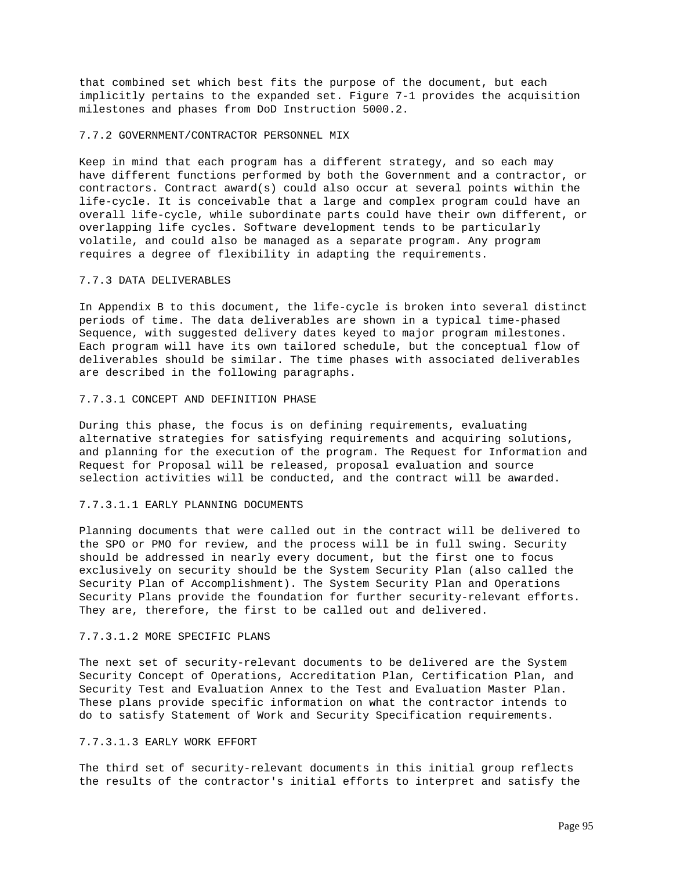that combined set which best fits the purpose of the document, but each implicitly pertains to the expanded set. Figure 7-1 provides the acquisition milestones and phases from DoD Instruction 5000.2.

#### 7.7.2 GOVERNMENT/CONTRACTOR PERSONNEL MIX

Keep in mind that each program has a different strategy, and so each may have different functions performed by both the Government and a contractor, or contractors. Contract award(s) could also occur at several points within the life-cycle. It is conceivable that a large and complex program could have an overall life-cycle, while subordinate parts could have their own different, or overlapping life cycles. Software development tends to be particularly volatile, and could also be managed as a separate program. Any program requires a degree of flexibility in adapting the requirements.

#### 7.7.3 DATA DELIVERABLES

In Appendix B to this document, the life-cycle is broken into several distinct periods of time. The data deliverables are shown in a typical time-phased Sequence, with suggested delivery dates keyed to major program milestones. Each program will have its own tailored schedule, but the conceptual flow of deliverables should be similar. The time phases with associated deliverables are described in the following paragraphs.

#### 7.7.3.1 CONCEPT AND DEFINITION PHASE

During this phase, the focus is on defining requirements, evaluating alternative strategies for satisfying requirements and acquiring solutions, and planning for the execution of the program. The Request for Information and Request for Proposal will be released, proposal evaluation and source selection activities will be conducted, and the contract will be awarded.

#### 7.7.3.1.1 EARLY PLANNING DOCUMENTS

Planning documents that were called out in the contract will be delivered to the SPO or PMO for review, and the process will be in full swing. Security should be addressed in nearly every document, but the first one to focus exclusively on security should be the System Security Plan (also called the Security Plan of Accomplishment). The System Security Plan and Operations Security Plans provide the foundation for further security-relevant efforts. They are, therefore, the first to be called out and delivered.

### 7.7.3.1.2 MORE SPECIFIC PLANS

The next set of security-relevant documents to be delivered are the System Security Concept of Operations, Accreditation Plan, Certification Plan, and Security Test and Evaluation Annex to the Test and Evaluation Master Plan. These plans provide specific information on what the contractor intends to do to satisfy Statement of Work and Security Specification requirements.

### 7.7.3.1.3 EARLY WORK EFFORT

The third set of security-relevant documents in this initial group reflects the results of the contractor's initial efforts to interpret and satisfy the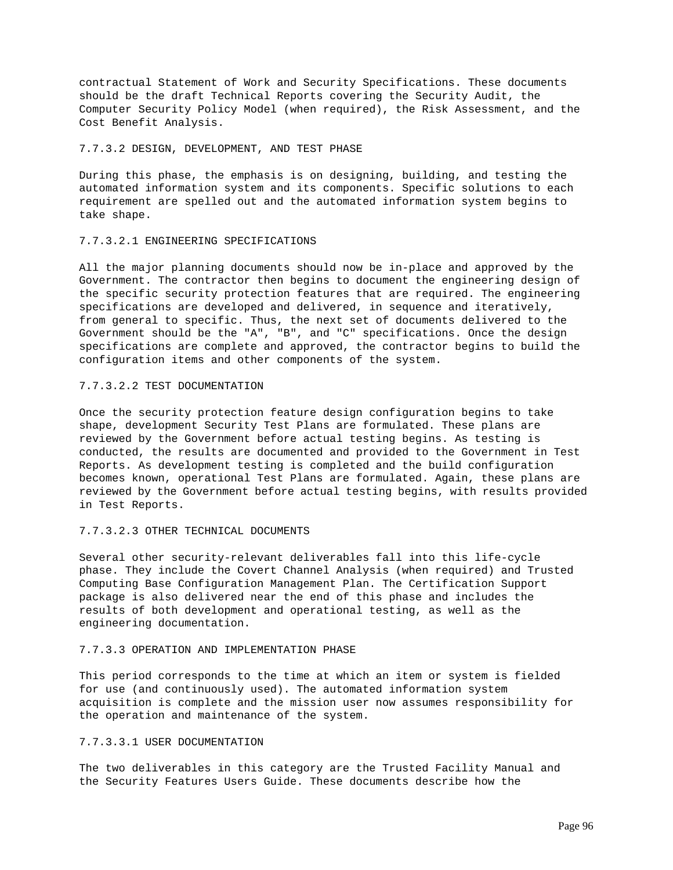contractual Statement of Work and Security Specifications. These documents should be the draft Technical Reports covering the Security Audit, the Computer Security Policy Model (when required), the Risk Assessment, and the Cost Benefit Analysis.

## 7.7.3.2 DESIGN, DEVELOPMENT, AND TEST PHASE

During this phase, the emphasis is on designing, building, and testing the automated information system and its components. Specific solutions to each requirement are spelled out and the automated information system begins to take shape.

### 7.7.3.2.1 ENGINEERING SPECIFICATIONS

All the major planning documents should now be in-place and approved by the Government. The contractor then begins to document the engineering design of the specific security protection features that are required. The engineering specifications are developed and delivered, in sequence and iteratively, from general to specific. Thus, the next set of documents delivered to the Government should be the "A", "B", and "C" specifications. Once the design specifications are complete and approved, the contractor begins to build the configuration items and other components of the system.

## 7.7.3.2.2 TEST DOCUMENTATION

Once the security protection feature design configuration begins to take shape, development Security Test Plans are formulated. These plans are reviewed by the Government before actual testing begins. As testing is conducted, the results are documented and provided to the Government in Test Reports. As development testing is completed and the build configuration becomes known, operational Test Plans are formulated. Again, these plans are reviewed by the Government before actual testing begins, with results provided in Test Reports.

### 7.7.3.2.3 OTHER TECHNICAL DOCUMENTS

Several other security-relevant deliverables fall into this life-cycle phase. They include the Covert Channel Analysis (when required) and Trusted Computing Base Configuration Management Plan. The Certification Support package is also delivered near the end of this phase and includes the results of both development and operational testing, as well as the engineering documentation.

# 7.7.3.3 OPERATION AND IMPLEMENTATION PHASE

This period corresponds to the time at which an item or system is fielded for use (and continuously used). The automated information system acquisition is complete and the mission user now assumes responsibility for the operation and maintenance of the system.

# 7.7.3.3.1 USER DOCUMENTATION

The two deliverables in this category are the Trusted Facility Manual and the Security Features Users Guide. These documents describe how the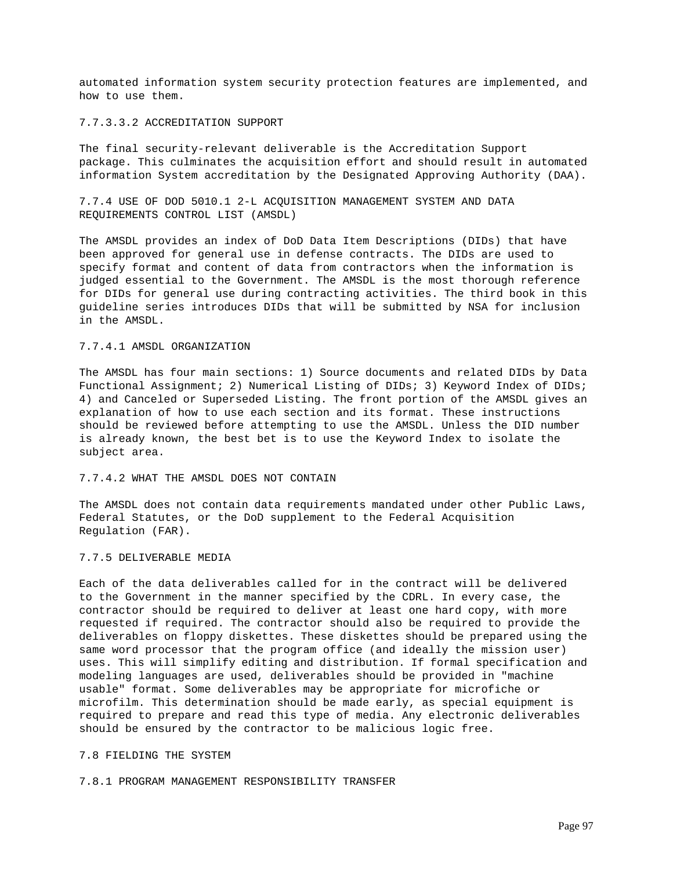automated information system security protection features are implemented, and how to use them.

### 7.7.3.3.2 ACCREDITATION SUPPORT

The final security-relevant deliverable is the Accreditation Support package. This culminates the acquisition effort and should result in automated information System accreditation by the Designated Approving Authority (DAA).

7.7.4 USE OF DOD 5010.1 2-L ACQUISITION MANAGEMENT SYSTEM AND DATA REQUIREMENTS CONTROL LIST (AMSDL)

The AMSDL provides an index of DoD Data Item Descriptions (DIDs) that have been approved for general use in defense contracts. The DIDs are used to specify format and content of data from contractors when the information is judged essential to the Government. The AMSDL is the most thorough reference for DIDs for general use during contracting activities. The third book in this guideline series introduces DIDs that will be submitted by NSA for inclusion in the AMSDL.

### 7.7.4.1 AMSDL ORGANIZATION

The AMSDL has four main sections: 1) Source documents and related DIDs by Data Functional Assignment; 2) Numerical Listing of DIDs; 3) Keyword Index of DIDs; 4) and Canceled or Superseded Listing. The front portion of the AMSDL gives an explanation of how to use each section and its format. These instructions should be reviewed before attempting to use the AMSDL. Unless the DID number is already known, the best bet is to use the Keyword Index to isolate the subject area.

# 7.7.4.2 WHAT THE AMSDL DOES NOT CONTAIN

The AMSDL does not contain data requirements mandated under other Public Laws, Federal Statutes, or the DoD supplement to the Federal Acquisition Regulation (FAR).

### 7.7.5 DELIVERABLE MEDIA

Each of the data deliverables called for in the contract will be delivered to the Government in the manner specified by the CDRL. In every case, the contractor should be required to deliver at least one hard copy, with more requested if required. The contractor should also be required to provide the deliverables on floppy diskettes. These diskettes should be prepared using the same word processor that the program office (and ideally the mission user) uses. This will simplify editing and distribution. If formal specification and modeling languages are used, deliverables should be provided in "machine usable" format. Some deliverables may be appropriate for microfiche or microfilm. This determination should be made early, as special equipment is required to prepare and read this type of media. Any electronic deliverables should be ensured by the contractor to be malicious logic free.

### 7.8 FIELDING THE SYSTEM

7.8.1 PROGRAM MANAGEMENT RESPONSIBILITY TRANSFER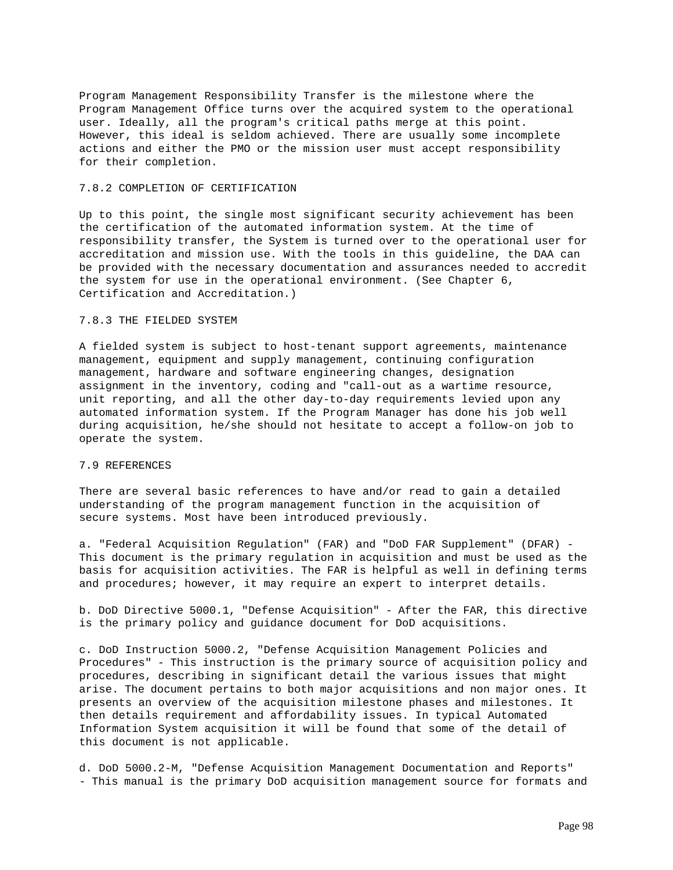Program Management Responsibility Transfer is the milestone where the Program Management Office turns over the acquired system to the operational user. Ideally, all the program's critical paths merge at this point. However, this ideal is seldom achieved. There are usually some incomplete actions and either the PMO or the mission user must accept responsibility for their completion.

# 7.8.2 COMPLETION OF CERTIFICATION

Up to this point, the single most significant security achievement has been the certification of the automated information system. At the time of responsibility transfer, the System is turned over to the operational user for accreditation and mission use. With the tools in this guideline, the DAA can be provided with the necessary documentation and assurances needed to accredit the system for use in the operational environment. (See Chapter 6, Certification and Accreditation.)

# 7.8.3 THE FIELDED SYSTEM

A fielded system is subject to host-tenant support agreements, maintenance management, equipment and supply management, continuing configuration management, hardware and software engineering changes, designation assignment in the inventory, coding and "call-out as a wartime resource, unit reporting, and all the other day-to-day requirements levied upon any automated information system. If the Program Manager has done his job well during acquisition, he/she should not hesitate to accept a follow-on job to operate the system.

#### 7.9 REFERENCES

There are several basic references to have and/or read to gain a detailed understanding of the program management function in the acquisition of secure systems. Most have been introduced previously.

a. "Federal Acquisition Regulation" (FAR) and "DoD FAR Supplement" (DFAR) - This document is the primary regulation in acquisition and must be used as the basis for acquisition activities. The FAR is helpful as well in defining terms and procedures; however, it may require an expert to interpret details.

b. DoD Directive 5000.1, "Defense Acquisition" - After the FAR, this directive is the primary policy and guidance document for DoD acquisitions.

c. DoD Instruction 5000.2, "Defense Acquisition Management Policies and Procedures" - This instruction is the primary source of acquisition policy and procedures, describing in significant detail the various issues that might arise. The document pertains to both major acquisitions and non major ones. It presents an overview of the acquisition milestone phases and milestones. It then details requirement and affordability issues. In typical Automated Information System acquisition it will be found that some of the detail of this document is not applicable.

d. DoD 5000.2-M, "Defense Acquisition Management Documentation and Reports" - This manual is the primary DoD acquisition management source for formats and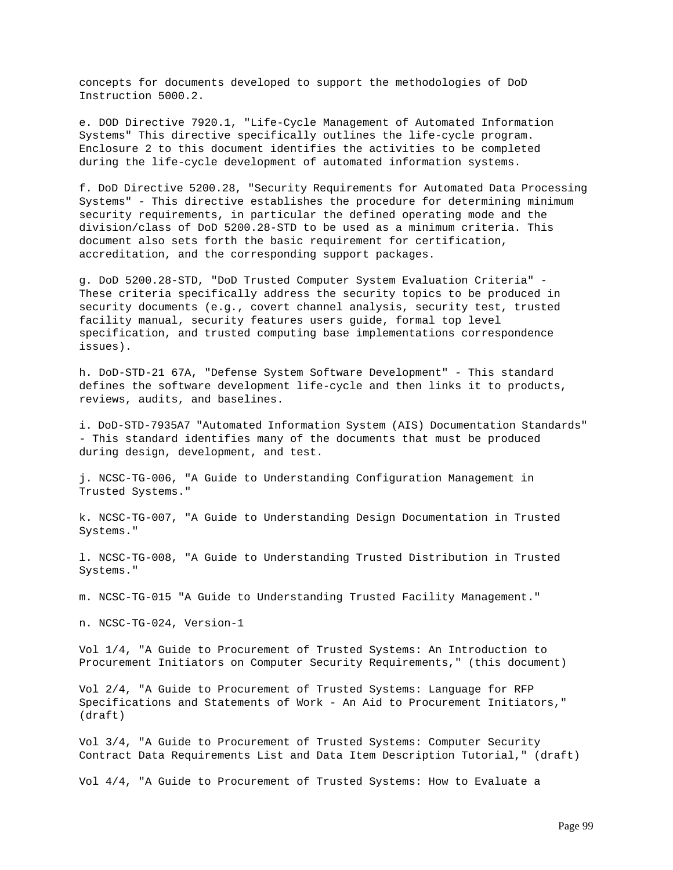concepts for documents developed to support the methodologies of DoD Instruction 5000.2.

e. DOD Directive 7920.1, "Life-Cycle Management of Automated Information Systems" This directive specifically outlines the life-cycle program. Enclosure 2 to this document identifies the activities to be completed during the life-cycle development of automated information systems.

f. DoD Directive 5200.28, "Security Requirements for Automated Data Processing Systems" - This directive establishes the procedure for determining minimum security requirements, in particular the defined operating mode and the division/class of DoD 5200.28-STD to be used as a minimum criteria. This document also sets forth the basic requirement for certification, accreditation, and the corresponding support packages.

g. DoD 5200.28-STD, "DoD Trusted Computer System Evaluation Criteria" - These criteria specifically address the security topics to be produced in security documents (e.g., covert channel analysis, security test, trusted facility manual, security features users guide, formal top level specification, and trusted computing base implementations correspondence issues).

h. DoD-STD-21 67A, "Defense System Software Development" - This standard defines the software development life-cycle and then links it to products, reviews, audits, and baselines.

i. DoD-STD-7935A7 "Automated Information System (AIS) Documentation Standards" - This standard identifies many of the documents that must be produced during design, development, and test.

j. NCSC-TG-006, "A Guide to Understanding Configuration Management in Trusted Systems."

k. NCSC-TG-007, "A Guide to Understanding Design Documentation in Trusted Systems."

l. NCSC-TG-008, "A Guide to Understanding Trusted Distribution in Trusted Systems."

m. NCSC-TG-015 "A Guide to Understanding Trusted Facility Management."

n. NCSC-TG-024, Version-1

Vol 1/4, "A Guide to Procurement of Trusted Systems: An Introduction to Procurement Initiators on Computer Security Requirements," (this document)

Vol 2/4, "A Guide to Procurement of Trusted Systems: Language for RFP Specifications and Statements of Work - An Aid to Procurement Initiators," (draft)

Vol 3/4, "A Guide to Procurement of Trusted Systems: Computer Security Contract Data Requirements List and Data Item Description Tutorial," (draft)

Vol 4/4, "A Guide to Procurement of Trusted Systems: How to Evaluate a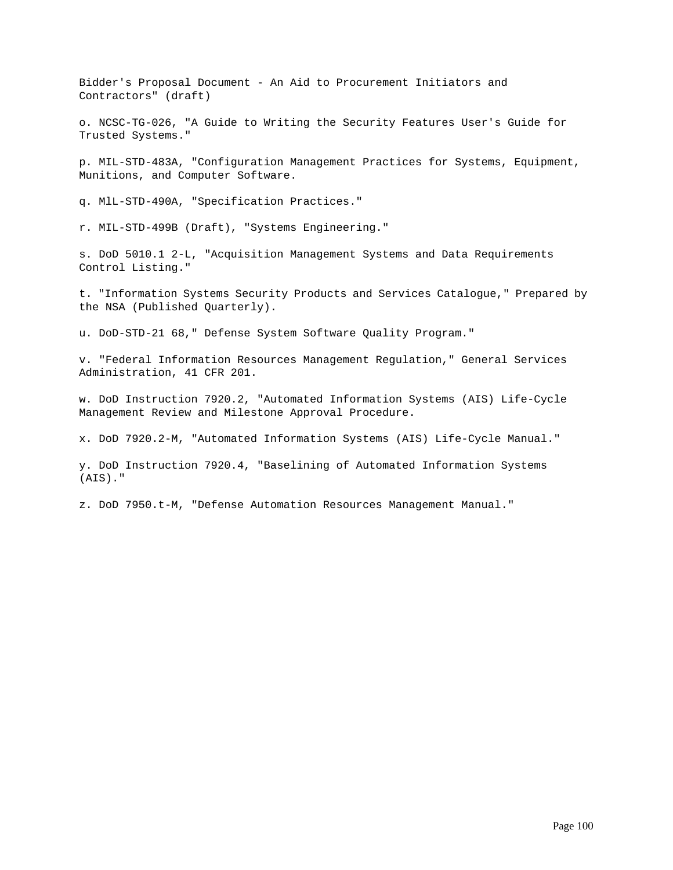Bidder's Proposal Document - An Aid to Procurement Initiators and Contractors" (draft)

o. NCSC-TG-026, "A Guide to Writing the Security Features User's Guide for Trusted Systems."

p. MIL-STD-483A, "Configuration Management Practices for Systems, Equipment, Munitions, and Computer Software.

q. MlL-STD-490A, "Specification Practices."

r. MIL-STD-499B (Draft), "Systems Engineering."

s. DoD 5010.1 2-L, "Acquisition Management Systems and Data Requirements Control Listing."

t. "Information Systems Security Products and Services Catalogue," Prepared by the NSA (Published Quarterly).

u. DoD-STD-21 68," Defense System Software Quality Program."

v. "Federal Information Resources Management Regulation," General Services Administration, 41 CFR 201.

w. DoD Instruction 7920.2, "Automated Information Systems (AIS) Life-Cycle Management Review and Milestone Approval Procedure.

x. DoD 7920.2-M, "Automated Information Systems (AIS) Life-Cycle Manual."

y. DoD Instruction 7920.4, "Baselining of Automated Information Systems (AIS)."

z. DoD 7950.t-M, "Defense Automation Resources Management Manual."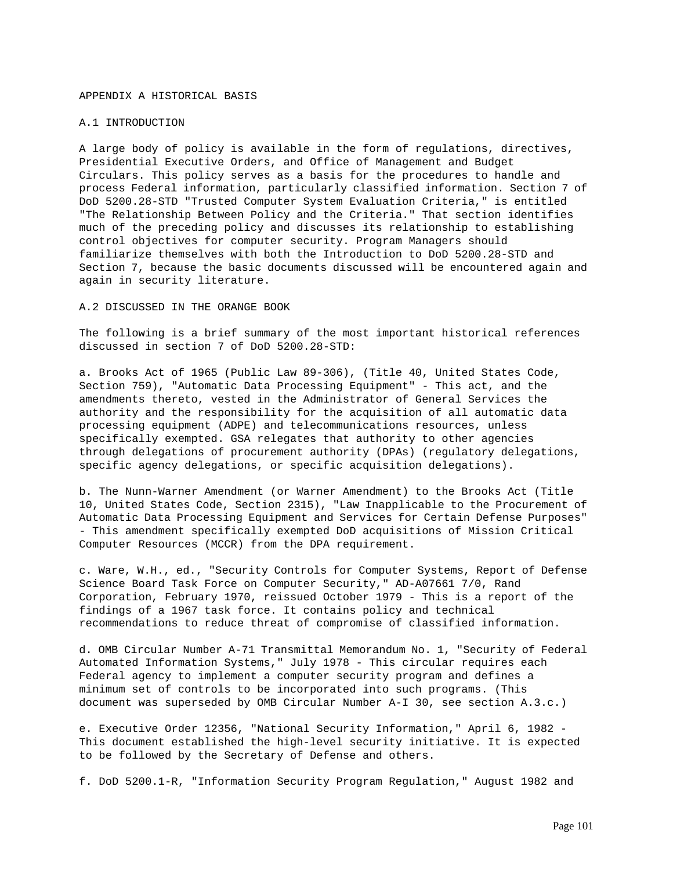#### APPENDIX A HISTORICAL BASIS

### A.1 INTRODUCTION

A large body of policy is available in the form of regulations, directives, Presidential Executive Orders, and Office of Management and Budget Circulars. This policy serves as a basis for the procedures to handle and process Federal information, particularly classified information. Section 7 of DoD 5200.28-STD "Trusted Computer System Evaluation Criteria," is entitled "The Relationship Between Policy and the Criteria." That section identifies much of the preceding policy and discusses its relationship to establishing control objectives for computer security. Program Managers should familiarize themselves with both the Introduction to DoD 5200.28-STD and Section 7, because the basic documents discussed will be encountered again and again in security literature.

A.2 DISCUSSED IN THE ORANGE BOOK

The following is a brief summary of the most important historical references discussed in section 7 of DoD 5200.28-STD:

a. Brooks Act of 1965 (Public Law 89-306), (Title 40, United States Code, Section 759), "Automatic Data Processing Equipment" - This act, and the amendments thereto, vested in the Administrator of General Services the authority and the responsibility for the acquisition of all automatic data processing equipment (ADPE) and telecommunications resources, unless specifically exempted. GSA relegates that authority to other agencies through delegations of procurement authority (DPAs) (regulatory delegations, specific agency delegations, or specific acquisition delegations).

b. The Nunn-Warner Amendment (or Warner Amendment) to the Brooks Act (Title 10, United States Code, Section 2315), "Law Inapplicable to the Procurement of Automatic Data Processing Equipment and Services for Certain Defense Purposes" - This amendment specifically exempted DoD acquisitions of Mission Critical Computer Resources (MCCR) from the DPA requirement.

c. Ware, W.H., ed., "Security Controls for Computer Systems, Report of Defense Science Board Task Force on Computer Security," AD-A07661 7/0, Rand Corporation, February 1970, reissued October 1979 - This is a report of the findings of a 1967 task force. It contains policy and technical recommendations to reduce threat of compromise of classified information.

d. OMB Circular Number A-71 Transmittal Memorandum No. 1, "Security of Federal Automated Information Systems," July 1978 - This circular requires each Federal agency to implement a computer security program and defines a minimum set of controls to be incorporated into such programs. (This document was superseded by OMB Circular Number A-I 30, see section A.3.c.)

e. Executive Order 12356, "National Security Information," April 6, 1982 - This document established the high-level security initiative. It is expected to be followed by the Secretary of Defense and others.

f. DoD 5200.1-R, "Information Security Program Regulation," August 1982 and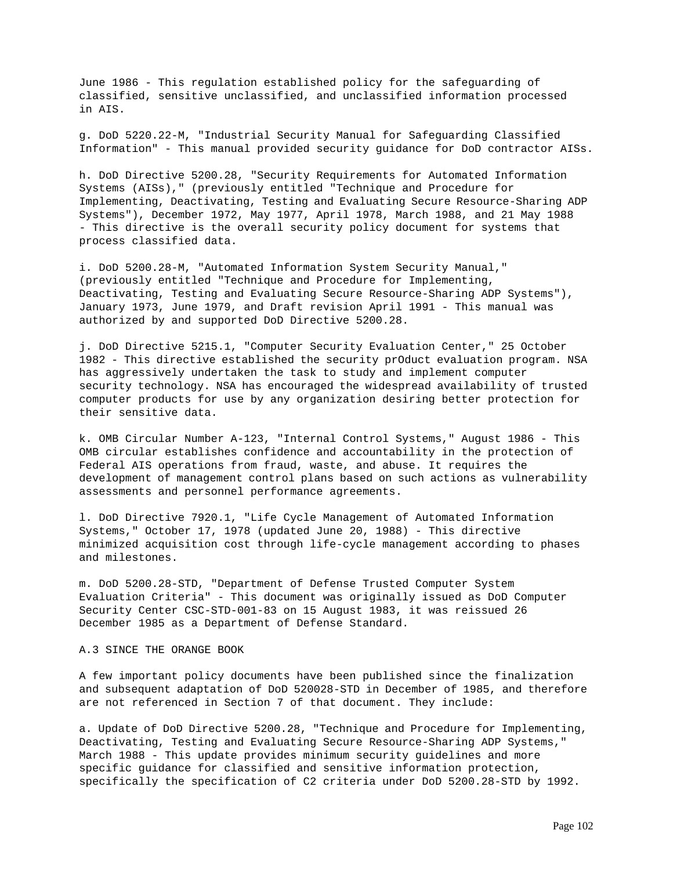June 1986 - This regulation established policy for the safeguarding of classified, sensitive unclassified, and unclassified information processed in AIS.

g. DoD 5220.22-M, "Industrial Security Manual for Safeguarding Classified Information" - This manual provided security guidance for DoD contractor AISs.

h. DoD Directive 5200.28, "Security Requirements for Automated Information Systems (AISs)," (previously entitled "Technique and Procedure for Implementing, Deactivating, Testing and Evaluating Secure Resource-Sharing ADP Systems"), December 1972, May 1977, April 1978, March 1988, and 21 May 1988 - This directive is the overall security policy document for systems that process classified data.

i. DoD 5200.28-M, "Automated Information System Security Manual," (previously entitled "Technique and Procedure for Implementing, Deactivating, Testing and Evaluating Secure Resource-Sharing ADP Systems"), January 1973, June 1979, and Draft revision April 1991 - This manual was authorized by and supported DoD Directive 5200.28.

j. DoD Directive 5215.1, "Computer Security Evaluation Center," 25 October 1982 - This directive established the security prOduct evaluation program. NSA has aggressively undertaken the task to study and implement computer security technology. NSA has encouraged the widespread availability of trusted computer products for use by any organization desiring better protection for their sensitive data.

k. OMB Circular Number A-123, "Internal Control Systems," August 1986 - This OMB circular establishes confidence and accountability in the protection of Federal AIS operations from fraud, waste, and abuse. It requires the development of management control plans based on such actions as vulnerability assessments and personnel performance agreements.

l. DoD Directive 7920.1, "Life Cycle Management of Automated Information Systems," October 17, 1978 (updated June 20, 1988) - This directive minimized acquisition cost through life-cycle management according to phases and milestones.

m. DoD 5200.28-STD, "Department of Defense Trusted Computer System Evaluation Criteria" - This document was originally issued as DoD Computer Security Center CSC-STD-001-83 on 15 August 1983, it was reissued 26 December 1985 as a Department of Defense Standard.

### A.3 SINCE THE ORANGE BOOK

A few important policy documents have been published since the finalization and subsequent adaptation of DoD 520028-STD in December of 1985, and therefore are not referenced in Section 7 of that document. They include:

a. Update of DoD Directive 5200.28, "Technique and Procedure for Implementing, Deactivating, Testing and Evaluating Secure Resource-Sharing ADP Systems," March 1988 - This update provides minimum security guidelines and more specific guidance for classified and sensitive information protection, specifically the specification of C2 criteria under DoD 5200.28-STD by 1992.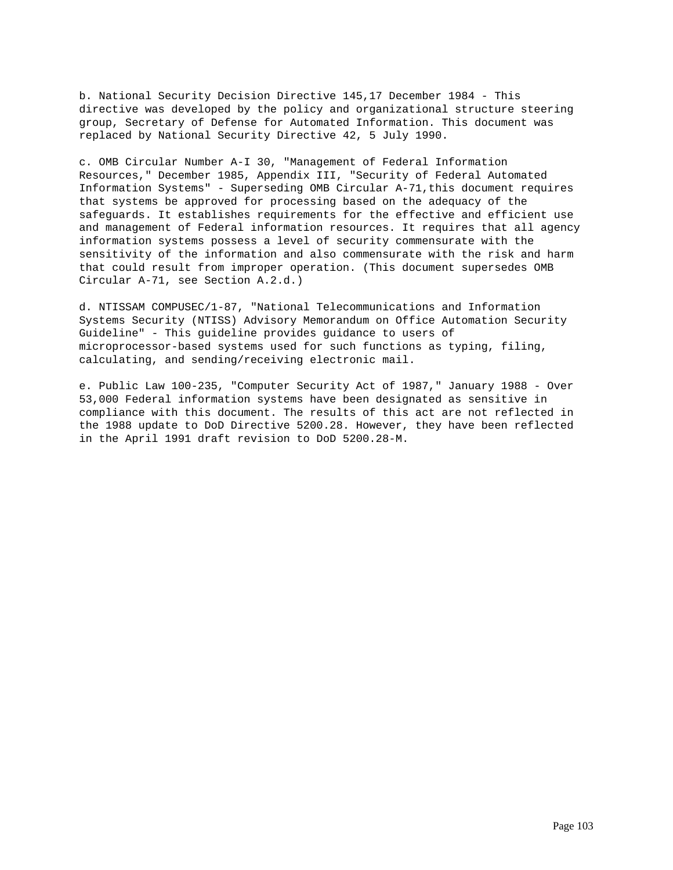b. National Security Decision Directive 145,17 December 1984 - This directive was developed by the policy and organizational structure steering group, Secretary of Defense for Automated Information. This document was replaced by National Security Directive 42, 5 July 1990.

c. OMB Circular Number A-I 30, "Management of Federal Information Resources," December 1985, Appendix III, "Security of Federal Automated Information Systems" - Superseding OMB Circular A-71,this document requires that systems be approved for processing based on the adequacy of the safeguards. It establishes requirements for the effective and efficient use and management of Federal information resources. It requires that all agency information systems possess a level of security commensurate with the sensitivity of the information and also commensurate with the risk and harm that could result from improper operation. (This document supersedes OMB Circular A-71, see Section A.2.d.)

d. NTISSAM COMPUSEC/1-87, "National Telecommunications and Information Systems Security (NTISS) Advisory Memorandum on Office Automation Security Guideline" - This guideline provides guidance to users of microprocessor-based systems used for such functions as typing, filing, calculating, and sending/receiving electronic mail.

e. Public Law 100-235, "Computer Security Act of 1987," January 1988 - Over 53,000 Federal information systems have been designated as sensitive in compliance with this document. The results of this act are not reflected in the 1988 update to DoD Directive 5200.28. However, they have been reflected in the April 1991 draft revision to DoD 5200.28-M.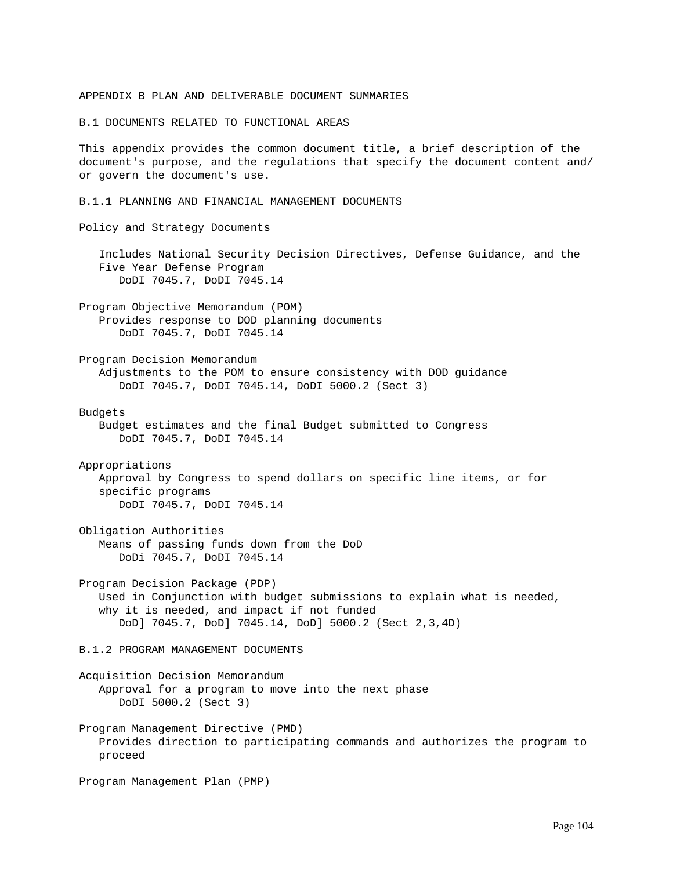#### APPENDIX B PLAN AND DELIVERABLE DOCUMENT SUMMARIES

B.1 DOCUMENTS RELATED TO FUNCTIONAL AREAS

This appendix provides the common document title, a brief description of the document's purpose, and the regulations that specify the document content and/ or govern the document's use.

B.1.1 PLANNING AND FINANCIAL MANAGEMENT DOCUMENTS

Policy and Strategy Documents

 Includes National Security Decision Directives, Defense Guidance, and the Five Year Defense Program DoDI 7045.7, DoDI 7045.14

Program Objective Memorandum (POM) Provides response to DOD planning documents DoDI 7045.7, DoDI 7045.14

Program Decision Memorandum Adjustments to the POM to ensure consistency with DOD guidance DoDI 7045.7, DoDI 7045.14, DoDI 5000.2 (Sect 3)

Budgets

 Budget estimates and the final Budget submitted to Congress DoDI 7045.7, DoDI 7045.14

Appropriations Approval by Congress to spend dollars on specific line items, or for specific programs DoDI 7045.7, DoDI 7045.14

Obligation Authorities Means of passing funds down from the DoD DoDi 7045.7, DoDI 7045.14

Program Decision Package (PDP) Used in Conjunction with budget submissions to explain what is needed, why it is needed, and impact if not funded DoD] 7045.7, DoD] 7045.14, DoD] 5000.2 (Sect 2,3,4D)

B.1.2 PROGRAM MANAGEMENT DOCUMENTS

Acquisition Decision Memorandum Approval for a program to move into the next phase DoDI 5000.2 (Sect 3)

Program Management Directive (PMD) Provides direction to participating commands and authorizes the program to proceed

Program Management Plan (PMP)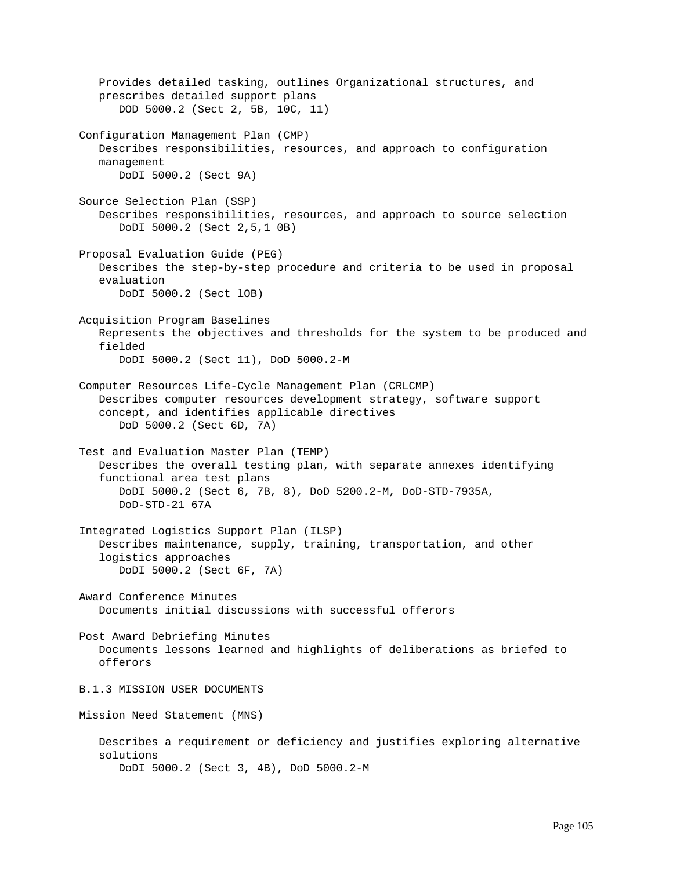Provides detailed tasking, outlines Organizational structures, and prescribes detailed support plans DOD 5000.2 (Sect 2, 5B, 10C, 11) Configuration Management Plan (CMP) Describes responsibilities, resources, and approach to configuration management DoDI 5000.2 (Sect 9A) Source Selection Plan (SSP) Describes responsibilities, resources, and approach to source selection DoDI 5000.2 (Sect 2,5,1 0B) Proposal Evaluation Guide (PEG) Describes the step-by-step procedure and criteria to be used in proposal evaluation DoDI 5000.2 (Sect lOB) Acquisition Program Baselines Represents the objectives and thresholds for the system to be produced and fielded DoDI 5000.2 (Sect 11), DoD 5000.2-M Computer Resources Life-Cycle Management Plan (CRLCMP) Describes computer resources development strategy, software support concept, and identifies applicable directives DoD 5000.2 (Sect 6D, 7A) Test and Evaluation Master Plan (TEMP) Describes the overall testing plan, with separate annexes identifying functional area test plans DoDI 5000.2 (Sect 6, 7B, 8), DoD 5200.2-M, DoD-STD-7935A, DoD-STD-21 67A Integrated Logistics Support Plan (ILSP) Describes maintenance, supply, training, transportation, and other logistics approaches DoDI 5000.2 (Sect 6F, 7A) Award Conference Minutes Documents initial discussions with successful offerors Post Award Debriefing Minutes Documents lessons learned and highlights of deliberations as briefed to offerors B.1.3 MISSION USER DOCUMENTS Mission Need Statement (MNS) Describes a requirement or deficiency and justifies exploring alternative solutions DoDI 5000.2 (Sect 3, 4B), DoD 5000.2-M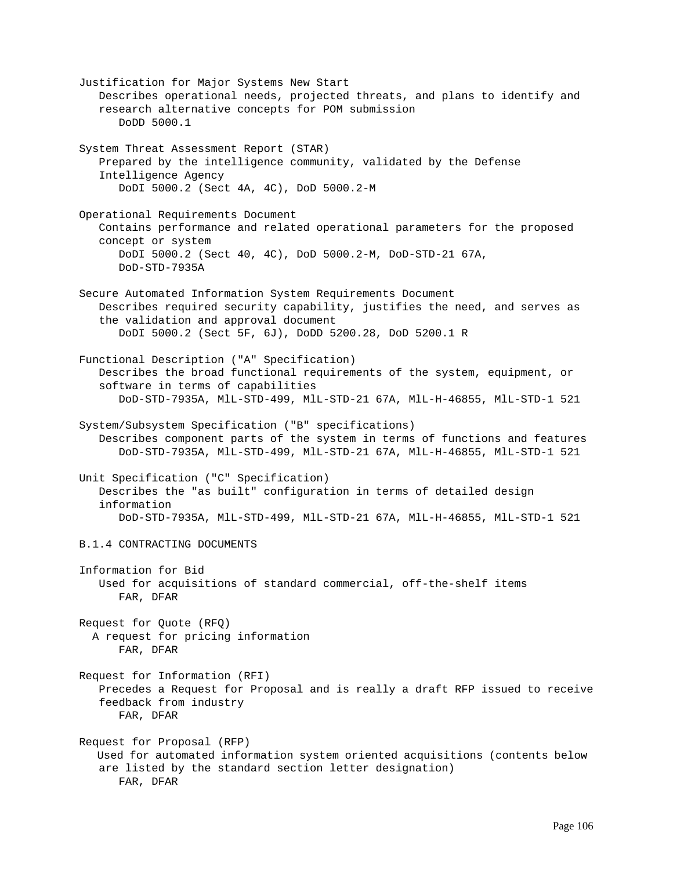Justification for Major Systems New Start Describes operational needs, projected threats, and plans to identify and research alternative concepts for POM submission DoDD 5000.1 System Threat Assessment Report (STAR) Prepared by the intelligence community, validated by the Defense Intelligence Agency DoDI 5000.2 (Sect 4A, 4C), DoD 5000.2-M Operational Requirements Document Contains performance and related operational parameters for the proposed concept or system DoDI 5000.2 (Sect 40, 4C), DoD 5000.2-M, DoD-STD-21 67A, DoD-STD-7935A Secure Automated Information System Requirements Document Describes required security capability, justifies the need, and serves as the validation and approval document DoDI 5000.2 (Sect 5F, 6J), DoDD 5200.28, DoD 5200.1 R Functional Description ("A" Specification) Describes the broad functional requirements of the system, equipment, or software in terms of capabilities DoD-STD-7935A, MlL-STD-499, MlL-STD-21 67A, MlL-H-46855, MlL-STD-1 521 System/Subsystem Specification ("B" specifications) Describes component parts of the system in terms of functions and features DoD-STD-7935A, MlL-STD-499, MlL-STD-21 67A, MlL-H-46855, MlL-STD-1 521 Unit Specification ("C" Specification) Describes the "as built" configuration in terms of detailed design information DoD-STD-7935A, MlL-STD-499, MlL-STD-21 67A, MlL-H-46855, MlL-STD-1 521 B.1.4 CONTRACTING DOCUMENTS Information for Bid Used for acquisitions of standard commercial, off-the-shelf items FAR, DFAR Request for Quote (RFQ) A request for pricing information FAR, DFAR Request for Information (RFI) Precedes a Request for Proposal and is really a draft RFP issued to receive feedback from industry FAR, DFAR Request for Proposal (RFP) Used for automated information system oriented acquisitions (contents below are listed by the standard section letter designation) FAR, DFAR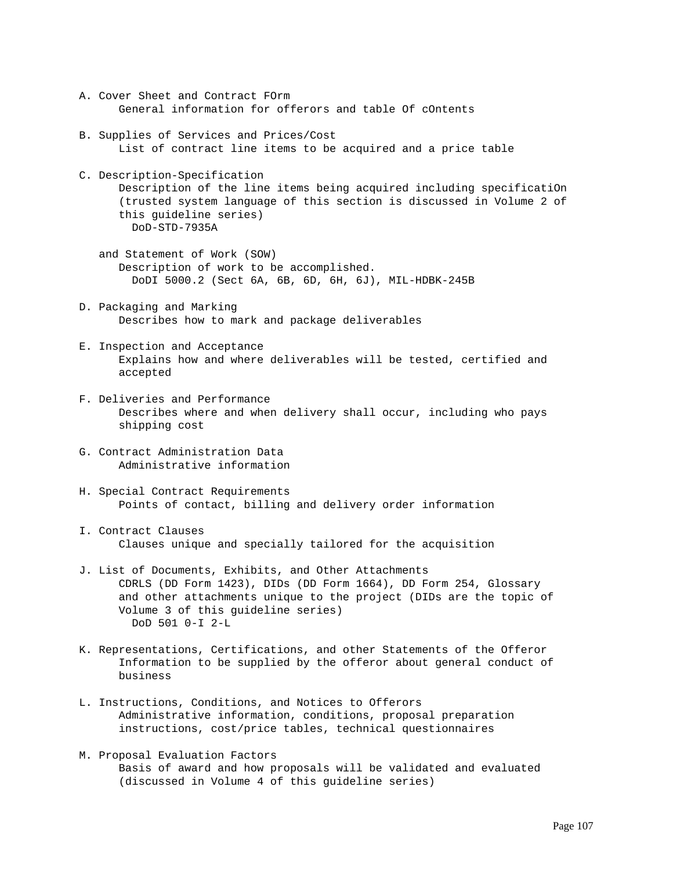- A. Cover Sheet and Contract FOrm General information for offerors and table Of cOntents
- B. Supplies of Services and Prices/Cost List of contract line items to be acquired and a price table
- C. Description-Specification Description of the line items being acquired including specificatiOn (trusted system language of this section is discussed in Volume 2 of this guideline series) DoD-STD-7935A
	- and Statement of Work (SOW) Description of work to be accomplished. DoDI 5000.2 (Sect 6A, 6B, 6D, 6H, 6J), MIL-HDBK-245B
- D. Packaging and Marking Describes how to mark and package deliverables
- E. Inspection and Acceptance Explains how and where deliverables will be tested, certified and accepted
- F. Deliveries and Performance Describes where and when delivery shall occur, including who pays shipping cost
- G. Contract Administration Data Administrative information
- H. Special Contract Requirements Points of contact, billing and delivery order information
- I. Contract Clauses Clauses unique and specially tailored for the acquisition
- J. List of Documents, Exhibits, and Other Attachments CDRLS (DD Form 1423), DIDs (DD Form 1664), DD Form 254, Glossary and other attachments unique to the project (DIDs are the topic of Volume 3 of this guideline series) DoD 501 0-I 2-L
- K. Representations, Certifications, and other Statements of the Offeror Information to be supplied by the offeror about general conduct of business
- L. Instructions, Conditions, and Notices to Offerors Administrative information, conditions, proposal preparation instructions, cost/price tables, technical questionnaires
- M. Proposal Evaluation Factors Basis of award and how proposals will be validated and evaluated (discussed in Volume 4 of this guideline series)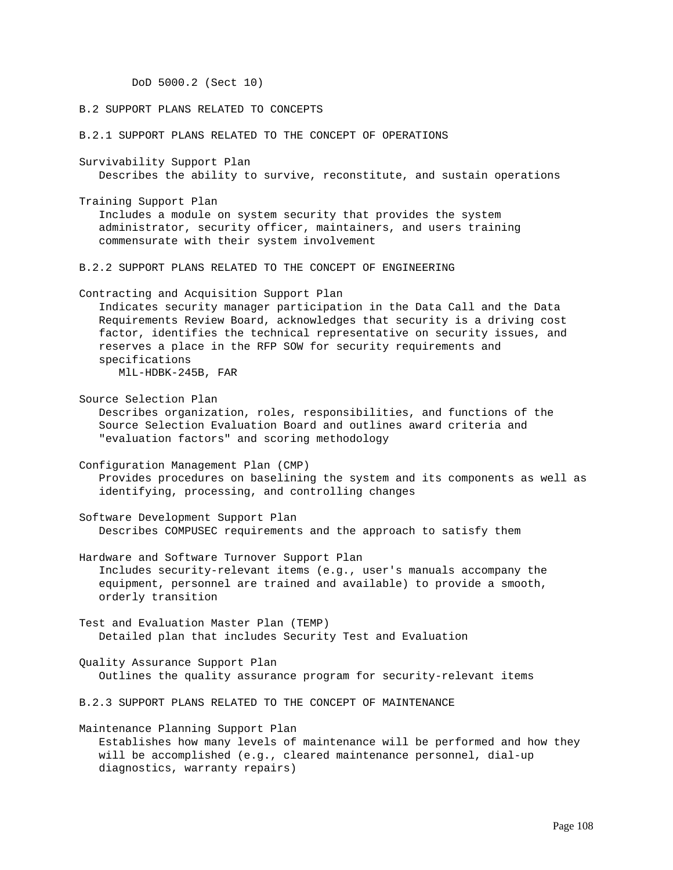DoD 5000.2 (Sect 10)

### B.2 SUPPORT PLANS RELATED TO CONCEPTS

B.2.1 SUPPORT PLANS RELATED TO THE CONCEPT OF OPERATIONS

Survivability Support Plan Describes the ability to survive, reconstitute, and sustain operations

Training Support Plan Includes a module on system security that provides the system administrator, security officer, maintainers, and users training commensurate with their system involvement

B.2.2 SUPPORT PLANS RELATED TO THE CONCEPT OF ENGINEERING

Contracting and Acquisition Support Plan Indicates security manager participation in the Data Call and the Data Requirements Review Board, acknowledges that security is a driving cost factor, identifies the technical representative on security issues, and reserves a place in the RFP SOW for security requirements and specifications MlL-HDBK-245B, FAR

Source Selection Plan Describes organization, roles, responsibilities, and functions of the Source Selection Evaluation Board and outlines award criteria and "evaluation factors" and scoring methodology

Configuration Management Plan (CMP) Provides procedures on baselining the system and its components as well as identifying, processing, and controlling changes

Software Development Support Plan Describes COMPUSEC requirements and the approach to satisfy them

Hardware and Software Turnover Support Plan Includes security-relevant items (e.g., user's manuals accompany the equipment, personnel are trained and available) to provide a smooth, orderly transition

Test and Evaluation Master Plan (TEMP) Detailed plan that includes Security Test and Evaluation

Quality Assurance Support Plan Outlines the quality assurance program for security-relevant items

B.2.3 SUPPORT PLANS RELATED TO THE CONCEPT OF MAINTENANCE

Maintenance Planning Support Plan Establishes how many levels of maintenance will be performed and how they will be accomplished (e.g., cleared maintenance personnel, dial-up diagnostics, warranty repairs)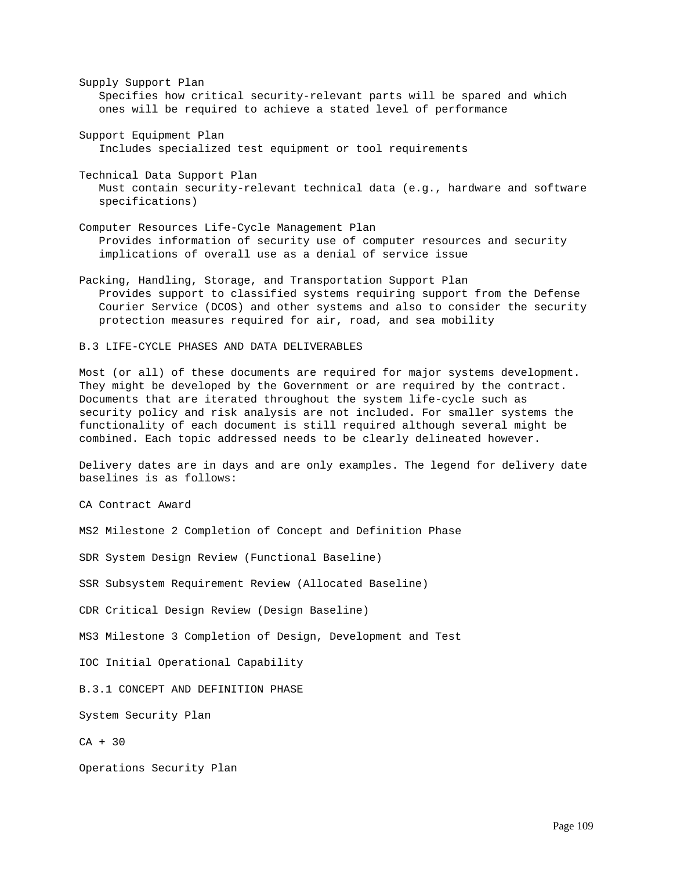Supply Support Plan Specifies how critical security-relevant parts will be spared and which ones will be required to achieve a stated level of performance

Support Equipment Plan Includes specialized test equipment or tool requirements

Technical Data Support Plan Must contain security-relevant technical data (e.g., hardware and software specifications)

Computer Resources Life-Cycle Management Plan Provides information of security use of computer resources and security implications of overall use as a denial of service issue

Packing, Handling, Storage, and Transportation Support Plan Provides support to classified systems requiring support from the Defense Courier Service (DCOS) and other systems and also to consider the security protection measures required for air, road, and sea mobility

B.3 LIFE-CYCLE PHASES AND DATA DELIVERABLES

Most (or all) of these documents are required for major systems development. They might be developed by the Government or are required by the contract. Documents that are iterated throughout the system life-cycle such as security policy and risk analysis are not included. For smaller systems the functionality of each document is still required although several might be combined. Each topic addressed needs to be clearly delineated however.

Delivery dates are in days and are only examples. The legend for delivery date baselines is as follows:

CA Contract Award

MS2 Milestone 2 Completion of Concept and Definition Phase

SDR System Design Review (Functional Baseline)

SSR Subsystem Requirement Review (Allocated Baseline)

CDR Critical Design Review (Design Baseline)

MS3 Milestone 3 Completion of Design, Development and Test

IOC Initial Operational Capability

B.3.1 CONCEPT AND DEFINITION PHASE

System Security Plan

CA + 30

Operations Security Plan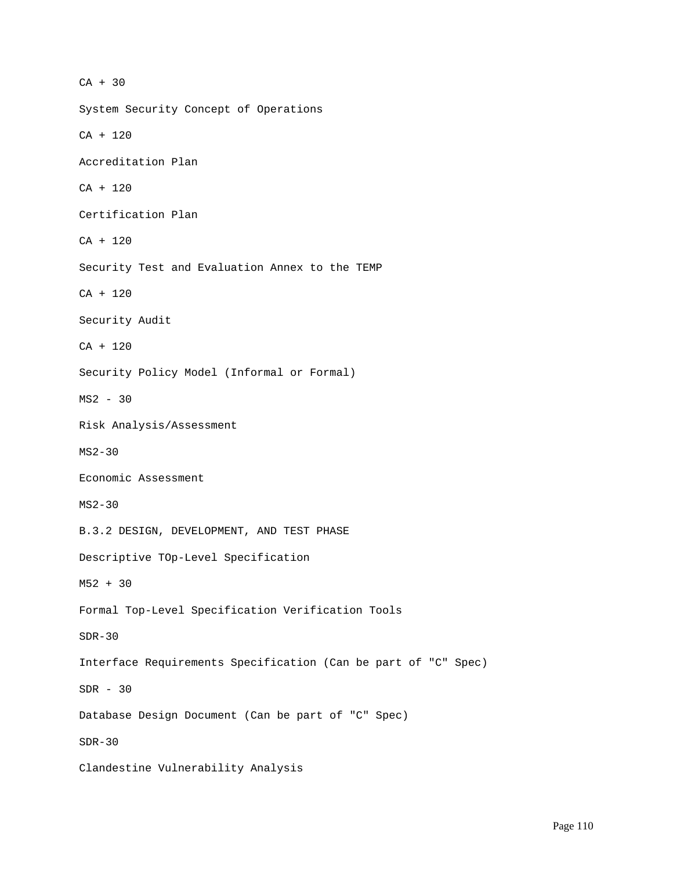CA + 30 System Security Concept of Operations CA + 120 Accreditation Plan CA + 120 Certification Plan CA + 120 Security Test and Evaluation Annex to the TEMP CA + 120 Security Audit CA + 120 Security Policy Model (Informal or Formal) MS2 - 30 Risk Analysis/Assessment MS2-30 Economic Assessment MS2-30 B.3.2 DESIGN, DEVELOPMENT, AND TEST PHASE Descriptive TOp-Level Specification M52 + 30 Formal Top-Level Specification Verification Tools SDR-30 Interface Requirements Specification (Can be part of "C" Spec) SDR - 30 Database Design Document (Can be part of "C" Spec) SDR-30 Clandestine Vulnerability Analysis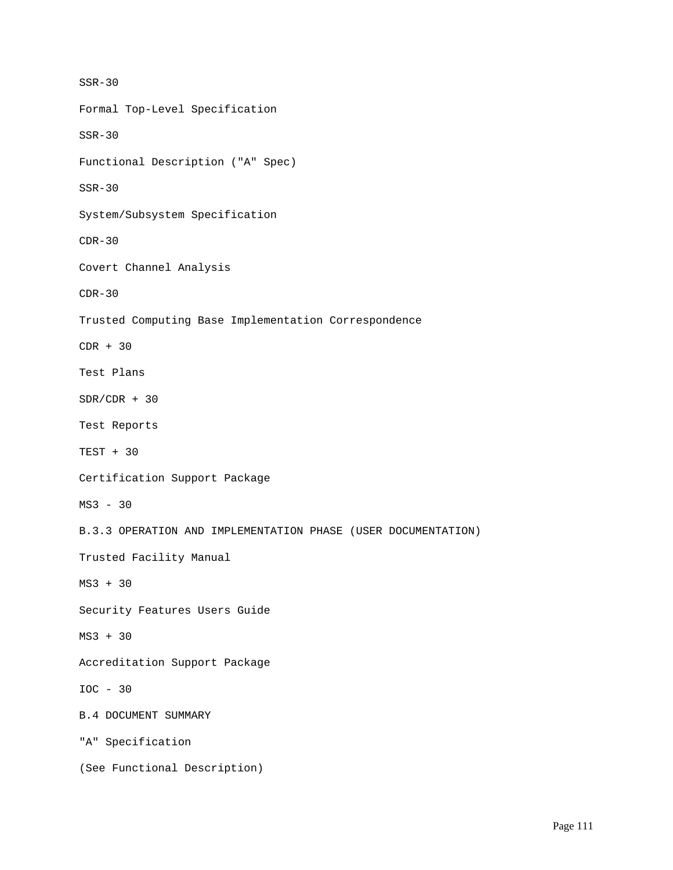SSR-30 Formal Top-Level Specification SSR-30 Functional Description ("A" Spec) SSR-30 System/Subsystem Specification  $CDR-30$ Covert Channel Analysis  $CDR-30$ Trusted Computing Base Implementation Correspondence CDR + 30 Test Plans  $SDR/CDR + 30$ Test Reports TEST + 30 Certification Support Package MS3 - 30 B.3.3 OPERATION AND IMPLEMENTATION PHASE (USER DOCUMENTATION) Trusted Facility Manual MS3 + 30 Security Features Users Guide MS3 + 30 Accreditation Support Package IOC - 30 B.4 DOCUMENT SUMMARY "A" Specification (See Functional Description)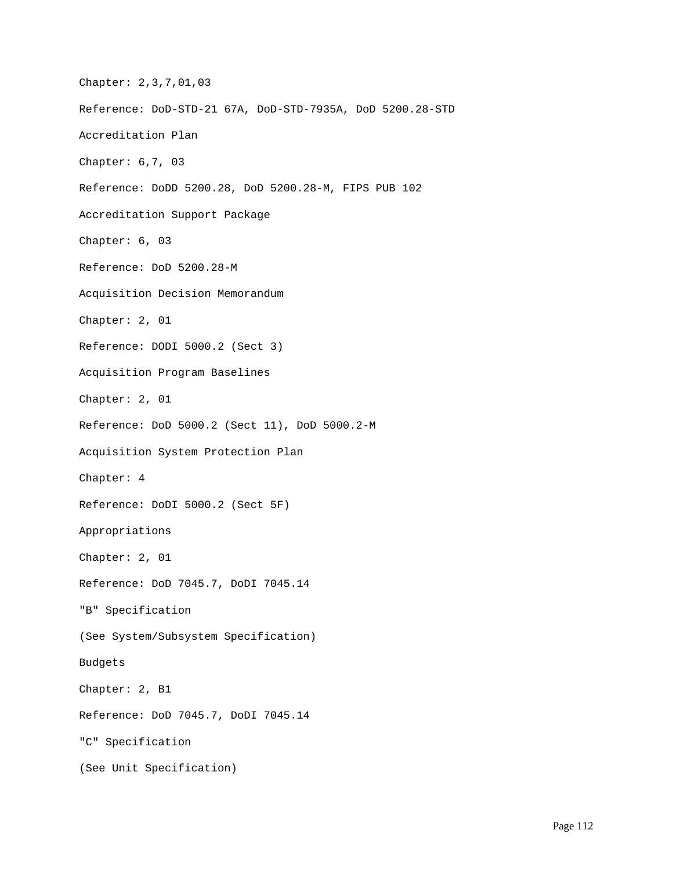Chapter: 2,3,7,01,03 Reference: DoD-STD-21 67A, DoD-STD-7935A, DoD 5200.28-STD Accreditation Plan Chapter: 6,7, 03 Reference: DoDD 5200.28, DoD 5200.28-M, FIPS PUB 102 Accreditation Support Package Chapter: 6, 03 Reference: DoD 5200.28-M Acquisition Decision Memorandum Chapter: 2, 01 Reference: DODI 5000.2 (Sect 3) Acquisition Program Baselines Chapter: 2, 01 Reference: DoD 5000.2 (Sect 11), DoD 5000.2-M Acquisition System Protection Plan Chapter: 4 Reference: DoDI 5000.2 (Sect 5F) Appropriations Chapter: 2, 01 Reference: DoD 7045.7, DoDI 7045.14 "B" Specification (See System/Subsystem Specification) Budgets Chapter: 2, B1 Reference: DoD 7045.7, DoDI 7045.14 "C" Specification (See Unit Specification)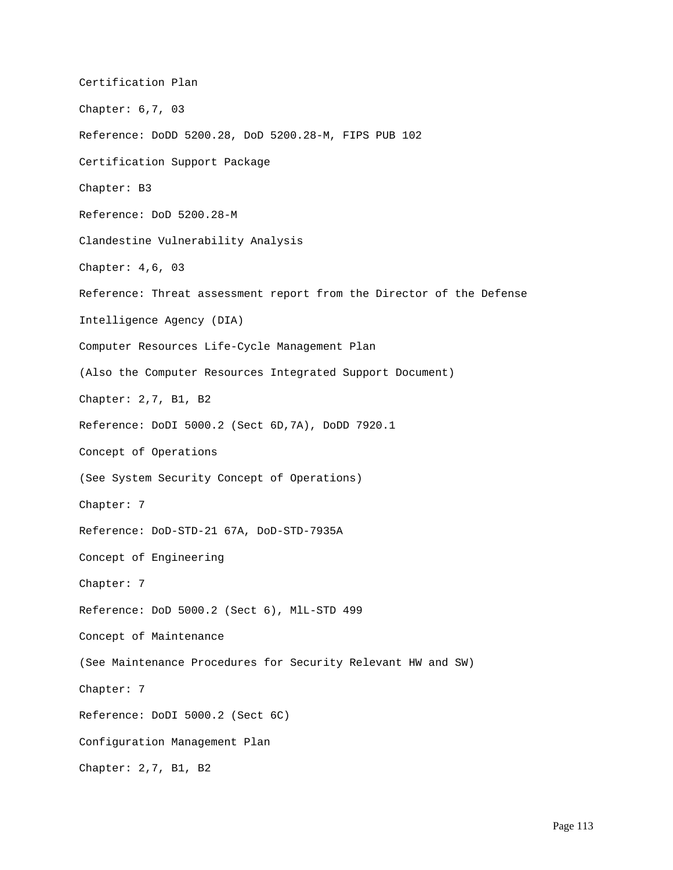Certification Plan Chapter: 6,7, 03 Reference: DoDD 5200.28, DoD 5200.28-M, FIPS PUB 102 Certification Support Package Chapter: B3 Reference: DoD 5200.28-M Clandestine Vulnerability Analysis Chapter: 4,6, 03 Reference: Threat assessment report from the Director of the Defense Intelligence Agency (DIA) Computer Resources Life-Cycle Management Plan (Also the Computer Resources Integrated Support Document) Chapter: 2,7, B1, B2 Reference: DoDI 5000.2 (Sect 6D,7A), DoDD 7920.1 Concept of Operations (See System Security Concept of Operations) Chapter: 7 Reference: DoD-STD-21 67A, DoD-STD-7935A Concept of Engineering Chapter: 7 Reference: DoD 5000.2 (Sect 6), MlL-STD 499 Concept of Maintenance (See Maintenance Procedures for Security Relevant HW and SW) Chapter: 7 Reference: DoDI 5000.2 (Sect 6C) Configuration Management Plan Chapter: 2,7, B1, B2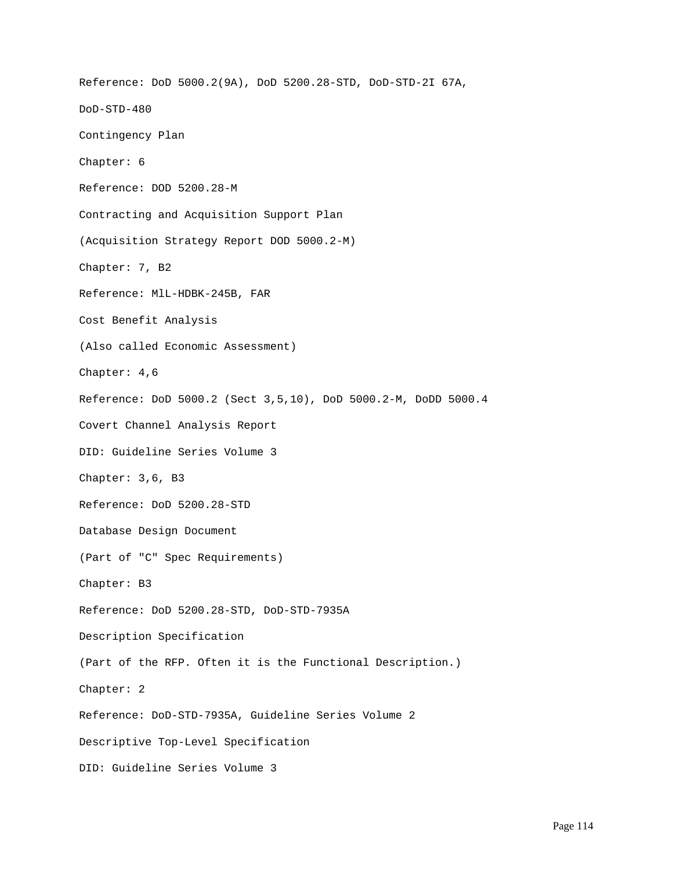Reference: DoD 5000.2(9A), DoD 5200.28-STD, DoD-STD-2I 67A, DoD-STD-480 Contingency Plan Chapter: 6 Reference: DOD 5200.28-M Contracting and Acquisition Support Plan (Acquisition Strategy Report DOD 5000.2-M) Chapter: 7, B2 Reference: MlL-HDBK-245B, FAR Cost Benefit Analysis (Also called Economic Assessment) Chapter: 4,6 Reference: DoD 5000.2 (Sect 3,5,10), DoD 5000.2-M, DoDD 5000.4 Covert Channel Analysis Report DID: Guideline Series Volume 3 Chapter: 3,6, B3 Reference: DoD 5200.28-STD Database Design Document (Part of "C" Spec Requirements) Chapter: B3 Reference: DoD 5200.28-STD, DoD-STD-7935A Description Specification (Part of the RFP. Often it is the Functional Description.) Chapter: 2 Reference: DoD-STD-7935A, Guideline Series Volume 2 Descriptive Top-Level Specification DID: Guideline Series Volume 3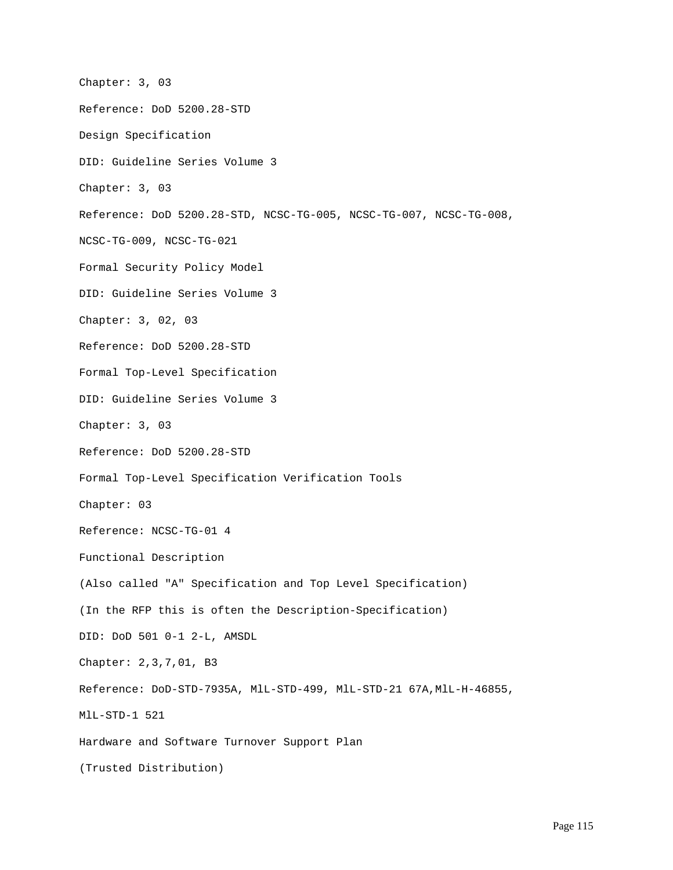Chapter: 3, 03 Reference: DoD 5200.28-STD Design Specification DID: Guideline Series Volume 3 Chapter: 3, 03 Reference: DoD 5200.28-STD, NCSC-TG-005, NCSC-TG-007, NCSC-TG-008, NCSC-TG-009, NCSC-TG-021 Formal Security Policy Model DID: Guideline Series Volume 3 Chapter: 3, 02, 03 Reference: DoD 5200.28-STD Formal Top-Level Specification DID: Guideline Series Volume 3 Chapter: 3, 03 Reference: DoD 5200.28-STD Formal Top-Level Specification Verification Tools Chapter: 03 Reference: NCSC-TG-01 4 Functional Description (Also called "A" Specification and Top Level Specification) (In the RFP this is often the Description-Specification) DID: DoD 501 0-1 2-L, AMSDL Chapter: 2,3,7,01, B3 Reference: DoD-STD-7935A, MlL-STD-499, MlL-STD-21 67A,MlL-H-46855, MlL-STD-1 521 Hardware and Software Turnover Support Plan (Trusted Distribution)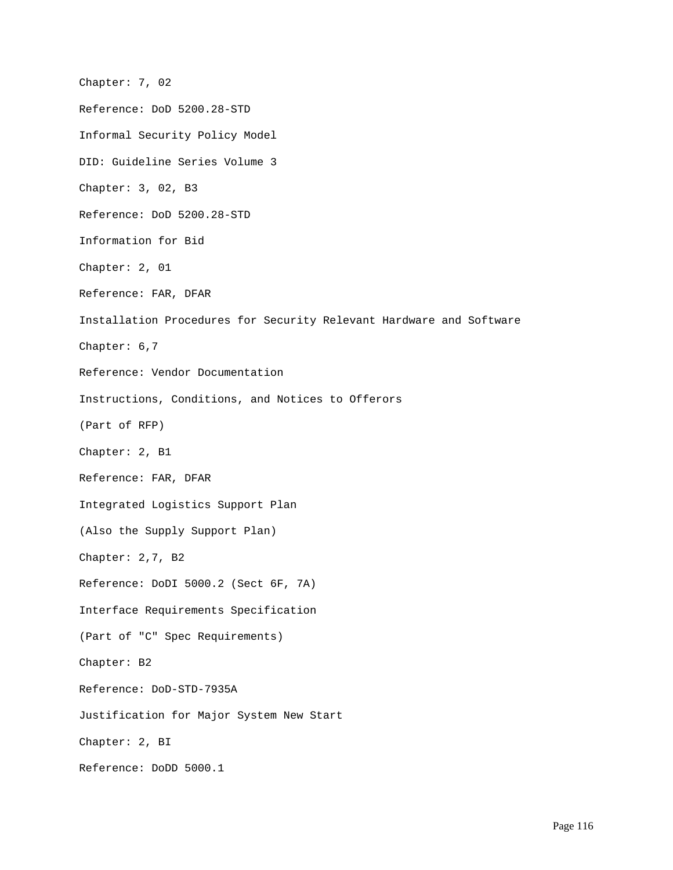Chapter: 7, 02 Reference: DoD 5200.28-STD Informal Security Policy Model DID: Guideline Series Volume 3 Chapter: 3, 02, B3 Reference: DoD 5200.28-STD Information for Bid Chapter: 2, 01 Reference: FAR, DFAR Installation Procedures for Security Relevant Hardware and Software Chapter: 6,7 Reference: Vendor Documentation Instructions, Conditions, and Notices to Offerors (Part of RFP) Chapter: 2, B1 Reference: FAR, DFAR Integrated Logistics Support Plan (Also the Supply Support Plan) Chapter: 2,7, B2 Reference: DoDI 5000.2 (Sect 6F, 7A) Interface Requirements Specification (Part of "C" Spec Requirements) Chapter: B2 Reference: DoD-STD-7935A Justification for Major System New Start Chapter: 2, BI Reference: DoDD 5000.1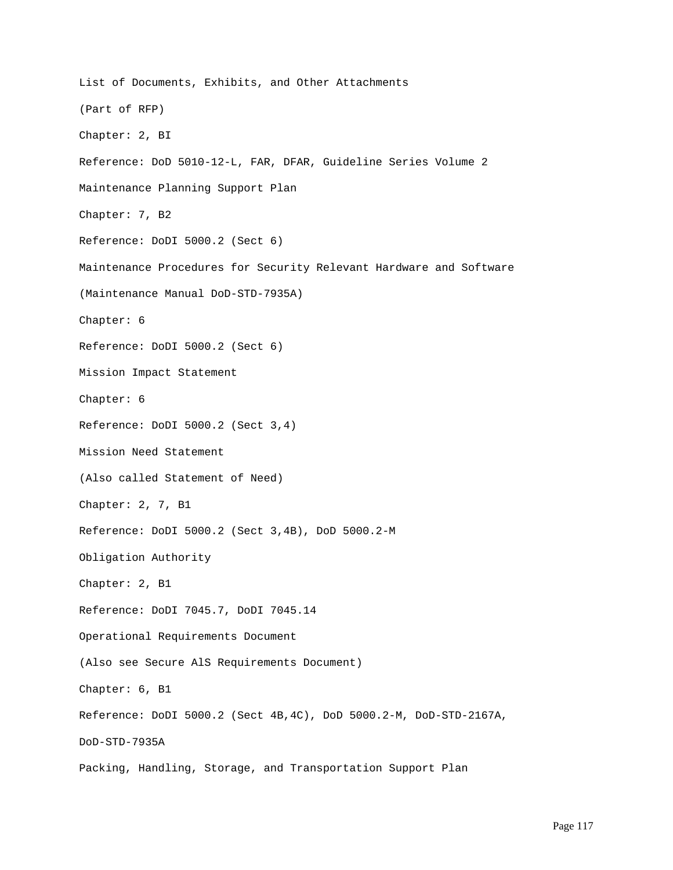List of Documents, Exhibits, and Other Attachments (Part of RFP) Chapter: 2, BI Reference: DoD 5010-12-L, FAR, DFAR, Guideline Series Volume 2 Maintenance Planning Support Plan Chapter: 7, B2 Reference: DoDI 5000.2 (Sect 6) Maintenance Procedures for Security Relevant Hardware and Software (Maintenance Manual DoD-STD-7935A) Chapter: 6 Reference: DoDI 5000.2 (Sect 6) Mission Impact Statement Chapter: 6 Reference: DoDI 5000.2 (Sect 3,4) Mission Need Statement (Also called Statement of Need) Chapter: 2, 7, B1 Reference: DoDI 5000.2 (Sect 3,4B), DoD 5000.2-M Obligation Authority Chapter: 2, B1 Reference: DoDI 7045.7, DoDI 7045.14 Operational Requirements Document (Also see Secure AlS Requirements Document) Chapter: 6, B1 Reference: DoDI 5000.2 (Sect 4B,4C), DoD 5000.2-M, DoD-STD-2167A, DoD-STD-7935A Packing, Handling, Storage, and Transportation Support Plan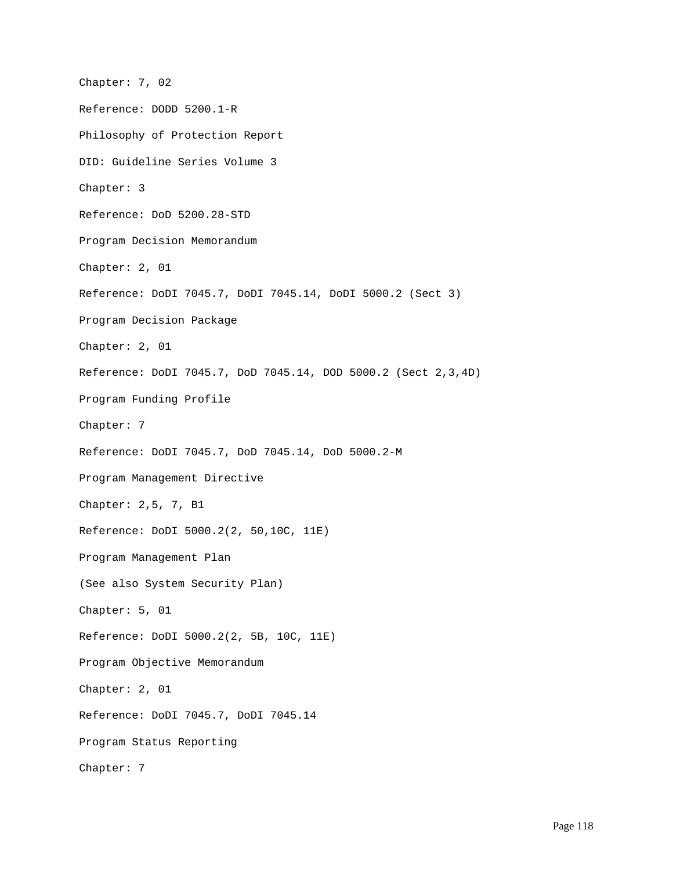Chapter: 7, 02 Reference: DODD 5200.1-R Philosophy of Protection Report DID: Guideline Series Volume 3 Chapter: 3 Reference: DoD 5200.28-STD Program Decision Memorandum Chapter: 2, 01 Reference: DoDI 7045.7, DoDI 7045.14, DoDI 5000.2 (Sect 3) Program Decision Package Chapter: 2, 01 Reference: DoDI 7045.7, DoD 7045.14, DOD 5000.2 (Sect 2,3,4D) Program Funding Profile Chapter: 7 Reference: DoDI 7045.7, DoD 7045.14, DoD 5000.2-M Program Management Directive Chapter: 2,5, 7, B1 Reference: DoDI 5000.2(2, 50,10C, 11E) Program Management Plan (See also System Security Plan) Chapter: 5, 01 Reference: DoDI 5000.2(2, 5B, 10C, 11E) Program Objective Memorandum Chapter: 2, 01 Reference: DoDI 7045.7, DoDI 7045.14 Program Status Reporting Chapter: 7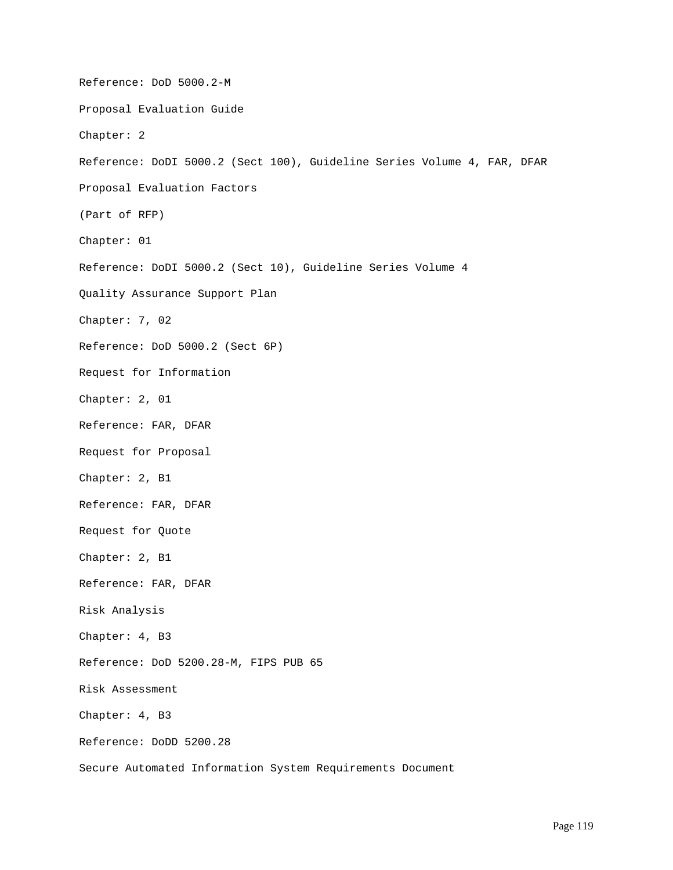Reference: DoD 5000.2-M Proposal Evaluation Guide Chapter: 2 Reference: DoDI 5000.2 (Sect 100), Guideline Series Volume 4, FAR, DFAR Proposal Evaluation Factors (Part of RFP) Chapter: 01 Reference: DoDI 5000.2 (Sect 10), Guideline Series Volume 4 Quality Assurance Support Plan Chapter: 7, 02 Reference: DoD 5000.2 (Sect 6P) Request for Information Chapter: 2, 01 Reference: FAR, DFAR Request for Proposal Chapter: 2, B1 Reference: FAR, DFAR Request for Quote Chapter: 2, B1 Reference: FAR, DFAR Risk Analysis Chapter: 4, B3 Reference: DoD 5200.28-M, FIPS PUB 65 Risk Assessment Chapter: 4, B3 Reference: DoDD 5200.28 Secure Automated Information System Requirements Document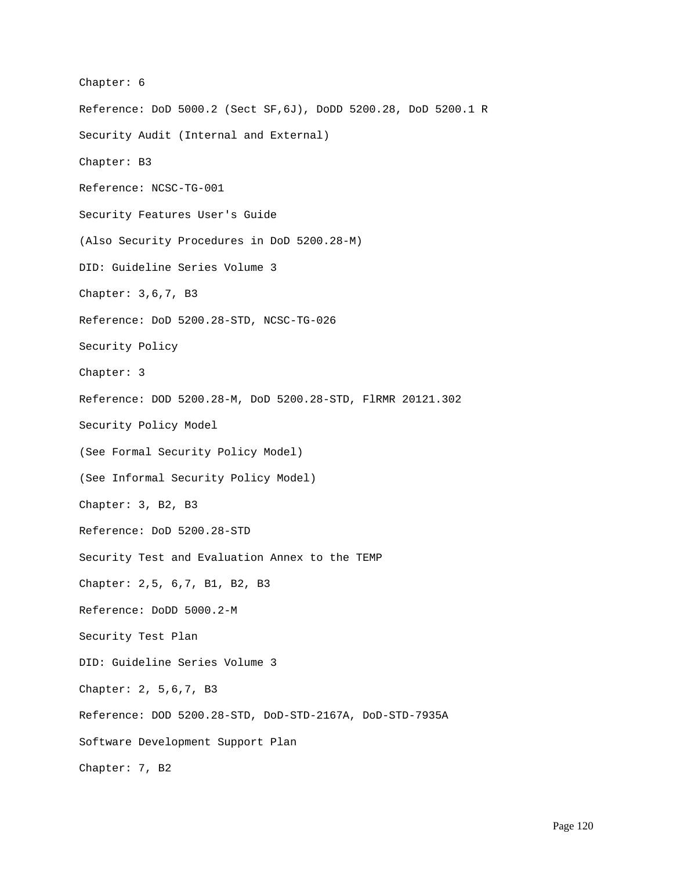Chapter: 6 Reference: DoD 5000.2 (Sect SF,6J), DoDD 5200.28, DoD 5200.1 R Security Audit (Internal and External) Chapter: B3 Reference: NCSC-TG-001 Security Features User's Guide (Also Security Procedures in DoD 5200.28-M) DID: Guideline Series Volume 3 Chapter: 3,6,7, B3 Reference: DoD 5200.28-STD, NCSC-TG-026 Security Policy Chapter: 3 Reference: DOD 5200.28-M, DoD 5200.28-STD, FlRMR 20121.302 Security Policy Model (See Formal Security Policy Model) (See Informal Security Policy Model) Chapter: 3, B2, B3 Reference: DoD 5200.28-STD Security Test and Evaluation Annex to the TEMP Chapter: 2,5, 6,7, B1, B2, B3 Reference: DoDD 5000.2-M Security Test Plan DID: Guideline Series Volume 3 Chapter: 2, 5,6,7, B3 Reference: DOD 5200.28-STD, DoD-STD-2167A, DoD-STD-7935A Software Development Support Plan Chapter: 7, B2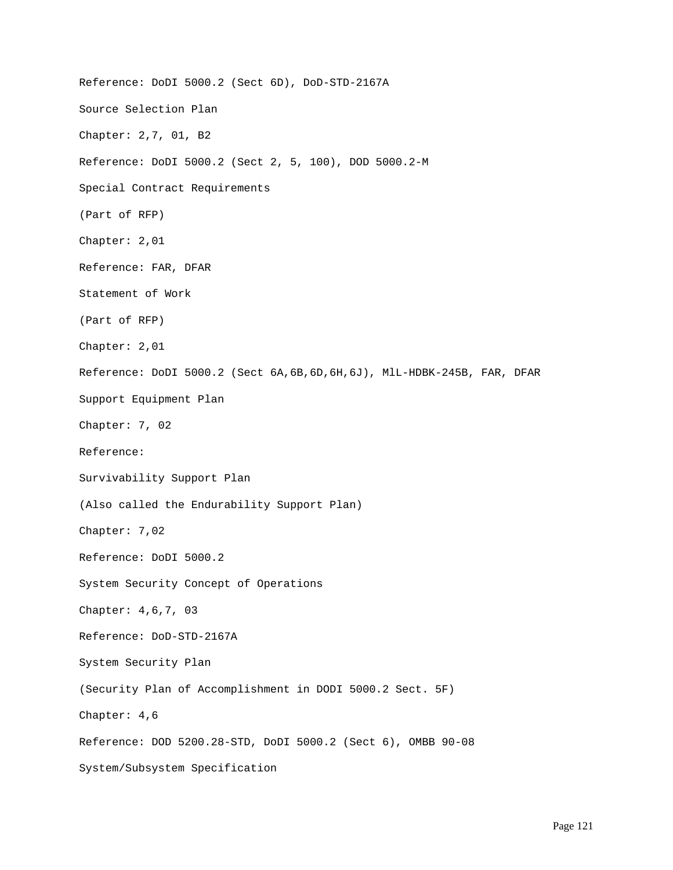Reference: DoDI 5000.2 (Sect 6D), DoD-STD-2167A Source Selection Plan Chapter: 2,7, 01, B2 Reference: DoDI 5000.2 (Sect 2, 5, 100), DOD 5000.2-M Special Contract Requirements (Part of RFP) Chapter: 2,01 Reference: FAR, DFAR Statement of Work (Part of RFP) Chapter: 2,01 Reference: DoDI 5000.2 (Sect 6A,6B,6D,6H,6J), MlL-HDBK-245B, FAR, DFAR Support Equipment Plan Chapter: 7, 02 Reference: Survivability Support Plan (Also called the Endurability Support Plan) Chapter: 7,02 Reference: DoDI 5000.2 System Security Concept of Operations Chapter: 4,6,7, 03 Reference: DoD-STD-2167A System Security Plan (Security Plan of Accomplishment in DODI 5000.2 Sect. 5F) Chapter: 4,6 Reference: DOD 5200.28-STD, DoDI 5000.2 (Sect 6), OMBB 90-08 System/Subsystem Specification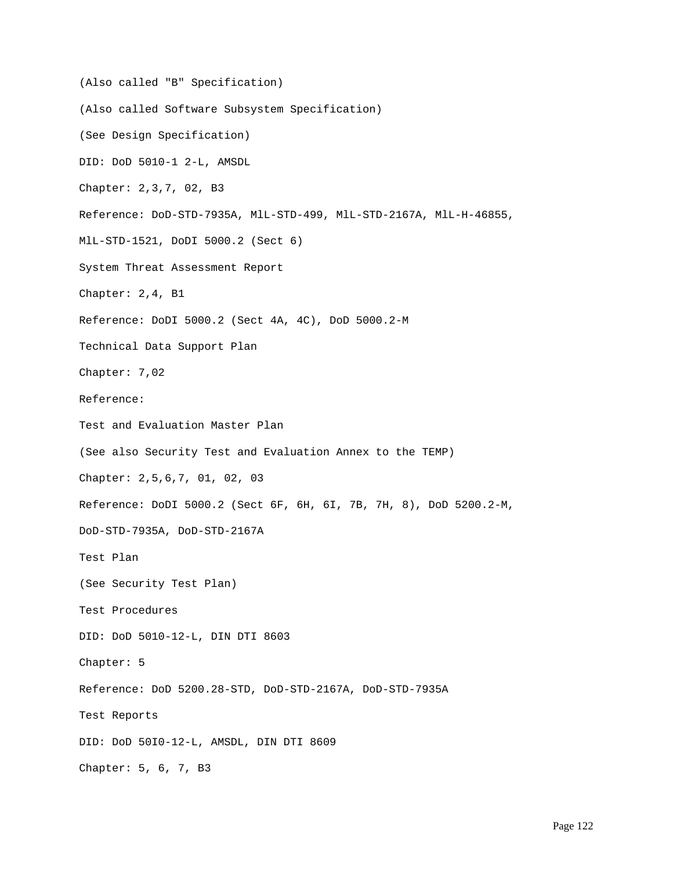(Also called "B" Specification) (Also called Software Subsystem Specification) (See Design Specification) DID: DoD 5010-1 2-L, AMSDL Chapter: 2,3,7, 02, B3 Reference: DoD-STD-7935A, MlL-STD-499, MlL-STD-2167A, MlL-H-46855, MlL-STD-1521, DoDI 5000.2 (Sect 6) System Threat Assessment Report Chapter: 2,4, B1 Reference: DoDI 5000.2 (Sect 4A, 4C), DoD 5000.2-M Technical Data Support Plan Chapter: 7,02 Reference: Test and Evaluation Master Plan (See also Security Test and Evaluation Annex to the TEMP) Chapter: 2,5,6,7, 01, 02, 03 Reference: DoDI 5000.2 (Sect 6F, 6H, 6I, 7B, 7H, 8), DoD 5200.2-M, DoD-STD-7935A, DoD-STD-2167A Test Plan (See Security Test Plan) Test Procedures DID: DoD 5010-12-L, DIN DTI 8603 Chapter: 5 Reference: DoD 5200.28-STD, DoD-STD-2167A, DoD-STD-7935A Test Reports DID: DoD 50I0-12-L, AMSDL, DIN DTI 8609 Chapter: 5, 6, 7, B3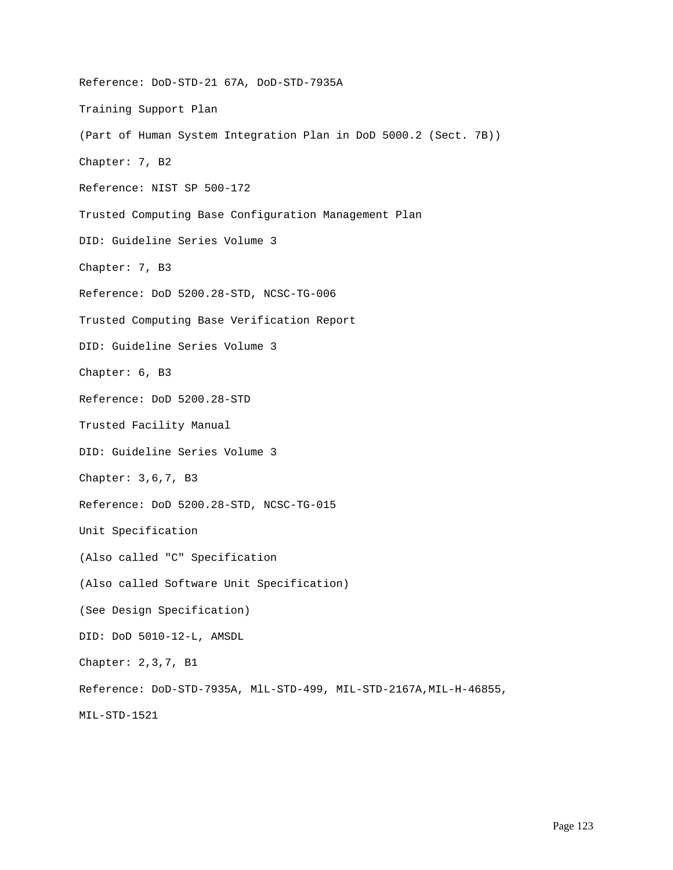Reference: DoD-STD-21 67A, DoD-STD-7935A Training Support Plan (Part of Human System Integration Plan in DoD 5000.2 (Sect. 7B)) Chapter: 7, B2 Reference: NIST SP 500-172 Trusted Computing Base Configuration Management Plan DID: Guideline Series Volume 3 Chapter: 7, B3 Reference: DoD 5200.28-STD, NCSC-TG-006 Trusted Computing Base Verification Report DID: Guideline Series Volume 3 Chapter: 6, B3 Reference: DoD 5200.28-STD Trusted Facility Manual DID: Guideline Series Volume 3 Chapter: 3,6,7, B3 Reference: DoD 5200.28-STD, NCSC-TG-015 Unit Specification (Also called "C" Specification (Also called Software Unit Specification) (See Design Specification) DID: DoD 5010-12-L, AMSDL Chapter: 2,3,7, B1 Reference: DoD-STD-7935A, MlL-STD-499, MIL-STD-2167A,MIL-H-46855, MIL-STD-1521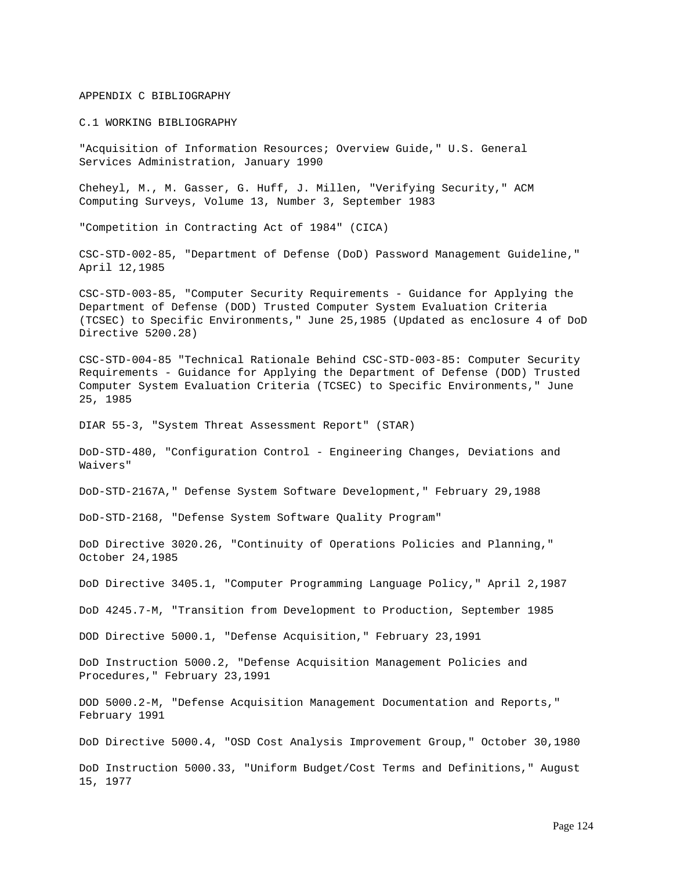## APPENDIX C BIBLIOGRAPHY

C.1 WORKING BIBLIOGRAPHY

"Acquisition of Information Resources; Overview Guide," U.S. General Services Administration, January 1990

Cheheyl, M., M. Gasser, G. Huff, J. Millen, "Verifying Security," ACM Computing Surveys, Volume 13, Number 3, September 1983

"Competition in Contracting Act of 1984" (CICA)

CSC-STD-002-85, "Department of Defense (DoD) Password Management Guideline," April 12,1985

CSC-STD-003-85, "Computer Security Requirements - Guidance for Applying the Department of Defense (DOD) Trusted Computer System Evaluation Criteria (TCSEC) to Specific Environments," June 25,1985 (Updated as enclosure 4 of DoD Directive 5200.28)

CSC-STD-004-85 "Technical Rationale Behind CSC-STD-003-85: Computer Security Requirements - Guidance for Applying the Department of Defense (DOD) Trusted Computer System Evaluation Criteria (TCSEC) to Specific Environments," June 25, 1985

DIAR 55-3, "System Threat Assessment Report" (STAR)

DoD-STD-480, "Configuration Control - Engineering Changes, Deviations and Waivers"

DoD-STD-2167A," Defense System Software Development," February 29,1988

DoD-STD-2168, "Defense System Software Quality Program"

DoD Directive 3020.26, "Continuity of Operations Policies and Planning," October 24,1985

DoD Directive 3405.1, "Computer Programming Language Policy," April 2,1987

DoD 4245.7-M, "Transition from Development to Production, September 1985

DOD Directive 5000.1, "Defense Acquisition," February 23,1991

DoD Instruction 5000.2, "Defense Acquisition Management Policies and Procedures," February 23,1991

DOD 5000.2-M, "Defense Acquisition Management Documentation and Reports," February 1991

DoD Directive 5000.4, "OSD Cost Analysis Improvement Group," October 30,1980

DoD Instruction 5000.33, "Uniform Budget/Cost Terms and Definitions," August 15, 1977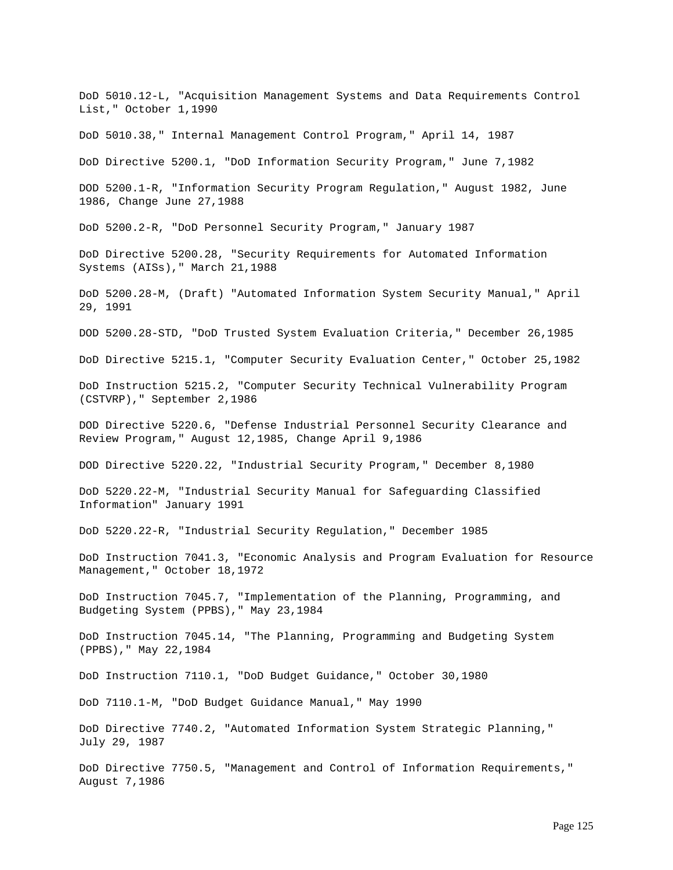DoD 5010.12-L, "Acquisition Management Systems and Data Requirements Control List," October 1,1990 DoD 5010.38," Internal Management Control Program," April 14, 1987 DoD Directive 5200.1, "DoD Information Security Program," June 7,1982 DOD 5200.1-R, "Information Security Program Regulation," August 1982, June 1986, Change June 27,1988 DoD 5200.2-R, "DoD Personnel Security Program," January 1987 DoD Directive 5200.28, "Security Requirements for Automated Information Systems (AISs)," March 21,1988 DoD 5200.28-M, (Draft) "Automated Information System Security Manual," April 29, 1991 DOD 5200.28-STD, "DoD Trusted System Evaluation Criteria," December 26,1985 DoD Directive 5215.1, "Computer Security Evaluation Center," October 25,1982 DoD Instruction 5215.2, "Computer Security Technical Vulnerability Program (CSTVRP)," September 2,1986 DOD Directive 5220.6, "Defense Industrial Personnel Security Clearance and Review Program," August 12,1985, Change April 9,1986 DOD Directive 5220.22, "Industrial Security Program," December 8,1980 DoD 5220.22-M, "Industrial Security Manual for Safeguarding Classified Information" January 1991 DoD 5220.22-R, "Industrial Security Regulation," December 1985 DoD Instruction 7041.3, "Economic Analysis and Program Evaluation for Resource Management," October 18,1972 DoD Instruction 7045.7, "Implementation of the Planning, Programming, and Budgeting System (PPBS)," May 23,1984 DoD Instruction 7045.14, "The Planning, Programming and Budgeting System (PPBS)," May 22,1984 DoD Instruction 7110.1, "DoD Budget Guidance," October 30,1980 DoD 7110.1-M, "DoD Budget Guidance Manual," May 1990 DoD Directive 7740.2, "Automated Information System Strategic Planning," July 29, 1987 DoD Directive 7750.5, "Management and Control of Information Requirements," August 7,1986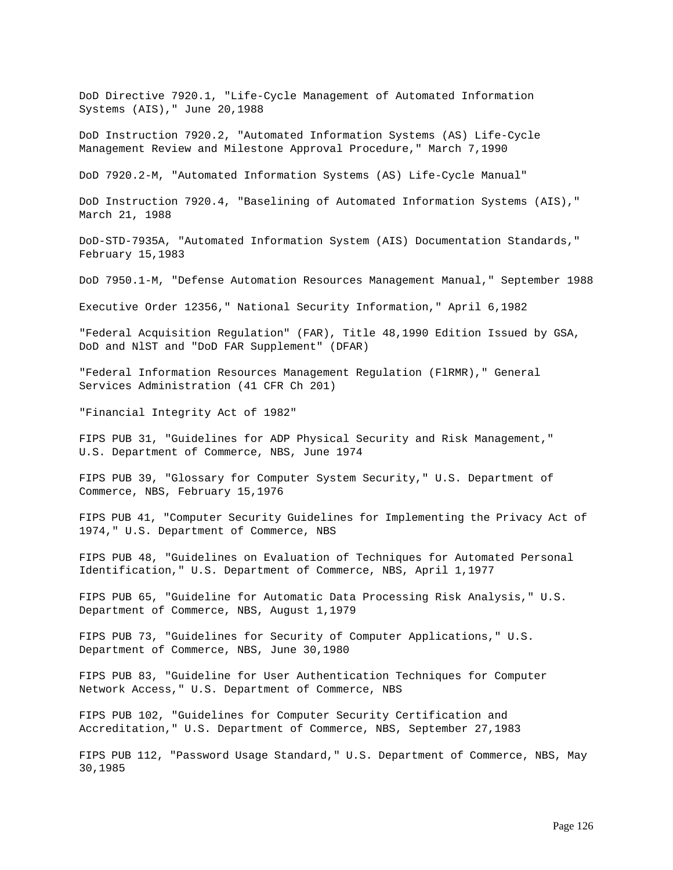DoD Directive 7920.1, "Life-Cycle Management of Automated Information Systems (AIS)," June 20,1988

DoD Instruction 7920.2, "Automated Information Systems (AS) Life-Cycle Management Review and Milestone Approval Procedure," March 7,1990

DoD 7920.2-M, "Automated Information Systems (AS) Life-Cycle Manual"

DoD Instruction 7920.4, "Baselining of Automated Information Systems (AIS)," March 21, 1988

DoD-STD-7935A, "Automated Information System (AIS) Documentation Standards," February 15,1983

DoD 7950.1-M, "Defense Automation Resources Management Manual," September 1988

Executive Order 12356," National Security Information," April 6,1982

"Federal Acquisition Regulation" (FAR), Title 48,1990 Edition Issued by GSA, DoD and NlST and "DoD FAR Supplement" (DFAR)

"Federal Information Resources Management Regulation (FlRMR)," General Services Administration (41 CFR Ch 201)

"Financial Integrity Act of 1982"

FIPS PUB 31, "Guidelines for ADP Physical Security and Risk Management," U.S. Department of Commerce, NBS, June 1974

FIPS PUB 39, "Glossary for Computer System Security," U.S. Department of Commerce, NBS, February 15,1976

FIPS PUB 41, "Computer Security Guidelines for Implementing the Privacy Act of 1974," U.S. Department of Commerce, NBS

FIPS PUB 48, "Guidelines on Evaluation of Techniques for Automated Personal Identification," U.S. Department of Commerce, NBS, April 1,1977

FIPS PUB 65, "Guideline for Automatic Data Processing Risk Analysis," U.S. Department of Commerce, NBS, August 1,1979

FIPS PUB 73, "Guidelines for Security of Computer Applications," U.S. Department of Commerce, NBS, June 30,1980

FIPS PUB 83, "Guideline for User Authentication Techniques for Computer Network Access," U.S. Department of Commerce, NBS

FIPS PUB 102, "Guidelines for Computer Security Certification and Accreditation," U.S. Department of Commerce, NBS, September 27,1983

FIPS PUB 112, "Password Usage Standard," U.S. Department of Commerce, NBS, May 30,1985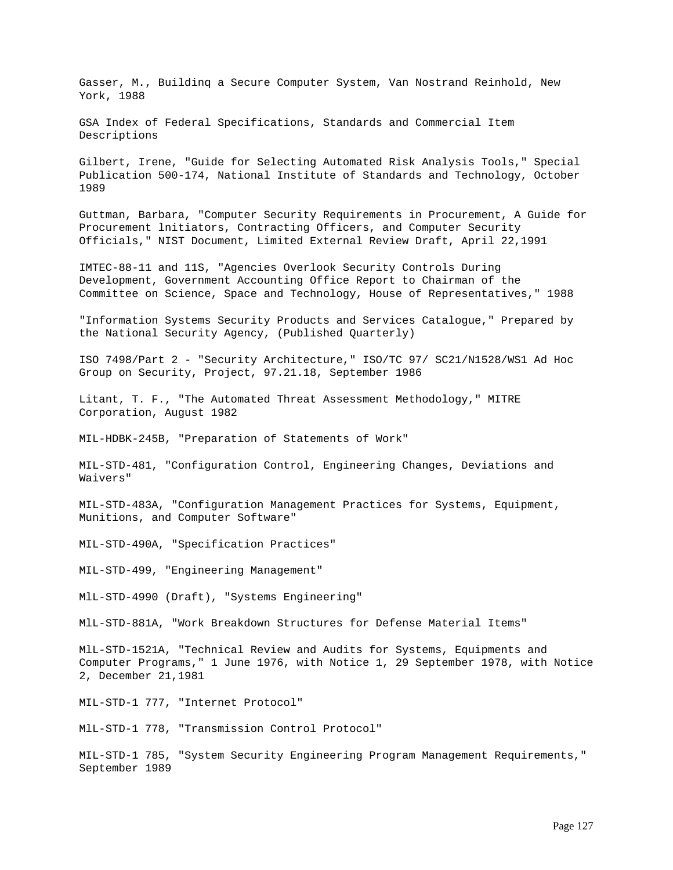Gasser, M., Buildinq a Secure Computer System, Van Nostrand Reinhold, New York, 1988

GSA Index of Federal Specifications, Standards and Commercial Item Descriptions

Gilbert, Irene, "Guide for Selecting Automated Risk Analysis Tools," Special Publication 500-174, National Institute of Standards and Technology, October 1989

Guttman, Barbara, "Computer Security Requirements in Procurement, A Guide for Procurement lnitiators, Contracting Officers, and Computer Security Officials," NIST Document, Limited External Review Draft, April 22,1991

IMTEC-88-11 and 11S, "Agencies Overlook Security Controls During Development, Government Accounting Office Report to Chairman of the Committee on Science, Space and Technology, House of Representatives," 1988

"Information Systems Security Products and Services Catalogue," Prepared by the National Security Agency, (Published Quarterly)

ISO 7498/Part 2 - "Security Architecture," ISO/TC 97/ SC21/N1528/WS1 Ad Hoc Group on Security, Project, 97.21.18, September 1986

Litant, T. F., "The Automated Threat Assessment Methodology," MITRE Corporation, August 1982

MIL-HDBK-245B, "Preparation of Statements of Work"

MIL-STD-481, "Configuration Control, Engineering Changes, Deviations and Waivers"

MIL-STD-483A, "Configuration Management Practices for Systems, Equipment, Munitions, and Computer Software"

MIL-STD-490A, "Specification Practices"

MIL-STD-499, "Engineering Management"

MlL-STD-4990 (Draft), "Systems Engineering"

MlL-STD-881A, "Work Breakdown Structures for Defense Material Items"

MlL-STD-1521A, "Technical Review and Audits for Systems, Equipments and Computer Programs," 1 June 1976, with Notice 1, 29 September 1978, with Notice 2, December 21,1981

MIL-STD-1 777, "Internet Protocol"

MlL-STD-1 778, "Transmission Control Protocol"

MIL-STD-1 785, "System Security Engineering Program Management Requirements," September 1989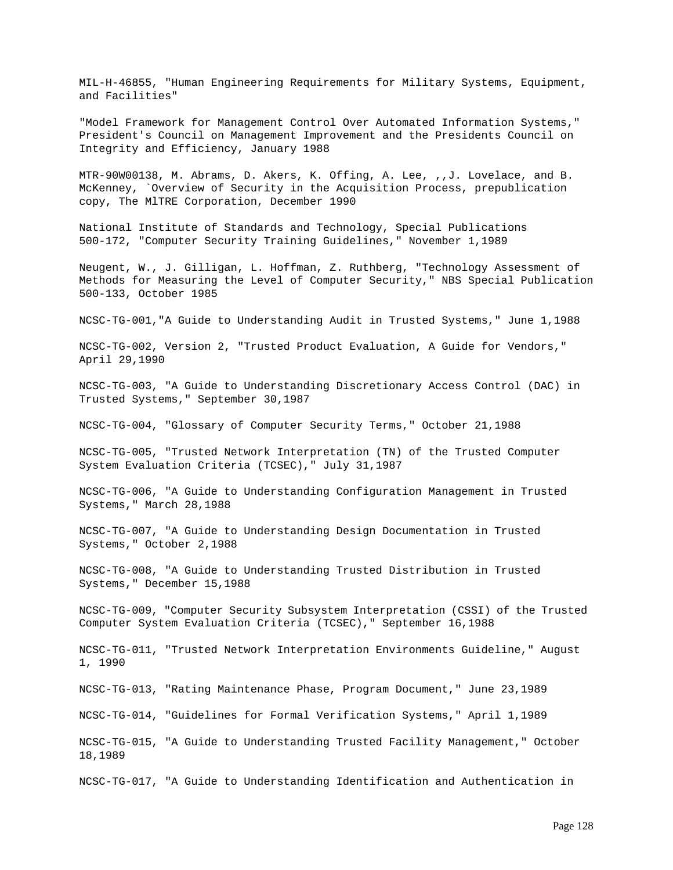MIL-H-46855, "Human Engineering Requirements for Military Systems, Equipment, and Facilities"

"Model Framework for Management Control Over Automated Information Systems," President's Council on Management Improvement and the Presidents Council on Integrity and Efficiency, January 1988

MTR-90W00138, M. Abrams, D. Akers, K. Offing, A. Lee, ,,J. Lovelace, and B. McKenney, `Overview of Security in the Acquisition Process, prepublication copy, The MlTRE Corporation, December 1990

National Institute of Standards and Technology, Special Publications 500-172, "Computer Security Training Guidelines," November 1,1989

Neugent, W., J. Gilligan, L. Hoffman, Z. Ruthberg, "Technology Assessment of Methods for Measuring the Level of Computer Security," NBS Special Publication 500-133, October 1985

NCSC-TG-001,"A Guide to Understanding Audit in Trusted Systems," June 1,1988

NCSC-TG-002, Version 2, "Trusted Product Evaluation, A Guide for Vendors," April 29,1990

NCSC-TG-003, "A Guide to Understanding Discretionary Access Control (DAC) in Trusted Systems," September 30,1987

NCSC-TG-004, "Glossary of Computer Security Terms," October 21,1988

NCSC-TG-005, "Trusted Network Interpretation (TN) of the Trusted Computer System Evaluation Criteria (TCSEC)," July 31,1987

NCSC-TG-006, "A Guide to Understanding Configuration Management in Trusted Systems," March 28,1988

NCSC-TG-007, "A Guide to Understanding Design Documentation in Trusted Systems," October 2,1988

NCSC-TG-008, "A Guide to Understanding Trusted Distribution in Trusted Systems," December 15,1988

NCSC-TG-009, "Computer Security Subsystem Interpretation (CSSI) of the Trusted Computer System Evaluation Criteria (TCSEC)," September 16,1988

NCSC-TG-011, "Trusted Network Interpretation Environments Guideline," August 1, 1990

NCSC-TG-013, "Rating Maintenance Phase, Program Document," June 23,1989

NCSC-TG-014, "Guidelines for Formal Verification Systems," April 1,1989

NCSC-TG-015, "A Guide to Understanding Trusted Facility Management," October 18,1989

NCSC-TG-017, "A Guide to Understanding Identification and Authentication in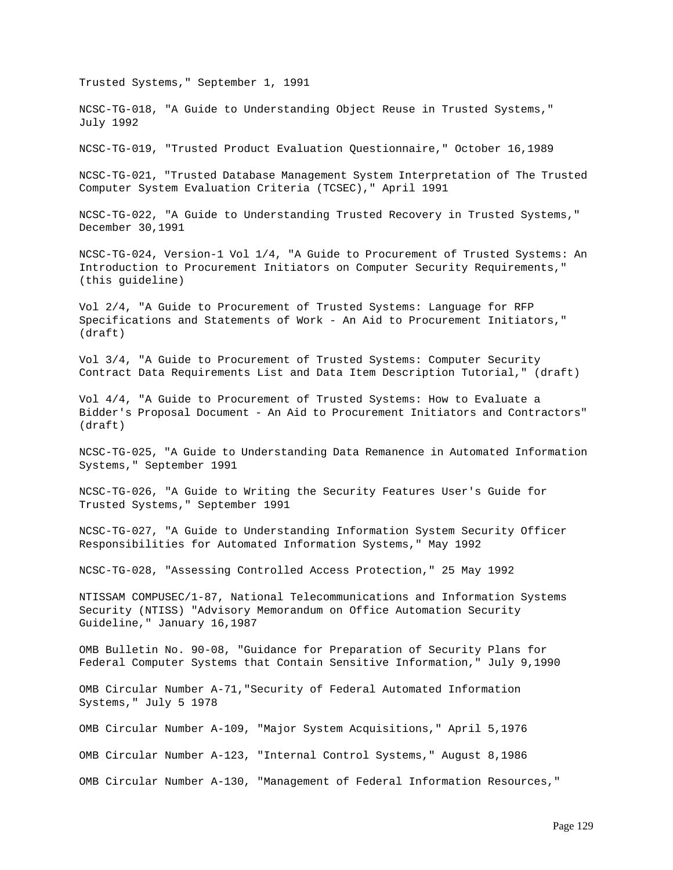Trusted Systems," September 1, 1991

NCSC-TG-018, "A Guide to Understanding Object Reuse in Trusted Systems," July 1992

NCSC-TG-019, "Trusted Product Evaluation Questionnaire," October 16,1989

NCSC-TG-021, "Trusted Database Management System Interpretation of The Trusted Computer System Evaluation Criteria (TCSEC)," April 1991

NCSC-TG-022, "A Guide to Understanding Trusted Recovery in Trusted Systems," December 30,1991

NCSC-TG-024, Version-1 Vol 1/4, "A Guide to Procurement of Trusted Systems: An Introduction to Procurement Initiators on Computer Security Requirements," (this guideline)

Vol 2/4, "A Guide to Procurement of Trusted Systems: Language for RFP Specifications and Statements of Work - An Aid to Procurement Initiators," (draft)

Vol 3/4, "A Guide to Procurement of Trusted Systems: Computer Security Contract Data Requirements List and Data Item Description Tutorial," (draft)

Vol 4/4, "A Guide to Procurement of Trusted Systems: How to Evaluate a Bidder's Proposal Document - An Aid to Procurement Initiators and Contractors" (draft)

NCSC-TG-025, "A Guide to Understanding Data Remanence in Automated Information Systems," September 1991

NCSC-TG-026, "A Guide to Writing the Security Features User's Guide for Trusted Systems," September 1991

NCSC-TG-027, "A Guide to Understanding Information System Security Officer Responsibilities for Automated Information Systems," May 1992

NCSC-TG-028, "Assessing Controlled Access Protection," 25 May 1992

NTISSAM COMPUSEC/1-87, National Telecommunications and Information Systems Security (NTISS) "Advisory Memorandum on Office Automation Security Guideline," January 16,1987

OMB Bulletin No. 90-08, "Guidance for Preparation of Security Plans for Federal Computer Systems that Contain Sensitive Information," July 9,1990

OMB Circular Number A-71,"Security of Federal Automated Information Systems," July 5 1978

OMB Circular Number A-109, "Major System Acquisitions," April 5,1976

OMB Circular Number A-123, "Internal Control Systems," August 8,1986

OMB Circular Number A-130, "Management of Federal Information Resources,"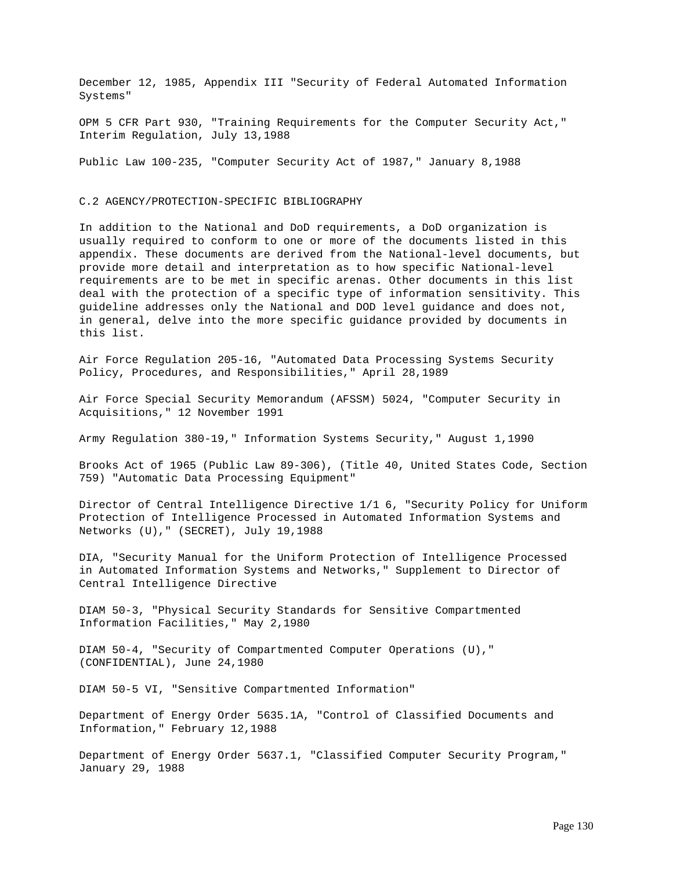December 12, 1985, Appendix III "Security of Federal Automated Information Systems"

OPM 5 CFR Part 930, "Training Requirements for the Computer Security Act," Interim Regulation, July 13,1988

Public Law 100-235, "Computer Security Act of 1987," January 8,1988

## C.2 AGENCY/PROTECTION-SPECIFIC BIBLIOGRAPHY

In addition to the National and DoD requirements, a DoD organization is usually required to conform to one or more of the documents listed in this appendix. These documents are derived from the National-level documents, but provide more detail and interpretation as to how specific National-level requirements are to be met in specific arenas. Other documents in this list deal with the protection of a specific type of information sensitivity. This guideline addresses only the National and DOD level guidance and does not, in general, delve into the more specific guidance provided by documents in this list.

Air Force Regulation 205-16, "Automated Data Processing Systems Security Policy, Procedures, and Responsibilities," April 28,1989

Air Force Special Security Memorandum (AFSSM) 5024, "Computer Security in Acquisitions," 12 November 1991

Army Regulation 380-19," Information Systems Security," August 1,1990

Brooks Act of 1965 (Public Law 89-306), (Title 40, United States Code, Section 759) "Automatic Data Processing Equipment"

Director of Central Intelligence Directive 1/1 6, "Security Policy for Uniform Protection of Intelligence Processed in Automated Information Systems and Networks (U)," (SECRET), July 19,1988

DIA, "Security Manual for the Uniform Protection of Intelligence Processed in Automated Information Systems and Networks," Supplement to Director of Central Intelligence Directive

DIAM 50-3, "Physical Security Standards for Sensitive Compartmented Information Facilities," May 2,1980

DIAM 50-4, "Security of Compartmented Computer Operations (U)," (CONFIDENTIAL), June 24,1980

DIAM 50-5 VI, "Sensitive Compartmented Information"

Department of Energy Order 5635.1A, "Control of Classified Documents and Information," February 12,1988

Department of Energy Order 5637.1, "Classified Computer Security Program," January 29, 1988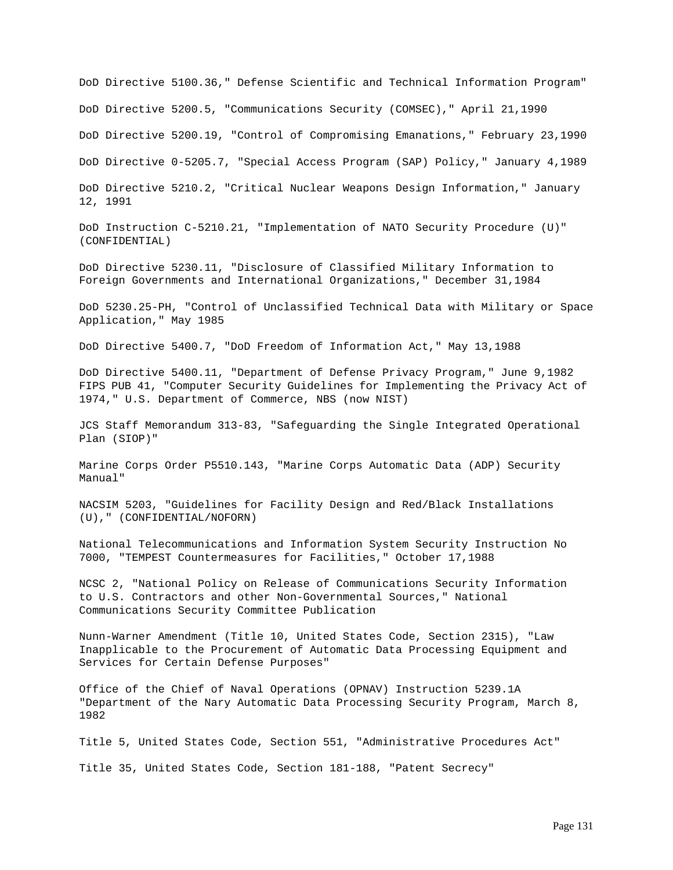DoD Directive 5100.36," Defense Scientific and Technical Information Program" DoD Directive 5200.5, "Communications Security (COMSEC)," April 21,1990

DoD Directive 5200.19, "Control of Compromising Emanations," February 23,1990

DoD Directive 0-5205.7, "Special Access Program (SAP) Policy," January 4,1989

DoD Directive 5210.2, "Critical Nuclear Weapons Design Information," January 12, 1991

DoD Instruction C-5210.21, "Implementation of NATO Security Procedure (U)" (CONFIDENTIAL)

DoD Directive 5230.11, "Disclosure of Classified Military Information to Foreign Governments and International Organizations," December 31,1984

DoD 5230.25-PH, "Control of Unclassified Technical Data with Military or Space Application," May 1985

DoD Directive 5400.7, "DoD Freedom of Information Act," May 13,1988

DoD Directive 5400.11, "Department of Defense Privacy Program," June 9,1982 FIPS PUB 41, "Computer Security Guidelines for Implementing the Privacy Act of 1974," U.S. Department of Commerce, NBS (now NIST)

JCS Staff Memorandum 313-83, "Safeguarding the Single Integrated Operational Plan (SIOP)"

Marine Corps Order P5510.143, "Marine Corps Automatic Data (ADP) Security Manual"

NACSIM 5203, "Guidelines for Facility Design and Red/Black Installations (U)," (CONFIDENTIAL/NOFORN)

National Telecommunications and Information System Security Instruction No 7000, "TEMPEST Countermeasures for Facilities," October 17,1988

NCSC 2, "National Policy on Release of Communications Security Information to U.S. Contractors and other Non-Governmental Sources," National Communications Security Committee Publication

Nunn-Warner Amendment (Title 10, United States Code, Section 2315), "Law Inapplicable to the Procurement of Automatic Data Processing Equipment and Services for Certain Defense Purposes"

Office of the Chief of Naval Operations (OPNAV) Instruction 5239.1A "Department of the Nary Automatic Data Processing Security Program, March 8, 1982

Title 5, United States Code, Section 551, "Administrative Procedures Act"

Title 35, United States Code, Section 181-188, "Patent Secrecy"